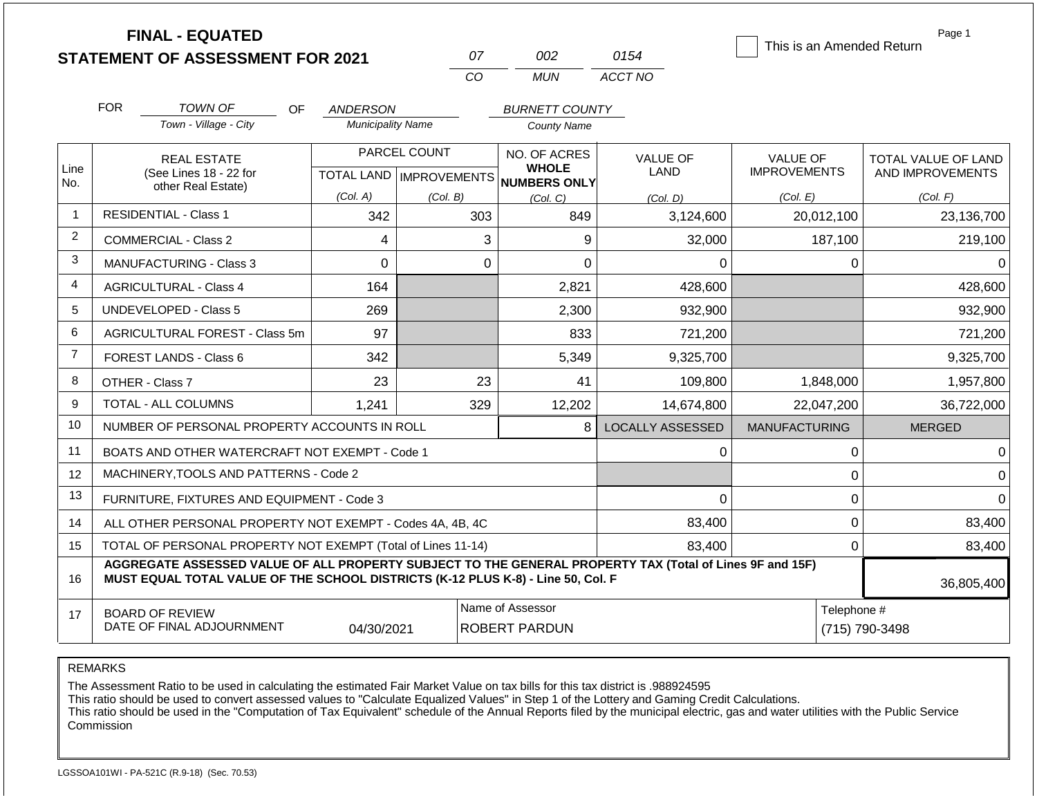|                | <b>FINAL - EQUATED</b><br><b>STATEMENT OF ASSESSMENT FOR 2021</b>                                                                                                                            |                                      | 07                        | 002                                         | 0154                    | This is an Amended Return | Page 1                     |
|----------------|----------------------------------------------------------------------------------------------------------------------------------------------------------------------------------------------|--------------------------------------|---------------------------|---------------------------------------------|-------------------------|---------------------------|----------------------------|
|                |                                                                                                                                                                                              |                                      | CO                        | <b>MUN</b>                                  | ACCT NO                 |                           |                            |
|                | <b>FOR</b>                                                                                                                                                                                   |                                      |                           |                                             |                         |                           |                            |
|                | <b>TOWN OF</b><br>OF.<br>Town - Village - City                                                                                                                                               | ANDERSON<br><b>Municipality Name</b> |                           | <b>BURNETT COUNTY</b><br><b>County Name</b> |                         |                           |                            |
|                |                                                                                                                                                                                              |                                      |                           |                                             |                         |                           |                            |
| Line           | <b>REAL ESTATE</b>                                                                                                                                                                           |                                      | PARCEL COUNT              | NO. OF ACRES<br><b>WHOLE</b>                | <b>VALUE OF</b>         | <b>VALUE OF</b>           | <b>TOTAL VALUE OF LAND</b> |
| No.            | (See Lines 18 - 22 for<br>other Real Estate)                                                                                                                                                 |                                      | TOTAL LAND   IMPROVEMENTS | <b>NUMBERS ONLY</b>                         | LAND                    | <b>IMPROVEMENTS</b>       | AND IMPROVEMENTS           |
|                |                                                                                                                                                                                              | (Col. A)                             | (Col. B)                  | (Col. C)                                    | (Col. D)                | (Col. E)                  | (Col. F)                   |
| $\overline{1}$ | <b>RESIDENTIAL - Class 1</b>                                                                                                                                                                 | 342                                  | 303                       | 849                                         | 3,124,600               | 20,012,100                | 23,136,700                 |
| $\overline{2}$ | <b>COMMERCIAL - Class 2</b>                                                                                                                                                                  | 4                                    | 3                         | 9                                           | 32,000                  | 187,100                   | 219,100                    |
| 3              | <b>MANUFACTURING - Class 3</b>                                                                                                                                                               | $\Omega$                             | $\Omega$                  | 0                                           | 0                       | 0                         | 0                          |
| 4              | <b>AGRICULTURAL - Class 4</b>                                                                                                                                                                | 164                                  |                           | 2,821                                       | 428,600                 |                           | 428,600                    |
| 5              | <b>UNDEVELOPED - Class 5</b>                                                                                                                                                                 | 269                                  |                           | 2,300                                       | 932,900                 |                           | 932,900                    |
| 6              | AGRICULTURAL FOREST - Class 5m                                                                                                                                                               | 97                                   |                           | 833                                         | 721,200                 |                           | 721,200                    |
| $\overline{7}$ | <b>FOREST LANDS - Class 6</b>                                                                                                                                                                | 342                                  |                           | 5,349                                       | 9,325,700               |                           | 9,325,700                  |
| 8              | OTHER - Class 7                                                                                                                                                                              | 23                                   | 23                        | 41                                          | 109,800                 | 1,848,000                 | 1,957,800                  |
| 9              | TOTAL - ALL COLUMNS                                                                                                                                                                          | 1,241                                | 329                       | 12,202                                      | 14,674,800              | 22,047,200                | 36,722,000                 |
| 10             | NUMBER OF PERSONAL PROPERTY ACCOUNTS IN ROLL                                                                                                                                                 |                                      |                           | 8                                           | <b>LOCALLY ASSESSED</b> | <b>MANUFACTURING</b>      | <b>MERGED</b>              |
| 11             | BOATS AND OTHER WATERCRAFT NOT EXEMPT - Code 1                                                                                                                                               |                                      |                           |                                             | $\Omega$                | $\boldsymbol{0}$          | $\Omega$                   |
| 12             | MACHINERY, TOOLS AND PATTERNS - Code 2                                                                                                                                                       |                                      |                           |                                             |                         | $\pmb{0}$                 | $\Omega$                   |
| 13             | FURNITURE, FIXTURES AND EQUIPMENT - Code 3                                                                                                                                                   |                                      |                           |                                             | 0                       | $\pmb{0}$                 | $\Omega$                   |
| 14             | ALL OTHER PERSONAL PROPERTY NOT EXEMPT - Codes 4A, 4B, 4C                                                                                                                                    |                                      |                           |                                             | 83,400                  | 0<br>83,400               |                            |
| 15             | TOTAL OF PERSONAL PROPERTY NOT EXEMPT (Total of Lines 11-14)                                                                                                                                 |                                      |                           |                                             | 83,400                  | 0                         | 83,400                     |
| 16             | AGGREGATE ASSESSED VALUE OF ALL PROPERTY SUBJECT TO THE GENERAL PROPERTY TAX (Total of Lines 9F and 15F)<br>MUST EQUAL TOTAL VALUE OF THE SCHOOL DISTRICTS (K-12 PLUS K-8) - Line 50, Col. F |                                      |                           |                                             |                         |                           | 36,805,400                 |
| 17             | Name of Assessor<br>Telephone #<br><b>BOARD OF REVIEW</b><br>DATE OF FINAL ADJOURNMENT<br>04/30/2021<br><b>ROBERT PARDUN</b>                                                                 |                                      |                           |                                             |                         |                           | (715) 790-3498             |

The Assessment Ratio to be used in calculating the estimated Fair Market Value on tax bills for this tax district is .988924595

This ratio should be used to convert assessed values to "Calculate Equalized Values" in Step 1 of the Lottery and Gaming Credit Calculations.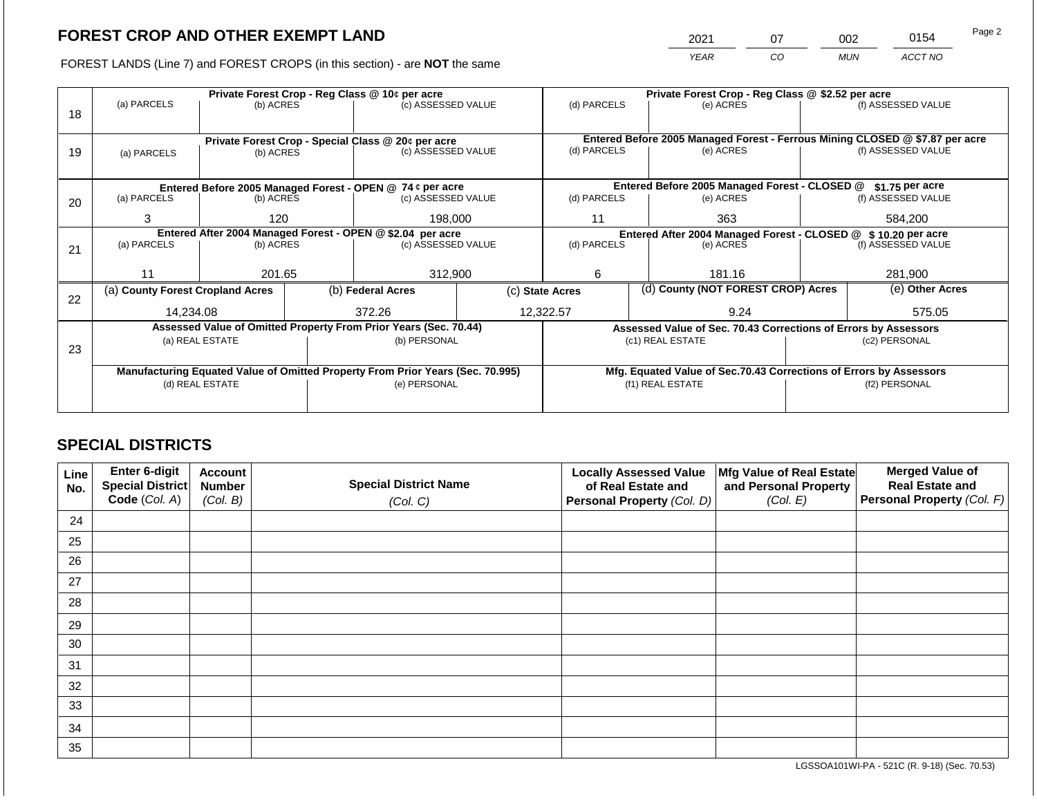2021 07 002 0154

FOREST LANDS (Line 7) and FOREST CROPS (in this section) - are **NOT** the same *YEAR CO MUN ACCT NO*

|    | Private Forest Crop - Reg Class @ 10¢ per acre |                 |  |                                                                                |                    | Private Forest Crop - Reg Class @ \$2.52 per acre                            |                                                               |                                                                    |                    |                    |
|----|------------------------------------------------|-----------------|--|--------------------------------------------------------------------------------|--------------------|------------------------------------------------------------------------------|---------------------------------------------------------------|--------------------------------------------------------------------|--------------------|--------------------|
|    | (a) PARCELS                                    | (b) ACRES       |  | (c) ASSESSED VALUE                                                             |                    | (d) PARCELS                                                                  |                                                               | (e) ACRES                                                          |                    | (f) ASSESSED VALUE |
| 18 |                                                |                 |  |                                                                                |                    |                                                                              |                                                               |                                                                    |                    |                    |
|    |                                                |                 |  |                                                                                |                    | Entered Before 2005 Managed Forest - Ferrous Mining CLOSED @ \$7.87 per acre |                                                               |                                                                    |                    |                    |
| 19 | (a) PARCELS                                    | (b) ACRES       |  | Private Forest Crop - Special Class @ 20¢ per acre<br>(c) ASSESSED VALUE       |                    | (d) PARCELS                                                                  |                                                               | (e) ACRES                                                          |                    | (f) ASSESSED VALUE |
|    |                                                |                 |  |                                                                                |                    |                                                                              |                                                               |                                                                    |                    |                    |
|    |                                                |                 |  |                                                                                |                    |                                                                              |                                                               |                                                                    |                    |                    |
|    |                                                |                 |  | Entered Before 2005 Managed Forest - OPEN @ 74 ¢ per acre                      |                    |                                                                              |                                                               | Entered Before 2005 Managed Forest - CLOSED @                      |                    | \$1.75 per acre    |
| 20 | (a) PARCELS                                    | (b) ACRES       |  | (c) ASSESSED VALUE                                                             |                    | (d) PARCELS                                                                  |                                                               | (e) ACRES                                                          |                    | (f) ASSESSED VALUE |
|    | 3                                              | 120             |  |                                                                                | 198,000            |                                                                              |                                                               | 363                                                                |                    | 584,200            |
|    |                                                |                 |  |                                                                                | 11                 |                                                                              |                                                               |                                                                    |                    |                    |
|    |                                                |                 |  | Entered After 2004 Managed Forest - OPEN @ \$2.04 per acre                     |                    |                                                                              | Entered After 2004 Managed Forest - CLOSED @ \$10.20 per acre |                                                                    |                    |                    |
| 21 | (a) PARCELS                                    | (b) ACRES       |  |                                                                                | (c) ASSESSED VALUE |                                                                              | (d) PARCELS<br>(e) ACRES                                      |                                                                    | (f) ASSESSED VALUE |                    |
|    |                                                |                 |  |                                                                                |                    |                                                                              |                                                               |                                                                    |                    |                    |
|    | 11                                             | 201.65          |  | 312,900                                                                        |                    | 6                                                                            |                                                               | 181.16                                                             |                    | 281,900            |
|    | (a) County Forest Cropland Acres               |                 |  | (b) Federal Acres                                                              |                    | (d) County (NOT FOREST CROP) Acres<br>(c) State Acres                        |                                                               | (e) Other Acres                                                    |                    |                    |
| 22 |                                                |                 |  |                                                                                |                    |                                                                              |                                                               |                                                                    |                    |                    |
|    | 14,234.08                                      |                 |  | 372.26                                                                         |                    | 12,322.57                                                                    |                                                               | 9.24                                                               |                    | 575.05             |
|    |                                                |                 |  | Assessed Value of Omitted Property From Prior Years (Sec. 70.44)               |                    |                                                                              |                                                               | Assessed Value of Sec. 70.43 Corrections of Errors by Assessors    |                    |                    |
|    |                                                | (a) REAL ESTATE |  | (b) PERSONAL                                                                   |                    |                                                                              |                                                               | (c1) REAL ESTATE                                                   |                    | (c2) PERSONAL      |
| 23 |                                                |                 |  |                                                                                |                    |                                                                              |                                                               |                                                                    |                    |                    |
|    |                                                |                 |  | Manufacturing Equated Value of Omitted Property From Prior Years (Sec. 70.995) |                    |                                                                              |                                                               | Mfg. Equated Value of Sec.70.43 Corrections of Errors by Assessors |                    |                    |
|    |                                                | (d) REAL ESTATE |  | (e) PERSONAL                                                                   |                    |                                                                              |                                                               | (f1) REAL ESTATE                                                   |                    | (f2) PERSONAL      |
|    |                                                |                 |  |                                                                                |                    |                                                                              |                                                               |                                                                    |                    |                    |
|    |                                                |                 |  |                                                                                |                    |                                                                              |                                                               |                                                                    |                    |                    |

## **SPECIAL DISTRICTS**

| Line<br>No. | <b>Enter 6-digit</b><br>Special District | <b>Account</b><br><b>Number</b> | <b>Special District Name</b> | <b>Locally Assessed Value</b><br>of Real Estate and | Mfg Value of Real Estate<br>and Personal Property | <b>Merged Value of</b><br><b>Real Estate and</b> |
|-------------|------------------------------------------|---------------------------------|------------------------------|-----------------------------------------------------|---------------------------------------------------|--------------------------------------------------|
|             | Code (Col. A)                            | (Col. B)                        | (Col. C)                     | Personal Property (Col. D)                          | (Col. E)                                          | Personal Property (Col. F)                       |
| 24          |                                          |                                 |                              |                                                     |                                                   |                                                  |
| 25          |                                          |                                 |                              |                                                     |                                                   |                                                  |
| 26          |                                          |                                 |                              |                                                     |                                                   |                                                  |
| 27          |                                          |                                 |                              |                                                     |                                                   |                                                  |
| 28          |                                          |                                 |                              |                                                     |                                                   |                                                  |
| 29          |                                          |                                 |                              |                                                     |                                                   |                                                  |
| 30          |                                          |                                 |                              |                                                     |                                                   |                                                  |
| 31          |                                          |                                 |                              |                                                     |                                                   |                                                  |
| 32          |                                          |                                 |                              |                                                     |                                                   |                                                  |
| 33          |                                          |                                 |                              |                                                     |                                                   |                                                  |
| 34          |                                          |                                 |                              |                                                     |                                                   |                                                  |
| 35          |                                          |                                 |                              |                                                     |                                                   |                                                  |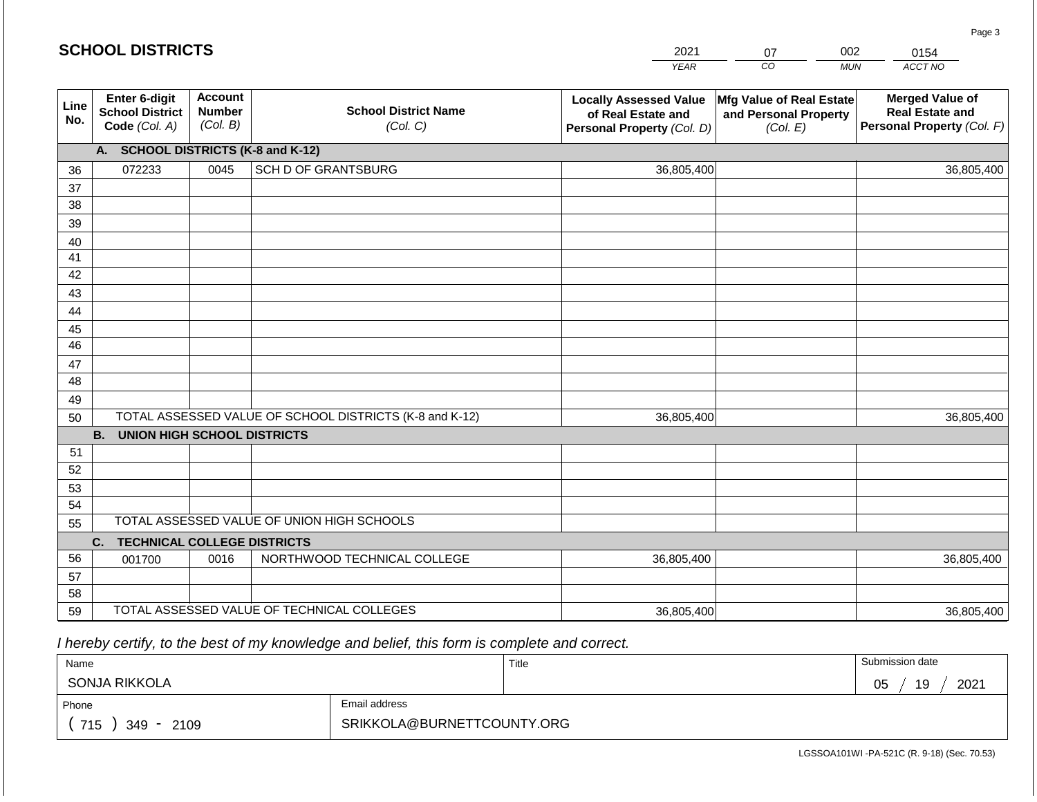#### *YEAR CO MUN ACCT NO*  **Line No. Enter 6-digit School District Code** *(Col. A)* **Account Number** *(Col. B)* **School District Name** *(Col. C)* **Locally Assessed Value of Real Estate and Personal Property** *(Col. D)* **Mfg Value of Real Estate and Personal Property** *(Col. E)* **Merged Value of Real Estate and Personal Property** *(Col. F)* **A. SCHOOL DISTRICTS (K-8 and K-12)** 36 37 38 39 40 41 42 43 44 45 46 47 48 49 50 TOTAL ASSESSED VALUE OF SCHOOL DISTRICTS (K-8 and K-12) **B. UNION HIGH SCHOOL DISTRICTS** 51 52 53 54 55 **C. TECHNICAL COLLEGE DISTRICTS** 56 57 58 59 TOTAL ASSESSED VALUE OF TECHNICAL COLLEGES TOTAL ASSESSED VALUE OF UNION HIGH SCHOOLS 072233 0045 SCH D OF GRANTSBURG 36,805,400 36,805,400 001700 | 0016 | NORTHWOOD TECHNICAL COLLEGE 36,805,400 36,805,400 36,805,400 36,805,400 36,805,400 36,805,400

 *I hereby certify, to the best of my knowledge and belief, this form is complete and correct.*

| Name                 |                            | Title | Submission date  |
|----------------------|----------------------------|-------|------------------|
| SONJA RIKKOLA        |                            |       | 19<br>2021<br>05 |
| Phone                | Email address              |       |                  |
| 715<br>2109<br>349 - | SRIKKOLA@BURNETTCOUNTY.ORG |       |                  |

LGSSOA101WI -PA-521C (R. 9-18) (Sec. 70.53)

Page 3

| 2021 | 07 | 002 | 0154    |
|------|----|-----|---------|
| YFAR | CО | MUN | ACCT NO |

| <b>SCHOOL DISTRICTS</b> |
|-------------------------|
|-------------------------|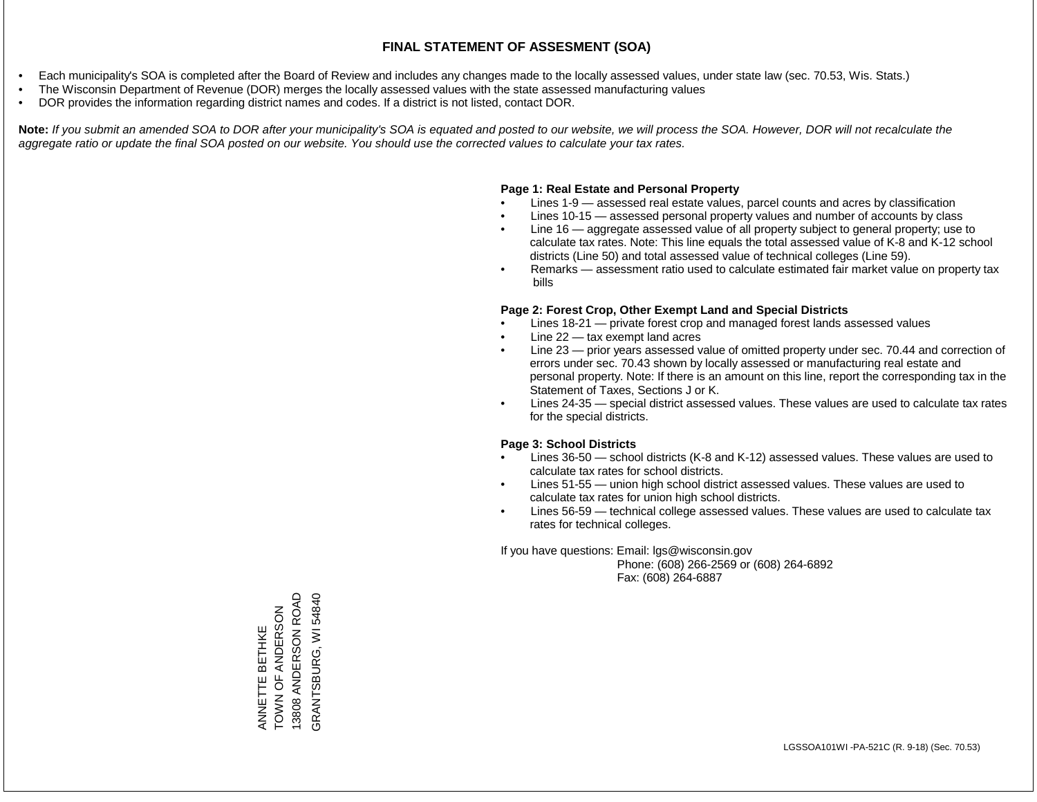- Each municipality's SOA is completed after the Board of Review and includes any changes made to the locally assessed values, under state law (sec. 70.53, Wis. Stats.)
- The Wisconsin Department of Revenue (DOR) merges the locally assessed values with the state assessed manufacturing values
- DOR provides the information regarding district names and codes. If a district is not listed, contact DOR.

Note: If you submit an amended SOA to DOR after your municipality's SOA is equated and posted to our website, we will process the SOA. However, DOR will not recalculate the *aggregate ratio or update the final SOA posted on our website. You should use the corrected values to calculate your tax rates.*

#### **Page 1: Real Estate and Personal Property**

- Lines 1-9 assessed real estate values, parcel counts and acres by classification
- Lines 10-15 assessed personal property values and number of accounts by class
- Line 16 aggregate assessed value of all property subject to general property; use to calculate tax rates. Note: This line equals the total assessed value of K-8 and K-12 school districts (Line 50) and total assessed value of technical colleges (Line 59).
- Remarks assessment ratio used to calculate estimated fair market value on property tax bills

#### **Page 2: Forest Crop, Other Exempt Land and Special Districts**

- Lines 18-21 private forest crop and managed forest lands assessed values
- Line  $22 -$  tax exempt land acres
- Line 23 prior years assessed value of omitted property under sec. 70.44 and correction of errors under sec. 70.43 shown by locally assessed or manufacturing real estate and personal property. Note: If there is an amount on this line, report the corresponding tax in the Statement of Taxes, Sections J or K.
- Lines 24-35 special district assessed values. These values are used to calculate tax rates for the special districts.

#### **Page 3: School Districts**

- Lines 36-50 school districts (K-8 and K-12) assessed values. These values are used to calculate tax rates for school districts.
- Lines 51-55 union high school district assessed values. These values are used to calculate tax rates for union high school districts.
- Lines 56-59 technical college assessed values. These values are used to calculate tax rates for technical colleges.

If you have questions: Email: lgs@wisconsin.gov

 Phone: (608) 266-2569 or (608) 264-6892 Fax: (608) 264-6887

13808 ANDERSON ROAD 13808 ANDERSON ROAD GRANTSBURG, WI 54840 GRANTSBURG, WI 54840ANNETTE BETHKE<br>TOWN OF ANDERSON ZOSENDING LO NON ANNETTE BETHKE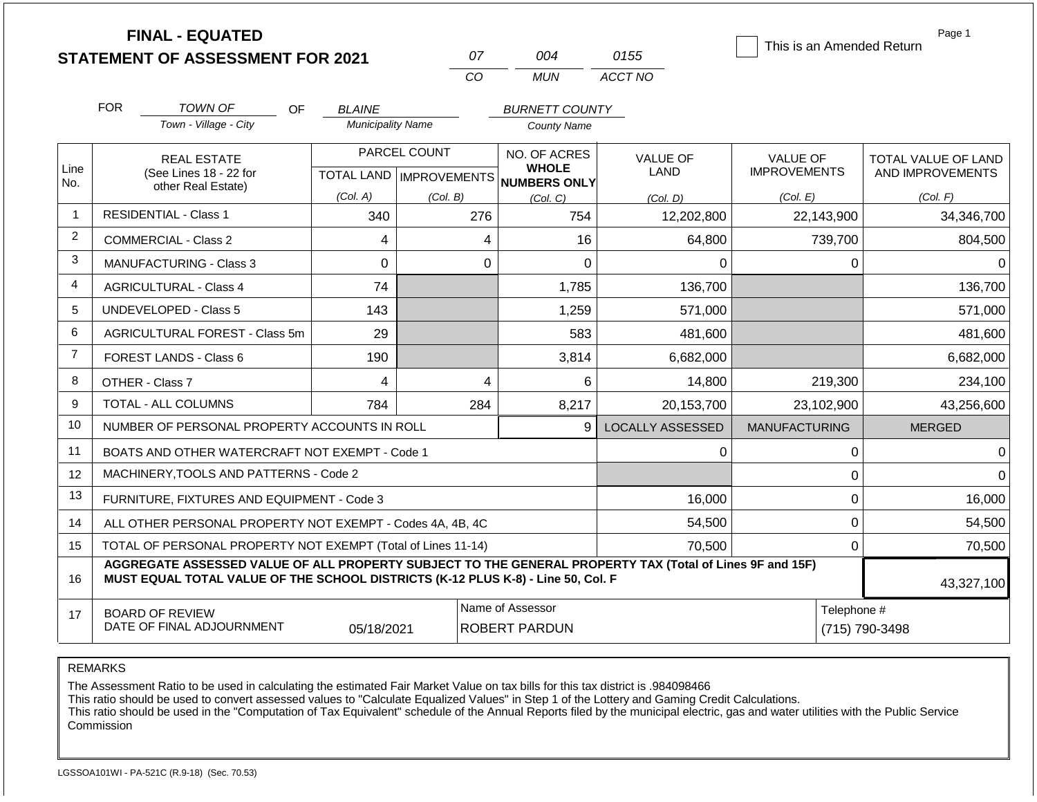|                | <b>FINAL - EQUATED</b>                                                                                                                                                                       |                          | 07                        |                                     |                         | This is an Amended Return | Page 1                     |
|----------------|----------------------------------------------------------------------------------------------------------------------------------------------------------------------------------------------|--------------------------|---------------------------|-------------------------------------|-------------------------|---------------------------|----------------------------|
|                | <b>STATEMENT OF ASSESSMENT FOR 2021</b>                                                                                                                                                      |                          |                           | 004                                 | 0155                    |                           |                            |
|                |                                                                                                                                                                                              |                          | CO                        | <b>MUN</b>                          | ACCT NO                 |                           |                            |
|                | <b>FOR</b><br><b>TOWN OF</b><br>OF                                                                                                                                                           | <b>BLAINE</b>            |                           | <b>BURNETT COUNTY</b>               |                         |                           |                            |
|                | Town - Village - City                                                                                                                                                                        | <b>Municipality Name</b> |                           | <b>County Name</b>                  |                         |                           |                            |
|                | <b>REAL ESTATE</b>                                                                                                                                                                           |                          | PARCEL COUNT              | NO. OF ACRES                        | <b>VALUE OF</b><br>LAND | <b>VALUE OF</b>           | <b>TOTAL VALUE OF LAND</b> |
| Line<br>No.    | (See Lines 18 - 22 for                                                                                                                                                                       |                          | TOTAL LAND   IMPROVEMENTS | <b>WHOLE</b><br><b>NUMBERS ONLY</b> |                         | <b>IMPROVEMENTS</b>       | AND IMPROVEMENTS           |
|                | other Real Estate)                                                                                                                                                                           | (Col. A)                 | (Col. B)                  | (Col. C)                            | (Col. D)                | (Col. E)                  | (Col. F)                   |
| $\overline{1}$ | <b>RESIDENTIAL - Class 1</b>                                                                                                                                                                 | 340                      | 276                       | 754                                 | 12,202,800              | 22,143,900                | 34,346,700                 |
| 2              | <b>COMMERCIAL - Class 2</b>                                                                                                                                                                  | 4                        | 4                         | 16                                  | 64,800                  | 739,700                   | 804,500                    |
| 3              | <b>MANUFACTURING - Class 3</b>                                                                                                                                                               | $\Omega$                 | $\Omega$                  | 0                                   | 0                       | 0                         | 0                          |
| $\overline{4}$ | <b>AGRICULTURAL - Class 4</b><br>74                                                                                                                                                          |                          |                           | 1,785                               | 136,700                 |                           | 136,700                    |
| 5              | <b>UNDEVELOPED - Class 5</b>                                                                                                                                                                 | 143                      |                           | 1,259                               | 571,000                 |                           | 571,000                    |
| 6              | AGRICULTURAL FOREST - Class 5m                                                                                                                                                               | 29                       |                           | 583                                 | 481,600                 |                           | 481,600                    |
| $\overline{7}$ | FOREST LANDS - Class 6                                                                                                                                                                       | 190                      |                           | 3,814                               | 6,682,000               |                           | 6,682,000                  |
| 8              | OTHER - Class 7                                                                                                                                                                              | 4                        | $\overline{\mathbf{4}}$   | 6                                   | 14,800                  | 219,300                   | 234,100                    |
| 9              | TOTAL - ALL COLUMNS                                                                                                                                                                          | 784                      | 284                       | 8,217                               | 20,153,700              | 23,102,900                | 43,256,600                 |
| 10             | NUMBER OF PERSONAL PROPERTY ACCOUNTS IN ROLL                                                                                                                                                 |                          |                           | 9                                   | <b>LOCALLY ASSESSED</b> | <b>MANUFACTURING</b>      | <b>MERGED</b>              |
| 11             | BOATS AND OTHER WATERCRAFT NOT EXEMPT - Code 1                                                                                                                                               |                          |                           |                                     | $\Omega$                | 0                         | $\Omega$                   |
| 12             | MACHINERY, TOOLS AND PATTERNS - Code 2                                                                                                                                                       |                          |                           |                                     |                         | 0                         | $\Omega$                   |
| 13             | FURNITURE, FIXTURES AND EQUIPMENT - Code 3                                                                                                                                                   |                          |                           |                                     | 16,000                  | 0                         | 16,000                     |
| 14             | ALL OTHER PERSONAL PROPERTY NOT EXEMPT - Codes 4A, 4B, 4C                                                                                                                                    |                          |                           |                                     | 54,500                  | 0                         | 54,500                     |
| 15             | TOTAL OF PERSONAL PROPERTY NOT EXEMPT (Total of Lines 11-14)                                                                                                                                 |                          |                           | 70,500                              | 0                       | 70,500                    |                            |
| 16             | AGGREGATE ASSESSED VALUE OF ALL PROPERTY SUBJECT TO THE GENERAL PROPERTY TAX (Total of Lines 9F and 15F)<br>MUST EQUAL TOTAL VALUE OF THE SCHOOL DISTRICTS (K-12 PLUS K-8) - Line 50, Col. F |                          |                           |                                     |                         |                           |                            |
|                |                                                                                                                                                                                              |                          |                           |                                     |                         |                           | 43,327,100                 |
| 17             | <b>BOARD OF REVIEW</b>                                                                                                                                                                       |                          |                           | Name of Assessor                    |                         | Telephone #               |                            |
|                | DATE OF FINAL ADJOURNMENT                                                                                                                                                                    | 05/18/2021               | <b>ROBERT PARDUN</b>      |                                     |                         | (715) 790-3498            |                            |

The Assessment Ratio to be used in calculating the estimated Fair Market Value on tax bills for this tax district is .984098466

This ratio should be used to convert assessed values to "Calculate Equalized Values" in Step 1 of the Lottery and Gaming Credit Calculations.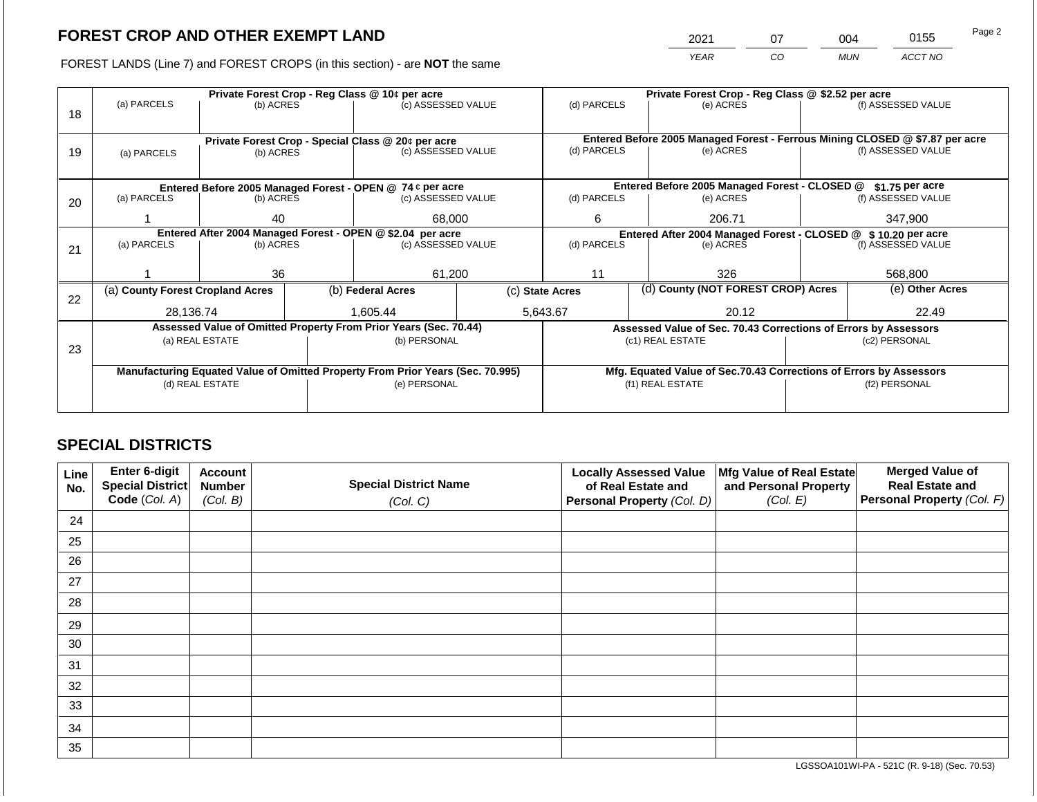2021 07 004 0155

FOREST LANDS (Line 7) and FOREST CROPS (in this section) - are **NOT** the same *YEAR CO MUN ACCT NO*

|    | Private Forest Crop - Reg Class @ 10¢ per acre                                 |                 |  |                                                                          |  | Private Forest Crop - Reg Class @ \$2.52 per acre |  |                                                                                           |               |                    |  |
|----|--------------------------------------------------------------------------------|-----------------|--|--------------------------------------------------------------------------|--|---------------------------------------------------|--|-------------------------------------------------------------------------------------------|---------------|--------------------|--|
|    | (a) PARCELS                                                                    | (b) ACRES       |  | (c) ASSESSED VALUE                                                       |  | (d) PARCELS                                       |  | (e) ACRES                                                                                 |               | (f) ASSESSED VALUE |  |
| 18 |                                                                                |                 |  |                                                                          |  |                                                   |  |                                                                                           |               |                    |  |
|    |                                                                                |                 |  |                                                                          |  |                                                   |  |                                                                                           |               |                    |  |
|    |                                                                                |                 |  | Private Forest Crop - Special Class @ 20¢ per acre<br>(c) ASSESSED VALUE |  | (d) PARCELS                                       |  | Entered Before 2005 Managed Forest - Ferrous Mining CLOSED @ \$7.87 per acre<br>(e) ACRES |               | (f) ASSESSED VALUE |  |
| 19 | (a) PARCELS                                                                    | (b) ACRES       |  |                                                                          |  |                                                   |  |                                                                                           |               |                    |  |
|    |                                                                                |                 |  |                                                                          |  |                                                   |  |                                                                                           |               |                    |  |
|    |                                                                                |                 |  | Entered Before 2005 Managed Forest - OPEN @ 74 ¢ per acre                |  | Entered Before 2005 Managed Forest - CLOSED @     |  |                                                                                           |               | \$1.75 per acre    |  |
| 20 | (a) PARCELS                                                                    | (b) ACRES       |  | (c) ASSESSED VALUE                                                       |  | (d) PARCELS                                       |  | (e) ACRES                                                                                 |               | (f) ASSESSED VALUE |  |
|    |                                                                                |                 |  |                                                                          |  |                                                   |  |                                                                                           |               |                    |  |
|    |                                                                                | 40              |  | 68,000                                                                   |  | 6                                                 |  | 206.71                                                                                    |               | 347,900            |  |
|    | Entered After 2004 Managed Forest - OPEN @ \$2.04 per acre                     |                 |  | Entered After 2004 Managed Forest - CLOSED @ \$10.20 per acre            |  |                                                   |  |                                                                                           |               |                    |  |
| 21 | (a) PARCELS                                                                    | (b) ACRES       |  | (c) ASSESSED VALUE                                                       |  | (d) PARCELS                                       |  | (e) ACRES                                                                                 |               | (f) ASSESSED VALUE |  |
|    |                                                                                |                 |  |                                                                          |  |                                                   |  |                                                                                           |               |                    |  |
|    |                                                                                | 36              |  | 61,200                                                                   |  | 11                                                |  | 326                                                                                       |               | 568,800            |  |
|    | (a) County Forest Cropland Acres                                               |                 |  | (b) Federal Acres                                                        |  | (c) State Acres                                   |  | (d) County (NOT FOREST CROP) Acres                                                        |               | (e) Other Acres    |  |
| 22 |                                                                                |                 |  |                                                                          |  |                                                   |  |                                                                                           |               |                    |  |
|    | 28,136.74                                                                      |                 |  | 1.605.44                                                                 |  | 5,643.67                                          |  | 20.12                                                                                     | 22.49         |                    |  |
|    |                                                                                |                 |  | Assessed Value of Omitted Property From Prior Years (Sec. 70.44)         |  |                                                   |  | Assessed Value of Sec. 70.43 Corrections of Errors by Assessors                           |               |                    |  |
|    |                                                                                | (a) REAL ESTATE |  | (b) PERSONAL                                                             |  |                                                   |  | (c1) REAL ESTATE                                                                          |               | (c2) PERSONAL      |  |
| 23 |                                                                                |                 |  |                                                                          |  |                                                   |  |                                                                                           |               |                    |  |
|    | Manufacturing Equated Value of Omitted Property From Prior Years (Sec. 70.995) |                 |  |                                                                          |  |                                                   |  | Mfg. Equated Value of Sec.70.43 Corrections of Errors by Assessors                        |               |                    |  |
|    |                                                                                | (d) REAL ESTATE |  | (e) PERSONAL                                                             |  |                                                   |  | (f1) REAL ESTATE                                                                          | (f2) PERSONAL |                    |  |
|    |                                                                                |                 |  |                                                                          |  |                                                   |  |                                                                                           |               |                    |  |
|    |                                                                                |                 |  |                                                                          |  |                                                   |  |                                                                                           |               |                    |  |

## **SPECIAL DISTRICTS**

| Line<br>No. | Enter 6-digit<br>Special District<br>Code (Col. A) | <b>Account</b><br><b>Number</b><br>(Col. B) | <b>Special District Name</b><br>(Col. C) | <b>Locally Assessed Value</b><br>of Real Estate and<br><b>Personal Property (Col. D)</b> | Mfg Value of Real Estate<br>and Personal Property<br>(Col. E) | <b>Merged Value of</b><br><b>Real Estate and</b><br>Personal Property (Col. F) |
|-------------|----------------------------------------------------|---------------------------------------------|------------------------------------------|------------------------------------------------------------------------------------------|---------------------------------------------------------------|--------------------------------------------------------------------------------|
| 24          |                                                    |                                             |                                          |                                                                                          |                                                               |                                                                                |
| 25          |                                                    |                                             |                                          |                                                                                          |                                                               |                                                                                |
| 26          |                                                    |                                             |                                          |                                                                                          |                                                               |                                                                                |
| 27          |                                                    |                                             |                                          |                                                                                          |                                                               |                                                                                |
| 28          |                                                    |                                             |                                          |                                                                                          |                                                               |                                                                                |
| 29          |                                                    |                                             |                                          |                                                                                          |                                                               |                                                                                |
| 30          |                                                    |                                             |                                          |                                                                                          |                                                               |                                                                                |
| 31          |                                                    |                                             |                                          |                                                                                          |                                                               |                                                                                |
| 32          |                                                    |                                             |                                          |                                                                                          |                                                               |                                                                                |
| 33          |                                                    |                                             |                                          |                                                                                          |                                                               |                                                                                |
| 34          |                                                    |                                             |                                          |                                                                                          |                                                               |                                                                                |
| 35          |                                                    |                                             |                                          |                                                                                          |                                                               |                                                                                |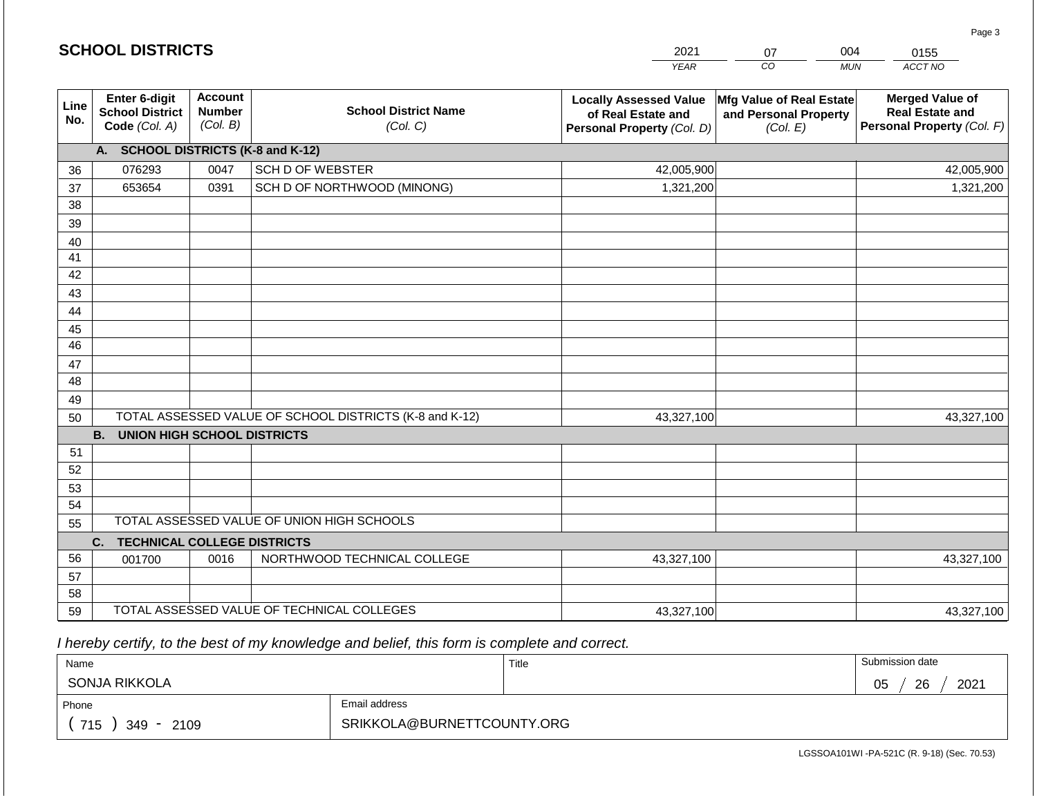| <b>SCHOOL DISTRICTS</b> |                                                          |                                             |                                                         | 2021                                                                              | 07                                                            | 004<br>0155                                                                    |
|-------------------------|----------------------------------------------------------|---------------------------------------------|---------------------------------------------------------|-----------------------------------------------------------------------------------|---------------------------------------------------------------|--------------------------------------------------------------------------------|
|                         |                                                          |                                             |                                                         | <b>YEAR</b>                                                                       | CO                                                            | ACCT NO<br><b>MUN</b>                                                          |
| Line<br>No.             | Enter 6-digit<br><b>School District</b><br>Code (Col. A) | <b>Account</b><br><b>Number</b><br>(Col. B) | <b>School District Name</b><br>(Col. C)                 | <b>Locally Assessed Value</b><br>of Real Estate and<br>Personal Property (Col. D) | Mfg Value of Real Estate<br>and Personal Property<br>(Col. E) | <b>Merged Value of</b><br><b>Real Estate and</b><br>Personal Property (Col. F) |
|                         | A. SCHOOL DISTRICTS (K-8 and K-12)                       |                                             |                                                         |                                                                                   |                                                               |                                                                                |
| 36                      | 076293                                                   | 0047                                        | <b>SCH D OF WEBSTER</b>                                 | 42,005,900                                                                        |                                                               | 42,005,900                                                                     |
| 37                      | 653654                                                   | 0391                                        | SCH D OF NORTHWOOD (MINONG)                             | 1,321,200                                                                         |                                                               | 1,321,200                                                                      |
| 38                      |                                                          |                                             |                                                         |                                                                                   |                                                               |                                                                                |
| 39                      |                                                          |                                             |                                                         |                                                                                   |                                                               |                                                                                |
| 40                      |                                                          |                                             |                                                         |                                                                                   |                                                               |                                                                                |
| 41                      |                                                          |                                             |                                                         |                                                                                   |                                                               |                                                                                |
| 42                      |                                                          |                                             |                                                         |                                                                                   |                                                               |                                                                                |
| 43                      |                                                          |                                             |                                                         |                                                                                   |                                                               |                                                                                |
| 44<br>45                |                                                          |                                             |                                                         |                                                                                   |                                                               |                                                                                |
| 46                      |                                                          |                                             |                                                         |                                                                                   |                                                               |                                                                                |
| 47                      |                                                          |                                             |                                                         |                                                                                   |                                                               |                                                                                |
| 48                      |                                                          |                                             |                                                         |                                                                                   |                                                               |                                                                                |
| 49                      |                                                          |                                             |                                                         |                                                                                   |                                                               |                                                                                |
| 50                      |                                                          |                                             | TOTAL ASSESSED VALUE OF SCHOOL DISTRICTS (K-8 and K-12) | 43,327,100                                                                        |                                                               | 43,327,100                                                                     |
|                         | <b>B. UNION HIGH SCHOOL DISTRICTS</b>                    |                                             |                                                         |                                                                                   |                                                               |                                                                                |
| 51                      |                                                          |                                             |                                                         |                                                                                   |                                                               |                                                                                |
| 52                      |                                                          |                                             |                                                         |                                                                                   |                                                               |                                                                                |
| 53                      |                                                          |                                             |                                                         |                                                                                   |                                                               |                                                                                |
| 54                      |                                                          |                                             |                                                         |                                                                                   |                                                               |                                                                                |
| 55                      |                                                          |                                             | TOTAL ASSESSED VALUE OF UNION HIGH SCHOOLS              |                                                                                   |                                                               |                                                                                |
|                         | C.<br><b>TECHNICAL COLLEGE DISTRICTS</b>                 |                                             |                                                         |                                                                                   |                                                               |                                                                                |
| 56                      | 001700                                                   | 0016                                        | NORTHWOOD TECHNICAL COLLEGE                             | 43,327,100                                                                        |                                                               | 43,327,100                                                                     |
| 57                      |                                                          |                                             |                                                         |                                                                                   |                                                               |                                                                                |
| 58                      |                                                          |                                             | TOTAL ASSESSED VALUE OF TECHNICAL COLLEGES              |                                                                                   |                                                               |                                                                                |
| 59                      |                                                          |                                             |                                                         | 43,327,100                                                                        |                                                               | 43,327,100                                                                     |

 *I hereby certify, to the best of my knowledge and belief, this form is complete and correct.*

**SCHOOL DISTRICTS**

| Name                   |                            | Title | Submission date  |
|------------------------|----------------------------|-------|------------------|
| SONJA RIKKOLA          |                            |       | 2021<br>26<br>05 |
| Phone                  | Email address              |       |                  |
| 715<br>2109<br>$349 -$ | SRIKKOLA@BURNETTCOUNTY.ORG |       |                  |

Page 3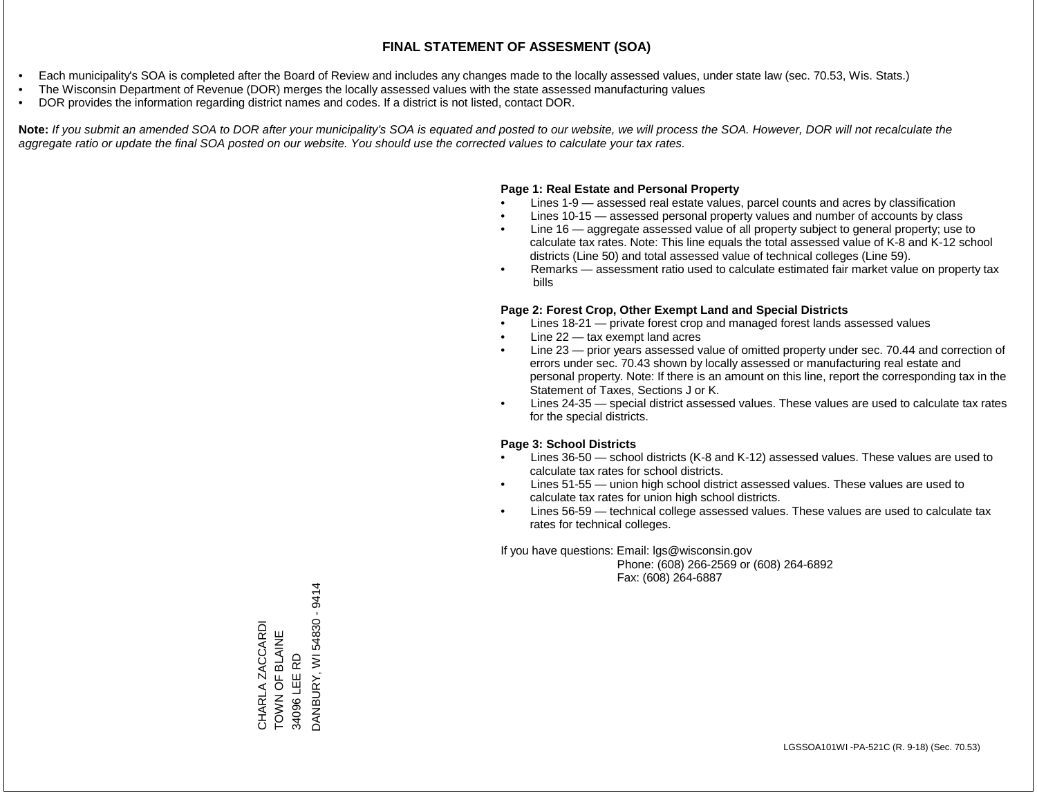- Each municipality's SOA is completed after the Board of Review and includes any changes made to the locally assessed values, under state law (sec. 70.53, Wis. Stats.)
- The Wisconsin Department of Revenue (DOR) merges the locally assessed values with the state assessed manufacturing values
- DOR provides the information regarding district names and codes. If a district is not listed, contact DOR.

Note: If you submit an amended SOA to DOR after your municipality's SOA is equated and posted to our website, we will process the SOA. However, DOR will not recalculate the *aggregate ratio or update the final SOA posted on our website. You should use the corrected values to calculate your tax rates.*

#### **Page 1: Real Estate and Personal Property**

- Lines 1-9 assessed real estate values, parcel counts and acres by classification
- Lines 10-15 assessed personal property values and number of accounts by class
- Line 16 aggregate assessed value of all property subject to general property; use to calculate tax rates. Note: This line equals the total assessed value of K-8 and K-12 school districts (Line 50) and total assessed value of technical colleges (Line 59).
- Remarks assessment ratio used to calculate estimated fair market value on property tax bills

#### **Page 2: Forest Crop, Other Exempt Land and Special Districts**

- Lines 18-21 private forest crop and managed forest lands assessed values
- Line  $22 -$  tax exempt land acres
- Line 23 prior years assessed value of omitted property under sec. 70.44 and correction of errors under sec. 70.43 shown by locally assessed or manufacturing real estate and personal property. Note: If there is an amount on this line, report the corresponding tax in the Statement of Taxes, Sections J or K.
- Lines 24-35 special district assessed values. These values are used to calculate tax rates for the special districts.

#### **Page 3: School Districts**

- Lines 36-50 school districts (K-8 and K-12) assessed values. These values are used to calculate tax rates for school districts.
- Lines 51-55 union high school district assessed values. These values are used to calculate tax rates for union high school districts.
- Lines 56-59 technical college assessed values. These values are used to calculate tax rates for technical colleges.

If you have questions: Email: lgs@wisconsin.gov

 Phone: (608) 266-2569 or (608) 264-6892 Fax: (608) 264-6887

34096 LEE RD<br>DANBURY, WI 54830 - 9414 DANBURY, WI 54830 - 9414CHARLA ZACCARDI<br>TOWN OF BLAINE CHARLA ZACCARDI TOWN OF BLAINE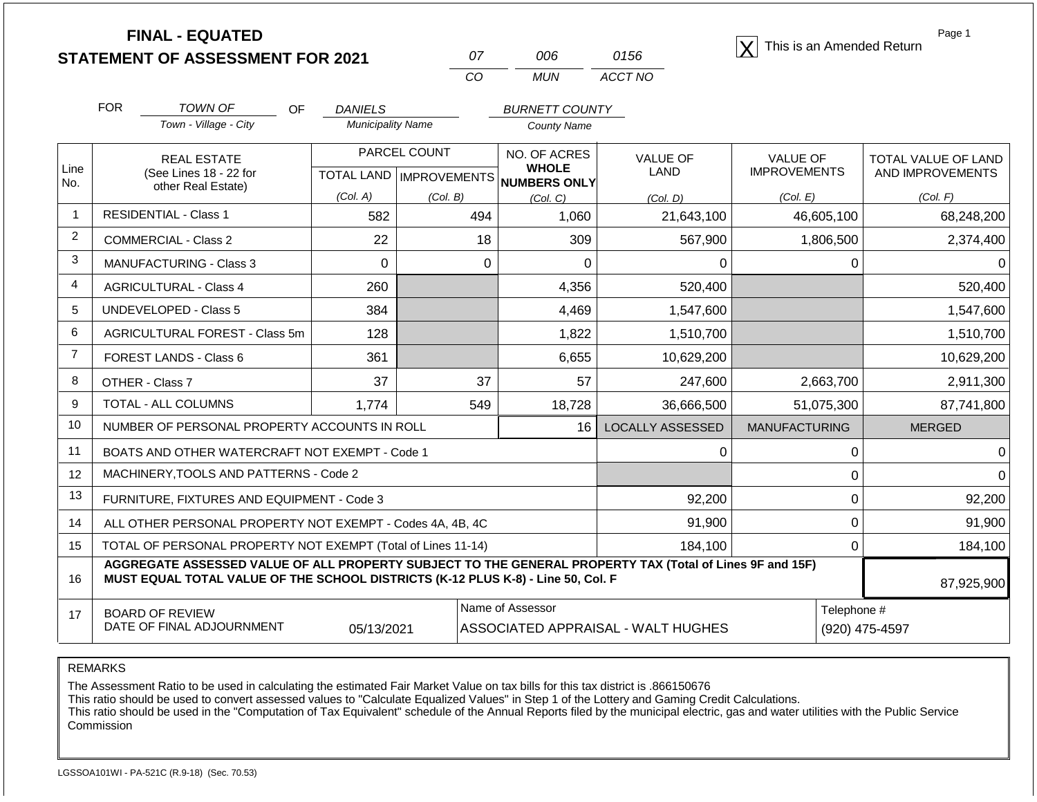| <b>FINAL - EQUATED</b>                  |     |      | This is an Amended Return |
|-----------------------------------------|-----|------|---------------------------|
| <b>STATEMENT OF ASSESSMENT FOR 2021</b> | 006 | 0156 |                           |

| Ω7 | ററഞ  | 0156    |
|----|------|---------|
| CО | MUN. | ACCT NO |

Page 1

|                | <b>FOR</b>                                                                                                                                                                                   | <b>TOWN OF</b><br>OF                                         | <b>DANIELS</b>           |                                           | <b>BURNETT COUNTY</b>        |                                    |                                        |            |                                         |  |  |
|----------------|----------------------------------------------------------------------------------------------------------------------------------------------------------------------------------------------|--------------------------------------------------------------|--------------------------|-------------------------------------------|------------------------------|------------------------------------|----------------------------------------|------------|-----------------------------------------|--|--|
|                |                                                                                                                                                                                              | Town - Village - City                                        | <b>Municipality Name</b> |                                           | <b>County Name</b>           |                                    |                                        |            |                                         |  |  |
| Line           |                                                                                                                                                                                              | <b>REAL ESTATE</b><br>(See Lines 18 - 22 for                 |                          | PARCEL COUNT<br>TOTAL LAND   IMPROVEMENTS | NO. OF ACRES<br><b>WHOLE</b> | <b>VALUE OF</b><br><b>LAND</b>     | <b>VALUE OF</b><br><b>IMPROVEMENTS</b> |            | TOTAL VALUE OF LAND<br>AND IMPROVEMENTS |  |  |
| No.            |                                                                                                                                                                                              | other Real Estate)                                           |                          |                                           | <b>NUMBERS ONLY</b>          |                                    |                                        |            |                                         |  |  |
| 1              |                                                                                                                                                                                              | <b>RESIDENTIAL - Class 1</b>                                 | (Col. A)<br>582          | (Col. B)                                  | (Col, C)<br>1,060            | (Col. D)                           | (Col. E)                               |            | (Col. F)                                |  |  |
|                |                                                                                                                                                                                              |                                                              |                          | 494                                       |                              | 21,643,100                         |                                        | 46,605,100 | 68,248,200                              |  |  |
| $\overline{2}$ |                                                                                                                                                                                              | <b>COMMERCIAL - Class 2</b>                                  | 22                       | 18                                        | 309                          | 567,900                            |                                        | 1,806,500  | 2,374,400                               |  |  |
| 3              |                                                                                                                                                                                              | <b>MANUFACTURING - Class 3</b>                               | $\Omega$                 | $\Omega$                                  | 0                            | 0                                  |                                        | 0          |                                         |  |  |
| $\overline{4}$ |                                                                                                                                                                                              | <b>AGRICULTURAL - Class 4</b>                                | 260                      |                                           | 4,356                        | 520,400                            |                                        |            | 520,400                                 |  |  |
| 5              |                                                                                                                                                                                              | <b>UNDEVELOPED - Class 5</b>                                 | 384                      |                                           | 4,469                        | 1,547,600                          |                                        |            | 1,547,600                               |  |  |
| 6              |                                                                                                                                                                                              | AGRICULTURAL FOREST - Class 5m                               | 128                      |                                           | 1,822                        | 1,510,700                          |                                        |            | 1,510,700                               |  |  |
| $\overline{7}$ |                                                                                                                                                                                              | FOREST LANDS - Class 6                                       | 361                      |                                           | 6,655                        | 10,629,200                         |                                        |            | 10,629,200                              |  |  |
| 8              |                                                                                                                                                                                              | OTHER - Class 7                                              | 37                       | 37                                        | 57                           | 247,600                            |                                        | 2,663,700  | 2,911,300                               |  |  |
| 9              |                                                                                                                                                                                              | TOTAL - ALL COLUMNS                                          | 1,774                    | 549                                       | 18,728                       | 36,666,500                         |                                        | 51,075,300 | 87,741,800                              |  |  |
| 10             |                                                                                                                                                                                              | NUMBER OF PERSONAL PROPERTY ACCOUNTS IN ROLL                 |                          |                                           | 16                           | <b>LOCALLY ASSESSED</b>            | <b>MANUFACTURING</b>                   |            | <b>MERGED</b>                           |  |  |
| 11             |                                                                                                                                                                                              | BOATS AND OTHER WATERCRAFT NOT EXEMPT - Code 1               |                          |                                           |                              | 0                                  |                                        | 0          |                                         |  |  |
| 12             |                                                                                                                                                                                              | MACHINERY, TOOLS AND PATTERNS - Code 2                       |                          |                                           |                              |                                    |                                        | $\Omega$   |                                         |  |  |
| 13             |                                                                                                                                                                                              | FURNITURE, FIXTURES AND EQUIPMENT - Code 3                   |                          |                                           |                              | 92,200                             |                                        | 0          | 92,200                                  |  |  |
| 14             |                                                                                                                                                                                              | ALL OTHER PERSONAL PROPERTY NOT EXEMPT - Codes 4A, 4B, 4C    |                          |                                           |                              | 91,900                             |                                        | 0          | 91,900                                  |  |  |
| 15             |                                                                                                                                                                                              | TOTAL OF PERSONAL PROPERTY NOT EXEMPT (Total of Lines 11-14) |                          |                                           |                              | 184,100                            |                                        | 0          | 184,100                                 |  |  |
| 16             | AGGREGATE ASSESSED VALUE OF ALL PROPERTY SUBJECT TO THE GENERAL PROPERTY TAX (Total of Lines 9F and 15F)<br>MUST EQUAL TOTAL VALUE OF THE SCHOOL DISTRICTS (K-12 PLUS K-8) - Line 50, Col. F |                                                              |                          |                                           |                              |                                    |                                        |            | 87,925,900                              |  |  |
| 17             |                                                                                                                                                                                              | <b>BOARD OF REVIEW</b>                                       |                          |                                           | Name of Assessor             | Telephone #                        |                                        |            |                                         |  |  |
|                |                                                                                                                                                                                              | DATE OF FINAL ADJOURNMENT                                    | 05/13/2021               |                                           |                              | ASSOCIATED APPRAISAL - WALT HUGHES | (920) 475-4597                         |            |                                         |  |  |

REMARKS

The Assessment Ratio to be used in calculating the estimated Fair Market Value on tax bills for this tax district is .866150676

This ratio should be used to convert assessed values to "Calculate Equalized Values" in Step 1 of the Lottery and Gaming Credit Calculations.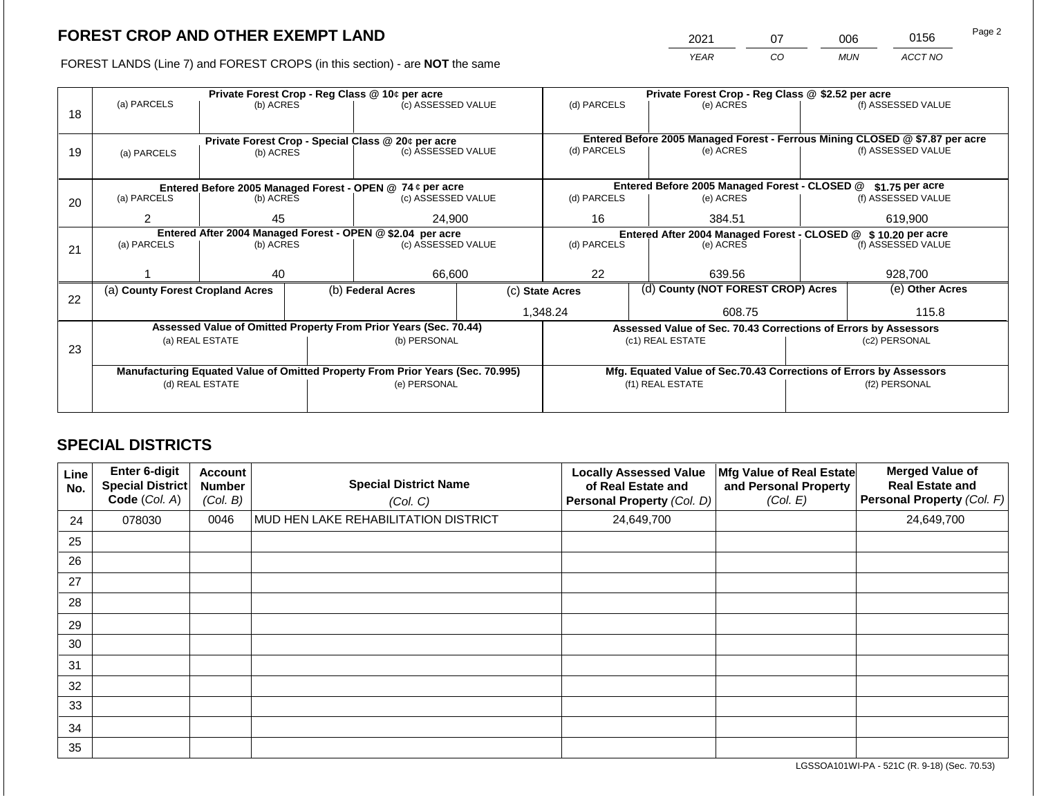2021 07 006 0156 Page 2

FOREST LANDS (Line 7) and FOREST CROPS (in this section) - are **NOT** the same *YEAR CO MUN ACCT NO*

|    |                                                            | Private Forest Crop - Reg Class @ 10¢ per acre |  |                                                                                |  |                 |                                                                              | Private Forest Crop - Reg Class @ \$2.52 per acre                  |                  |                    |  |  |
|----|------------------------------------------------------------|------------------------------------------------|--|--------------------------------------------------------------------------------|--|-----------------|------------------------------------------------------------------------------|--------------------------------------------------------------------|------------------|--------------------|--|--|
|    | (a) PARCELS                                                | (b) ACRES                                      |  | (c) ASSESSED VALUE                                                             |  | (d) PARCELS     |                                                                              | (e) ACRES                                                          |                  | (f) ASSESSED VALUE |  |  |
| 18 |                                                            |                                                |  |                                                                                |  |                 |                                                                              |                                                                    |                  |                    |  |  |
|    |                                                            |                                                |  |                                                                                |  |                 |                                                                              |                                                                    |                  |                    |  |  |
|    |                                                            |                                                |  | Private Forest Crop - Special Class @ 20¢ per acre                             |  | (d) PARCELS     | Entered Before 2005 Managed Forest - Ferrous Mining CLOSED @ \$7.87 per acre |                                                                    |                  | (f) ASSESSED VALUE |  |  |
| 19 | (a) PARCELS                                                | (c) ASSESSED VALUE<br>(b) ACRES                |  |                                                                                |  | (e) ACRES       |                                                                              |                                                                    |                  |                    |  |  |
|    |                                                            |                                                |  |                                                                                |  |                 |                                                                              |                                                                    |                  |                    |  |  |
|    |                                                            |                                                |  | Entered Before 2005 Managed Forest - OPEN @ 74 ¢ per acre                      |  |                 |                                                                              | Entered Before 2005 Managed Forest - CLOSED @                      |                  | $$1.75$ per acre   |  |  |
| 20 | (a) PARCELS                                                | (b) ACRES                                      |  | (c) ASSESSED VALUE                                                             |  | (d) PARCELS     |                                                                              | (e) ACRES                                                          |                  | (f) ASSESSED VALUE |  |  |
|    |                                                            |                                                |  |                                                                                |  |                 |                                                                              |                                                                    |                  |                    |  |  |
|    | 2                                                          | 45                                             |  | 24,900                                                                         |  | 16<br>384.51    |                                                                              | 619,900                                                            |                  |                    |  |  |
|    | Entered After 2004 Managed Forest - OPEN @ \$2.04 per acre |                                                |  |                                                                                |  |                 | Entered After 2004 Managed Forest - CLOSED @                                 |                                                                    | \$10.20 per acre |                    |  |  |
| 21 | (a) PARCELS                                                | (b) ACRES                                      |  | (c) ASSESSED VALUE                                                             |  | (d) PARCELS     |                                                                              | (e) ACRES                                                          |                  | (f) ASSESSED VALUE |  |  |
|    |                                                            |                                                |  |                                                                                |  |                 |                                                                              |                                                                    |                  |                    |  |  |
|    |                                                            | 40                                             |  | 66,600                                                                         |  | 22              |                                                                              | 639.56                                                             |                  | 928,700            |  |  |
|    | (a) County Forest Cropland Acres                           |                                                |  | (b) Federal Acres                                                              |  | (c) State Acres |                                                                              | (d) County (NOT FOREST CROP) Acres                                 |                  | (e) Other Acres    |  |  |
| 22 |                                                            |                                                |  |                                                                                |  |                 |                                                                              |                                                                    |                  |                    |  |  |
|    |                                                            |                                                |  |                                                                                |  | 1,348.24        |                                                                              | 608.75                                                             |                  | 115.8              |  |  |
|    |                                                            |                                                |  | Assessed Value of Omitted Property From Prior Years (Sec. 70.44)               |  |                 |                                                                              | Assessed Value of Sec. 70.43 Corrections of Errors by Assessors    |                  |                    |  |  |
|    | (a) REAL ESTATE                                            |                                                |  | (b) PERSONAL                                                                   |  |                 |                                                                              | (c1) REAL ESTATE                                                   |                  | (c2) PERSONAL      |  |  |
| 23 |                                                            |                                                |  |                                                                                |  |                 |                                                                              |                                                                    |                  |                    |  |  |
|    |                                                            |                                                |  | Manufacturing Equated Value of Omitted Property From Prior Years (Sec. 70.995) |  |                 |                                                                              | Mfg. Equated Value of Sec.70.43 Corrections of Errors by Assessors |                  |                    |  |  |
|    |                                                            | (d) REAL ESTATE                                |  | (e) PERSONAL                                                                   |  |                 |                                                                              | (f1) REAL ESTATE                                                   | (f2) PERSONAL    |                    |  |  |
|    |                                                            |                                                |  |                                                                                |  |                 |                                                                              |                                                                    |                  |                    |  |  |
|    |                                                            |                                                |  |                                                                                |  |                 |                                                                              |                                                                    |                  |                    |  |  |

## **SPECIAL DISTRICTS**

| Line<br>No. | Enter 6-digit<br><b>Special District</b><br>Code (Col. A) | <b>Account</b><br><b>Number</b><br>(Col. B) | <b>Special District Name</b><br>(Col. C) | <b>Locally Assessed Value</b><br>of Real Estate and<br>Personal Property (Col. D) | Mfg Value of Real Estate<br>and Personal Property<br>(Col. E) | <b>Merged Value of</b><br><b>Real Estate and</b><br>Personal Property (Col. F) |
|-------------|-----------------------------------------------------------|---------------------------------------------|------------------------------------------|-----------------------------------------------------------------------------------|---------------------------------------------------------------|--------------------------------------------------------------------------------|
| 24          | 078030                                                    | 0046                                        | MUD HEN LAKE REHABILITATION DISTRICT     | 24,649,700                                                                        |                                                               | 24,649,700                                                                     |
| 25          |                                                           |                                             |                                          |                                                                                   |                                                               |                                                                                |
| 26          |                                                           |                                             |                                          |                                                                                   |                                                               |                                                                                |
| 27          |                                                           |                                             |                                          |                                                                                   |                                                               |                                                                                |
| 28          |                                                           |                                             |                                          |                                                                                   |                                                               |                                                                                |
| 29          |                                                           |                                             |                                          |                                                                                   |                                                               |                                                                                |
| 30          |                                                           |                                             |                                          |                                                                                   |                                                               |                                                                                |
| 31          |                                                           |                                             |                                          |                                                                                   |                                                               |                                                                                |
| 32          |                                                           |                                             |                                          |                                                                                   |                                                               |                                                                                |
| 33          |                                                           |                                             |                                          |                                                                                   |                                                               |                                                                                |
| 34          |                                                           |                                             |                                          |                                                                                   |                                                               |                                                                                |
| 35          |                                                           |                                             |                                          |                                                                                   |                                                               |                                                                                |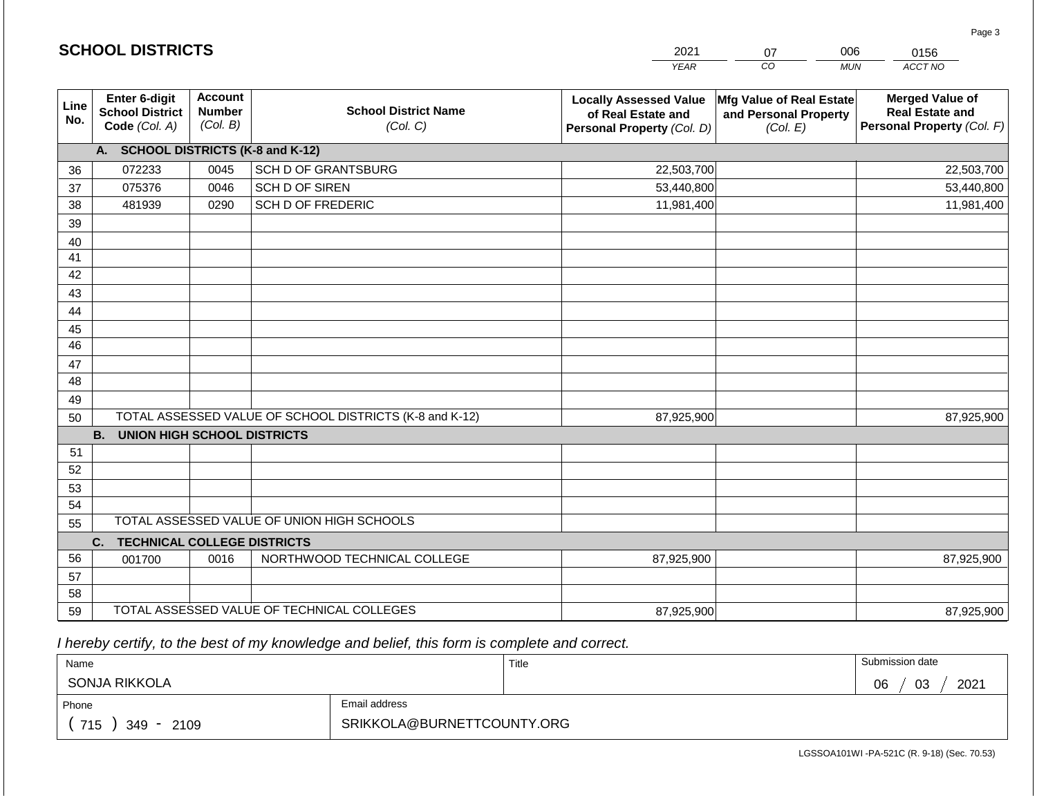|             |                                                                                        |                                             |                                                         | <b>YEAR</b>                                                                       | CO<br><b>MUN</b>                                              | ACCT NO                                                                        |  |  |  |  |
|-------------|----------------------------------------------------------------------------------------|---------------------------------------------|---------------------------------------------------------|-----------------------------------------------------------------------------------|---------------------------------------------------------------|--------------------------------------------------------------------------------|--|--|--|--|
| Line<br>No. | Enter 6-digit<br><b>School District</b><br>Code (Col. A)                               | <b>Account</b><br><b>Number</b><br>(Col. B) | <b>School District Name</b><br>(Col. C)                 | <b>Locally Assessed Value</b><br>of Real Estate and<br>Personal Property (Col. D) | Mfg Value of Real Estate<br>and Personal Property<br>(Col. E) | <b>Merged Value of</b><br><b>Real Estate and</b><br>Personal Property (Col. F) |  |  |  |  |
|             | A. SCHOOL DISTRICTS (K-8 and K-12)                                                     |                                             |                                                         |                                                                                   |                                                               |                                                                                |  |  |  |  |
| 36          | 072233                                                                                 | 0045                                        | SCH D OF GRANTSBURG                                     | 22,503,700                                                                        |                                                               | 22,503,700                                                                     |  |  |  |  |
| 37          | 075376                                                                                 | 0046                                        | <b>SCH D OF SIREN</b>                                   | 53,440,800                                                                        |                                                               | 53,440,800                                                                     |  |  |  |  |
| 38          | 481939                                                                                 | 0290                                        | SCH D OF FREDERIC                                       | 11,981,400                                                                        |                                                               | 11,981,400                                                                     |  |  |  |  |
| 39          |                                                                                        |                                             |                                                         |                                                                                   |                                                               |                                                                                |  |  |  |  |
| 40          |                                                                                        |                                             |                                                         |                                                                                   |                                                               |                                                                                |  |  |  |  |
| 41          |                                                                                        |                                             |                                                         |                                                                                   |                                                               |                                                                                |  |  |  |  |
| 42          |                                                                                        |                                             |                                                         |                                                                                   |                                                               |                                                                                |  |  |  |  |
| 43          |                                                                                        |                                             |                                                         |                                                                                   |                                                               |                                                                                |  |  |  |  |
| 44          |                                                                                        |                                             |                                                         |                                                                                   |                                                               |                                                                                |  |  |  |  |
| 45          |                                                                                        |                                             |                                                         |                                                                                   |                                                               |                                                                                |  |  |  |  |
| 46          |                                                                                        |                                             |                                                         |                                                                                   |                                                               |                                                                                |  |  |  |  |
| 47          |                                                                                        |                                             |                                                         |                                                                                   |                                                               |                                                                                |  |  |  |  |
| 48          |                                                                                        |                                             |                                                         |                                                                                   |                                                               |                                                                                |  |  |  |  |
| 49          |                                                                                        |                                             |                                                         |                                                                                   |                                                               |                                                                                |  |  |  |  |
| 50          |                                                                                        |                                             | TOTAL ASSESSED VALUE OF SCHOOL DISTRICTS (K-8 and K-12) | 87,925,900                                                                        |                                                               | 87,925,900                                                                     |  |  |  |  |
|             | <b>B.</b><br><b>UNION HIGH SCHOOL DISTRICTS</b>                                        |                                             |                                                         |                                                                                   |                                                               |                                                                                |  |  |  |  |
| 51          |                                                                                        |                                             |                                                         |                                                                                   |                                                               |                                                                                |  |  |  |  |
| 52          |                                                                                        |                                             |                                                         |                                                                                   |                                                               |                                                                                |  |  |  |  |
| 53          |                                                                                        |                                             |                                                         |                                                                                   |                                                               |                                                                                |  |  |  |  |
| 54          |                                                                                        |                                             |                                                         |                                                                                   |                                                               |                                                                                |  |  |  |  |
|             | TOTAL ASSESSED VALUE OF UNION HIGH SCHOOLS<br>55<br><b>TECHNICAL COLLEGE DISTRICTS</b> |                                             |                                                         |                                                                                   |                                                               |                                                                                |  |  |  |  |
| 56          | C.                                                                                     |                                             |                                                         |                                                                                   |                                                               |                                                                                |  |  |  |  |
|             | 001700                                                                                 | 0016                                        | NORTHWOOD TECHNICAL COLLEGE                             | 87,925,900                                                                        |                                                               | 87,925,900                                                                     |  |  |  |  |
| 57<br>58    |                                                                                        |                                             |                                                         |                                                                                   |                                                               |                                                                                |  |  |  |  |
| 59          |                                                                                        |                                             | TOTAL ASSESSED VALUE OF TECHNICAL COLLEGES              | 87,925,900                                                                        |                                                               | 87,925,900                                                                     |  |  |  |  |

2021

07

006

 *I hereby certify, to the best of my knowledge and belief, this form is complete and correct.*

**SCHOOL DISTRICTS**

| Name                   |                            | Title | Submission date  |
|------------------------|----------------------------|-------|------------------|
| SONJA RIKKOLA          |                            |       | 2021<br>03<br>06 |
| Phone                  | Email address              |       |                  |
| 715<br>2109<br>$349 -$ | SRIKKOLA@BURNETTCOUNTY.ORG |       |                  |

Page 3

0156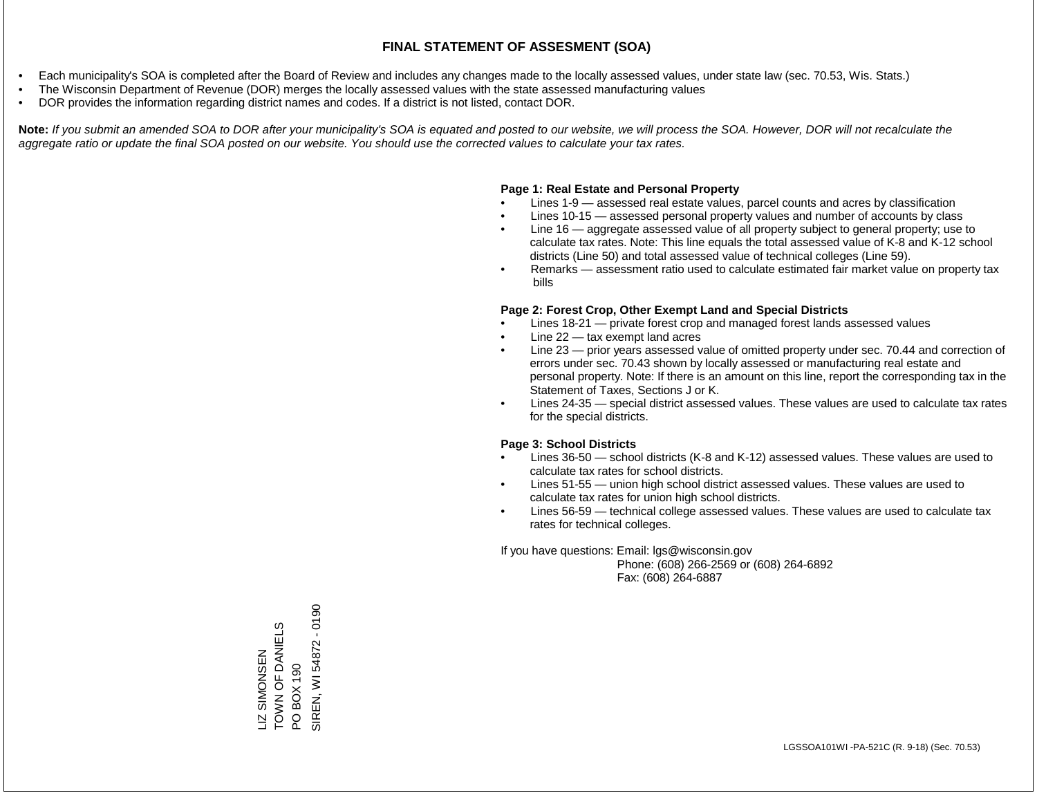- Each municipality's SOA is completed after the Board of Review and includes any changes made to the locally assessed values, under state law (sec. 70.53, Wis. Stats.)
- The Wisconsin Department of Revenue (DOR) merges the locally assessed values with the state assessed manufacturing values
- DOR provides the information regarding district names and codes. If a district is not listed, contact DOR.

Note: If you submit an amended SOA to DOR after your municipality's SOA is equated and posted to our website, we will process the SOA. However, DOR will not recalculate the *aggregate ratio or update the final SOA posted on our website. You should use the corrected values to calculate your tax rates.*

#### **Page 1: Real Estate and Personal Property**

- Lines 1-9 assessed real estate values, parcel counts and acres by classification
- Lines 10-15 assessed personal property values and number of accounts by class
- Line 16 aggregate assessed value of all property subject to general property; use to calculate tax rates. Note: This line equals the total assessed value of K-8 and K-12 school districts (Line 50) and total assessed value of technical colleges (Line 59).
- Remarks assessment ratio used to calculate estimated fair market value on property tax bills

#### **Page 2: Forest Crop, Other Exempt Land and Special Districts**

- Lines 18-21 private forest crop and managed forest lands assessed values
- Line  $22 -$  tax exempt land acres
- Line 23 prior years assessed value of omitted property under sec. 70.44 and correction of errors under sec. 70.43 shown by locally assessed or manufacturing real estate and personal property. Note: If there is an amount on this line, report the corresponding tax in the Statement of Taxes, Sections J or K.
- Lines 24-35 special district assessed values. These values are used to calculate tax rates for the special districts.

#### **Page 3: School Districts**

- Lines 36-50 school districts (K-8 and K-12) assessed values. These values are used to calculate tax rates for school districts.
- Lines 51-55 union high school district assessed values. These values are used to calculate tax rates for union high school districts.
- Lines 56-59 technical college assessed values. These values are used to calculate tax rates for technical colleges.

If you have questions: Email: lgs@wisconsin.gov

 Phone: (608) 266-2569 or (608) 264-6892 Fax: (608) 264-6887

LIZ SIMONSEN<br>TOWN OF DANIELS TOWN OF DANIELS PO BOX 190<br>SIREN, WI 54872 - 0190 SIREN, WI 54872 - 0190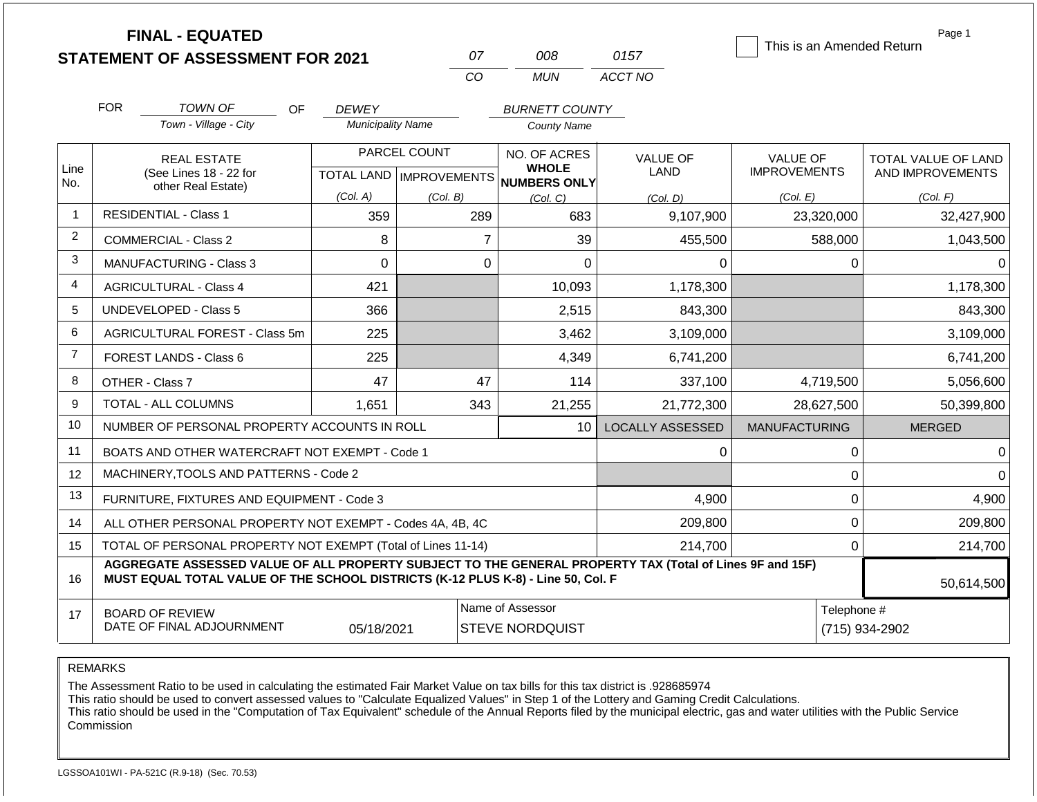|                |            | <b>FINAL - EQUATED</b>                                                                                                                                                                       |                          |                           |                                     |                         | This is an Amended Return | Page 1              |  |
|----------------|------------|----------------------------------------------------------------------------------------------------------------------------------------------------------------------------------------------|--------------------------|---------------------------|-------------------------------------|-------------------------|---------------------------|---------------------|--|
|                |            | <b>STATEMENT OF ASSESSMENT FOR 2021</b>                                                                                                                                                      |                          | 07                        | 008                                 | 0157                    |                           |                     |  |
|                |            |                                                                                                                                                                                              |                          | CO                        | <b>MUN</b>                          | ACCT NO                 |                           |                     |  |
|                | <b>FOR</b> | TOWN OF<br>OF.                                                                                                                                                                               | <b>DEWEY</b>             |                           | <b>BURNETT COUNTY</b>               |                         |                           |                     |  |
|                |            | Town - Village - City                                                                                                                                                                        | <b>Municipality Name</b> |                           | <b>County Name</b>                  |                         |                           |                     |  |
|                |            | <b>REAL ESTATE</b>                                                                                                                                                                           |                          | PARCEL COUNT              | NO. OF ACRES                        | <b>VALUE OF</b>         | <b>VALUE OF</b>           | TOTAL VALUE OF LAND |  |
| Line<br>No.    |            | (See Lines 18 - 22 for                                                                                                                                                                       |                          | TOTAL LAND   IMPROVEMENTS | <b>WHOLE</b><br><b>NUMBERS ONLY</b> | LAND                    | <b>IMPROVEMENTS</b>       | AND IMPROVEMENTS    |  |
|                |            | other Real Estate)                                                                                                                                                                           | (Col. A)                 | (Col. B)                  | (Col, C)                            | (Col, D)                | (Col. E)                  | (Col. F)            |  |
| $\overline{1}$ |            | <b>RESIDENTIAL - Class 1</b>                                                                                                                                                                 | 359                      | 289                       | 683                                 | 9,107,900               | 23,320,000                | 32,427,900          |  |
| 2              |            | <b>COMMERCIAL - Class 2</b>                                                                                                                                                                  | 8                        |                           | 39<br>$\overline{7}$                | 455,500                 | 588,000                   | 1,043,500           |  |
| 3              |            | <b>MANUFACTURING - Class 3</b>                                                                                                                                                               | $\Omega$                 |                           | $\mathbf 0$<br>$\overline{0}$       | 0                       | 0                         | 0                   |  |
| 4              |            | <b>AGRICULTURAL - Class 4</b>                                                                                                                                                                | 421                      |                           | 10,093                              | 1,178,300               |                           | 1,178,300           |  |
| 5              |            | <b>UNDEVELOPED - Class 5</b>                                                                                                                                                                 | 366                      |                           | 2,515                               | 843,300                 |                           | 843,300             |  |
| 6              |            | <b>AGRICULTURAL FOREST - Class 5m</b>                                                                                                                                                        | 225                      |                           | 3,462                               | 3,109,000               |                           | 3,109,000           |  |
| $\overline{7}$ |            | <b>FOREST LANDS - Class 6</b>                                                                                                                                                                | 225                      |                           | 4,349                               | 6,741,200               |                           | 6,741,200           |  |
| 8              |            | OTHER - Class 7                                                                                                                                                                              | 47                       | 47                        | 114                                 | 337,100                 | 4,719,500                 | 5,056,600           |  |
| 9              |            | TOTAL - ALL COLUMNS                                                                                                                                                                          | 1,651                    | 343                       | 21,255                              | 21,772,300              | 28,627,500                | 50,399,800          |  |
| 10             |            | NUMBER OF PERSONAL PROPERTY ACCOUNTS IN ROLL                                                                                                                                                 |                          |                           | 10                                  | <b>LOCALLY ASSESSED</b> | <b>MANUFACTURING</b>      | <b>MERGED</b>       |  |
| 11             |            | BOATS AND OTHER WATERCRAFT NOT EXEMPT - Code 1                                                                                                                                               |                          |                           |                                     | 0                       | 0                         | $\Omega$            |  |
| 12             |            | MACHINERY, TOOLS AND PATTERNS - Code 2                                                                                                                                                       |                          |                           |                                     |                         | 0                         | $\Omega$            |  |
| 13             |            | FURNITURE, FIXTURES AND EQUIPMENT - Code 3                                                                                                                                                   |                          |                           |                                     | 4,900                   | $\boldsymbol{0}$          | 4,900               |  |
| 14             |            | ALL OTHER PERSONAL PROPERTY NOT EXEMPT - Codes 4A, 4B, 4C                                                                                                                                    |                          |                           |                                     | 209,800                 | 0                         | 209,800             |  |
| 15             |            | TOTAL OF PERSONAL PROPERTY NOT EXEMPT (Total of Lines 11-14)                                                                                                                                 |                          |                           |                                     | 214,700                 | 0                         | 214,700             |  |
| 16             |            | AGGREGATE ASSESSED VALUE OF ALL PROPERTY SUBJECT TO THE GENERAL PROPERTY TAX (Total of Lines 9F and 15F)<br>MUST EQUAL TOTAL VALUE OF THE SCHOOL DISTRICTS (K-12 PLUS K-8) - Line 50, Col. F |                          |                           |                                     |                         |                           | 50,614,500          |  |
| 17             |            | <b>BOARD OF REVIEW</b>                                                                                                                                                                       |                          |                           | Name of Assessor                    |                         | Telephone #               |                     |  |
|                |            | DATE OF FINAL ADJOURNMENT                                                                                                                                                                    | 05/18/2021               |                           | <b>STEVE NORDQUIST</b>              |                         |                           | (715) 934-2902      |  |

The Assessment Ratio to be used in calculating the estimated Fair Market Value on tax bills for this tax district is .928685974

This ratio should be used to convert assessed values to "Calculate Equalized Values" in Step 1 of the Lottery and Gaming Credit Calculations.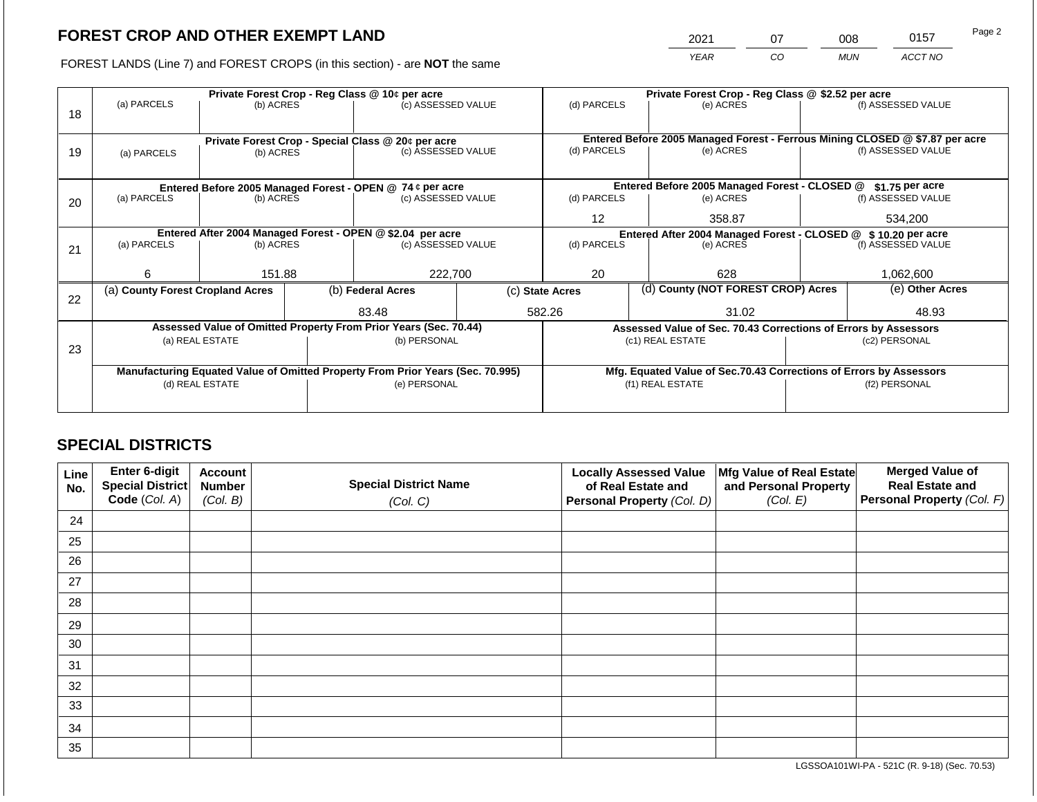2021 07 008 0157

FOREST LANDS (Line 7) and FOREST CROPS (in this section) - are **NOT** the same *YEAR CO MUN ACCT NO*

|    | (a) PARCELS                                                                    | (b) ACRES                                                       |  | Private Forest Crop - Reg Class @ 10¢ per acre<br>(c) ASSESSED VALUE |                                                                | (d) PARCELS<br>(e) ACRES |                 | Private Forest Crop - Reg Class @ \$2.52 per acre                  | (f) ASSESSED VALUE                                                                                 |                    |
|----|--------------------------------------------------------------------------------|-----------------------------------------------------------------|--|----------------------------------------------------------------------|----------------------------------------------------------------|--------------------------|-----------------|--------------------------------------------------------------------|----------------------------------------------------------------------------------------------------|--------------------|
| 18 |                                                                                |                                                                 |  |                                                                      |                                                                |                          |                 |                                                                    |                                                                                                    |                    |
| 19 |                                                                                | Private Forest Crop - Special Class @ 20¢ per acre<br>(b) ACRES |  |                                                                      |                                                                | (d) PARCELS<br>(e) ACRES |                 |                                                                    | Entered Before 2005 Managed Forest - Ferrous Mining CLOSED @ \$7.87 per acre<br>(f) ASSESSED VALUE |                    |
|    | (a) PARCELS                                                                    |                                                                 |  | (c) ASSESSED VALUE                                                   |                                                                |                          |                 |                                                                    |                                                                                                    |                    |
|    | Entered Before 2005 Managed Forest - OPEN @ 74 ¢ per acre                      |                                                                 |  |                                                                      | Entered Before 2005 Managed Forest - CLOSED @                  |                          | \$1.75 per acre |                                                                    |                                                                                                    |                    |
| 20 | (a) PARCELS                                                                    | (b) ACRES                                                       |  | (c) ASSESSED VALUE                                                   |                                                                | (d) PARCELS              |                 | (e) ACRES                                                          |                                                                                                    | (f) ASSESSED VALUE |
|    |                                                                                |                                                                 |  |                                                                      |                                                                | $12 \overline{ }$        |                 | 358.87                                                             |                                                                                                    | 534,200            |
|    | Entered After 2004 Managed Forest - OPEN @ \$2.04 per acre                     |                                                                 |  |                                                                      | Entered After 2004 Managed Forest - CLOSED @ \$ 10.20 per acre |                          |                 |                                                                    |                                                                                                    |                    |
| 21 | (a) PARCELS                                                                    | (b) ACRES                                                       |  | (c) ASSESSED VALUE                                                   |                                                                | (d) PARCELS              |                 | (e) ACRES                                                          |                                                                                                    | (f) ASSESSED VALUE |
|    | 6                                                                              | 151.88                                                          |  | 222,700                                                              |                                                                | 20                       |                 | 628                                                                |                                                                                                    | 1.062.600          |
| 22 | (a) County Forest Cropland Acres                                               |                                                                 |  | (b) Federal Acres                                                    |                                                                | (c) State Acres          |                 | (d) County (NOT FOREST CROP) Acres                                 |                                                                                                    | (e) Other Acres    |
|    |                                                                                |                                                                 |  | 83.48                                                                |                                                                | 582.26                   |                 | 31.02                                                              |                                                                                                    | 48.93              |
|    |                                                                                |                                                                 |  | Assessed Value of Omitted Property From Prior Years (Sec. 70.44)     |                                                                |                          |                 | Assessed Value of Sec. 70.43 Corrections of Errors by Assessors    |                                                                                                    |                    |
| 23 |                                                                                | (a) REAL ESTATE                                                 |  | (b) PERSONAL                                                         |                                                                |                          |                 | (c1) REAL ESTATE                                                   |                                                                                                    | (c2) PERSONAL      |
|    |                                                                                |                                                                 |  |                                                                      |                                                                |                          |                 |                                                                    |                                                                                                    |                    |
|    | Manufacturing Equated Value of Omitted Property From Prior Years (Sec. 70.995) |                                                                 |  |                                                                      |                                                                |                          |                 | Mfg. Equated Value of Sec.70.43 Corrections of Errors by Assessors |                                                                                                    |                    |
|    | (d) REAL ESTATE                                                                |                                                                 |  | (e) PERSONAL                                                         |                                                                |                          |                 | (f1) REAL ESTATE                                                   | (f2) PERSONAL                                                                                      |                    |
|    |                                                                                |                                                                 |  |                                                                      |                                                                |                          |                 |                                                                    |                                                                                                    |                    |

## **SPECIAL DISTRICTS**

| Line<br>No. | Enter 6-digit<br>Special District<br>Code (Col. A) | <b>Account</b><br><b>Number</b><br>(Col. B) | <b>Special District Name</b><br>(Col. C) | <b>Locally Assessed Value</b><br>of Real Estate and<br><b>Personal Property (Col. D)</b> | Mfg Value of Real Estate<br>and Personal Property<br>(Col. E) | <b>Merged Value of</b><br><b>Real Estate and</b><br>Personal Property (Col. F) |
|-------------|----------------------------------------------------|---------------------------------------------|------------------------------------------|------------------------------------------------------------------------------------------|---------------------------------------------------------------|--------------------------------------------------------------------------------|
| 24          |                                                    |                                             |                                          |                                                                                          |                                                               |                                                                                |
| 25          |                                                    |                                             |                                          |                                                                                          |                                                               |                                                                                |
| 26          |                                                    |                                             |                                          |                                                                                          |                                                               |                                                                                |
| 27          |                                                    |                                             |                                          |                                                                                          |                                                               |                                                                                |
| 28          |                                                    |                                             |                                          |                                                                                          |                                                               |                                                                                |
| 29          |                                                    |                                             |                                          |                                                                                          |                                                               |                                                                                |
| 30          |                                                    |                                             |                                          |                                                                                          |                                                               |                                                                                |
| 31          |                                                    |                                             |                                          |                                                                                          |                                                               |                                                                                |
| 32          |                                                    |                                             |                                          |                                                                                          |                                                               |                                                                                |
| 33          |                                                    |                                             |                                          |                                                                                          |                                                               |                                                                                |
| 34          |                                                    |                                             |                                          |                                                                                          |                                                               |                                                                                |
| 35          |                                                    |                                             |                                          |                                                                                          |                                                               |                                                                                |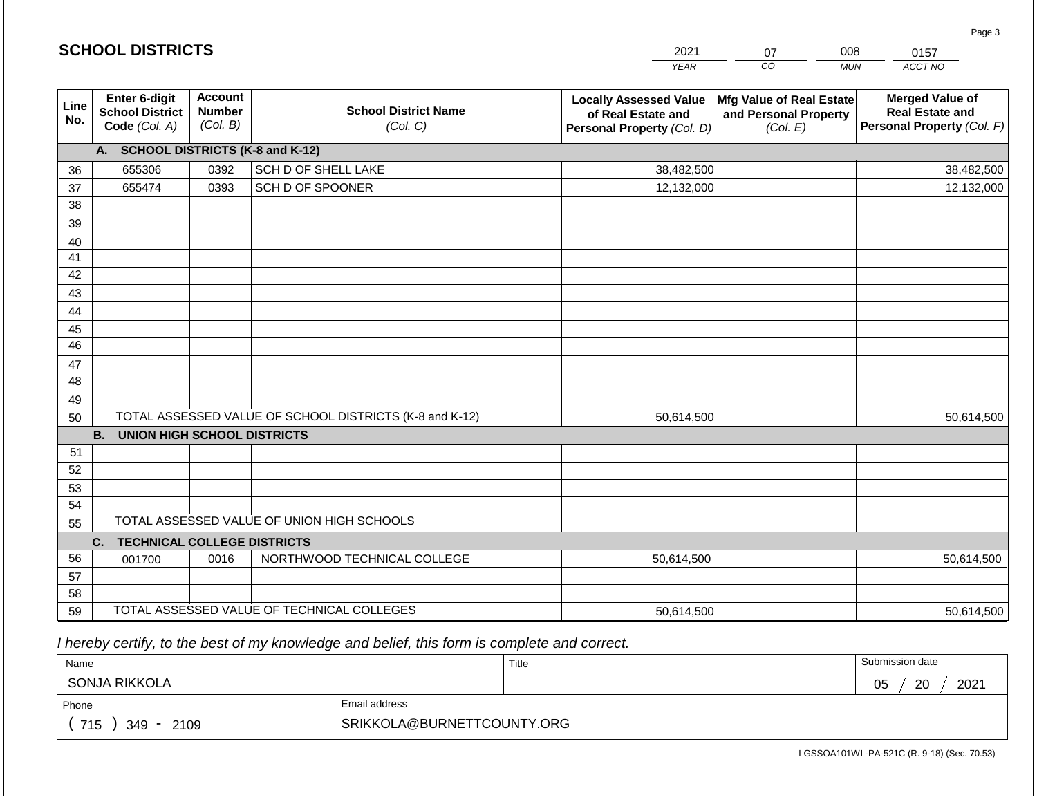|                 |                                                          |                                             |                                                         | <b>YEAR</b>                                                                       | $\overline{co}$<br><b>MUN</b>                                 | ACCT NO                                                                        |
|-----------------|----------------------------------------------------------|---------------------------------------------|---------------------------------------------------------|-----------------------------------------------------------------------------------|---------------------------------------------------------------|--------------------------------------------------------------------------------|
| Line<br>No.     | Enter 6-digit<br><b>School District</b><br>Code (Col. A) | <b>Account</b><br><b>Number</b><br>(Col. B) | <b>School District Name</b><br>(Col. C)                 | <b>Locally Assessed Value</b><br>of Real Estate and<br>Personal Property (Col. D) | Mfg Value of Real Estate<br>and Personal Property<br>(Col. E) | <b>Merged Value of</b><br><b>Real Estate and</b><br>Personal Property (Col. F) |
|                 | A. SCHOOL DISTRICTS (K-8 and K-12)                       |                                             |                                                         |                                                                                   |                                                               |                                                                                |
| 36              | 655306                                                   | 0392                                        | SCH D OF SHELL LAKE                                     | 38,482,500                                                                        |                                                               | 38,482,500                                                                     |
| 37              | 655474                                                   | 0393                                        | SCH D OF SPOONER                                        | 12,132,000                                                                        |                                                               | 12,132,000                                                                     |
| 38              |                                                          |                                             |                                                         |                                                                                   |                                                               |                                                                                |
| 39              |                                                          |                                             |                                                         |                                                                                   |                                                               |                                                                                |
| 40              |                                                          |                                             |                                                         |                                                                                   |                                                               |                                                                                |
| 41              |                                                          |                                             |                                                         |                                                                                   |                                                               |                                                                                |
| 42              |                                                          |                                             |                                                         |                                                                                   |                                                               |                                                                                |
| 43              |                                                          |                                             |                                                         |                                                                                   |                                                               |                                                                                |
| 44              |                                                          |                                             |                                                         |                                                                                   |                                                               |                                                                                |
| 45              |                                                          |                                             |                                                         |                                                                                   |                                                               |                                                                                |
| $\overline{46}$ |                                                          |                                             |                                                         |                                                                                   |                                                               |                                                                                |
| 47<br>48        |                                                          |                                             |                                                         |                                                                                   |                                                               |                                                                                |
|                 |                                                          |                                             |                                                         |                                                                                   |                                                               |                                                                                |
| 49<br>50        |                                                          |                                             | TOTAL ASSESSED VALUE OF SCHOOL DISTRICTS (K-8 and K-12) | 50,614,500                                                                        |                                                               | 50,614,500                                                                     |
|                 | <b>B.</b><br><b>UNION HIGH SCHOOL DISTRICTS</b>          |                                             |                                                         |                                                                                   |                                                               |                                                                                |
| 51              |                                                          |                                             |                                                         |                                                                                   |                                                               |                                                                                |
| 52              |                                                          |                                             |                                                         |                                                                                   |                                                               |                                                                                |
| 53              |                                                          |                                             |                                                         |                                                                                   |                                                               |                                                                                |
| 54              |                                                          |                                             |                                                         |                                                                                   |                                                               |                                                                                |
| 55              |                                                          |                                             | TOTAL ASSESSED VALUE OF UNION HIGH SCHOOLS              |                                                                                   |                                                               |                                                                                |
|                 | C.<br><b>TECHNICAL COLLEGE DISTRICTS</b>                 |                                             |                                                         |                                                                                   |                                                               |                                                                                |
| 56              | 001700                                                   | 0016                                        | NORTHWOOD TECHNICAL COLLEGE                             | 50,614,500                                                                        |                                                               | 50,614,500                                                                     |
| 57              |                                                          |                                             |                                                         |                                                                                   |                                                               |                                                                                |
| 58              |                                                          |                                             |                                                         |                                                                                   |                                                               |                                                                                |
| 59              |                                                          |                                             | TOTAL ASSESSED VALUE OF TECHNICAL COLLEGES              | 50,614,500                                                                        |                                                               | 50,614,500                                                                     |

2021

07

008

 *I hereby certify, to the best of my knowledge and belief, this form is complete and correct.*

**SCHOOL DISTRICTS**

| Name                   |                            | Title | Submission date  |
|------------------------|----------------------------|-------|------------------|
| SONJA RIKKOLA          |                            |       | 2021<br>05<br>20 |
| Phone                  | Email address              |       |                  |
| 715<br>2109<br>$349 -$ | SRIKKOLA@BURNETTCOUNTY.ORG |       |                  |

LGSSOA101WI -PA-521C (R. 9-18) (Sec. 70.53)

Page 3

0157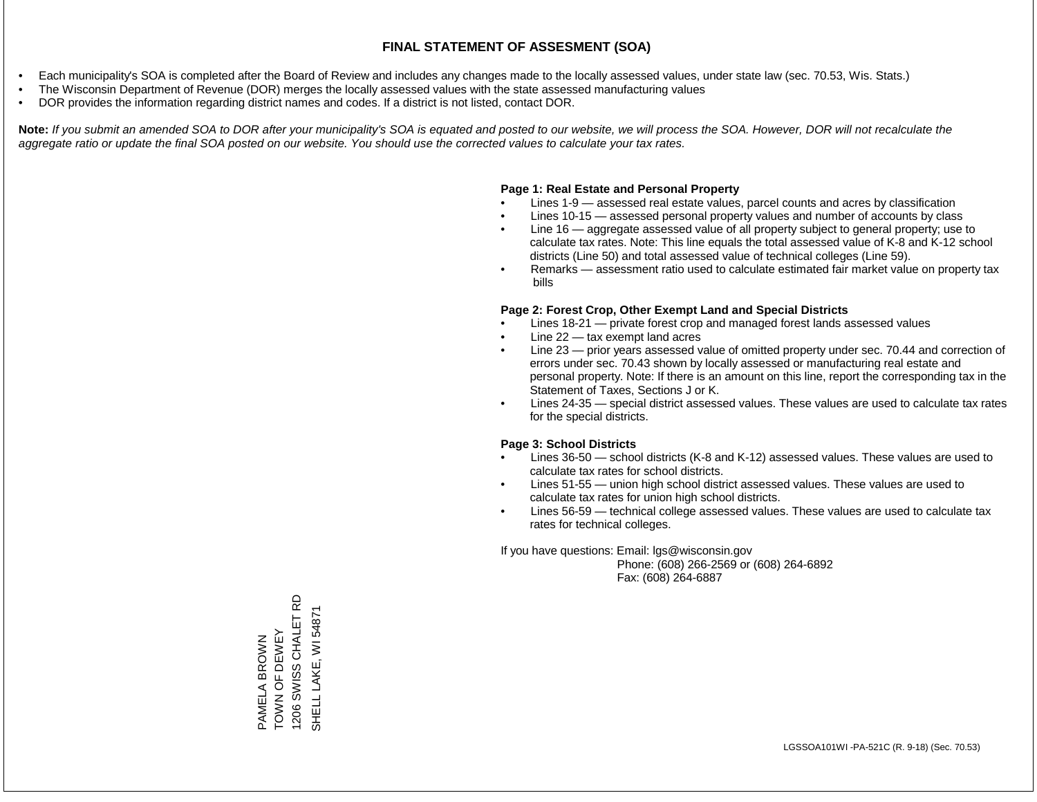- Each municipality's SOA is completed after the Board of Review and includes any changes made to the locally assessed values, under state law (sec. 70.53, Wis. Stats.)
- The Wisconsin Department of Revenue (DOR) merges the locally assessed values with the state assessed manufacturing values
- DOR provides the information regarding district names and codes. If a district is not listed, contact DOR.

Note: If you submit an amended SOA to DOR after your municipality's SOA is equated and posted to our website, we will process the SOA. However, DOR will not recalculate the *aggregate ratio or update the final SOA posted on our website. You should use the corrected values to calculate your tax rates.*

#### **Page 1: Real Estate and Personal Property**

- Lines 1-9 assessed real estate values, parcel counts and acres by classification
- Lines 10-15 assessed personal property values and number of accounts by class
- Line 16 aggregate assessed value of all property subject to general property; use to calculate tax rates. Note: This line equals the total assessed value of K-8 and K-12 school districts (Line 50) and total assessed value of technical colleges (Line 59).
- Remarks assessment ratio used to calculate estimated fair market value on property tax bills

#### **Page 2: Forest Crop, Other Exempt Land and Special Districts**

- Lines 18-21 private forest crop and managed forest lands assessed values
- Line  $22 -$  tax exempt land acres
- Line 23 prior years assessed value of omitted property under sec. 70.44 and correction of errors under sec. 70.43 shown by locally assessed or manufacturing real estate and personal property. Note: If there is an amount on this line, report the corresponding tax in the Statement of Taxes, Sections J or K.
- Lines 24-35 special district assessed values. These values are used to calculate tax rates for the special districts.

#### **Page 3: School Districts**

- Lines 36-50 school districts (K-8 and K-12) assessed values. These values are used to calculate tax rates for school districts.
- Lines 51-55 union high school district assessed values. These values are used to calculate tax rates for union high school districts.
- Lines 56-59 technical college assessed values. These values are used to calculate tax rates for technical colleges.

If you have questions: Email: lgs@wisconsin.gov

 Phone: (608) 266-2569 or (608) 264-6892 Fax: (608) 264-6887

SWISS CHALET RD 1206 SWISS CHALET RD SHELL LAKE, WI 54871SHELL LAKE, WI 5487 PAMELA BROWN<br>TOWN OF DEWEY TOWN OF DEWEY PAMELA BROWN 1206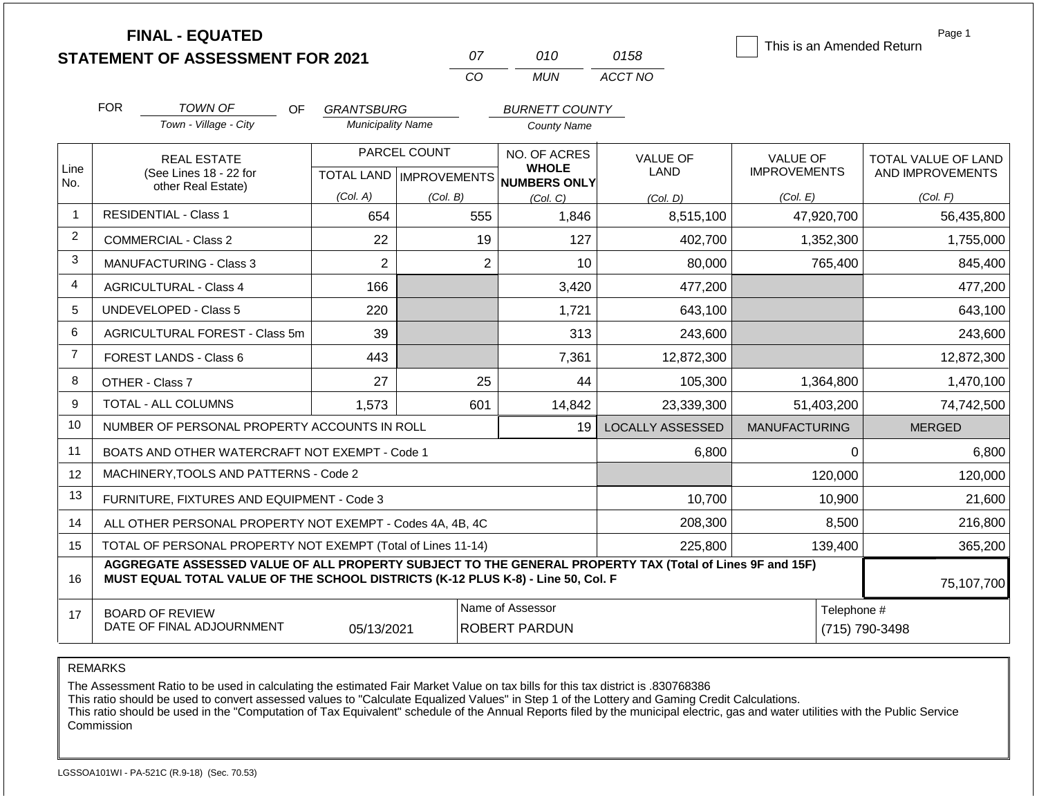|                | <b>FINAL - EQUATED</b><br><b>STATEMENT OF ASSESSMENT FOR 2021</b>                                                                                                                            |                                               | 07                                                           | 010                                                             | 0158                                | This is an Amended Return                          | Page 1                                              |
|----------------|----------------------------------------------------------------------------------------------------------------------------------------------------------------------------------------------|-----------------------------------------------|--------------------------------------------------------------|-----------------------------------------------------------------|-------------------------------------|----------------------------------------------------|-----------------------------------------------------|
|                |                                                                                                                                                                                              |                                               | CO                                                           | <b>MUN</b>                                                      | ACCT NO                             |                                                    |                                                     |
|                | <b>FOR</b><br><b>TOWN OF</b><br>OF.<br>Town - Village - City                                                                                                                                 | <b>GRANTSBURG</b><br><b>Municipality Name</b> |                                                              | <b>BURNETT COUNTY</b><br><b>County Name</b>                     |                                     |                                                    |                                                     |
| Line<br>No.    | <b>REAL ESTATE</b><br>(See Lines 18 - 22 for<br>other Real Estate)                                                                                                                           | (Col. A)                                      | PARCEL COUNT<br><b>TOTAL LAND   IMPROVEMENTS</b><br>(Col. B) | NO. OF ACRES<br><b>WHOLE</b><br><b>NUMBERS ONLY</b><br>(Col, C) | <b>VALUE OF</b><br>LAND<br>(Col. D) | <b>VALUE OF</b><br><b>IMPROVEMENTS</b><br>(Col. E) | TOTAL VALUE OF LAND<br>AND IMPROVEMENTS<br>(Col. F) |
| $\overline{1}$ | <b>RESIDENTIAL - Class 1</b>                                                                                                                                                                 | 654                                           | 555                                                          | 1,846                                                           | 8,515,100                           | 47,920,700                                         | 56,435,800                                          |
| $\overline{2}$ | COMMERCIAL - Class 2                                                                                                                                                                         | 22                                            | 19                                                           | 127                                                             | 402,700                             | 1,352,300                                          | 1,755,000                                           |
| 3              | <b>MANUFACTURING - Class 3</b>                                                                                                                                                               | $\overline{2}$                                |                                                              | 2<br>10                                                         | 80,000                              | 765,400                                            | 845,400                                             |
| $\overline{4}$ | <b>AGRICULTURAL - Class 4</b>                                                                                                                                                                | 166                                           |                                                              | 3,420                                                           | 477,200                             |                                                    | 477,200                                             |
| 5              | <b>UNDEVELOPED - Class 5</b>                                                                                                                                                                 | 220                                           |                                                              | 1,721                                                           | 643,100                             |                                                    | 643,100                                             |
| 6              | AGRICULTURAL FOREST - Class 5m                                                                                                                                                               | 39                                            |                                                              | 313                                                             | 243,600                             |                                                    | 243,600                                             |
| $\overline{7}$ | FOREST LANDS - Class 6                                                                                                                                                                       | 443                                           |                                                              | 7,361                                                           | 12,872,300                          |                                                    | 12,872,300                                          |
| 8              | OTHER - Class 7                                                                                                                                                                              | 27                                            | 25                                                           | 44                                                              | 105,300                             | 1,364,800                                          | 1,470,100                                           |
| 9              | TOTAL - ALL COLUMNS                                                                                                                                                                          | 1,573                                         | 601                                                          | 14,842                                                          | 23,339,300                          | 51,403,200                                         | 74,742,500                                          |
| 10             | NUMBER OF PERSONAL PROPERTY ACCOUNTS IN ROLL                                                                                                                                                 |                                               |                                                              | 19                                                              | <b>LOCALLY ASSESSED</b>             | <b>MANUFACTURING</b>                               | <b>MERGED</b>                                       |
| 11             | BOATS AND OTHER WATERCRAFT NOT EXEMPT - Code 1                                                                                                                                               |                                               |                                                              |                                                                 | 6,800                               | $\Omega$                                           | 6,800                                               |
| 12             | MACHINERY, TOOLS AND PATTERNS - Code 2                                                                                                                                                       |                                               |                                                              |                                                                 |                                     | 120,000                                            | 120,000                                             |
| 13             | FURNITURE, FIXTURES AND EQUIPMENT - Code 3                                                                                                                                                   |                                               |                                                              |                                                                 | 10,700                              | 10,900                                             | 21,600                                              |
| 14             | ALL OTHER PERSONAL PROPERTY NOT EXEMPT - Codes 4A, 4B, 4C                                                                                                                                    |                                               |                                                              |                                                                 | 208,300                             | 8,500                                              | 216,800                                             |
| 15             | TOTAL OF PERSONAL PROPERTY NOT EXEMPT (Total of Lines 11-14)                                                                                                                                 |                                               |                                                              |                                                                 | 225,800                             | 139,400                                            | 365,200                                             |
| 16             | AGGREGATE ASSESSED VALUE OF ALL PROPERTY SUBJECT TO THE GENERAL PROPERTY TAX (Total of Lines 9F and 15F)<br>MUST EQUAL TOTAL VALUE OF THE SCHOOL DISTRICTS (K-12 PLUS K-8) - Line 50, Col. F |                                               | 75,107,700                                                   |                                                                 |                                     |                                                    |                                                     |
| 17             | <b>BOARD OF REVIEW</b><br>DATE OF FINAL ADJOURNMENT                                                                                                                                          | 05/13/2021                                    |                                                              | Name of Assessor<br><b>ROBERT PARDUN</b>                        |                                     | Telephone #                                        | (715) 790-3498                                      |

The Assessment Ratio to be used in calculating the estimated Fair Market Value on tax bills for this tax district is .830768386

This ratio should be used to convert assessed values to "Calculate Equalized Values" in Step 1 of the Lottery and Gaming Credit Calculations.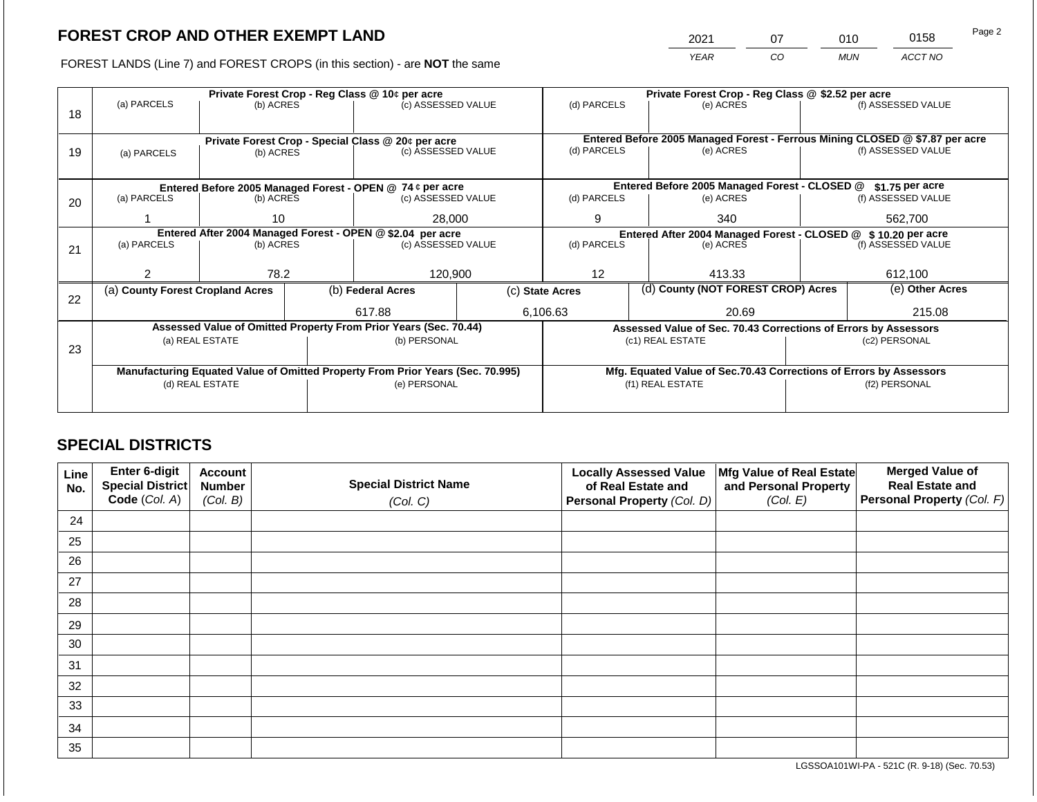2021 07 010 0158

FOREST LANDS (Line 7) and FOREST CROPS (in this section) - are **NOT** the same *YEAR CO MUN ACCT NO*

|    | Private Forest Crop - Reg Class @ 10¢ per acre |                 |  |                                                                                |  | Private Forest Crop - Reg Class @ \$2.52 per acre              |  |                                                                 |                                                                    |                                                                                                    |
|----|------------------------------------------------|-----------------|--|--------------------------------------------------------------------------------|--|----------------------------------------------------------------|--|-----------------------------------------------------------------|--------------------------------------------------------------------|----------------------------------------------------------------------------------------------------|
|    | (a) PARCELS                                    | (b) ACRES       |  | (c) ASSESSED VALUE                                                             |  | (d) PARCELS                                                    |  | (e) ACRES                                                       |                                                                    | (f) ASSESSED VALUE                                                                                 |
| 18 |                                                |                 |  |                                                                                |  |                                                                |  |                                                                 |                                                                    |                                                                                                    |
|    |                                                |                 |  |                                                                                |  |                                                                |  |                                                                 |                                                                    |                                                                                                    |
|    |                                                |                 |  | Private Forest Crop - Special Class @ 20¢ per acre<br>(c) ASSESSED VALUE       |  | (d) PARCELS                                                    |  | (e) ACRES                                                       |                                                                    | Entered Before 2005 Managed Forest - Ferrous Mining CLOSED @ \$7.87 per acre<br>(f) ASSESSED VALUE |
| 19 | (a) PARCELS                                    | (b) ACRES       |  |                                                                                |  |                                                                |  |                                                                 |                                                                    |                                                                                                    |
|    |                                                |                 |  |                                                                                |  |                                                                |  |                                                                 |                                                                    |                                                                                                    |
|    |                                                |                 |  | Entered Before 2005 Managed Forest - OPEN @ 74 ¢ per acre                      |  |                                                                |  | Entered Before 2005 Managed Forest - CLOSED @                   |                                                                    | $$1.75$ per acre                                                                                   |
| 20 | (a) PARCELS                                    | (b) ACRES       |  | (c) ASSESSED VALUE                                                             |  | (d) PARCELS                                                    |  | (e) ACRES                                                       |                                                                    | (f) ASSESSED VALUE                                                                                 |
|    |                                                |                 |  |                                                                                |  |                                                                |  |                                                                 |                                                                    |                                                                                                    |
|    |                                                | 10              |  | 28,000                                                                         |  | 9                                                              |  | 340                                                             |                                                                    | 562.700                                                                                            |
|    |                                                |                 |  | Entered After 2004 Managed Forest - OPEN @ \$2.04 per acre                     |  | Entered After 2004 Managed Forest - CLOSED @ \$ 10.20 per acre |  |                                                                 |                                                                    |                                                                                                    |
| 21 | (a) PARCELS                                    | (b) ACRES       |  | (c) ASSESSED VALUE                                                             |  | (d) PARCELS<br>(e) ACRES                                       |  | (f) ASSESSED VALUE                                              |                                                                    |                                                                                                    |
|    |                                                |                 |  |                                                                                |  |                                                                |  |                                                                 |                                                                    |                                                                                                    |
|    | 2                                              | 78.2            |  | 120,900                                                                        |  | $12 \overline{ }$                                              |  | 413.33                                                          |                                                                    | 612,100                                                                                            |
|    | (a) County Forest Cropland Acres               |                 |  | (b) Federal Acres                                                              |  | (c) State Acres                                                |  | (d) County (NOT FOREST CROP) Acres                              |                                                                    | (e) Other Acres                                                                                    |
| 22 |                                                |                 |  |                                                                                |  |                                                                |  |                                                                 |                                                                    |                                                                                                    |
|    |                                                |                 |  | 617.88                                                                         |  | 6,106.63                                                       |  | 20.69                                                           |                                                                    | 215.08                                                                                             |
|    |                                                |                 |  | Assessed Value of Omitted Property From Prior Years (Sec. 70.44)               |  |                                                                |  | Assessed Value of Sec. 70.43 Corrections of Errors by Assessors |                                                                    |                                                                                                    |
|    |                                                | (a) REAL ESTATE |  | (b) PERSONAL                                                                   |  |                                                                |  | (c1) REAL ESTATE                                                |                                                                    | (c2) PERSONAL                                                                                      |
| 23 |                                                |                 |  |                                                                                |  |                                                                |  |                                                                 |                                                                    |                                                                                                    |
|    |                                                |                 |  | Manufacturing Equated Value of Omitted Property From Prior Years (Sec. 70.995) |  |                                                                |  |                                                                 | Mfg. Equated Value of Sec.70.43 Corrections of Errors by Assessors |                                                                                                    |
|    |                                                | (d) REAL ESTATE |  | (e) PERSONAL                                                                   |  |                                                                |  | (f1) REAL ESTATE                                                |                                                                    | (f2) PERSONAL                                                                                      |
|    |                                                |                 |  |                                                                                |  |                                                                |  |                                                                 |                                                                    |                                                                                                    |
|    |                                                |                 |  |                                                                                |  |                                                                |  |                                                                 |                                                                    |                                                                                                    |

## **SPECIAL DISTRICTS**

| Line<br>No. | Enter 6-digit<br>Special District<br>Code (Col. A) | <b>Account</b><br><b>Number</b><br>(Col. B) | <b>Special District Name</b><br>(Col. C) | <b>Locally Assessed Value</b><br>of Real Estate and<br><b>Personal Property (Col. D)</b> | Mfg Value of Real Estate<br>and Personal Property<br>(Col. E) | <b>Merged Value of</b><br><b>Real Estate and</b><br>Personal Property (Col. F) |
|-------------|----------------------------------------------------|---------------------------------------------|------------------------------------------|------------------------------------------------------------------------------------------|---------------------------------------------------------------|--------------------------------------------------------------------------------|
| 24          |                                                    |                                             |                                          |                                                                                          |                                                               |                                                                                |
| 25          |                                                    |                                             |                                          |                                                                                          |                                                               |                                                                                |
| 26          |                                                    |                                             |                                          |                                                                                          |                                                               |                                                                                |
| 27          |                                                    |                                             |                                          |                                                                                          |                                                               |                                                                                |
| 28          |                                                    |                                             |                                          |                                                                                          |                                                               |                                                                                |
| 29          |                                                    |                                             |                                          |                                                                                          |                                                               |                                                                                |
| 30          |                                                    |                                             |                                          |                                                                                          |                                                               |                                                                                |
| 31          |                                                    |                                             |                                          |                                                                                          |                                                               |                                                                                |
| 32          |                                                    |                                             |                                          |                                                                                          |                                                               |                                                                                |
| 33          |                                                    |                                             |                                          |                                                                                          |                                                               |                                                                                |
| 34          |                                                    |                                             |                                          |                                                                                          |                                                               |                                                                                |
| 35          |                                                    |                                             |                                          |                                                                                          |                                                               |                                                                                |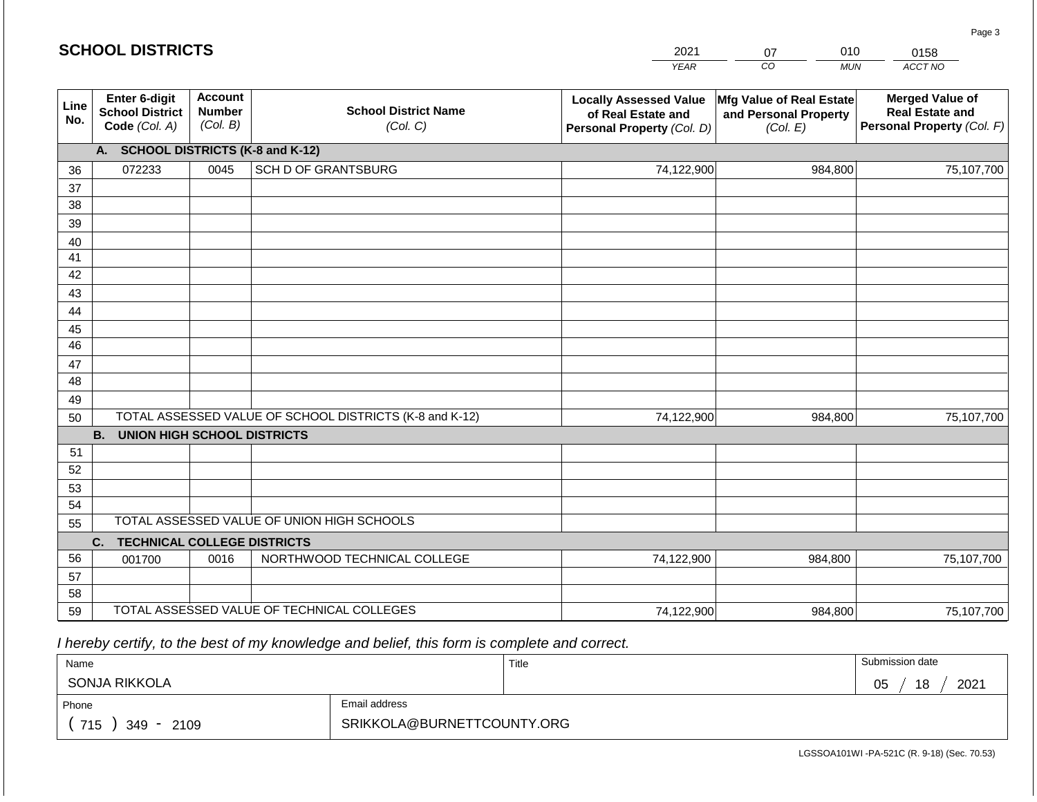#### *YEAR CO MUN ACCT NO*  **Line No. Enter 6-digit School District Code** *(Col. A)* **Account Number** *(Col. B)* **School District Name** *(Col. C)* **Locally Assessed Value of Real Estate and Personal Property** *(Col. D)* **Mfg Value of Real Estate and Personal Property** *(Col. E)* **Merged Value of Real Estate and Personal Property** *(Col. F)* **A. SCHOOL DISTRICTS (K-8 and K-12)** 36 37 38 39 40 41 42 43 44 45 46 47 48 49 50 TOTAL ASSESSED VALUE OF SCHOOL DISTRICTS (K-8 and K-12) **B. UNION HIGH SCHOOL DISTRICTS** 51 52 53 54 55 **C. TECHNICAL COLLEGE DISTRICTS** 56 57 58 59 TOTAL ASSESSED VALUE OF TECHNICAL COLLEGES TOTAL ASSESSED VALUE OF UNION HIGH SCHOOLS 072233 0045 SCH D OF GRANTSBURG 74,122,900 74,122,900 001700 | 0016 | NORTHWOOD TECHNICAL COLLEGE 74,122,900 984,800 75,107,700 984,800 75,107,700 984,800 75,107,700 74,122,900 984,800 75,107,700

 *I hereby certify, to the best of my knowledge and belief, this form is complete and correct.*

| Name                 |                            | Title | Submission date  |
|----------------------|----------------------------|-------|------------------|
| SONJA RIKKOLA        |                            |       | 18<br>2021<br>05 |
| Phone                | Email address              |       |                  |
| 715<br>2109<br>349 - | SRIKKOLA@BURNETTCOUNTY.ORG |       |                  |

LGSSOA101WI -PA-521C (R. 9-18) (Sec. 70.53)

Page 3

| 2021 | ∽  |             |
|------|----|-------------|
| LAD  | ∩∩ | <b>MIIN</b> |

0158

|  | <b>SCHOOL DISTRICTS</b> |
|--|-------------------------|
|--|-------------------------|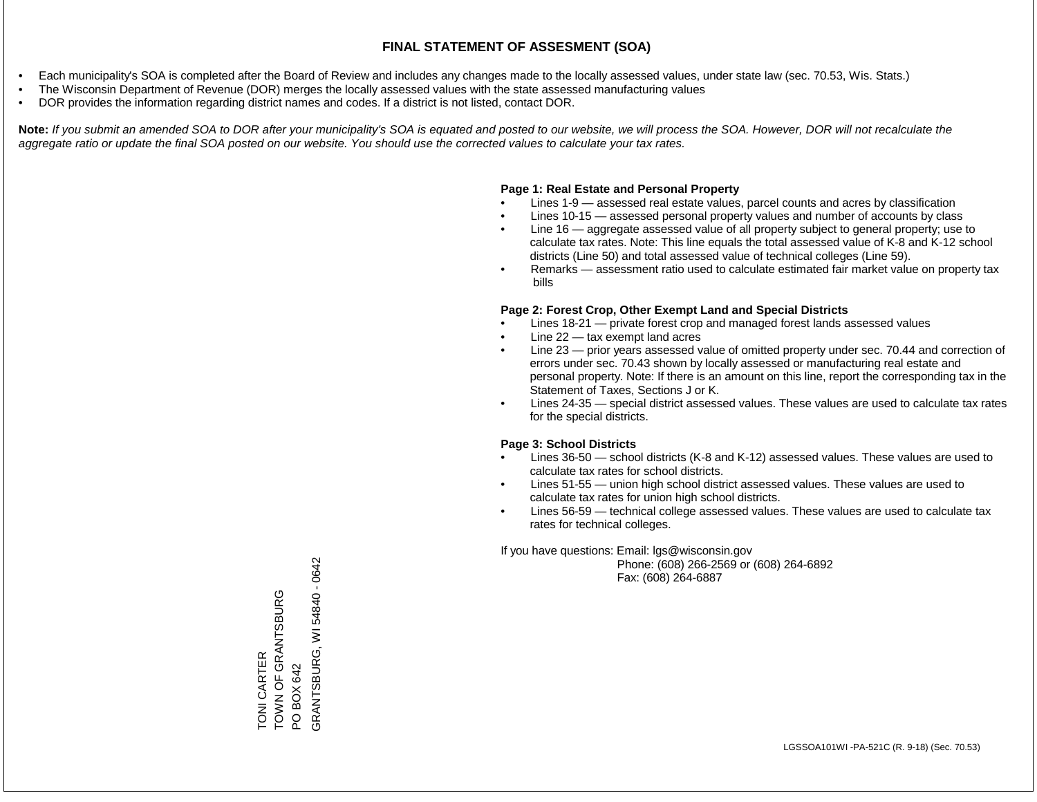- Each municipality's SOA is completed after the Board of Review and includes any changes made to the locally assessed values, under state law (sec. 70.53, Wis. Stats.)
- The Wisconsin Department of Revenue (DOR) merges the locally assessed values with the state assessed manufacturing values
- DOR provides the information regarding district names and codes. If a district is not listed, contact DOR.

Note: If you submit an amended SOA to DOR after your municipality's SOA is equated and posted to our website, we will process the SOA. However, DOR will not recalculate the *aggregate ratio or update the final SOA posted on our website. You should use the corrected values to calculate your tax rates.*

### **Page 1: Real Estate and Personal Property**

- Lines 1-9 assessed real estate values, parcel counts and acres by classification
- Lines 10-15 assessed personal property values and number of accounts by class
- Line 16 aggregate assessed value of all property subject to general property; use to calculate tax rates. Note: This line equals the total assessed value of K-8 and K-12 school districts (Line 50) and total assessed value of technical colleges (Line 59).
- Remarks assessment ratio used to calculate estimated fair market value on property tax bills

#### **Page 2: Forest Crop, Other Exempt Land and Special Districts**

- Lines 18-21 private forest crop and managed forest lands assessed values
- Line  $22 -$  tax exempt land acres
- Line 23 prior years assessed value of omitted property under sec. 70.44 and correction of errors under sec. 70.43 shown by locally assessed or manufacturing real estate and personal property. Note: If there is an amount on this line, report the corresponding tax in the Statement of Taxes, Sections J or K.
- Lines 24-35 special district assessed values. These values are used to calculate tax rates for the special districts.

#### **Page 3: School Districts**

- Lines 36-50 school districts (K-8 and K-12) assessed values. These values are used to calculate tax rates for school districts.
- Lines 51-55 union high school district assessed values. These values are used to calculate tax rates for union high school districts.
- Lines 56-59 technical college assessed values. These values are used to calculate tax rates for technical colleges.

If you have questions: Email: lgs@wisconsin.gov

 Phone: (608) 266-2569 or (608) 264-6892 Fax: (608) 264-6887

TONI CARTER TOWN OF GRANTSBURG TOWN OF GRANTSBURG<br>PO BOX 642<br>SRANTSBURG, WI 54840 - 0642 GRANTSBURG, WI 54840 - 0642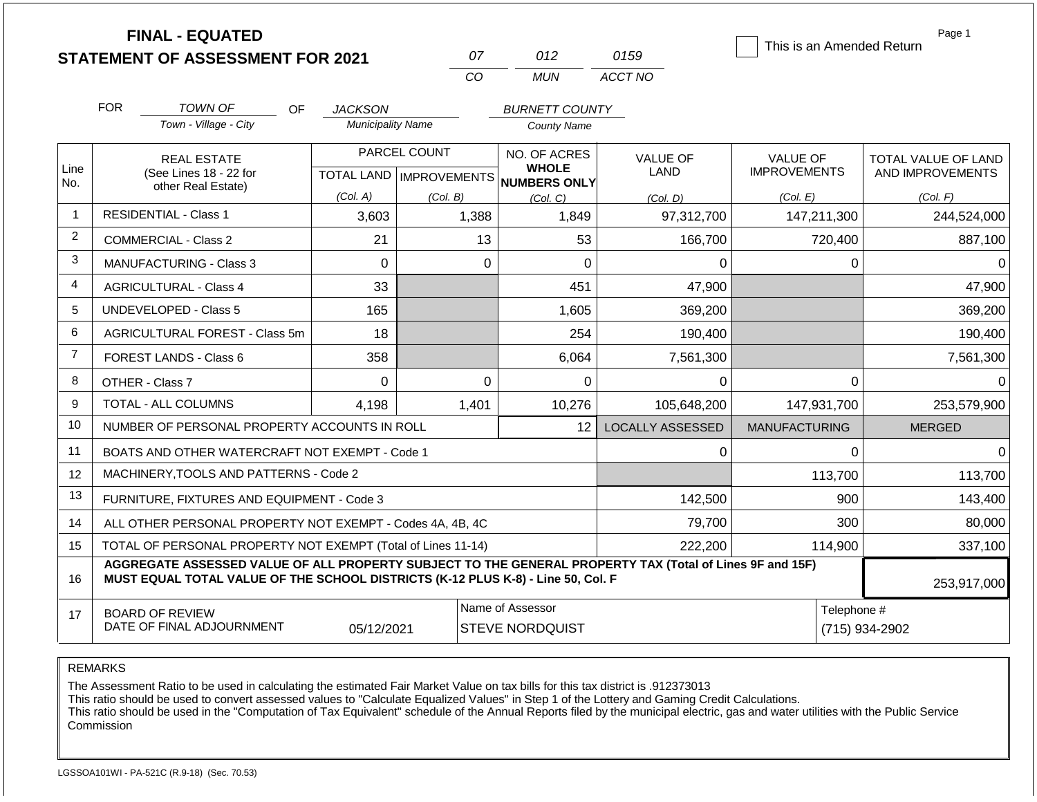|                   | <b>FINAL - EQUATED</b><br><b>STATEMENT OF ASSESSMENT FOR 2021</b>                                                                                                                                           |                                            | 07                        | 012                                         | 0159                    | This is an Amended Return              | Page 1              |  |
|-------------------|-------------------------------------------------------------------------------------------------------------------------------------------------------------------------------------------------------------|--------------------------------------------|---------------------------|---------------------------------------------|-------------------------|----------------------------------------|---------------------|--|
|                   |                                                                                                                                                                                                             |                                            | CO                        | <b>MUN</b>                                  | ACCT NO                 |                                        |                     |  |
|                   | <b>FOR</b>                                                                                                                                                                                                  |                                            |                           |                                             |                         |                                        |                     |  |
|                   | <b>TOWN OF</b><br>OF.<br>Town - Village - City                                                                                                                                                              | <b>JACKSON</b><br><b>Municipality Name</b> |                           | <b>BURNETT COUNTY</b><br><b>County Name</b> |                         |                                        |                     |  |
|                   |                                                                                                                                                                                                             |                                            |                           |                                             |                         |                                        |                     |  |
| Line              | <b>REAL ESTATE</b>                                                                                                                                                                                          |                                            | PARCEL COUNT              | NO. OF ACRES<br><b>WHOLE</b>                | <b>VALUE OF</b><br>LAND | <b>VALUE OF</b><br><b>IMPROVEMENTS</b> | TOTAL VALUE OF LAND |  |
| No.               | (See Lines 18 - 22 for<br>other Real Estate)                                                                                                                                                                |                                            | TOTAL LAND   IMPROVEMENTS | <b>NUMBERS ONLY</b>                         |                         |                                        | AND IMPROVEMENTS    |  |
| $\overline{1}$    | <b>RESIDENTIAL - Class 1</b>                                                                                                                                                                                | (Col. A)<br>3,603                          | (Col. B)<br>1,388         | (Col, C)<br>1,849                           | (Col, D)                | (Col. E)                               | (Col. F)            |  |
| 2                 |                                                                                                                                                                                                             |                                            |                           |                                             | 97,312,700              | 147,211,300                            | 244,524,000         |  |
|                   | <b>COMMERCIAL - Class 2</b>                                                                                                                                                                                 | 21                                         | 13                        | 53                                          | 166,700                 | 720,400                                | 887,100             |  |
| 3                 | MANUFACTURING - Class 3                                                                                                                                                                                     | $\mathbf 0$                                | $\mathbf 0$               | $\mathbf 0$                                 | 0                       | 0                                      | 0                   |  |
| 4                 | <b>AGRICULTURAL - Class 4</b>                                                                                                                                                                               | 33                                         |                           | 451                                         | 47,900                  |                                        | 47,900              |  |
| 5                 | <b>UNDEVELOPED - Class 5</b>                                                                                                                                                                                | 165                                        |                           | 1,605                                       | 369,200                 |                                        | 369,200             |  |
| 6                 | AGRICULTURAL FOREST - Class 5m                                                                                                                                                                              | 18                                         |                           | 254                                         | 190,400                 |                                        | 190,400             |  |
| $\overline{7}$    | <b>FOREST LANDS - Class 6</b>                                                                                                                                                                               | 358                                        |                           | 6,064                                       | 7,561,300               |                                        | 7,561,300           |  |
| 8                 | OTHER - Class 7                                                                                                                                                                                             | $\Omega$                                   | $\mathbf 0$               | $\Omega$                                    | 0                       | $\Omega$                               | $\mathbf{0}$        |  |
| 9                 | TOTAL - ALL COLUMNS                                                                                                                                                                                         | 4,198                                      | 1,401                     | 10,276                                      | 105,648,200             | 147,931,700                            | 253,579,900         |  |
| 10                | NUMBER OF PERSONAL PROPERTY ACCOUNTS IN ROLL                                                                                                                                                                |                                            |                           | 12                                          | <b>LOCALLY ASSESSED</b> | <b>MANUFACTURING</b>                   | <b>MERGED</b>       |  |
| 11                | BOATS AND OTHER WATERCRAFT NOT EXEMPT - Code 1                                                                                                                                                              |                                            |                           |                                             | 0                       | $\Omega$                               | $\Omega$            |  |
| $12 \overline{ }$ | MACHINERY, TOOLS AND PATTERNS - Code 2                                                                                                                                                                      |                                            |                           |                                             |                         | 113,700                                | 113,700             |  |
| 13                | FURNITURE, FIXTURES AND EQUIPMENT - Code 3                                                                                                                                                                  |                                            |                           |                                             | 142,500                 | 900                                    | 143,400             |  |
| 14                | ALL OTHER PERSONAL PROPERTY NOT EXEMPT - Codes 4A, 4B, 4C                                                                                                                                                   |                                            |                           | 79,700                                      | 300                     | 80,000                                 |                     |  |
| 15                | TOTAL OF PERSONAL PROPERTY NOT EXEMPT (Total of Lines 11-14)                                                                                                                                                |                                            |                           | 222,200                                     | 114,900                 | 337,100                                |                     |  |
| 16                | AGGREGATE ASSESSED VALUE OF ALL PROPERTY SUBJECT TO THE GENERAL PROPERTY TAX (Total of Lines 9F and 15F)<br>MUST EQUAL TOTAL VALUE OF THE SCHOOL DISTRICTS (K-12 PLUS K-8) - Line 50, Col. F<br>253,917,000 |                                            |                           |                                             |                         |                                        |                     |  |
| 17                | <b>BOARD OF REVIEW</b>                                                                                                                                                                                      |                                            |                           | Name of Assessor                            |                         | Telephone #                            |                     |  |
|                   | DATE OF FINAL ADJOURNMENT                                                                                                                                                                                   | 05/12/2021                                 |                           | <b>STEVE NORDQUIST</b>                      | (715) 934-2902          |                                        |                     |  |

The Assessment Ratio to be used in calculating the estimated Fair Market Value on tax bills for this tax district is .912373013

This ratio should be used to convert assessed values to "Calculate Equalized Values" in Step 1 of the Lottery and Gaming Credit Calculations.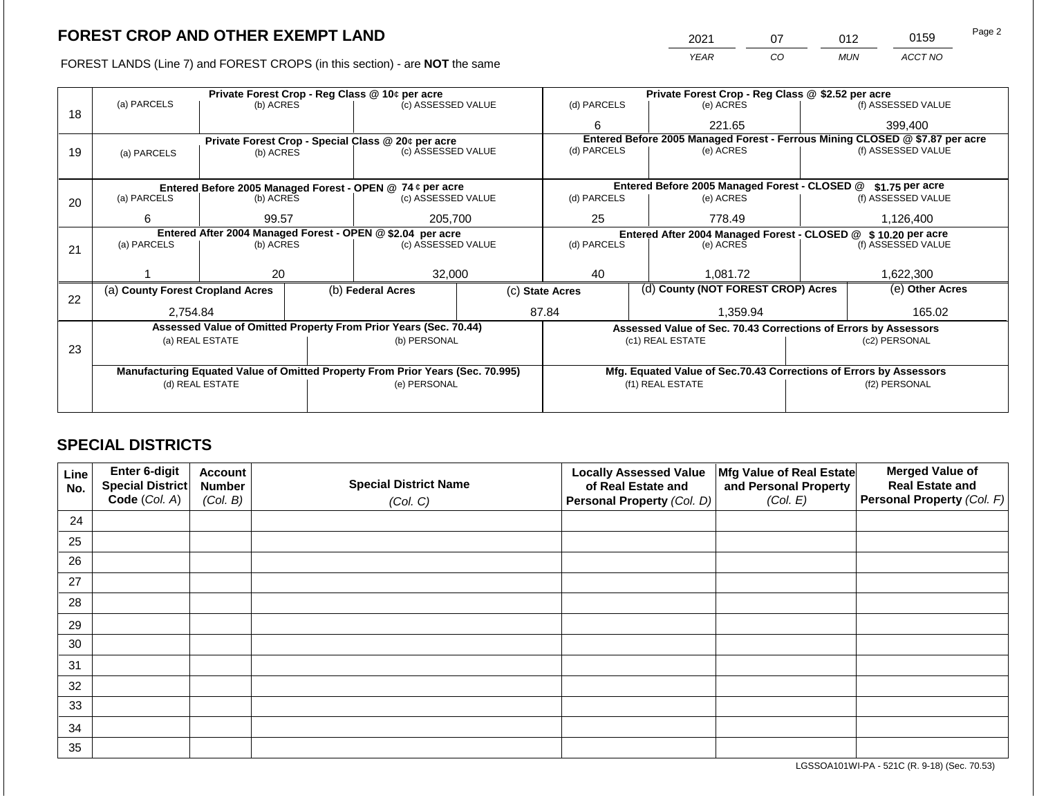FOREST LANDS (Line 7) and FOREST CROPS (in this section) - are NOT the same

| 2021        |    | N12        | 0159    | Page 2 |
|-------------|----|------------|---------|--------|
| <b>YFAR</b> | CO | <b>MUN</b> | ACCT NO |        |

|    |                                                            |                 |  | Private Forest Crop - Reg Class @ 10¢ per acre                                 |  |                                                                                     | Private Forest Crop - Reg Class @ \$2.52 per acre                            |  |                    |  |
|----|------------------------------------------------------------|-----------------|--|--------------------------------------------------------------------------------|--|-------------------------------------------------------------------------------------|------------------------------------------------------------------------------|--|--------------------|--|
|    | (a) PARCELS                                                | (b) ACRES       |  | (c) ASSESSED VALUE                                                             |  | (d) PARCELS                                                                         | (e) ACRES                                                                    |  | (f) ASSESSED VALUE |  |
| 18 |                                                            |                 |  |                                                                                |  | 6                                                                                   | 221.65                                                                       |  | 399,400            |  |
|    |                                                            |                 |  | Private Forest Crop - Special Class @ 20¢ per acre                             |  |                                                                                     | Entered Before 2005 Managed Forest - Ferrous Mining CLOSED @ \$7.87 per acre |  |                    |  |
| 19 | (a) PARCELS                                                | (b) ACRES       |  | (c) ASSESSED VALUE                                                             |  | (d) PARCELS                                                                         | (e) ACRES                                                                    |  | (f) ASSESSED VALUE |  |
|    |                                                            |                 |  |                                                                                |  |                                                                                     |                                                                              |  |                    |  |
|    |                                                            |                 |  | Entered Before 2005 Managed Forest - OPEN @ 74 ¢ per acre                      |  |                                                                                     | Entered Before 2005 Managed Forest - CLOSED @                                |  | $$1.75$ per acre   |  |
| 20 | (a) PARCELS                                                | (b) ACRES       |  | (c) ASSESSED VALUE                                                             |  | (d) PARCELS                                                                         | (e) ACRES                                                                    |  | (f) ASSESSED VALUE |  |
|    |                                                            |                 |  |                                                                                |  |                                                                                     |                                                                              |  |                    |  |
|    | 6                                                          | 99.57           |  | 205,700                                                                        |  | 25                                                                                  | 778.49                                                                       |  | 1,126,400          |  |
|    | Entered After 2004 Managed Forest - OPEN @ \$2.04 per acre |                 |  |                                                                                |  | Entered After 2004 Managed Forest - CLOSED @ \$10.20 per acre<br>(f) ASSESSED VALUE |                                                                              |  |                    |  |
| 21 | (a) PARCELS                                                | (b) ACRES       |  | (c) ASSESSED VALUE                                                             |  | (d) PARCELS                                                                         | (e) ACRES                                                                    |  |                    |  |
|    |                                                            |                 |  |                                                                                |  |                                                                                     |                                                                              |  |                    |  |
|    |                                                            | 20              |  | 32,000                                                                         |  | 40                                                                                  | 1,081.72                                                                     |  | 1,622,300          |  |
| 22 | (a) County Forest Cropland Acres                           |                 |  | (b) Federal Acres                                                              |  | (c) State Acres                                                                     | (d) County (NOT FOREST CROP) Acres                                           |  | (e) Other Acres    |  |
|    | 2,754.84                                                   |                 |  |                                                                                |  | 87.84<br>1.359.94                                                                   |                                                                              |  | 165.02             |  |
|    |                                                            |                 |  | Assessed Value of Omitted Property From Prior Years (Sec. 70.44)               |  |                                                                                     | Assessed Value of Sec. 70.43 Corrections of Errors by Assessors              |  |                    |  |
|    |                                                            | (a) REAL ESTATE |  | (b) PERSONAL                                                                   |  |                                                                                     | (c1) REAL ESTATE                                                             |  | (c2) PERSONAL      |  |
| 23 |                                                            |                 |  |                                                                                |  |                                                                                     |                                                                              |  |                    |  |
|    |                                                            |                 |  | Manufacturing Equated Value of Omitted Property From Prior Years (Sec. 70.995) |  |                                                                                     | Mfg. Equated Value of Sec.70.43 Corrections of Errors by Assessors           |  |                    |  |
|    |                                                            | (d) REAL ESTATE |  | (e) PERSONAL                                                                   |  |                                                                                     | (f1) REAL ESTATE                                                             |  | (f2) PERSONAL      |  |
|    |                                                            |                 |  |                                                                                |  |                                                                                     |                                                                              |  |                    |  |
|    |                                                            |                 |  |                                                                                |  |                                                                                     |                                                                              |  |                    |  |

## **SPECIAL DISTRICTS**

| Line<br>No. | <b>Enter 6-digit</b><br>Special District | <b>Account</b><br><b>Number</b> | <b>Special District Name</b> | <b>Locally Assessed Value</b><br>of Real Estate and | Mfg Value of Real Estate<br>and Personal Property | <b>Merged Value of</b><br><b>Real Estate and</b> |
|-------------|------------------------------------------|---------------------------------|------------------------------|-----------------------------------------------------|---------------------------------------------------|--------------------------------------------------|
|             | Code (Col. A)                            | (Col. B)                        | (Col. C)                     | Personal Property (Col. D)                          | (Col. E)                                          | <b>Personal Property (Col. F)</b>                |
| 24          |                                          |                                 |                              |                                                     |                                                   |                                                  |
| 25          |                                          |                                 |                              |                                                     |                                                   |                                                  |
| 26          |                                          |                                 |                              |                                                     |                                                   |                                                  |
| 27          |                                          |                                 |                              |                                                     |                                                   |                                                  |
| 28          |                                          |                                 |                              |                                                     |                                                   |                                                  |
| 29          |                                          |                                 |                              |                                                     |                                                   |                                                  |
| 30          |                                          |                                 |                              |                                                     |                                                   |                                                  |
| 31          |                                          |                                 |                              |                                                     |                                                   |                                                  |
| 32          |                                          |                                 |                              |                                                     |                                                   |                                                  |
| 33          |                                          |                                 |                              |                                                     |                                                   |                                                  |
| 34          |                                          |                                 |                              |                                                     |                                                   |                                                  |
| 35          |                                          |                                 |                              |                                                     |                                                   |                                                  |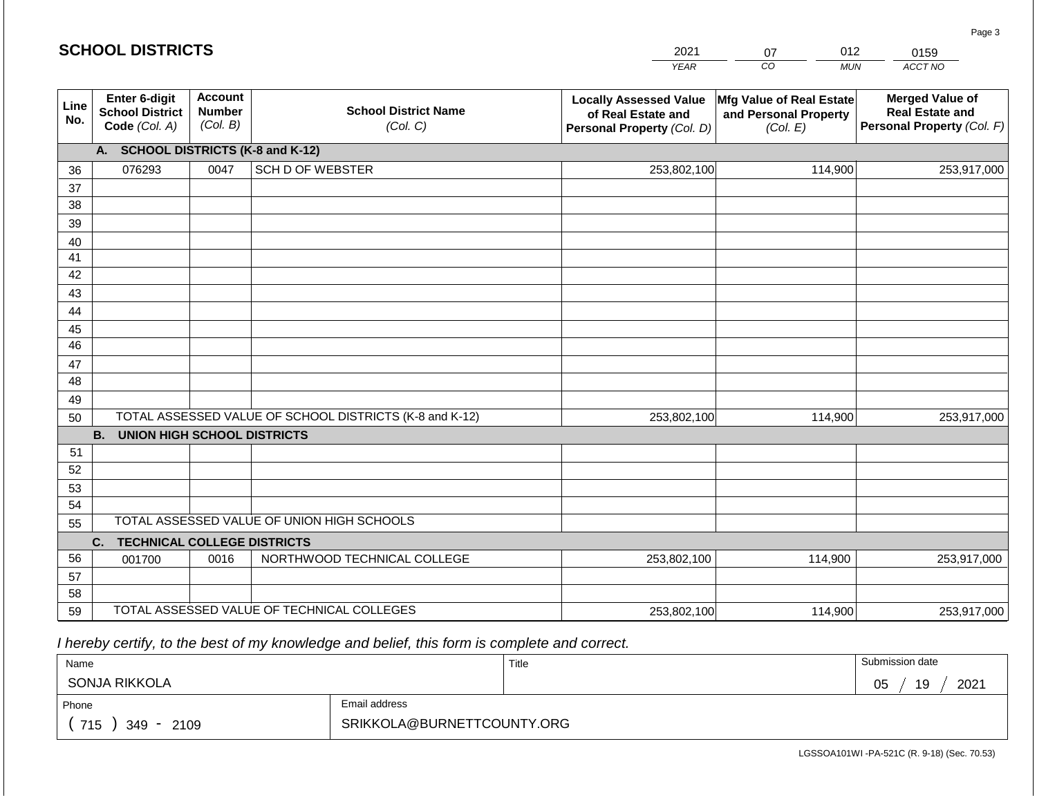#### *YEAR*  2021  $\overline{co}$ 07 *MUN*  012 *ACCT NO*  0159 **Line No. Enter 6-digit School District Code** *(Col. A)* **Account Number** *(Col. B)* **School District Name** *(Col. C)* **Locally Assessed Value of Real Estate and Personal Property** *(Col. D)* **Mfg Value of Real Estate and Personal Property** *(Col. E)* **Merged Value of Real Estate and Personal Property** *(Col. F)* **A. SCHOOL DISTRICTS (K-8 and K-12)** 36 37 38 39 40 41 42 43 44 45 46 47 48 49 50 TOTAL ASSESSED VALUE OF SCHOOL DISTRICTS (K-8 and K-12) **B. UNION HIGH SCHOOL DISTRICTS** 51 52 53 54 55 **C. TECHNICAL COLLEGE DISTRICTS** 56 57 58 59 TOTAL ASSESSED VALUE OF TECHNICAL COLLEGES TOTAL ASSESSED VALUE OF UNION HIGH SCHOOLS 076293 0047 SCH D OF WEBSTER 253,802,100 253,802,100 001700 | 0016 | NORTHWOOD TECHNICAL COLLEGE 253,802,100 114,900 253,917,000 114,900 253,917,000 114,900 253,917,000 253,802,100 114,900 253,917,000

 *I hereby certify, to the best of my knowledge and belief, this form is complete and correct.*

| Name                 |                            | Title | Submission date  |
|----------------------|----------------------------|-------|------------------|
| SONJA RIKKOLA        |                            |       | 2021<br>19<br>05 |
| Phone                | Email address              |       |                  |
| 715<br>2109<br>349 - | SRIKKOLA@BURNETTCOUNTY.ORG |       |                  |

LGSSOA101WI -PA-521C (R. 9-18) (Sec. 70.53)

Page 3

| <b>SCHOOL DISTRICTS</b> |  |
|-------------------------|--|
|-------------------------|--|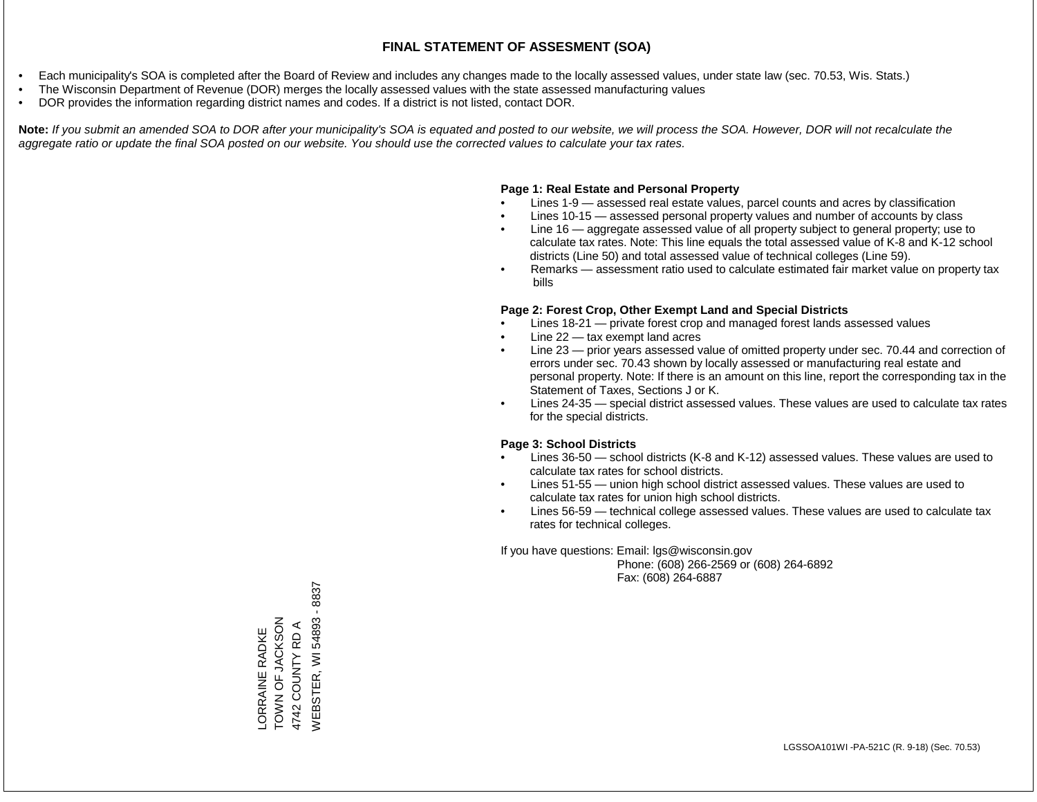- Each municipality's SOA is completed after the Board of Review and includes any changes made to the locally assessed values, under state law (sec. 70.53, Wis. Stats.)
- The Wisconsin Department of Revenue (DOR) merges the locally assessed values with the state assessed manufacturing values
- DOR provides the information regarding district names and codes. If a district is not listed, contact DOR.

Note: If you submit an amended SOA to DOR after your municipality's SOA is equated and posted to our website, we will process the SOA. However, DOR will not recalculate the *aggregate ratio or update the final SOA posted on our website. You should use the corrected values to calculate your tax rates.*

#### **Page 1: Real Estate and Personal Property**

- Lines 1-9 assessed real estate values, parcel counts and acres by classification
- Lines 10-15 assessed personal property values and number of accounts by class
- Line 16 aggregate assessed value of all property subject to general property; use to calculate tax rates. Note: This line equals the total assessed value of K-8 and K-12 school districts (Line 50) and total assessed value of technical colleges (Line 59).
- Remarks assessment ratio used to calculate estimated fair market value on property tax bills

#### **Page 2: Forest Crop, Other Exempt Land and Special Districts**

- Lines 18-21 private forest crop and managed forest lands assessed values
- Line  $22 -$  tax exempt land acres
- Line 23 prior years assessed value of omitted property under sec. 70.44 and correction of errors under sec. 70.43 shown by locally assessed or manufacturing real estate and personal property. Note: If there is an amount on this line, report the corresponding tax in the Statement of Taxes, Sections J or K.
- Lines 24-35 special district assessed values. These values are used to calculate tax rates for the special districts.

#### **Page 3: School Districts**

- Lines 36-50 school districts (K-8 and K-12) assessed values. These values are used to calculate tax rates for school districts.
- Lines 51-55 union high school district assessed values. These values are used to calculate tax rates for union high school districts.
- Lines 56-59 technical college assessed values. These values are used to calculate tax rates for technical colleges.

If you have questions: Email: lgs@wisconsin.gov

 Phone: (608) 266-2569 or (608) 264-6892 Fax: (608) 264-6887

/VEBSTER, WI 54893 - 8837 WEBSTER, WI 54893 - 8837ZOSYJ SA DO ZANO LORRAINE RADKE<br>TOWN OF JACKSON 4742 COUNTY RD A 4742 COUNTY RD A LORRAINE RADKE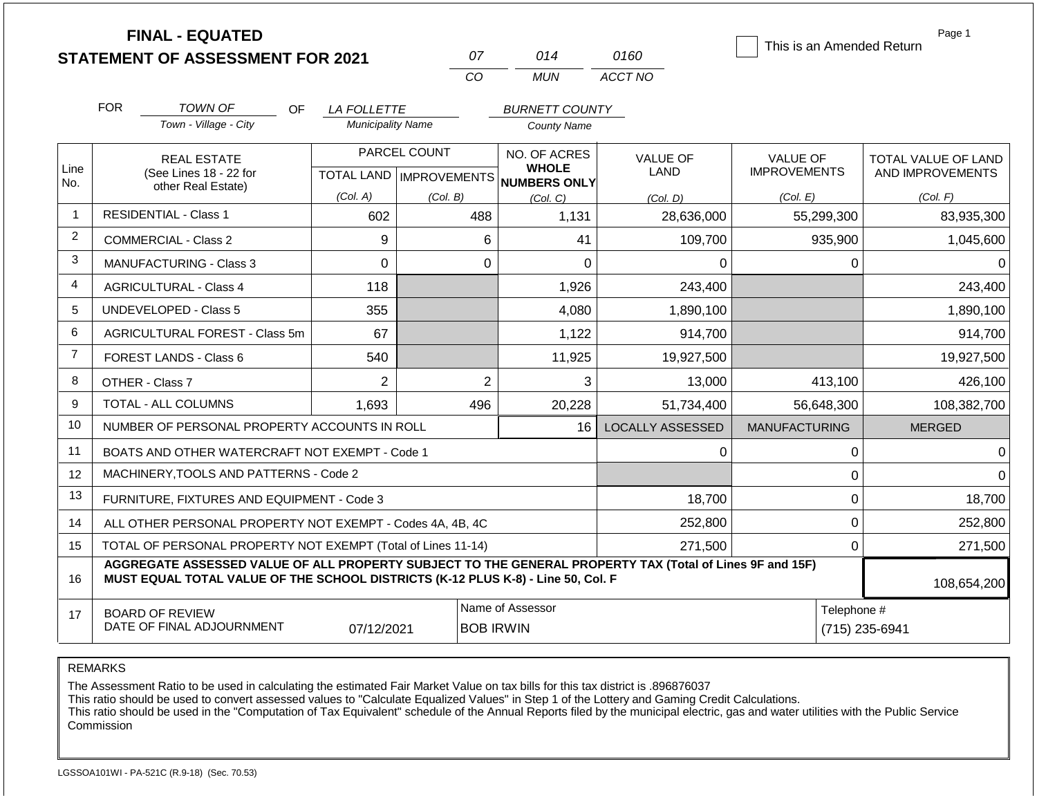|                |                                                                                                                          | <b>FINAL - EQUATED</b><br><b>STATEMENT OF ASSESSMENT FOR 2021</b>                                                                                                                            |                                                | 07           | 014                                 | 0160                    | This is an Amended Return              | Page 1                                  |
|----------------|--------------------------------------------------------------------------------------------------------------------------|----------------------------------------------------------------------------------------------------------------------------------------------------------------------------------------------|------------------------------------------------|--------------|-------------------------------------|-------------------------|----------------------------------------|-----------------------------------------|
|                |                                                                                                                          |                                                                                                                                                                                              |                                                | CO           | <b>MUN</b>                          | ACCT NO                 |                                        |                                         |
|                | <b>FOR</b>                                                                                                               | TOWN OF<br>OF.                                                                                                                                                                               |                                                |              | <b>BURNETT COUNTY</b>               |                         |                                        |                                         |
|                |                                                                                                                          | Town - Village - City                                                                                                                                                                        | <b>LA FOLLETTE</b><br><b>Municipality Name</b> |              | <b>County Name</b>                  |                         |                                        |                                         |
| Line           |                                                                                                                          | <b>REAL ESTATE</b><br>(See Lines 18 - 22 for                                                                                                                                                 |                                                | PARCEL COUNT | NO. OF ACRES<br><b>WHOLE</b>        | <b>VALUE OF</b><br>LAND | <b>VALUE OF</b><br><b>IMPROVEMENTS</b> | TOTAL VALUE OF LAND<br>AND IMPROVEMENTS |
| No.            |                                                                                                                          | other Real Estate)                                                                                                                                                                           | (Col. A)                                       |              | TOTAL LAND MPROVEMENTS NUMBERS ONLY |                         |                                        |                                         |
| $\mathbf{1}$   |                                                                                                                          | <b>RESIDENTIAL - Class 1</b>                                                                                                                                                                 | 602                                            | (Col. B)     | (Col. C)<br>488<br>1,131            | (Col. D)<br>28,636,000  | (Col. E)<br>55,299,300                 | (Col. F)<br>83,935,300                  |
| $\overline{2}$ |                                                                                                                          | <b>COMMERCIAL - Class 2</b>                                                                                                                                                                  | 9                                              |              | 6<br>41                             | 109,700                 | 935,900                                | 1,045,600                               |
| 3              |                                                                                                                          | <b>MANUFACTURING - Class 3</b>                                                                                                                                                               | $\Omega$                                       |              | $\Omega$                            | $\Omega$                | $\Omega$<br>0                          | $\Omega$                                |
| 4              |                                                                                                                          | <b>AGRICULTURAL - Class 4</b>                                                                                                                                                                | 118                                            |              | 1,926                               | 243,400                 |                                        | 243,400                                 |
| 5              |                                                                                                                          | UNDEVELOPED - Class 5                                                                                                                                                                        | 355                                            |              | 4,080                               | 1,890,100               |                                        | 1,890,100                               |
| 6              |                                                                                                                          | AGRICULTURAL FOREST - Class 5m                                                                                                                                                               | 67                                             |              | 1,122                               | 914,700                 |                                        | 914,700                                 |
| $\overline{7}$ |                                                                                                                          | <b>FOREST LANDS - Class 6</b>                                                                                                                                                                | 540                                            |              | 11,925                              | 19,927,500              |                                        | 19,927,500                              |
| 8              |                                                                                                                          | OTHER - Class 7                                                                                                                                                                              | $\overline{2}$                                 |              | $\overline{2}$                      | 3<br>13,000             | 413,100                                | 426,100                                 |
| 9              |                                                                                                                          | TOTAL - ALL COLUMNS                                                                                                                                                                          | 1.693                                          | 496          | 20,228                              | 51,734,400              | 56,648,300                             | 108,382,700                             |
| 10             |                                                                                                                          | NUMBER OF PERSONAL PROPERTY ACCOUNTS IN ROLL                                                                                                                                                 |                                                |              | 16                                  | <b>LOCALLY ASSESSED</b> | <b>MANUFACTURING</b>                   | <b>MERGED</b>                           |
| 11             |                                                                                                                          | BOATS AND OTHER WATERCRAFT NOT EXEMPT - Code 1                                                                                                                                               |                                                |              |                                     |                         | 0<br>0                                 | $\Omega$                                |
| 12             |                                                                                                                          | MACHINERY, TOOLS AND PATTERNS - Code 2                                                                                                                                                       |                                                |              |                                     |                         | $\mathbf 0$                            | $\Omega$                                |
| 13             |                                                                                                                          | FURNITURE, FIXTURES AND EQUIPMENT - Code 3                                                                                                                                                   |                                                |              |                                     | 18,700                  | $\mathbf 0$                            | 18,700                                  |
| 14             |                                                                                                                          | ALL OTHER PERSONAL PROPERTY NOT EXEMPT - Codes 4A, 4B, 4C                                                                                                                                    |                                                |              | 252,800                             | $\mathbf 0$             | 252,800                                |                                         |
| 15             |                                                                                                                          | TOTAL OF PERSONAL PROPERTY NOT EXEMPT (Total of Lines 11-14)                                                                                                                                 |                                                |              | 271,500                             | $\mathbf 0$             | 271,500                                |                                         |
| 16             |                                                                                                                          | AGGREGATE ASSESSED VALUE OF ALL PROPERTY SUBJECT TO THE GENERAL PROPERTY TAX (Total of Lines 9F and 15F)<br>MUST EQUAL TOTAL VALUE OF THE SCHOOL DISTRICTS (K-12 PLUS K-8) - Line 50, Col. F |                                                |              |                                     |                         |                                        | 108,654,200                             |
| 17             | Name of Assessor<br>Telephone #<br><b>BOARD OF REVIEW</b><br>DATE OF FINAL ADJOURNMENT<br>07/12/2021<br><b>BOB IRWIN</b> |                                                                                                                                                                                              |                                                |              |                                     |                         |                                        | (715) 235-6941                          |

The Assessment Ratio to be used in calculating the estimated Fair Market Value on tax bills for this tax district is .896876037

This ratio should be used to convert assessed values to "Calculate Equalized Values" in Step 1 of the Lottery and Gaming Credit Calculations.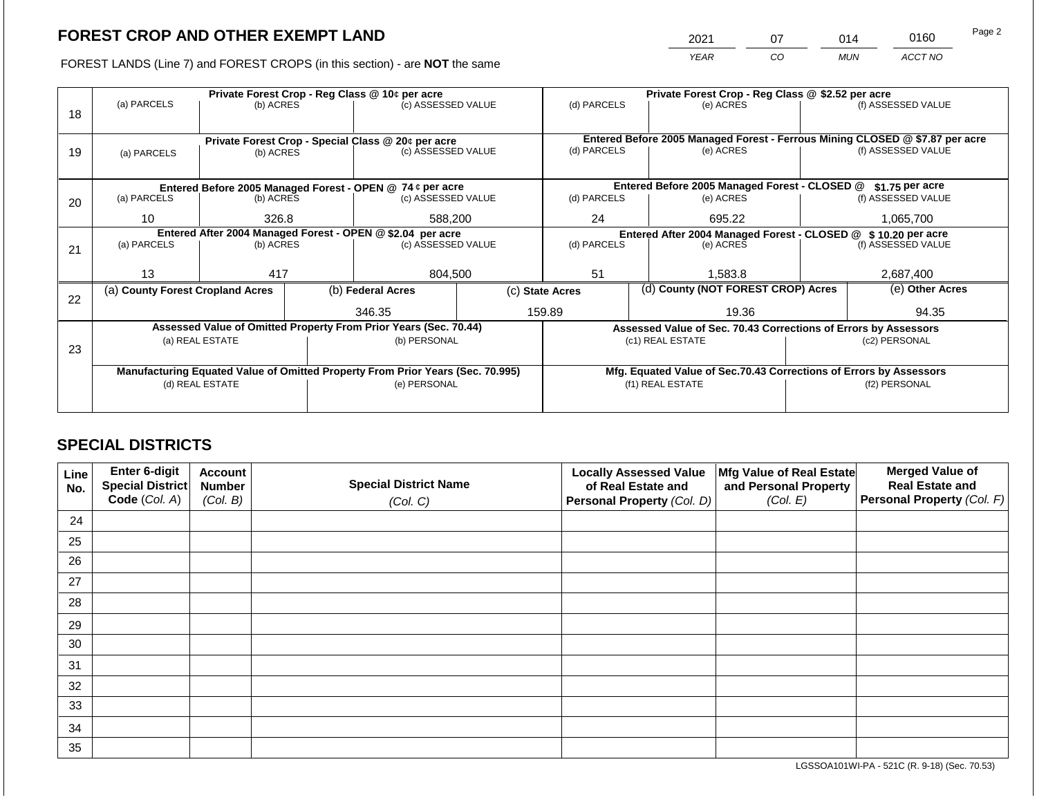2021 07 014 0160

FOREST LANDS (Line 7) and FOREST CROPS (in this section) - are **NOT** the same *YEAR CO MUN ACCT NO*

|    |                                                                                |                                                            |  | Private Forest Crop - Reg Class @ 10¢ per acre                           | Private Forest Crop - Reg Class @ \$2.52 per acre |                 |                                                                              |                                                                    |           |                    |  |
|----|--------------------------------------------------------------------------------|------------------------------------------------------------|--|--------------------------------------------------------------------------|---------------------------------------------------|-----------------|------------------------------------------------------------------------------|--------------------------------------------------------------------|-----------|--------------------|--|
|    | (a) PARCELS                                                                    | (b) ACRES                                                  |  | (c) ASSESSED VALUE                                                       |                                                   | (d) PARCELS     |                                                                              | (e) ACRES                                                          |           | (f) ASSESSED VALUE |  |
| 18 |                                                                                |                                                            |  |                                                                          |                                                   |                 |                                                                              |                                                                    |           |                    |  |
|    |                                                                                |                                                            |  |                                                                          |                                                   |                 | Entered Before 2005 Managed Forest - Ferrous Mining CLOSED @ \$7.87 per acre |                                                                    |           |                    |  |
| 19 |                                                                                |                                                            |  | Private Forest Crop - Special Class @ 20¢ per acre<br>(c) ASSESSED VALUE |                                                   | (d) PARCELS     |                                                                              | (e) ACRES                                                          |           | (f) ASSESSED VALUE |  |
|    | (a) PARCELS                                                                    | (b) ACRES                                                  |  |                                                                          |                                                   |                 |                                                                              |                                                                    |           |                    |  |
|    |                                                                                |                                                            |  |                                                                          |                                                   |                 |                                                                              |                                                                    |           |                    |  |
|    |                                                                                |                                                            |  | Entered Before 2005 Managed Forest - OPEN @ 74 ¢ per acre                |                                                   |                 |                                                                              | Entered Before 2005 Managed Forest - CLOSED @                      |           | \$1.75 per acre    |  |
| 20 | (a) PARCELS                                                                    | (b) ACRES                                                  |  | (c) ASSESSED VALUE                                                       |                                                   | (d) PARCELS     |                                                                              | (e) ACRES                                                          |           | (f) ASSESSED VALUE |  |
|    |                                                                                | 10                                                         |  |                                                                          |                                                   |                 |                                                                              |                                                                    |           |                    |  |
|    |                                                                                | 326.8                                                      |  | 588,200                                                                  |                                                   | 24<br>695.22    |                                                                              |                                                                    | 1,065,700 |                    |  |
|    |                                                                                | Entered After 2004 Managed Forest - OPEN @ \$2.04 per acre |  |                                                                          |                                                   |                 |                                                                              | Entered After 2004 Managed Forest - CLOSED @ \$10.20 per acre      |           |                    |  |
| 21 | (a) PARCELS                                                                    | (b) ACRES                                                  |  | (c) ASSESSED VALUE                                                       |                                                   | (d) PARCELS     |                                                                              | (e) ACRES                                                          |           | (f) ASSESSED VALUE |  |
|    |                                                                                |                                                            |  |                                                                          |                                                   |                 |                                                                              |                                                                    |           |                    |  |
|    | 13                                                                             | 417                                                        |  | 804,500                                                                  |                                                   | 51              |                                                                              | 1,583.8                                                            |           | 2,687,400          |  |
|    | (a) County Forest Cropland Acres                                               |                                                            |  | (b) Federal Acres                                                        |                                                   | (c) State Acres |                                                                              | (d) County (NOT FOREST CROP) Acres                                 |           | (e) Other Acres    |  |
| 22 |                                                                                |                                                            |  |                                                                          |                                                   |                 |                                                                              |                                                                    |           |                    |  |
|    |                                                                                |                                                            |  | 346.35                                                                   |                                                   | 159.89          |                                                                              | 19.36                                                              |           | 94.35              |  |
|    |                                                                                |                                                            |  | Assessed Value of Omitted Property From Prior Years (Sec. 70.44)         |                                                   |                 |                                                                              | Assessed Value of Sec. 70.43 Corrections of Errors by Assessors    |           |                    |  |
|    |                                                                                | (a) REAL ESTATE                                            |  | (b) PERSONAL                                                             |                                                   |                 |                                                                              | (c1) REAL ESTATE                                                   |           | (c2) PERSONAL      |  |
| 23 |                                                                                |                                                            |  |                                                                          |                                                   |                 |                                                                              |                                                                    |           |                    |  |
|    | Manufacturing Equated Value of Omitted Property From Prior Years (Sec. 70.995) |                                                            |  |                                                                          |                                                   |                 |                                                                              | Mfg. Equated Value of Sec.70.43 Corrections of Errors by Assessors |           |                    |  |
|    |                                                                                | (d) REAL ESTATE                                            |  | (e) PERSONAL                                                             |                                                   |                 |                                                                              | (f1) REAL ESTATE                                                   |           | (f2) PERSONAL      |  |
|    |                                                                                |                                                            |  |                                                                          |                                                   |                 |                                                                              |                                                                    |           |                    |  |
|    |                                                                                |                                                            |  |                                                                          |                                                   |                 |                                                                              |                                                                    |           |                    |  |

## **SPECIAL DISTRICTS**

| Line<br>No. | <b>Enter 6-digit</b><br>Special District | <b>Account</b><br><b>Number</b> | <b>Special District Name</b> | <b>Locally Assessed Value</b><br>of Real Estate and | Mfg Value of Real Estate<br>and Personal Property | <b>Merged Value of</b><br><b>Real Estate and</b> |
|-------------|------------------------------------------|---------------------------------|------------------------------|-----------------------------------------------------|---------------------------------------------------|--------------------------------------------------|
|             | Code (Col. A)                            | (Col. B)                        | (Col. C)                     | Personal Property (Col. D)                          | (Col. E)                                          | Personal Property (Col. F)                       |
| 24          |                                          |                                 |                              |                                                     |                                                   |                                                  |
| 25          |                                          |                                 |                              |                                                     |                                                   |                                                  |
| 26          |                                          |                                 |                              |                                                     |                                                   |                                                  |
| 27          |                                          |                                 |                              |                                                     |                                                   |                                                  |
| 28          |                                          |                                 |                              |                                                     |                                                   |                                                  |
| 29          |                                          |                                 |                              |                                                     |                                                   |                                                  |
| 30          |                                          |                                 |                              |                                                     |                                                   |                                                  |
| 31          |                                          |                                 |                              |                                                     |                                                   |                                                  |
| 32          |                                          |                                 |                              |                                                     |                                                   |                                                  |
| 33          |                                          |                                 |                              |                                                     |                                                   |                                                  |
| 34          |                                          |                                 |                              |                                                     |                                                   |                                                  |
| 35          |                                          |                                 |                              |                                                     |                                                   |                                                  |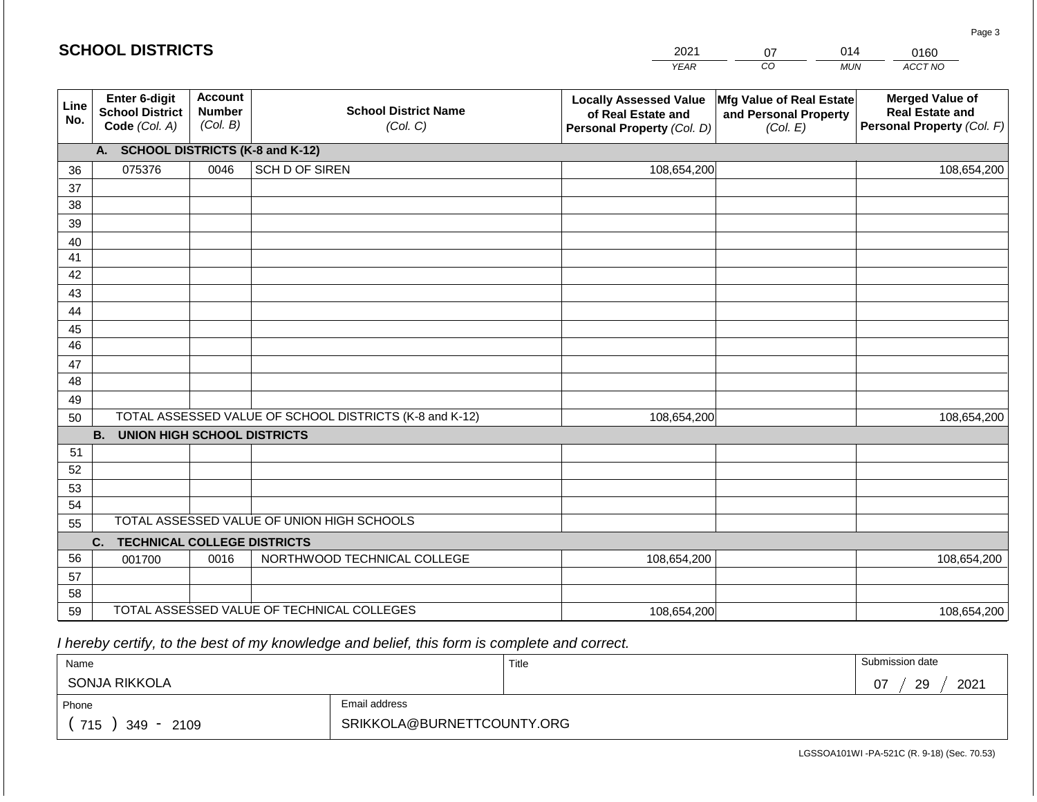|             | <b>SCHOOL DISTRICTS</b>                                         |                                             |                                                         | 2021                                                                              | 014<br>07                                                     | 0160                                                                           |
|-------------|-----------------------------------------------------------------|---------------------------------------------|---------------------------------------------------------|-----------------------------------------------------------------------------------|---------------------------------------------------------------|--------------------------------------------------------------------------------|
|             |                                                                 |                                             |                                                         | <b>YEAR</b>                                                                       | $\overline{co}$                                               | ACCT NO<br><b>MUN</b>                                                          |
| Line<br>No. | <b>Enter 6-digit</b><br><b>School District</b><br>Code (Col. A) | <b>Account</b><br><b>Number</b><br>(Col. B) | <b>School District Name</b><br>(Col. C)                 | <b>Locally Assessed Value</b><br>of Real Estate and<br>Personal Property (Col. D) | Mfg Value of Real Estate<br>and Personal Property<br>(Col. E) | <b>Merged Value of</b><br><b>Real Estate and</b><br>Personal Property (Col. F) |
|             | <b>SCHOOL DISTRICTS (K-8 and K-12)</b><br>А.                    |                                             |                                                         |                                                                                   |                                                               |                                                                                |
| 36          | 075376                                                          | 0046                                        | <b>SCH D OF SIREN</b>                                   | 108,654,200                                                                       |                                                               | 108,654,200                                                                    |
| 37          |                                                                 |                                             |                                                         |                                                                                   |                                                               |                                                                                |
| 38          |                                                                 |                                             |                                                         |                                                                                   |                                                               |                                                                                |
| 39          |                                                                 |                                             |                                                         |                                                                                   |                                                               |                                                                                |
| 40          |                                                                 |                                             |                                                         |                                                                                   |                                                               |                                                                                |
| 41<br>42    |                                                                 |                                             |                                                         |                                                                                   |                                                               |                                                                                |
| 43          |                                                                 |                                             |                                                         |                                                                                   |                                                               |                                                                                |
| 44          |                                                                 |                                             |                                                         |                                                                                   |                                                               |                                                                                |
| 45          |                                                                 |                                             |                                                         |                                                                                   |                                                               |                                                                                |
| 46          |                                                                 |                                             |                                                         |                                                                                   |                                                               |                                                                                |
| 47          |                                                                 |                                             |                                                         |                                                                                   |                                                               |                                                                                |
| 48          |                                                                 |                                             |                                                         |                                                                                   |                                                               |                                                                                |
| 49          |                                                                 |                                             |                                                         |                                                                                   |                                                               |                                                                                |
| 50          |                                                                 |                                             | TOTAL ASSESSED VALUE OF SCHOOL DISTRICTS (K-8 and K-12) | 108,654,200                                                                       |                                                               | 108,654,200                                                                    |
|             | <b>UNION HIGH SCHOOL DISTRICTS</b><br><b>B.</b>                 |                                             |                                                         |                                                                                   |                                                               |                                                                                |
| 51          |                                                                 |                                             |                                                         |                                                                                   |                                                               |                                                                                |
| 52          |                                                                 |                                             |                                                         |                                                                                   |                                                               |                                                                                |
| 53          |                                                                 |                                             |                                                         |                                                                                   |                                                               |                                                                                |
| 54          |                                                                 |                                             | TOTAL ASSESSED VALUE OF UNION HIGH SCHOOLS              |                                                                                   |                                                               |                                                                                |
| 55          |                                                                 |                                             |                                                         |                                                                                   |                                                               |                                                                                |

| აა |                                |      | ו סוראב הטטבטטבט יותבטב טו וטוזוטוזיווטוו טטווטטבט |             |             |
|----|--------------------------------|------|----------------------------------------------------|-------------|-------------|
|    | C. TECHNICAL COLLEGE DISTRICTS |      |                                                    |             |             |
| 56 | 001700                         | 0016 | NORTHWOOD TECHNICAL COLLEGE                        | 108,654,200 | 108,654,200 |
| 57 |                                |      |                                                    |             |             |
| 58 |                                |      |                                                    |             |             |
| 59 |                                |      | TOTAL ASSESSED VALUE OF TECHNICAL COLLEGES         | 108,654,200 | 108,654,200 |

 *I hereby certify, to the best of my knowledge and belief, this form is complete and correct.*

| Name              |                            | Title | Submission date        |
|-------------------|----------------------------|-------|------------------------|
| SONJA RIKKOLA     |                            |       | 2021<br>29<br>07<br>v, |
| Phone             | Email address              |       |                        |
| 715<br>349 - 2109 | SRIKKOLA@BURNETTCOUNTY.ORG |       |                        |

LGSSOA101WI -PA-521C (R. 9-18) (Sec. 70.53)

Page 3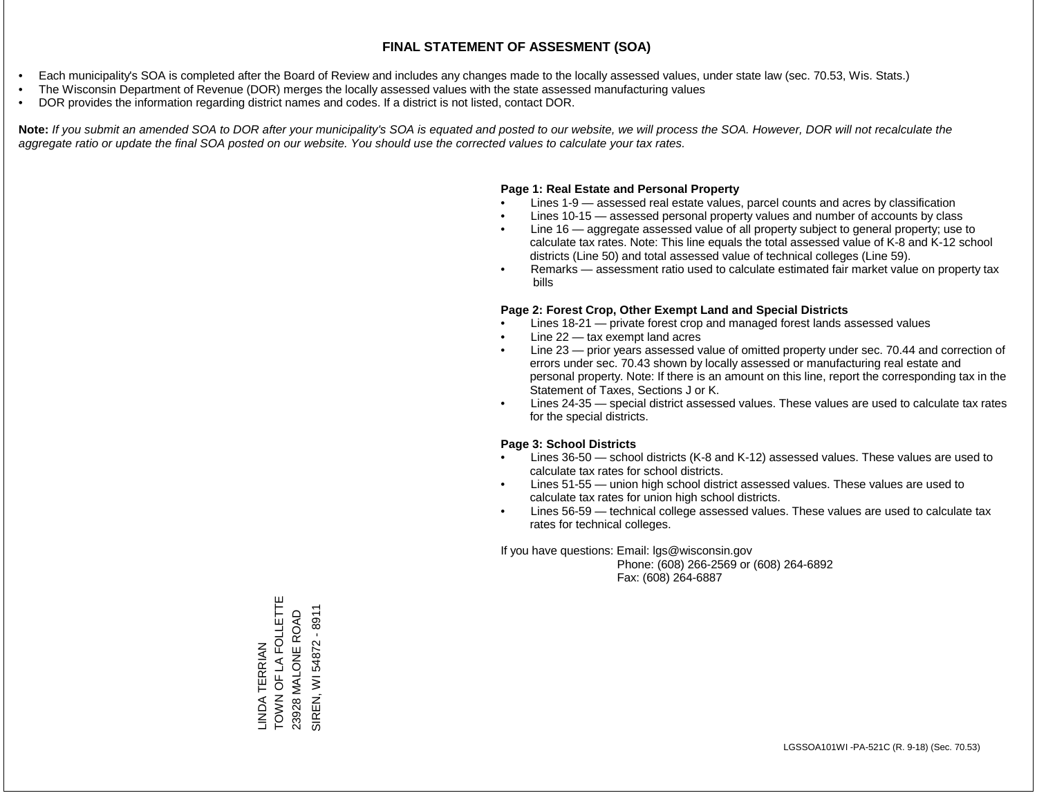- Each municipality's SOA is completed after the Board of Review and includes any changes made to the locally assessed values, under state law (sec. 70.53, Wis. Stats.)
- The Wisconsin Department of Revenue (DOR) merges the locally assessed values with the state assessed manufacturing values
- DOR provides the information regarding district names and codes. If a district is not listed, contact DOR.

Note: If you submit an amended SOA to DOR after your municipality's SOA is equated and posted to our website, we will process the SOA. However, DOR will not recalculate the *aggregate ratio or update the final SOA posted on our website. You should use the corrected values to calculate your tax rates.*

### **Page 1: Real Estate and Personal Property**

- Lines 1-9 assessed real estate values, parcel counts and acres by classification
- Lines 10-15 assessed personal property values and number of accounts by class
- Line 16 aggregate assessed value of all property subject to general property; use to calculate tax rates. Note: This line equals the total assessed value of K-8 and K-12 school districts (Line 50) and total assessed value of technical colleges (Line 59).
- Remarks assessment ratio used to calculate estimated fair market value on property tax bills

#### **Page 2: Forest Crop, Other Exempt Land and Special Districts**

- Lines 18-21 private forest crop and managed forest lands assessed values
- Line  $22 -$  tax exempt land acres
- Line 23 prior years assessed value of omitted property under sec. 70.44 and correction of errors under sec. 70.43 shown by locally assessed or manufacturing real estate and personal property. Note: If there is an amount on this line, report the corresponding tax in the Statement of Taxes, Sections J or K.
- Lines 24-35 special district assessed values. These values are used to calculate tax rates for the special districts.

#### **Page 3: School Districts**

- Lines 36-50 school districts (K-8 and K-12) assessed values. These values are used to calculate tax rates for school districts.
- Lines 51-55 union high school district assessed values. These values are used to calculate tax rates for union high school districts.
- Lines 56-59 technical college assessed values. These values are used to calculate tax rates for technical colleges.

If you have questions: Email: lgs@wisconsin.gov

 Phone: (608) 266-2569 or (608) 264-6892 Fax: (608) 264-6887

LINDA TERRIAN<br>TOWN OF LA FOLLETTE<br>23928 MALONE ROAD TOWN OF LA FOLLETTE SIREN, WI 54872 - 8911 SIREN, WI 54872 - 891123928 MALONE ROAD LINDA TERRIAN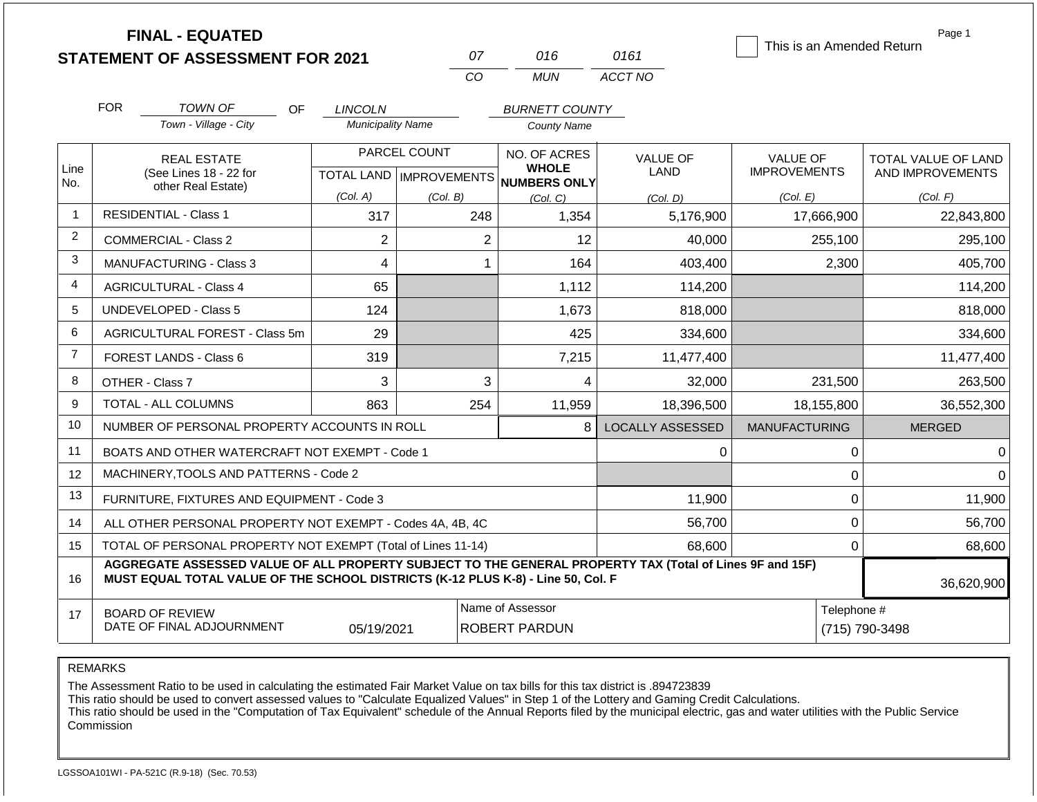|                |            | <b>FINAL - EQUATED</b>                                                                                                                                                                       |                          |                           |                                          |                                     |                         | Page 1<br>This is an Amended Return |                  |                     |
|----------------|------------|----------------------------------------------------------------------------------------------------------------------------------------------------------------------------------------------|--------------------------|---------------------------|------------------------------------------|-------------------------------------|-------------------------|-------------------------------------|------------------|---------------------|
|                |            | <b>STATEMENT OF ASSESSMENT FOR 2021</b>                                                                                                                                                      |                          |                           | 07                                       | 016                                 | 0161                    |                                     |                  |                     |
|                |            |                                                                                                                                                                                              |                          | CO                        |                                          | <b>MUN</b>                          | ACCT NO                 |                                     |                  |                     |
|                | <b>FOR</b> | <b>TOWN OF</b><br>OF                                                                                                                                                                         | <b>LINCOLN</b>           |                           |                                          | <b>BURNETT COUNTY</b>               |                         |                                     |                  |                     |
|                |            | Town - Village - City                                                                                                                                                                        | <b>Municipality Name</b> |                           |                                          | <b>County Name</b>                  |                         |                                     |                  |                     |
|                |            | <b>REAL ESTATE</b>                                                                                                                                                                           |                          | PARCEL COUNT              |                                          | NO. OF ACRES                        | <b>VALUE OF</b>         | <b>VALUE OF</b>                     |                  | TOTAL VALUE OF LAND |
| Line<br>No.    |            | (See Lines 18 - 22 for                                                                                                                                                                       |                          | TOTAL LAND   IMPROVEMENTS |                                          | <b>WHOLE</b><br><b>NUMBERS ONLY</b> | <b>LAND</b>             | <b>IMPROVEMENTS</b>                 |                  | AND IMPROVEMENTS    |
|                |            | other Real Estate)                                                                                                                                                                           | (Col. A)                 | (Col. B)                  | (Col, C)                                 |                                     | (Col. D)                | (Col. E)                            |                  | (Col. F)            |
| $\overline{1}$ |            | <b>RESIDENTIAL - Class 1</b>                                                                                                                                                                 | 317                      |                           | 248                                      | 1,354                               | 5,176,900               | 17,666,900                          |                  | 22,843,800          |
| 2              |            | <b>COMMERCIAL - Class 2</b>                                                                                                                                                                  | $\overline{2}$           |                           | $\overline{2}$                           | 12                                  | 40,000                  |                                     | 255,100          | 295,100             |
| 3              |            | <b>MANUFACTURING - Class 3</b>                                                                                                                                                               | 4                        |                           | 1                                        | 164                                 | 403,400                 |                                     | 2,300            | 405,700             |
| 4              |            | <b>AGRICULTURAL - Class 4</b>                                                                                                                                                                | 65                       |                           |                                          | 1,112                               | 114,200                 |                                     |                  | 114,200             |
| 5              |            | <b>UNDEVELOPED - Class 5</b>                                                                                                                                                                 | 124                      |                           |                                          | 1,673                               | 818,000                 |                                     |                  | 818,000             |
| 6              |            | AGRICULTURAL FOREST - Class 5m                                                                                                                                                               | 29                       |                           |                                          | 425                                 | 334,600                 |                                     |                  | 334,600             |
| $\overline{7}$ |            | FOREST LANDS - Class 6                                                                                                                                                                       | 319                      |                           |                                          | 7,215                               | 11,477,400              |                                     |                  | 11,477,400          |
| 8              |            | OTHER - Class 7                                                                                                                                                                              | 3                        |                           | 3                                        | 4                                   | 32,000                  |                                     | 231,500          | 263,500             |
| 9              |            | TOTAL - ALL COLUMNS                                                                                                                                                                          | 863                      |                           | 254                                      | 11,959                              | 18,396,500              | 18,155,800                          |                  | 36,552,300          |
| 10             |            | NUMBER OF PERSONAL PROPERTY ACCOUNTS IN ROLL                                                                                                                                                 |                          |                           |                                          | 8                                   | <b>LOCALLY ASSESSED</b> | <b>MANUFACTURING</b>                |                  | <b>MERGED</b>       |
| 11             |            | BOATS AND OTHER WATERCRAFT NOT EXEMPT - Code 1                                                                                                                                               |                          |                           |                                          |                                     | 0                       |                                     | 0                | $\Omega$            |
| 12             |            | MACHINERY, TOOLS AND PATTERNS - Code 2                                                                                                                                                       |                          |                           |                                          |                                     |                         |                                     | $\boldsymbol{0}$ | $\Omega$            |
| 13             |            | FURNITURE, FIXTURES AND EQUIPMENT - Code 3                                                                                                                                                   |                          |                           |                                          |                                     | 11,900                  |                                     | 0                | 11,900              |
| 14             |            | ALL OTHER PERSONAL PROPERTY NOT EXEMPT - Codes 4A, 4B, 4C                                                                                                                                    |                          |                           |                                          |                                     | 56,700                  |                                     | 0                | 56,700              |
| 15             |            | TOTAL OF PERSONAL PROPERTY NOT EXEMPT (Total of Lines 11-14)                                                                                                                                 |                          |                           |                                          |                                     | 68,600                  |                                     | $\overline{0}$   | 68,600              |
| 16             |            | AGGREGATE ASSESSED VALUE OF ALL PROPERTY SUBJECT TO THE GENERAL PROPERTY TAX (Total of Lines 9F and 15F)<br>MUST EQUAL TOTAL VALUE OF THE SCHOOL DISTRICTS (K-12 PLUS K-8) - Line 50, Col. F |                          |                           |                                          |                                     |                         |                                     |                  | 36,620,900          |
|                |            |                                                                                                                                                                                              |                          |                           |                                          |                                     |                         |                                     |                  |                     |
| 17             |            | <b>BOARD OF REVIEW</b><br>DATE OF FINAL ADJOURNMENT                                                                                                                                          | 05/19/2021               |                           | Name of Assessor<br><b>ROBERT PARDUN</b> |                                     |                         |                                     | Telephone #      | (715) 790-3498      |

The Assessment Ratio to be used in calculating the estimated Fair Market Value on tax bills for this tax district is .894723839

This ratio should be used to convert assessed values to "Calculate Equalized Values" in Step 1 of the Lottery and Gaming Credit Calculations.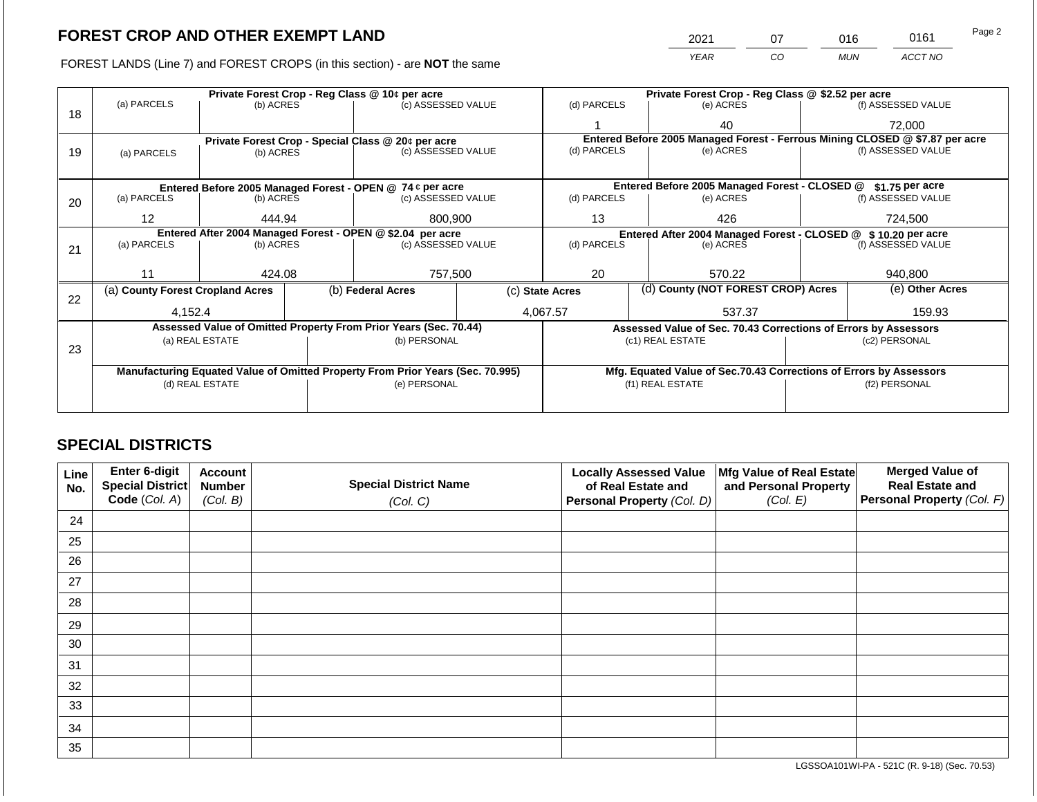2021 07 016 0161

FOREST LANDS (Line 7) and FOREST CROPS (in this section) - are **NOT** the same *YEAR CO MUN ACCT NO*

|    |                                                                                |                 |  | Private Forest Crop - Reg Class @ 10¢ per acre                   |                                                       | Private Forest Crop - Reg Class @ \$2.52 per acre |  |                                                                              |                                                                 |                    |
|----|--------------------------------------------------------------------------------|-----------------|--|------------------------------------------------------------------|-------------------------------------------------------|---------------------------------------------------|--|------------------------------------------------------------------------------|-----------------------------------------------------------------|--------------------|
| 18 | (a) PARCELS                                                                    | (b) ACRES       |  | (c) ASSESSED VALUE                                               |                                                       | (d) PARCELS                                       |  | (e) ACRES                                                                    |                                                                 | (f) ASSESSED VALUE |
|    |                                                                                |                 |  |                                                                  |                                                       |                                                   |  | 40                                                                           |                                                                 | 72,000             |
|    |                                                                                |                 |  | Private Forest Crop - Special Class @ 20¢ per acre               |                                                       |                                                   |  | Entered Before 2005 Managed Forest - Ferrous Mining CLOSED @ \$7.87 per acre |                                                                 |                    |
| 19 | (a) PARCELS                                                                    | (b) ACRES       |  | (c) ASSESSED VALUE                                               |                                                       | (d) PARCELS                                       |  | (e) ACRES                                                                    |                                                                 | (f) ASSESSED VALUE |
|    |                                                                                |                 |  |                                                                  |                                                       |                                                   |  |                                                                              |                                                                 |                    |
|    |                                                                                |                 |  | Entered Before 2005 Managed Forest - OPEN @ 74 ¢ per acre        |                                                       |                                                   |  | Entered Before 2005 Managed Forest - CLOSED @                                |                                                                 | $$1.75$ per acre   |
| 20 | (a) PARCELS<br>(b) ACRES                                                       |                 |  | (c) ASSESSED VALUE                                               |                                                       | (d) PARCELS                                       |  | (e) ACRES                                                                    |                                                                 | (f) ASSESSED VALUE |
|    | $12 \overline{ }$                                                              | 444.94          |  | 800,900                                                          |                                                       | 13                                                |  | 426                                                                          |                                                                 | 724,500            |
|    | Entered After 2004 Managed Forest - OPEN @ \$2.04 per acre                     |                 |  |                                                                  |                                                       | Entered After 2004 Managed Forest - CLOSED @      |  |                                                                              |                                                                 | \$10.20 per acre   |
| 21 | (a) PARCELS                                                                    | (b) ACRES       |  | (c) ASSESSED VALUE                                               |                                                       | (d) PARCELS                                       |  | (e) ACRES                                                                    |                                                                 | (f) ASSESSED VALUE |
|    |                                                                                |                 |  |                                                                  |                                                       |                                                   |  |                                                                              |                                                                 |                    |
|    | 11                                                                             | 424.08          |  | 757,500                                                          |                                                       | 20                                                |  | 570.22                                                                       |                                                                 | 940,800            |
| 22 | (a) County Forest Cropland Acres                                               |                 |  | (b) Federal Acres                                                | (d) County (NOT FOREST CROP) Acres<br>(c) State Acres |                                                   |  |                                                                              | (e) Other Acres                                                 |                    |
|    | 4,152.4                                                                        |                 |  |                                                                  |                                                       | 4,067.57<br>537.37                                |  |                                                                              | 159.93                                                          |                    |
|    |                                                                                |                 |  | Assessed Value of Omitted Property From Prior Years (Sec. 70.44) |                                                       |                                                   |  |                                                                              | Assessed Value of Sec. 70.43 Corrections of Errors by Assessors |                    |
|    |                                                                                | (a) REAL ESTATE |  | (b) PERSONAL                                                     |                                                       |                                                   |  | (c1) REAL ESTATE                                                             |                                                                 | (c2) PERSONAL      |
| 23 |                                                                                |                 |  |                                                                  |                                                       |                                                   |  |                                                                              |                                                                 |                    |
|    | Manufacturing Equated Value of Omitted Property From Prior Years (Sec. 70.995) |                 |  |                                                                  |                                                       |                                                   |  | Mfg. Equated Value of Sec.70.43 Corrections of Errors by Assessors           |                                                                 |                    |
|    | (d) REAL ESTATE                                                                |                 |  | (e) PERSONAL                                                     |                                                       |                                                   |  | (f1) REAL ESTATE                                                             | (f2) PERSONAL                                                   |                    |
|    |                                                                                |                 |  |                                                                  |                                                       |                                                   |  |                                                                              |                                                                 |                    |
|    |                                                                                |                 |  |                                                                  |                                                       |                                                   |  |                                                                              |                                                                 |                    |

## **SPECIAL DISTRICTS**

| Line<br>No. | Enter 6-digit<br>Special District<br>Code (Col. A) | <b>Account</b><br><b>Number</b><br>(Col. B) | <b>Special District Name</b><br>(Col. C) | <b>Locally Assessed Value</b><br>of Real Estate and<br><b>Personal Property (Col. D)</b> | Mfg Value of Real Estate<br>and Personal Property<br>(Col. E) | <b>Merged Value of</b><br><b>Real Estate and</b><br>Personal Property (Col. F) |
|-------------|----------------------------------------------------|---------------------------------------------|------------------------------------------|------------------------------------------------------------------------------------------|---------------------------------------------------------------|--------------------------------------------------------------------------------|
| 24          |                                                    |                                             |                                          |                                                                                          |                                                               |                                                                                |
| 25          |                                                    |                                             |                                          |                                                                                          |                                                               |                                                                                |
| 26          |                                                    |                                             |                                          |                                                                                          |                                                               |                                                                                |
| 27          |                                                    |                                             |                                          |                                                                                          |                                                               |                                                                                |
| 28          |                                                    |                                             |                                          |                                                                                          |                                                               |                                                                                |
| 29          |                                                    |                                             |                                          |                                                                                          |                                                               |                                                                                |
| 30          |                                                    |                                             |                                          |                                                                                          |                                                               |                                                                                |
| 31          |                                                    |                                             |                                          |                                                                                          |                                                               |                                                                                |
| 32          |                                                    |                                             |                                          |                                                                                          |                                                               |                                                                                |
| 33          |                                                    |                                             |                                          |                                                                                          |                                                               |                                                                                |
| 34          |                                                    |                                             |                                          |                                                                                          |                                                               |                                                                                |
| 35          |                                                    |                                             |                                          |                                                                                          |                                                               |                                                                                |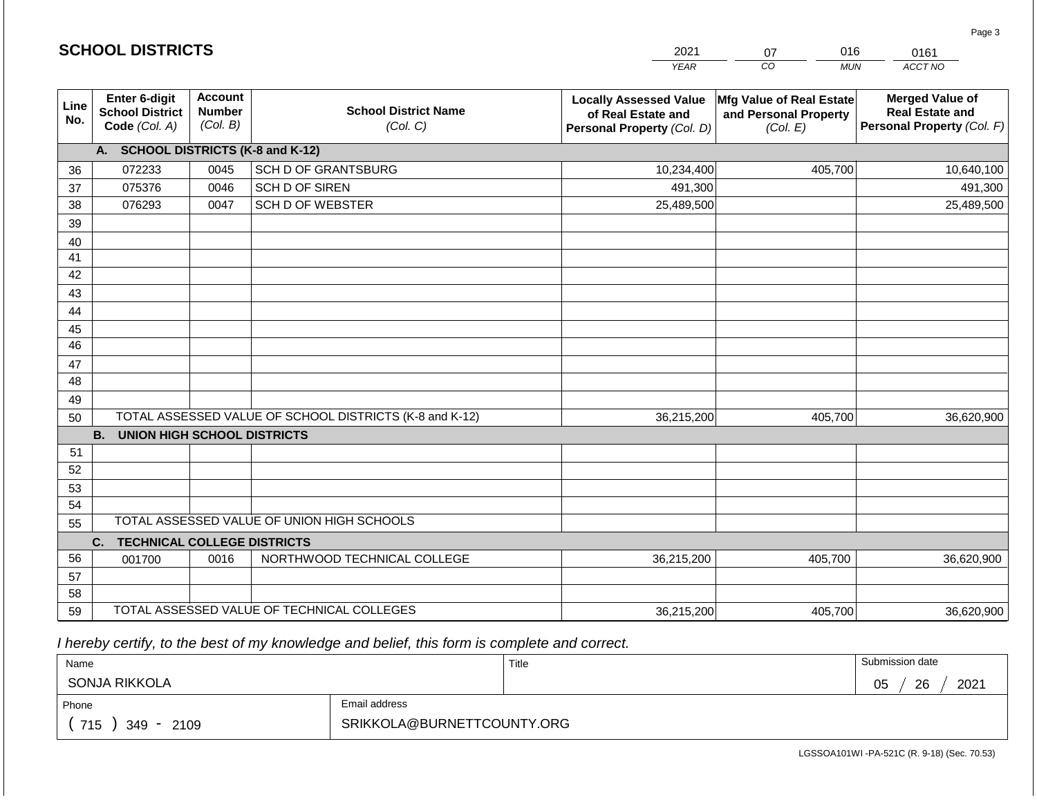| <b>SCHOOL DISTRICTS</b> |                                                          |                                             |                                                         | 2021                                                                              | 016<br>07                                                     | 0161                                                                           |  |
|-------------------------|----------------------------------------------------------|---------------------------------------------|---------------------------------------------------------|-----------------------------------------------------------------------------------|---------------------------------------------------------------|--------------------------------------------------------------------------------|--|
|                         |                                                          |                                             |                                                         | <b>YEAR</b>                                                                       | $\overline{co}$<br><b>MUN</b>                                 | ACCT NO                                                                        |  |
| Line<br>No.             | Enter 6-digit<br><b>School District</b><br>Code (Col. A) | <b>Account</b><br><b>Number</b><br>(Col. B) | <b>School District Name</b><br>(Col. C)                 | <b>Locally Assessed Value</b><br>of Real Estate and<br>Personal Property (Col. D) | Mfg Value of Real Estate<br>and Personal Property<br>(Col. E) | <b>Merged Value of</b><br><b>Real Estate and</b><br>Personal Property (Col. F) |  |
|                         | A. SCHOOL DISTRICTS (K-8 and K-12)                       |                                             |                                                         |                                                                                   |                                                               |                                                                                |  |
| 36                      | 072233                                                   | 0045                                        | <b>SCH D OF GRANTSBURG</b>                              | 10,234,400                                                                        | 405,700                                                       | 10,640,100                                                                     |  |
| 37                      | 075376                                                   | 0046                                        | SCH D OF SIREN                                          | 491,300                                                                           |                                                               | 491,300                                                                        |  |
| 38                      | 076293                                                   | 0047                                        | <b>SCH D OF WEBSTER</b>                                 | 25,489,500                                                                        |                                                               | 25,489,500                                                                     |  |
| 39                      |                                                          |                                             |                                                         |                                                                                   |                                                               |                                                                                |  |
| 40                      |                                                          |                                             |                                                         |                                                                                   |                                                               |                                                                                |  |
| 41                      |                                                          |                                             |                                                         |                                                                                   |                                                               |                                                                                |  |
| 42                      |                                                          |                                             |                                                         |                                                                                   |                                                               |                                                                                |  |
| 43                      |                                                          |                                             |                                                         |                                                                                   |                                                               |                                                                                |  |
| 44                      |                                                          |                                             |                                                         |                                                                                   |                                                               |                                                                                |  |
| 45                      |                                                          |                                             |                                                         |                                                                                   |                                                               |                                                                                |  |
| 46                      |                                                          |                                             |                                                         |                                                                                   |                                                               |                                                                                |  |
| 47                      |                                                          |                                             |                                                         |                                                                                   |                                                               |                                                                                |  |
| 48                      |                                                          |                                             |                                                         |                                                                                   |                                                               |                                                                                |  |
| 49                      |                                                          |                                             |                                                         |                                                                                   |                                                               |                                                                                |  |
| 50                      |                                                          |                                             | TOTAL ASSESSED VALUE OF SCHOOL DISTRICTS (K-8 and K-12) | 36,215,200                                                                        | 405,700                                                       | 36,620,900                                                                     |  |
|                         | <b>B.</b><br><b>UNION HIGH SCHOOL DISTRICTS</b>          |                                             |                                                         |                                                                                   |                                                               |                                                                                |  |
| 51<br>52                |                                                          |                                             |                                                         |                                                                                   |                                                               |                                                                                |  |
| 53                      |                                                          |                                             |                                                         |                                                                                   |                                                               |                                                                                |  |
| 54                      |                                                          |                                             |                                                         |                                                                                   |                                                               |                                                                                |  |
| 55                      |                                                          |                                             | TOTAL ASSESSED VALUE OF UNION HIGH SCHOOLS              |                                                                                   |                                                               |                                                                                |  |
|                         | <b>TECHNICAL COLLEGE DISTRICTS</b><br>C.                 |                                             |                                                         |                                                                                   |                                                               |                                                                                |  |
| 56                      | 001700                                                   | 0016                                        | NORTHWOOD TECHNICAL COLLEGE                             | 36,215,200                                                                        | 405,700                                                       | 36,620,900                                                                     |  |
| 57                      |                                                          |                                             |                                                         |                                                                                   |                                                               |                                                                                |  |
| 58                      |                                                          |                                             |                                                         |                                                                                   |                                                               |                                                                                |  |
| 59                      |                                                          |                                             | TOTAL ASSESSED VALUE OF TECHNICAL COLLEGES              | 36,215,200                                                                        | 405,700                                                       | 36,620,900                                                                     |  |

2021

016

Page 3

 *I hereby certify, to the best of my knowledge and belief, this form is complete and correct.*

**SCHOOL DISTRICTS**

| Name                   |                            | Title | Submission date  |
|------------------------|----------------------------|-------|------------------|
| SONJA RIKKOLA          |                            |       | 2021<br>26<br>05 |
| Phone                  | Email address              |       |                  |
| 715<br>2109<br>$349 -$ | SRIKKOLA@BURNETTCOUNTY.ORG |       |                  |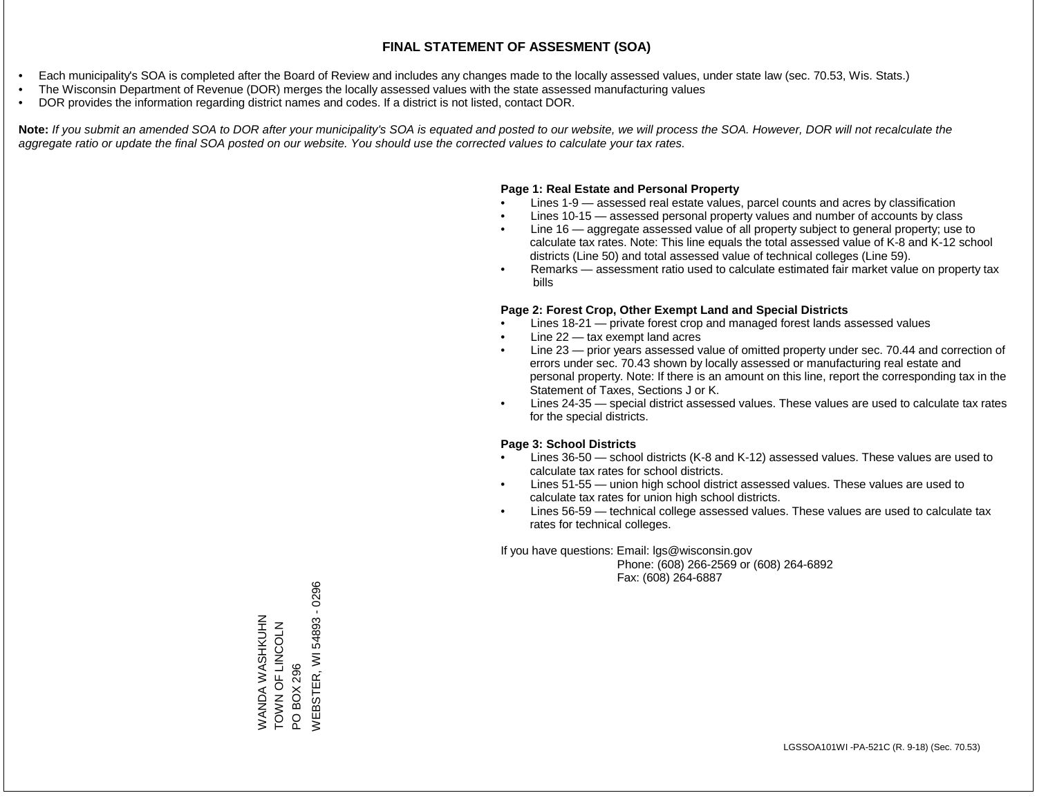- Each municipality's SOA is completed after the Board of Review and includes any changes made to the locally assessed values, under state law (sec. 70.53, Wis. Stats.)
- The Wisconsin Department of Revenue (DOR) merges the locally assessed values with the state assessed manufacturing values
- DOR provides the information regarding district names and codes. If a district is not listed, contact DOR.

Note: If you submit an amended SOA to DOR after your municipality's SOA is equated and posted to our website, we will process the SOA. However, DOR will not recalculate the *aggregate ratio or update the final SOA posted on our website. You should use the corrected values to calculate your tax rates.*

#### **Page 1: Real Estate and Personal Property**

- Lines 1-9 assessed real estate values, parcel counts and acres by classification
- Lines 10-15 assessed personal property values and number of accounts by class
- Line 16 aggregate assessed value of all property subject to general property; use to calculate tax rates. Note: This line equals the total assessed value of K-8 and K-12 school districts (Line 50) and total assessed value of technical colleges (Line 59).
- Remarks assessment ratio used to calculate estimated fair market value on property tax bills

#### **Page 2: Forest Crop, Other Exempt Land and Special Districts**

- Lines 18-21 private forest crop and managed forest lands assessed values
- Line  $22 -$  tax exempt land acres
- Line 23 prior years assessed value of omitted property under sec. 70.44 and correction of errors under sec. 70.43 shown by locally assessed or manufacturing real estate and personal property. Note: If there is an amount on this line, report the corresponding tax in the Statement of Taxes, Sections J or K.
- Lines 24-35 special district assessed values. These values are used to calculate tax rates for the special districts.

#### **Page 3: School Districts**

- Lines 36-50 school districts (K-8 and K-12) assessed values. These values are used to calculate tax rates for school districts.
- Lines 51-55 union high school district assessed values. These values are used to calculate tax rates for union high school districts.
- Lines 56-59 technical college assessed values. These values are used to calculate tax rates for technical colleges.

If you have questions: Email: lgs@wisconsin.gov

 Phone: (608) 266-2569 or (608) 264-6892 Fax: (608) 264-6887

PO BOX 296<br>WEBSTER, WI 54893 - 0296 WEBSTER, WI 54893 - 0296WANDA WASHKUHN<br>TOWN OF LINCOLN WANDA WASHKUHN ZJOOZIJ LO Z NOL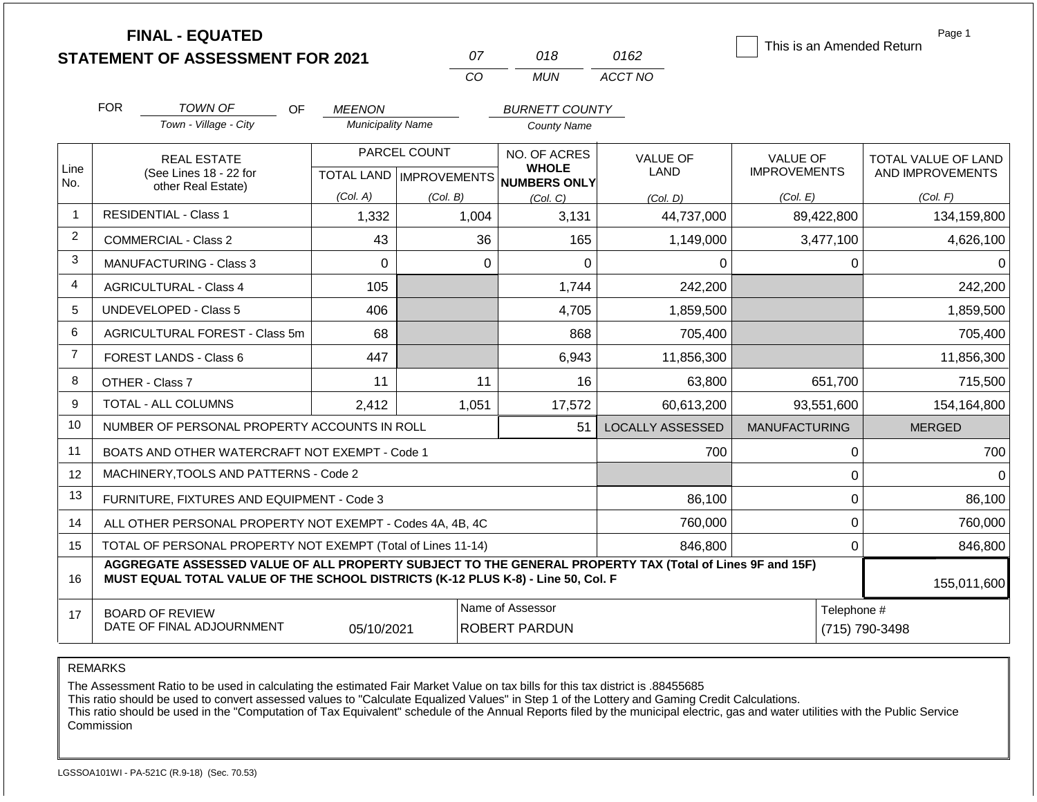|                | <b>FINAL - EQUATED</b>                                                                                                                                                                       |                          |                                  |                                                          |                         | This is an Amended Return | Page 1                        |  |  |
|----------------|----------------------------------------------------------------------------------------------------------------------------------------------------------------------------------------------|--------------------------|----------------------------------|----------------------------------------------------------|-------------------------|---------------------------|-------------------------------|--|--|
|                | <b>STATEMENT OF ASSESSMENT FOR 2021</b>                                                                                                                                                      |                          | 07                               | 018                                                      | 0162                    |                           |                               |  |  |
|                |                                                                                                                                                                                              |                          | CO                               | <b>MUN</b>                                               | ACCT NO                 |                           |                               |  |  |
|                | <b>FOR</b><br><b>TOWN OF</b>                                                                                                                                                                 | OF.<br><b>MEENON</b>     |                                  | <b>BURNETT COUNTY</b>                                    |                         |                           |                               |  |  |
|                | Town - Village - City                                                                                                                                                                        | <b>Municipality Name</b> |                                  | <b>County Name</b>                                       |                         |                           |                               |  |  |
|                | <b>REAL ESTATE</b>                                                                                                                                                                           |                          | PARCEL COUNT                     | NO. OF ACRES                                             | <b>VALUE OF</b>         | <b>VALUE OF</b>           | TOTAL VALUE OF LAND           |  |  |
| Line<br>No.    | (See Lines 18 - 22 for<br>other Real Estate)                                                                                                                                                 |                          |                                  | <b>WHOLE</b><br>TOTAL LAND   IMPROVEMENTS   NUMBERS ONLY | <b>LAND</b>             | <b>IMPROVEMENTS</b>       | AND IMPROVEMENTS              |  |  |
|                |                                                                                                                                                                                              | (Col. A)                 | (Col. B)<br>(Col, C)<br>(Col, D) |                                                          |                         | (Col. E)                  | (Col. F)                      |  |  |
| $\mathbf{1}$   | <b>RESIDENTIAL - Class 1</b>                                                                                                                                                                 | 1,332                    | 1,004                            | 3,131                                                    | 44,737,000              | 89,422,800                | 134,159,800                   |  |  |
| $\overline{2}$ | <b>COMMERCIAL - Class 2</b>                                                                                                                                                                  | 43                       | 36                               | 165                                                      | 1,149,000               | 3,477,100                 | 4,626,100                     |  |  |
| 3              | <b>MANUFACTURING - Class 3</b>                                                                                                                                                               | $\mathbf 0$              | $\mathbf 0$                      | 0                                                        | 0                       | 0                         | 0                             |  |  |
| 4              | <b>AGRICULTURAL - Class 4</b>                                                                                                                                                                | 105                      |                                  | 1,744                                                    | 242,200                 |                           | 242,200                       |  |  |
| 5              | <b>UNDEVELOPED - Class 5</b>                                                                                                                                                                 | 406                      |                                  | 4,705                                                    | 1,859,500               |                           | 1,859,500                     |  |  |
| 6              | AGRICULTURAL FOREST - Class 5m                                                                                                                                                               | 68                       |                                  | 868                                                      | 705,400                 |                           | 705,400                       |  |  |
| $\overline{7}$ | <b>FOREST LANDS - Class 6</b>                                                                                                                                                                | 447                      |                                  | 6,943                                                    | 11,856,300              |                           | 11,856,300                    |  |  |
| 8              | OTHER - Class 7                                                                                                                                                                              | 11                       | 11                               | 16                                                       | 63,800                  | 651,700                   | 715,500                       |  |  |
| 9              | TOTAL - ALL COLUMNS                                                                                                                                                                          | 2,412                    | 1,051                            | 17,572                                                   | 60,613,200              | 93,551,600                | 154,164,800                   |  |  |
| 10             | NUMBER OF PERSONAL PROPERTY ACCOUNTS IN ROLL                                                                                                                                                 |                          |                                  | 51                                                       | <b>LOCALLY ASSESSED</b> | <b>MANUFACTURING</b>      | <b>MERGED</b>                 |  |  |
| 11             | BOATS AND OTHER WATERCRAFT NOT EXEMPT - Code 1                                                                                                                                               |                          |                                  |                                                          | 700                     | 0                         | 700                           |  |  |
| 12             | MACHINERY, TOOLS AND PATTERNS - Code 2                                                                                                                                                       |                          |                                  |                                                          |                         | 0                         | $\Omega$                      |  |  |
| 13             | FURNITURE, FIXTURES AND EQUIPMENT - Code 3                                                                                                                                                   |                          |                                  |                                                          | 86,100                  | 0                         | 86,100                        |  |  |
| 14             | ALL OTHER PERSONAL PROPERTY NOT EXEMPT - Codes 4A, 4B, 4C                                                                                                                                    |                          |                                  |                                                          | 760,000                 | 0                         | 760,000                       |  |  |
| 15             | TOTAL OF PERSONAL PROPERTY NOT EXEMPT (Total of Lines 11-14)                                                                                                                                 |                          |                                  |                                                          | 846,800                 | 0                         | 846,800                       |  |  |
| 16             | AGGREGATE ASSESSED VALUE OF ALL PROPERTY SUBJECT TO THE GENERAL PROPERTY TAX (Total of Lines 9F and 15F)<br>MUST EQUAL TOTAL VALUE OF THE SCHOOL DISTRICTS (K-12 PLUS K-8) - Line 50, Col. F |                          |                                  |                                                          |                         |                           | 155,011,600                   |  |  |
| 17             | <b>BOARD OF REVIEW</b><br>DATE OF FINAL ADJOURNMENT                                                                                                                                          | 05/10/2021               |                                  | Name of Assessor<br><b>ROBERT PARDUN</b>                 |                         |                           | Telephone #<br>(715) 790-3498 |  |  |

The Assessment Ratio to be used in calculating the estimated Fair Market Value on tax bills for this tax district is .88455685

This ratio should be used to convert assessed values to "Calculate Equalized Values" in Step 1 of the Lottery and Gaming Credit Calculations.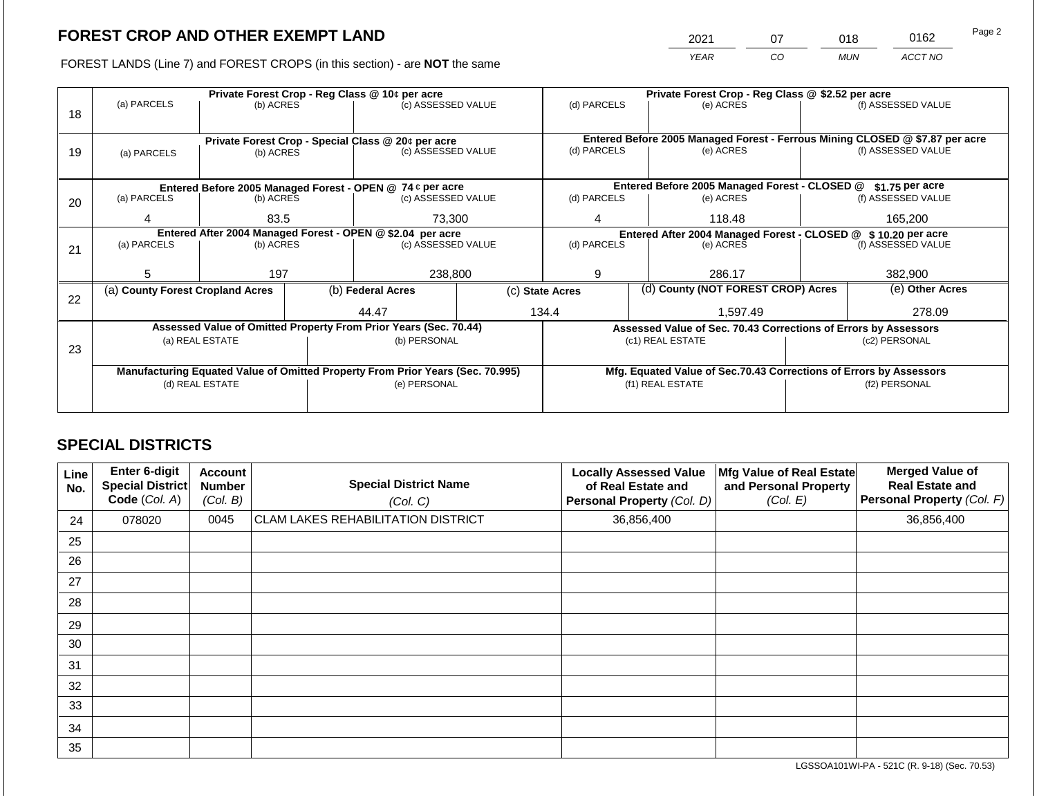2021 07 018 0162

FOREST LANDS (Line 7) and FOREST CROPS (in this section) - are **NOT** the same *YEAR CO MUN ACCT NO*

|    |                                                            |                          |                                                                                | Private Forest Crop - Reg Class @ 10¢ per acre                           |  | Private Forest Crop - Reg Class @ \$2.52 per acre             |                                                                    |                                                                 |  |                                                                                                    |
|----|------------------------------------------------------------|--------------------------|--------------------------------------------------------------------------------|--------------------------------------------------------------------------|--|---------------------------------------------------------------|--------------------------------------------------------------------|-----------------------------------------------------------------|--|----------------------------------------------------------------------------------------------------|
|    | (a) PARCELS                                                | (b) ACRES                |                                                                                | (c) ASSESSED VALUE                                                       |  | (d) PARCELS                                                   |                                                                    | (e) ACRES                                                       |  | (f) ASSESSED VALUE                                                                                 |
| 18 |                                                            |                          |                                                                                |                                                                          |  |                                                               |                                                                    |                                                                 |  |                                                                                                    |
|    |                                                            |                          |                                                                                |                                                                          |  |                                                               |                                                                    |                                                                 |  |                                                                                                    |
|    |                                                            |                          |                                                                                | Private Forest Crop - Special Class @ 20¢ per acre<br>(c) ASSESSED VALUE |  | (d) PARCELS                                                   |                                                                    | (e) ACRES                                                       |  | Entered Before 2005 Managed Forest - Ferrous Mining CLOSED @ \$7.87 per acre<br>(f) ASSESSED VALUE |
| 19 | (a) PARCELS                                                | (b) ACRES                |                                                                                |                                                                          |  |                                                               |                                                                    |                                                                 |  |                                                                                                    |
|    |                                                            |                          |                                                                                |                                                                          |  |                                                               |                                                                    |                                                                 |  |                                                                                                    |
|    |                                                            |                          |                                                                                | Entered Before 2005 Managed Forest - OPEN @ 74 ¢ per acre                |  |                                                               |                                                                    | Entered Before 2005 Managed Forest - CLOSED @                   |  | $$1.75$ per acre                                                                                   |
| 20 | (a) PARCELS                                                | (b) ACRES                |                                                                                | (c) ASSESSED VALUE                                                       |  | (d) PARCELS                                                   |                                                                    | (e) ACRES                                                       |  | (f) ASSESSED VALUE                                                                                 |
|    |                                                            |                          |                                                                                |                                                                          |  |                                                               |                                                                    |                                                                 |  |                                                                                                    |
|    |                                                            | 83.5<br>4                |                                                                                | 73,300                                                                   |  | 4                                                             |                                                                    | 118.48                                                          |  | 165.200                                                                                            |
|    | Entered After 2004 Managed Forest - OPEN @ \$2.04 per acre |                          |                                                                                |                                                                          |  | Entered After 2004 Managed Forest - CLOSED @ \$10.20 per acre |                                                                    |                                                                 |  |                                                                                                    |
| 21 |                                                            | (a) PARCELS<br>(b) ACRES |                                                                                | (c) ASSESSED VALUE                                                       |  | (d) PARCELS                                                   |                                                                    | (e) ACRES                                                       |  | (f) ASSESSED VALUE                                                                                 |
|    |                                                            |                          |                                                                                |                                                                          |  |                                                               |                                                                    |                                                                 |  |                                                                                                    |
|    | 5.                                                         | 197                      |                                                                                | 238,800                                                                  |  | 9                                                             |                                                                    | 286.17                                                          |  | 382,900                                                                                            |
|    | (a) County Forest Cropland Acres                           |                          |                                                                                | (b) Federal Acres                                                        |  | (c) State Acres                                               |                                                                    | (d) County (NOT FOREST CROP) Acres                              |  | (e) Other Acres                                                                                    |
| 22 |                                                            |                          |                                                                                |                                                                          |  |                                                               |                                                                    | 1,597.49                                                        |  |                                                                                                    |
|    |                                                            |                          |                                                                                | 44.47                                                                    |  | 134.4                                                         |                                                                    |                                                                 |  | 278.09                                                                                             |
|    |                                                            |                          |                                                                                | Assessed Value of Omitted Property From Prior Years (Sec. 70.44)         |  |                                                               |                                                                    | Assessed Value of Sec. 70.43 Corrections of Errors by Assessors |  |                                                                                                    |
|    |                                                            | (a) REAL ESTATE          |                                                                                | (b) PERSONAL                                                             |  |                                                               |                                                                    | (c1) REAL ESTATE                                                |  | (c2) PERSONAL                                                                                      |
| 23 |                                                            |                          |                                                                                |                                                                          |  |                                                               |                                                                    |                                                                 |  |                                                                                                    |
|    |                                                            |                          | Manufacturing Equated Value of Omitted Property From Prior Years (Sec. 70.995) |                                                                          |  |                                                               | Mfg. Equated Value of Sec.70.43 Corrections of Errors by Assessors |                                                                 |  |                                                                                                    |
|    |                                                            | (d) REAL ESTATE          |                                                                                | (e) PERSONAL                                                             |  |                                                               |                                                                    | (f1) REAL ESTATE                                                |  | (f2) PERSONAL                                                                                      |
|    |                                                            |                          |                                                                                |                                                                          |  |                                                               |                                                                    |                                                                 |  |                                                                                                    |
|    |                                                            |                          |                                                                                |                                                                          |  |                                                               |                                                                    |                                                                 |  |                                                                                                    |

## **SPECIAL DISTRICTS**

| Line<br>No. | <b>Enter 6-digit</b><br>Special District<br>Code (Col. A) | <b>Account</b><br><b>Number</b><br>(Col. B) | <b>Special District Name</b><br>(Col. C)  | <b>Locally Assessed Value</b><br>of Real Estate and<br>Personal Property (Col. D) | Mfg Value of Real Estate<br>and Personal Property<br>(Col. E) | <b>Merged Value of</b><br><b>Real Estate and</b><br>Personal Property (Col. F) |
|-------------|-----------------------------------------------------------|---------------------------------------------|-------------------------------------------|-----------------------------------------------------------------------------------|---------------------------------------------------------------|--------------------------------------------------------------------------------|
| 24          | 078020                                                    | 0045                                        | <b>CLAM LAKES REHABILITATION DISTRICT</b> | 36,856,400                                                                        |                                                               | 36,856,400                                                                     |
| 25          |                                                           |                                             |                                           |                                                                                   |                                                               |                                                                                |
| 26          |                                                           |                                             |                                           |                                                                                   |                                                               |                                                                                |
| 27          |                                                           |                                             |                                           |                                                                                   |                                                               |                                                                                |
| 28          |                                                           |                                             |                                           |                                                                                   |                                                               |                                                                                |
| 29          |                                                           |                                             |                                           |                                                                                   |                                                               |                                                                                |
| 30          |                                                           |                                             |                                           |                                                                                   |                                                               |                                                                                |
| 31          |                                                           |                                             |                                           |                                                                                   |                                                               |                                                                                |
| 32          |                                                           |                                             |                                           |                                                                                   |                                                               |                                                                                |
| 33          |                                                           |                                             |                                           |                                                                                   |                                                               |                                                                                |
| 34          |                                                           |                                             |                                           |                                                                                   |                                                               |                                                                                |
| 35          |                                                           |                                             |                                           |                                                                                   |                                                               |                                                                                |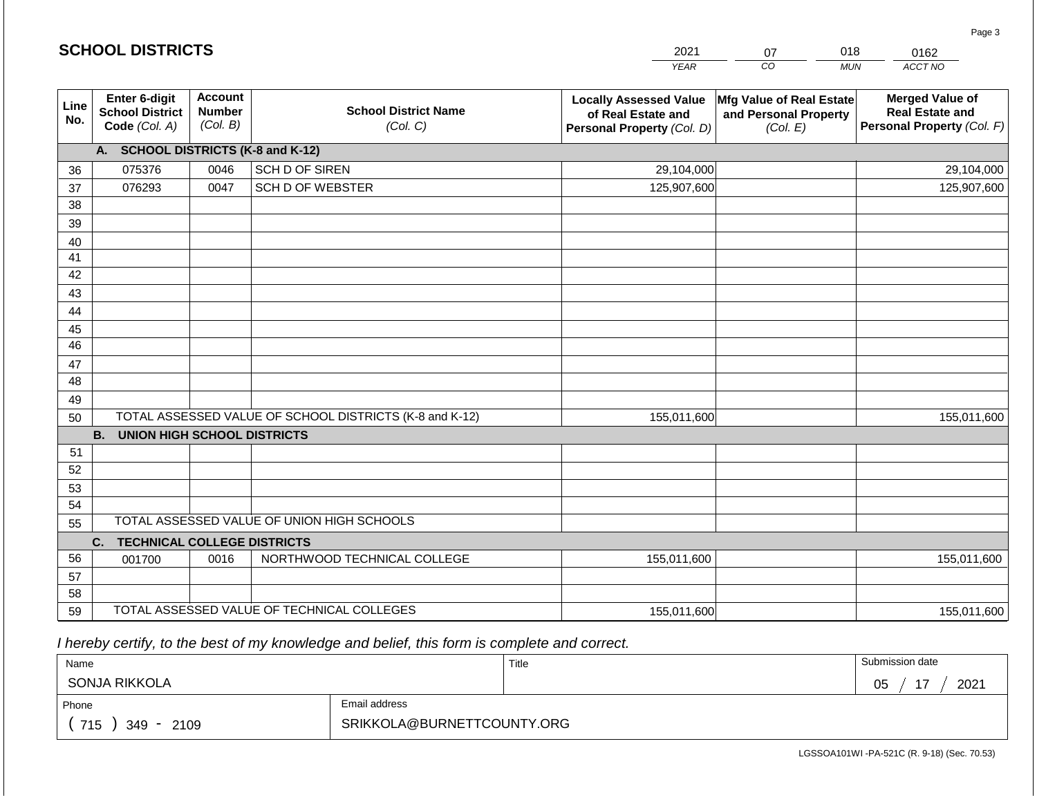|             | <b>SCHOOL DISTRICTS</b>                                         |                                             |                                                         | 2021                                                                              | 07                                                            | 018        | 0162                                                                           |
|-------------|-----------------------------------------------------------------|---------------------------------------------|---------------------------------------------------------|-----------------------------------------------------------------------------------|---------------------------------------------------------------|------------|--------------------------------------------------------------------------------|
|             |                                                                 |                                             |                                                         | <b>YEAR</b>                                                                       | $\overline{co}$                                               | <b>MUN</b> | ACCT NO                                                                        |
| Line<br>No. | <b>Enter 6-digit</b><br><b>School District</b><br>Code (Col. A) | <b>Account</b><br><b>Number</b><br>(Col. B) | <b>School District Name</b><br>(Col. C)                 | <b>Locally Assessed Value</b><br>of Real Estate and<br>Personal Property (Col. D) | Mfg Value of Real Estate<br>and Personal Property<br>(Col. E) |            | <b>Merged Value of</b><br><b>Real Estate and</b><br>Personal Property (Col. F) |
|             | A. SCHOOL DISTRICTS (K-8 and K-12)                              |                                             |                                                         |                                                                                   |                                                               |            |                                                                                |
| 36          | 075376                                                          | 0046                                        | SCH D OF SIREN                                          | 29,104,000                                                                        |                                                               |            | 29,104,000                                                                     |
| 37          | 076293                                                          | 0047                                        | <b>SCH D OF WEBSTER</b>                                 | 125,907,600                                                                       |                                                               |            | 125,907,600                                                                    |
| 38          |                                                                 |                                             |                                                         |                                                                                   |                                                               |            |                                                                                |
| 39          |                                                                 |                                             |                                                         |                                                                                   |                                                               |            |                                                                                |
| 40          |                                                                 |                                             |                                                         |                                                                                   |                                                               |            |                                                                                |
| 41          |                                                                 |                                             |                                                         |                                                                                   |                                                               |            |                                                                                |
| 42          |                                                                 |                                             |                                                         |                                                                                   |                                                               |            |                                                                                |
| 43          |                                                                 |                                             |                                                         |                                                                                   |                                                               |            |                                                                                |
| 44          |                                                                 |                                             |                                                         |                                                                                   |                                                               |            |                                                                                |
| 45<br>46    |                                                                 |                                             |                                                         |                                                                                   |                                                               |            |                                                                                |
|             |                                                                 |                                             |                                                         |                                                                                   |                                                               |            |                                                                                |
| 47<br>48    |                                                                 |                                             |                                                         |                                                                                   |                                                               |            |                                                                                |
| 49          |                                                                 |                                             |                                                         |                                                                                   |                                                               |            |                                                                                |
| 50          |                                                                 |                                             | TOTAL ASSESSED VALUE OF SCHOOL DISTRICTS (K-8 and K-12) | 155,011,600                                                                       |                                                               |            | 155,011,600                                                                    |
|             | <b>B.</b><br><b>UNION HIGH SCHOOL DISTRICTS</b>                 |                                             |                                                         |                                                                                   |                                                               |            |                                                                                |
| 51          |                                                                 |                                             |                                                         |                                                                                   |                                                               |            |                                                                                |
| 52          |                                                                 |                                             |                                                         |                                                                                   |                                                               |            |                                                                                |
| 53          |                                                                 |                                             |                                                         |                                                                                   |                                                               |            |                                                                                |
| 54          |                                                                 |                                             |                                                         |                                                                                   |                                                               |            |                                                                                |
| 55          |                                                                 |                                             | TOTAL ASSESSED VALUE OF UNION HIGH SCHOOLS              |                                                                                   |                                                               |            |                                                                                |
|             | <b>TECHNICAL COLLEGE DISTRICTS</b><br>C.                        |                                             |                                                         |                                                                                   |                                                               |            |                                                                                |
| 56          | 001700                                                          | 0016                                        | NORTHWOOD TECHNICAL COLLEGE                             | 155,011,600                                                                       |                                                               |            | 155,011,600                                                                    |
| 57          |                                                                 |                                             |                                                         |                                                                                   |                                                               |            |                                                                                |
| 58          |                                                                 |                                             |                                                         |                                                                                   |                                                               |            |                                                                                |
| 59          |                                                                 |                                             | TOTAL ASSESSED VALUE OF TECHNICAL COLLEGES              | 155,011,600                                                                       |                                                               |            | 155,011,600                                                                    |

2021

 *I hereby certify, to the best of my knowledge and belief, this form is complete and correct.*

**SCHOOL DISTRICTS**

| Name                                                 |  | Title | Submission date     |  |  |
|------------------------------------------------------|--|-------|---------------------|--|--|
| SONJA RIKKOLA                                        |  |       | $4 -$<br>2021<br>05 |  |  |
| Email address<br>Phone                               |  |       |                     |  |  |
| SRIKKOLA@BURNETTCOUNTY.ORG<br>715<br>2109<br>$349 -$ |  |       |                     |  |  |

Page 3

018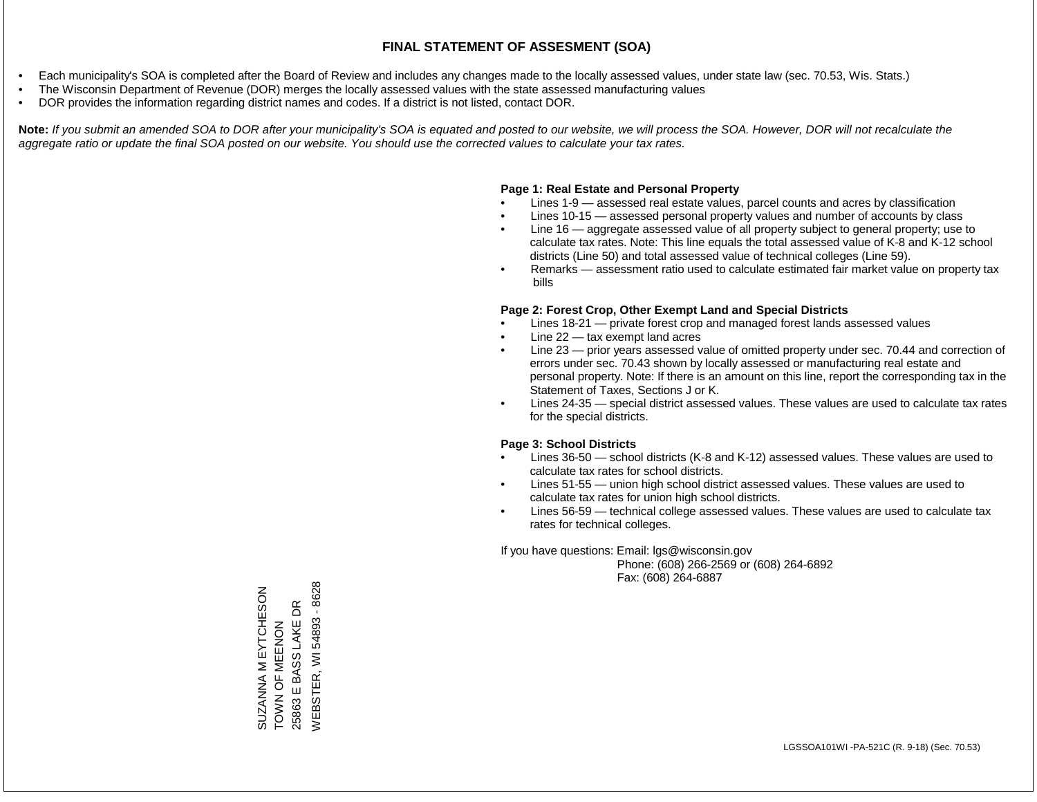- Each municipality's SOA is completed after the Board of Review and includes any changes made to the locally assessed values, under state law (sec. 70.53, Wis. Stats.)
- The Wisconsin Department of Revenue (DOR) merges the locally assessed values with the state assessed manufacturing values
- DOR provides the information regarding district names and codes. If a district is not listed, contact DOR.

Note: If you submit an amended SOA to DOR after your municipality's SOA is equated and posted to our website, we will process the SOA. However, DOR will not recalculate the *aggregate ratio or update the final SOA posted on our website. You should use the corrected values to calculate your tax rates.*

### **Page 1: Real Estate and Personal Property**

- Lines 1-9 assessed real estate values, parcel counts and acres by classification
- Lines 10-15 assessed personal property values and number of accounts by class
- Line 16 aggregate assessed value of all property subject to general property; use to calculate tax rates. Note: This line equals the total assessed value of K-8 and K-12 school districts (Line 50) and total assessed value of technical colleges (Line 59).
- Remarks assessment ratio used to calculate estimated fair market value on property tax bills

#### **Page 2: Forest Crop, Other Exempt Land and Special Districts**

- Lines 18-21 private forest crop and managed forest lands assessed values
- Line  $22 -$  tax exempt land acres
- Line 23 prior years assessed value of omitted property under sec. 70.44 and correction of errors under sec. 70.43 shown by locally assessed or manufacturing real estate and personal property. Note: If there is an amount on this line, report the corresponding tax in the Statement of Taxes, Sections J or K.
- Lines 24-35 special district assessed values. These values are used to calculate tax rates for the special districts.

#### **Page 3: School Districts**

- Lines 36-50 school districts (K-8 and K-12) assessed values. These values are used to calculate tax rates for school districts.
- Lines 51-55 union high school district assessed values. These values are used to calculate tax rates for union high school districts.
- Lines 56-59 technical college assessed values. These values are used to calculate tax rates for technical colleges.

If you have questions: Email: lgs@wisconsin.gov

 Phone: (608) 266-2569 or (608) 264-6892 Fax: (608) 264-6887

**NEBSTER, WI 54893 - 8628** WEBSTER, WI 54893 - 8628SUZANNA M EYTCHESON<br>TOWN OF MEENON SUZANNA M EYTCHESON  $\mathsf{B}$ 25863 E BASS LAKE DR 25863 E BASS LAKE ZOZWEN LO Z NOL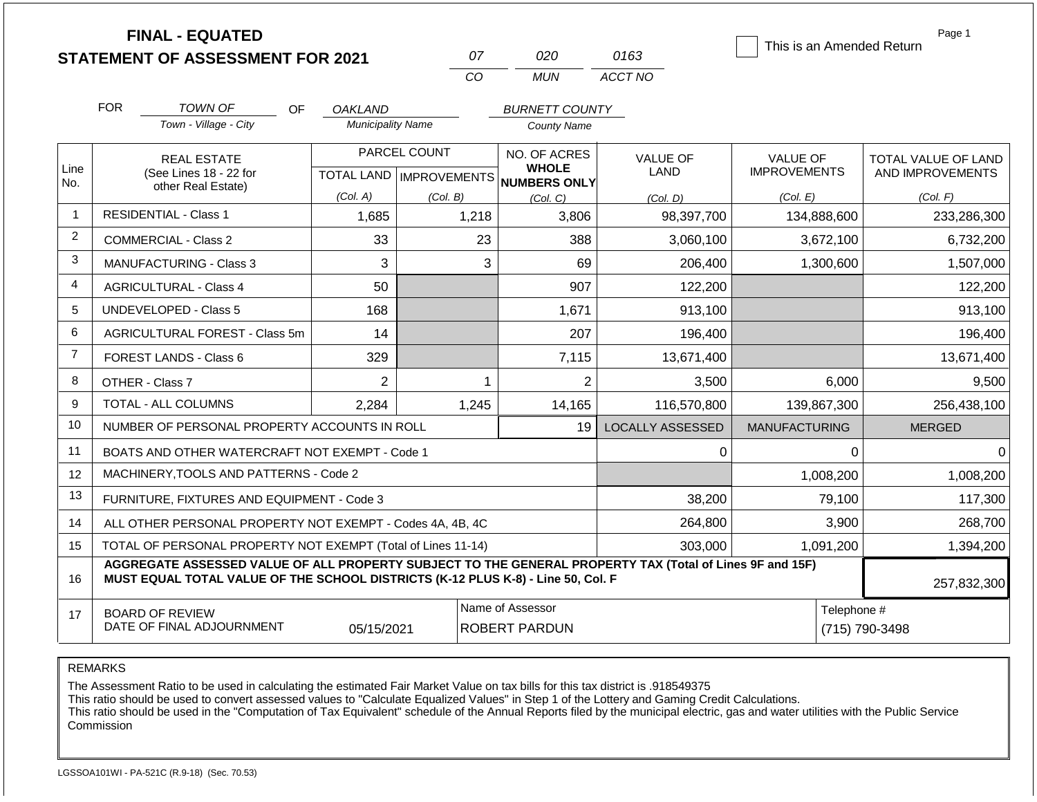|                | <b>FINAL - EQUATED</b><br><b>STATEMENT OF ASSESSMENT FOR 2021</b>                                                                                                                            |                                            | 07                                        | 020                                          | 0163                           | This is an Amended Return                          | Page 1                                              |
|----------------|----------------------------------------------------------------------------------------------------------------------------------------------------------------------------------------------|--------------------------------------------|-------------------------------------------|----------------------------------------------|--------------------------------|----------------------------------------------------|-----------------------------------------------------|
|                |                                                                                                                                                                                              |                                            | CO                                        | <b>MUN</b>                                   | ACCT NO                        |                                                    |                                                     |
|                | <b>FOR</b><br>TOWN OF<br>OF<br>Town - Village - City                                                                                                                                         | <b>OAKLAND</b><br><b>Municipality Name</b> |                                           | <b>BURNETT COUNTY</b><br><b>County Name</b>  |                                |                                                    |                                                     |
| Line<br>No.    | <b>REAL ESTATE</b><br>(See Lines 18 - 22 for<br>other Real Estate)                                                                                                                           | (Col. A)                                   | PARCEL COUNT<br>TOTAL LAND   IMPROVEMENTS | NO. OF ACRES<br><b>WHOLE</b><br>NUMBERS ONLY | <b>VALUE OF</b><br><b>LAND</b> | <b>VALUE OF</b><br><b>IMPROVEMENTS</b><br>(Col. E) | TOTAL VALUE OF LAND<br>AND IMPROVEMENTS<br>(Col. F) |
| -1             | <b>RESIDENTIAL - Class 1</b>                                                                                                                                                                 | 1,685                                      | (Col. B)<br>1,218                         | (Col, C)<br>3,806                            | (Col, D)<br>98,397,700         | 134,888,600                                        | 233,286,300                                         |
| $\overline{c}$ | <b>COMMERCIAL - Class 2</b>                                                                                                                                                                  | 33                                         | 23                                        | 388                                          | 3,060,100                      | 3,672,100                                          | 6,732,200                                           |
| 3              | <b>MANUFACTURING - Class 3</b>                                                                                                                                                               | 3                                          | 3                                         | 69                                           | 206,400                        | 1,300,600                                          | 1,507,000                                           |
| 4              | <b>AGRICULTURAL - Class 4</b>                                                                                                                                                                | 50                                         |                                           | 907                                          | 122,200                        |                                                    | 122,200                                             |
| 5              | <b>UNDEVELOPED - Class 5</b>                                                                                                                                                                 | 168                                        |                                           | 1,671                                        | 913,100                        |                                                    | 913,100                                             |
| 6              | AGRICULTURAL FOREST - Class 5m                                                                                                                                                               | 14                                         |                                           | 207                                          | 196,400                        |                                                    | 196,400                                             |
| $\overline{7}$ | FOREST LANDS - Class 6                                                                                                                                                                       | 329                                        |                                           | 7,115                                        | 13,671,400                     |                                                    | 13,671,400                                          |
| 8              | OTHER - Class 7                                                                                                                                                                              | $\overline{2}$                             | $\mathbf 1$                               | $\overline{2}$                               | 3,500                          | 6,000                                              | 9,500                                               |
| 9              | TOTAL - ALL COLUMNS                                                                                                                                                                          | 2,284                                      | 1,245                                     | 14,165                                       | 116,570,800                    | 139,867,300                                        | 256,438,100                                         |
| 10             | NUMBER OF PERSONAL PROPERTY ACCOUNTS IN ROLL                                                                                                                                                 |                                            |                                           | 19                                           | <b>LOCALLY ASSESSED</b>        | <b>MANUFACTURING</b>                               | <b>MERGED</b>                                       |
| 11             | BOATS AND OTHER WATERCRAFT NOT EXEMPT - Code 1                                                                                                                                               |                                            |                                           |                                              | 0                              | $\Omega$                                           | $\Omega$                                            |
| 12             | MACHINERY, TOOLS AND PATTERNS - Code 2                                                                                                                                                       |                                            |                                           |                                              |                                | 1,008,200                                          | 1,008,200                                           |
| 13             | FURNITURE, FIXTURES AND EQUIPMENT - Code 3                                                                                                                                                   |                                            |                                           |                                              | 38,200                         | 79,100                                             | 117,300                                             |
| 14             | ALL OTHER PERSONAL PROPERTY NOT EXEMPT - Codes 4A, 4B, 4C                                                                                                                                    |                                            |                                           |                                              | 264,800                        | 3,900                                              | 268,700                                             |
| 15             | TOTAL OF PERSONAL PROPERTY NOT EXEMPT (Total of Lines 11-14)                                                                                                                                 |                                            |                                           | 303,000                                      |                                | 1,091,200                                          | 1,394,200                                           |
| 16             | AGGREGATE ASSESSED VALUE OF ALL PROPERTY SUBJECT TO THE GENERAL PROPERTY TAX (Total of Lines 9F and 15F)<br>MUST EQUAL TOTAL VALUE OF THE SCHOOL DISTRICTS (K-12 PLUS K-8) - Line 50, Col. F |                                            |                                           |                                              |                                |                                                    | 257,832,300                                         |
| 17             | <b>BOARD OF REVIEW</b><br>DATE OF FINAL ADJOURNMENT                                                                                                                                          | 05/15/2021                                 |                                           | Name of Assessor<br><b>ROBERT PARDUN</b>     |                                | Telephone #                                        | (715) 790-3498                                      |

The Assessment Ratio to be used in calculating the estimated Fair Market Value on tax bills for this tax district is .918549375

This ratio should be used to convert assessed values to "Calculate Equalized Values" in Step 1 of the Lottery and Gaming Credit Calculations.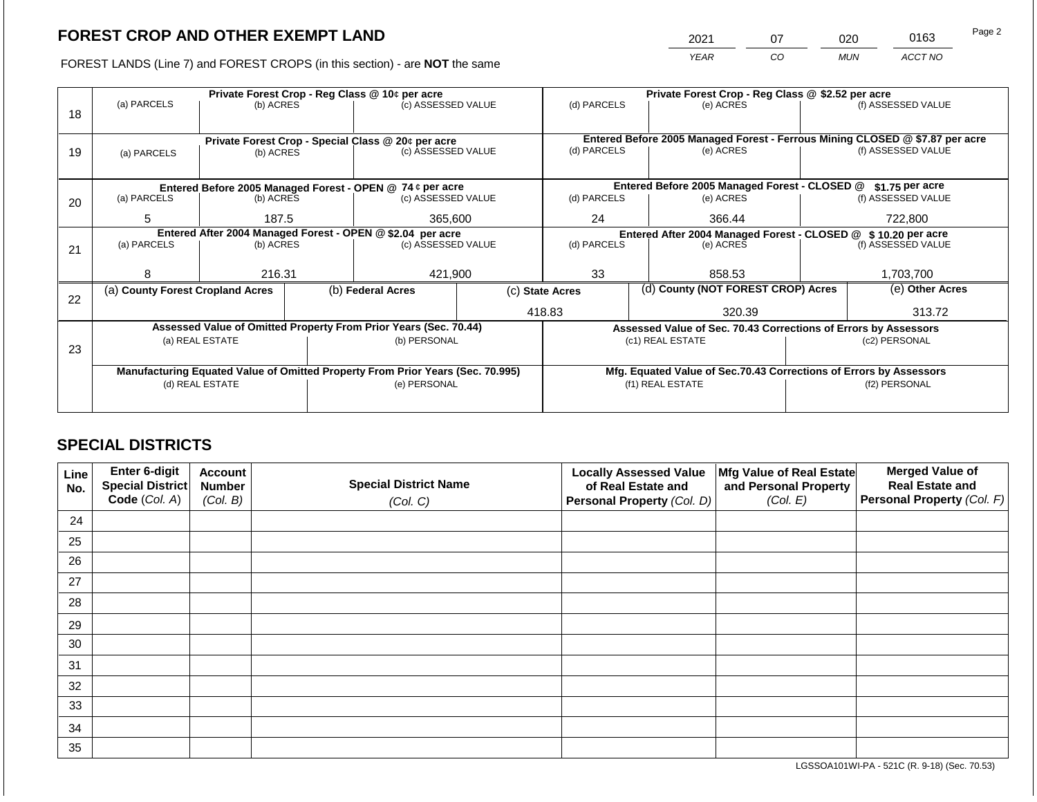2021 07 020 0163

FOREST LANDS (Line 7) and FOREST CROPS (in this section) - are **NOT** the same *YEAR CO MUN ACCT NO*

|    |                                                                                |                 |  | Private Forest Crop - Reg Class @ 10¢ per acre                   |                                                                              | Private Forest Crop - Reg Class @ \$2.52 per acre |                                                               |                                                                 |               |                    |
|----|--------------------------------------------------------------------------------|-----------------|--|------------------------------------------------------------------|------------------------------------------------------------------------------|---------------------------------------------------|---------------------------------------------------------------|-----------------------------------------------------------------|---------------|--------------------|
| 18 | (a) PARCELS                                                                    | (b) ACRES       |  | (c) ASSESSED VALUE                                               |                                                                              | (d) PARCELS                                       |                                                               | (e) ACRES                                                       |               | (f) ASSESSED VALUE |
|    |                                                                                |                 |  | Private Forest Crop - Special Class @ 20¢ per acre               | Entered Before 2005 Managed Forest - Ferrous Mining CLOSED @ \$7.87 per acre |                                                   |                                                               |                                                                 |               |                    |
| 19 | (a) PARCELS                                                                    | (b) ACRES       |  | (c) ASSESSED VALUE                                               |                                                                              | (d) PARCELS                                       |                                                               | (e) ACRES                                                       |               | (f) ASSESSED VALUE |
|    |                                                                                |                 |  |                                                                  |                                                                              |                                                   |                                                               |                                                                 |               |                    |
|    |                                                                                |                 |  | Entered Before 2005 Managed Forest - OPEN @ 74 ¢ per acre        |                                                                              |                                                   |                                                               | Entered Before 2005 Managed Forest - CLOSED @                   |               | \$1.75 per acre    |
| 20 | (a) PARCELS                                                                    | (b) ACRES       |  | (c) ASSESSED VALUE                                               |                                                                              | (d) PARCELS                                       |                                                               | (e) ACRES                                                       |               | (f) ASSESSED VALUE |
|    | 5                                                                              | 187.5           |  | 365,600                                                          |                                                                              | 24                                                |                                                               | 366.44                                                          |               | 722,800            |
|    | Entered After 2004 Managed Forest - OPEN @ \$2.04 per acre                     |                 |  |                                                                  |                                                                              |                                                   | Entered After 2004 Managed Forest - CLOSED @ \$10.20 per acre |                                                                 |               |                    |
| 21 | (a) PARCELS                                                                    | (b) ACRES       |  | (c) ASSESSED VALUE                                               |                                                                              | (d) PARCELS                                       |                                                               | (e) ACRES                                                       |               | (f) ASSESSED VALUE |
|    |                                                                                |                 |  |                                                                  |                                                                              |                                                   |                                                               |                                                                 |               |                    |
|    | 8                                                                              | 216.31          |  | 421,900                                                          |                                                                              | 33                                                |                                                               | 858.53                                                          |               | 1,703,700          |
| 22 | (a) County Forest Cropland Acres                                               |                 |  | (b) Federal Acres                                                |                                                                              | (c) State Acres                                   |                                                               | (d) County (NOT FOREST CROP) Acres                              |               | (e) Other Acres    |
|    |                                                                                |                 |  |                                                                  |                                                                              | 418.83                                            |                                                               | 320.39                                                          |               | 313.72             |
|    |                                                                                |                 |  | Assessed Value of Omitted Property From Prior Years (Sec. 70.44) |                                                                              |                                                   |                                                               | Assessed Value of Sec. 70.43 Corrections of Errors by Assessors |               |                    |
|    |                                                                                | (a) REAL ESTATE |  | (b) PERSONAL                                                     |                                                                              |                                                   |                                                               | (c1) REAL ESTATE                                                |               | (c2) PERSONAL      |
| 23 |                                                                                |                 |  |                                                                  |                                                                              |                                                   |                                                               |                                                                 |               |                    |
|    | Manufacturing Equated Value of Omitted Property From Prior Years (Sec. 70.995) |                 |  |                                                                  | Mfg. Equated Value of Sec.70.43 Corrections of Errors by Assessors           |                                                   |                                                               |                                                                 |               |                    |
|    |                                                                                | (d) REAL ESTATE |  | (e) PERSONAL                                                     |                                                                              | (f1) REAL ESTATE                                  |                                                               |                                                                 | (f2) PERSONAL |                    |
|    |                                                                                |                 |  |                                                                  |                                                                              |                                                   |                                                               |                                                                 |               |                    |
|    |                                                                                |                 |  |                                                                  |                                                                              |                                                   |                                                               |                                                                 |               |                    |

# **SPECIAL DISTRICTS**

| Line<br>No. | <b>Enter 6-digit</b><br>Special District | <b>Account</b><br><b>Number</b> | <b>Special District Name</b> | <b>Locally Assessed Value</b><br>of Real Estate and | Mfg Value of Real Estate<br>and Personal Property | <b>Merged Value of</b><br><b>Real Estate and</b> |
|-------------|------------------------------------------|---------------------------------|------------------------------|-----------------------------------------------------|---------------------------------------------------|--------------------------------------------------|
|             | Code (Col. A)                            | (Col. B)                        | (Col. C)                     | Personal Property (Col. D)                          | (Col. E)                                          | Personal Property (Col. F)                       |
| 24          |                                          |                                 |                              |                                                     |                                                   |                                                  |
| 25          |                                          |                                 |                              |                                                     |                                                   |                                                  |
| 26          |                                          |                                 |                              |                                                     |                                                   |                                                  |
| 27          |                                          |                                 |                              |                                                     |                                                   |                                                  |
| 28          |                                          |                                 |                              |                                                     |                                                   |                                                  |
| 29          |                                          |                                 |                              |                                                     |                                                   |                                                  |
| 30          |                                          |                                 |                              |                                                     |                                                   |                                                  |
| 31          |                                          |                                 |                              |                                                     |                                                   |                                                  |
| 32          |                                          |                                 |                              |                                                     |                                                   |                                                  |
| 33          |                                          |                                 |                              |                                                     |                                                   |                                                  |
| 34          |                                          |                                 |                              |                                                     |                                                   |                                                  |
| 35          |                                          |                                 |                              |                                                     |                                                   |                                                  |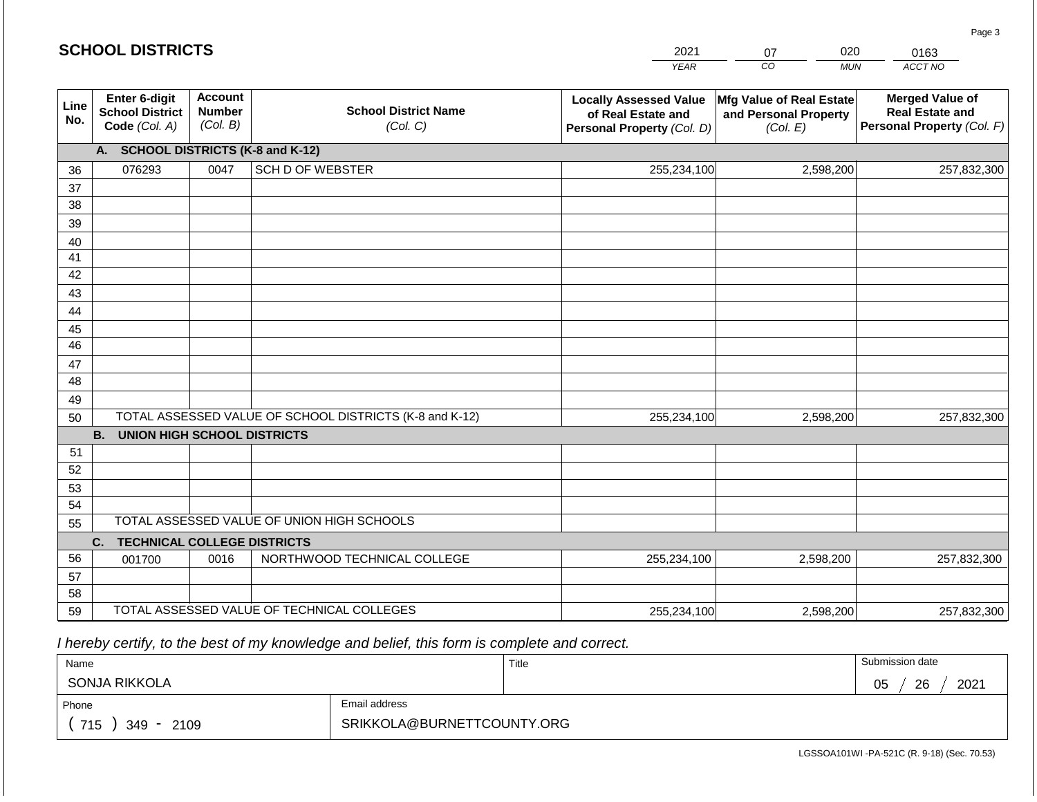|             | <b>SCHOOL DISTRICTS</b>                                  |                                             |                                                         | 2021                                                                              | 020<br>07                                                     | 0163                                                                           |
|-------------|----------------------------------------------------------|---------------------------------------------|---------------------------------------------------------|-----------------------------------------------------------------------------------|---------------------------------------------------------------|--------------------------------------------------------------------------------|
|             |                                                          |                                             |                                                         | <b>YEAR</b>                                                                       | CO<br><b>MUN</b>                                              | ACCT NO                                                                        |
| Line<br>No. | Enter 6-digit<br><b>School District</b><br>Code (Col. A) | <b>Account</b><br><b>Number</b><br>(Col. B) | <b>School District Name</b><br>(Col. C)                 | <b>Locally Assessed Value</b><br>of Real Estate and<br>Personal Property (Col. D) | Mfg Value of Real Estate<br>and Personal Property<br>(Col. E) | <b>Merged Value of</b><br><b>Real Estate and</b><br>Personal Property (Col. F) |
|             | A. SCHOOL DISTRICTS (K-8 and K-12)                       |                                             |                                                         |                                                                                   |                                                               |                                                                                |
| 36          | 076293                                                   | 0047                                        | <b>SCH D OF WEBSTER</b>                                 | 255,234,100                                                                       | 2,598,200                                                     | 257,832,300                                                                    |
| 37          |                                                          |                                             |                                                         |                                                                                   |                                                               |                                                                                |
| 38          |                                                          |                                             |                                                         |                                                                                   |                                                               |                                                                                |
| 39          |                                                          |                                             |                                                         |                                                                                   |                                                               |                                                                                |
| 40          |                                                          |                                             |                                                         |                                                                                   |                                                               |                                                                                |
| 41<br>42    |                                                          |                                             |                                                         |                                                                                   |                                                               |                                                                                |
| 43          |                                                          |                                             |                                                         |                                                                                   |                                                               |                                                                                |
| 44          |                                                          |                                             |                                                         |                                                                                   |                                                               |                                                                                |
| 45          |                                                          |                                             |                                                         |                                                                                   |                                                               |                                                                                |
| 46          |                                                          |                                             |                                                         |                                                                                   |                                                               |                                                                                |
| 47          |                                                          |                                             |                                                         |                                                                                   |                                                               |                                                                                |
| 48          |                                                          |                                             |                                                         |                                                                                   |                                                               |                                                                                |
| 49          |                                                          |                                             |                                                         |                                                                                   |                                                               |                                                                                |
| 50          |                                                          |                                             | TOTAL ASSESSED VALUE OF SCHOOL DISTRICTS (K-8 and K-12) | 255,234,100                                                                       | 2,598,200                                                     | 257,832,300                                                                    |
|             | <b>B. UNION HIGH SCHOOL DISTRICTS</b>                    |                                             |                                                         |                                                                                   |                                                               |                                                                                |
| 51          |                                                          |                                             |                                                         |                                                                                   |                                                               |                                                                                |
| 52          |                                                          |                                             |                                                         |                                                                                   |                                                               |                                                                                |
| 53          |                                                          |                                             |                                                         |                                                                                   |                                                               |                                                                                |
| 54<br>55    |                                                          |                                             | TOTAL ASSESSED VALUE OF UNION HIGH SCHOOLS              |                                                                                   |                                                               |                                                                                |
|             | <b>TECHNICAL COLLEGE DISTRICTS</b><br>C.                 |                                             |                                                         |                                                                                   |                                                               |                                                                                |
| 56          | 001700                                                   | 0016                                        | NORTHWOOD TECHNICAL COLLEGE                             | 255,234,100                                                                       | 2,598,200                                                     | 257,832,300                                                                    |
| 57          |                                                          |                                             |                                                         |                                                                                   |                                                               |                                                                                |
| 58          |                                                          |                                             |                                                         |                                                                                   |                                                               |                                                                                |
| 59          |                                                          |                                             | TOTAL ASSESSED VALUE OF TECHNICAL COLLEGES              | 255,234,100                                                                       | 2,598,200                                                     | 257,832,300                                                                    |

 *I hereby certify, to the best of my knowledge and belief, this form is complete and correct.*

| Name                   |                            | Title | Submission date  |
|------------------------|----------------------------|-------|------------------|
| SONJA RIKKOLA          |                            |       | 26<br>2021<br>05 |
| Phone                  | Email address              |       |                  |
| 715<br>2109<br>$349 -$ | SRIKKOLA@BURNETTCOUNTY.ORG |       |                  |

LGSSOA101WI -PA-521C (R. 9-18) (Sec. 70.53)

Page 3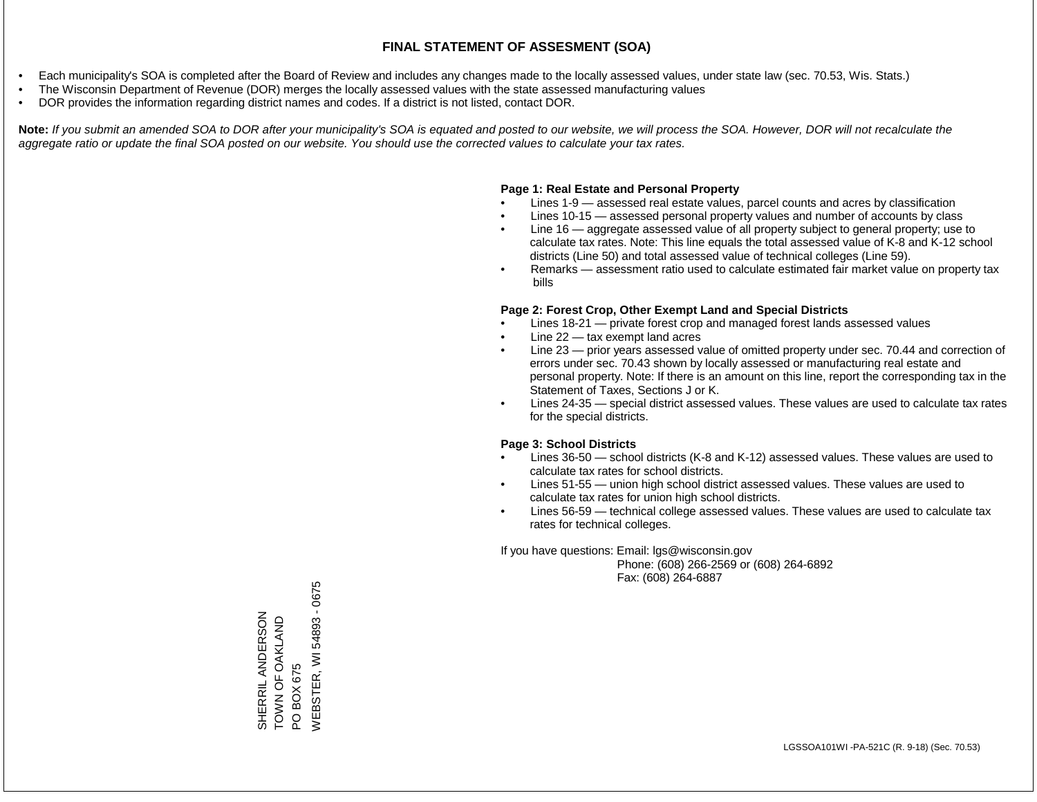- Each municipality's SOA is completed after the Board of Review and includes any changes made to the locally assessed values, under state law (sec. 70.53, Wis. Stats.)
- The Wisconsin Department of Revenue (DOR) merges the locally assessed values with the state assessed manufacturing values
- DOR provides the information regarding district names and codes. If a district is not listed, contact DOR.

Note: If you submit an amended SOA to DOR after your municipality's SOA is equated and posted to our website, we will process the SOA. However, DOR will not recalculate the *aggregate ratio or update the final SOA posted on our website. You should use the corrected values to calculate your tax rates.*

### **Page 1: Real Estate and Personal Property**

- Lines 1-9 assessed real estate values, parcel counts and acres by classification
- Lines 10-15 assessed personal property values and number of accounts by class
- Line 16 aggregate assessed value of all property subject to general property; use to calculate tax rates. Note: This line equals the total assessed value of K-8 and K-12 school districts (Line 50) and total assessed value of technical colleges (Line 59).
- Remarks assessment ratio used to calculate estimated fair market value on property tax bills

### **Page 2: Forest Crop, Other Exempt Land and Special Districts**

- Lines 18-21 private forest crop and managed forest lands assessed values
- Line  $22 -$  tax exempt land acres
- Line 23 prior years assessed value of omitted property under sec. 70.44 and correction of errors under sec. 70.43 shown by locally assessed or manufacturing real estate and personal property. Note: If there is an amount on this line, report the corresponding tax in the Statement of Taxes, Sections J or K.
- Lines 24-35 special district assessed values. These values are used to calculate tax rates for the special districts.

### **Page 3: School Districts**

- Lines 36-50 school districts (K-8 and K-12) assessed values. These values are used to calculate tax rates for school districts.
- Lines 51-55 union high school district assessed values. These values are used to calculate tax rates for union high school districts.
- Lines 56-59 technical college assessed values. These values are used to calculate tax rates for technical colleges.

If you have questions: Email: lgs@wisconsin.gov

 Phone: (608) 266-2569 or (608) 264-6892 Fax: (608) 264-6887

PO BOX 675<br>WEBSTER, WI 54893 - 0675 WEBSTER, WI 54893 - 0675SHERRIL ANDERSON<br>TOWN OF OAKLAND SHERRIL ANDERSON TOWN OF OAKLAND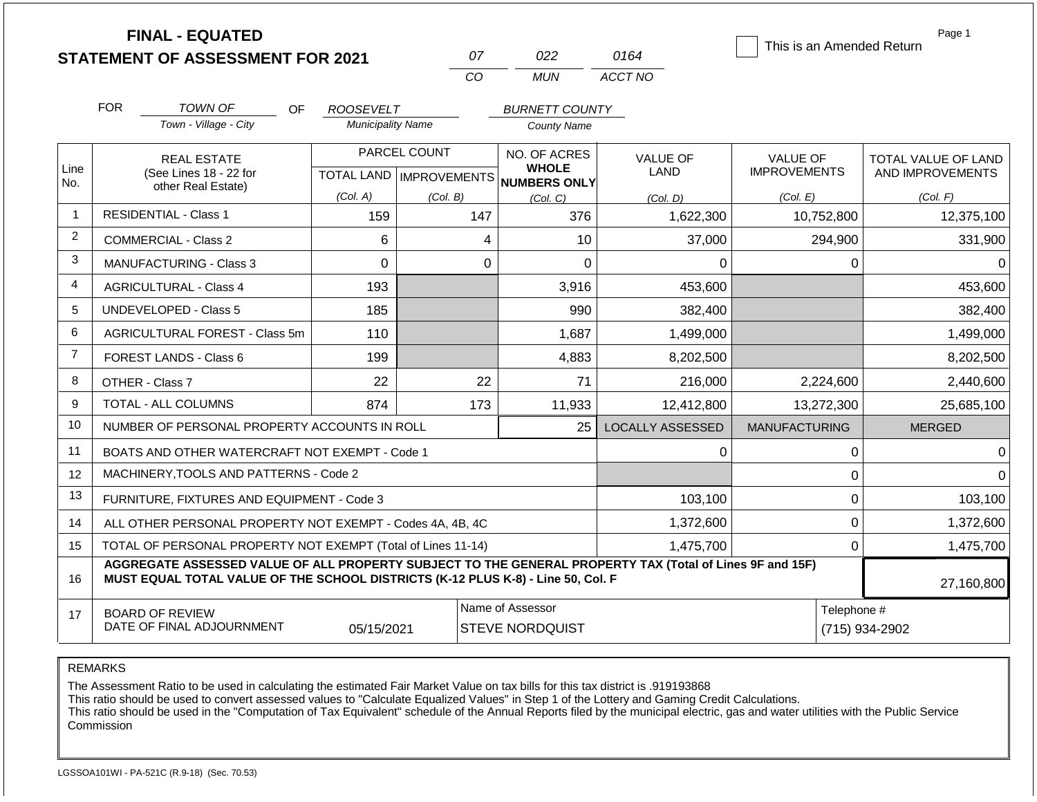|                | <b>FINAL - EQUATED</b>                                                                                                                                                                       |                                |                           |                                            |                  | This is an Amended Return | Page 1                        |  |
|----------------|----------------------------------------------------------------------------------------------------------------------------------------------------------------------------------------------|--------------------------------|---------------------------|--------------------------------------------|------------------|---------------------------|-------------------------------|--|
|                | <b>STATEMENT OF ASSESSMENT FOR 2021</b>                                                                                                                                                      |                                | 07                        | 022                                        | 0164             |                           |                               |  |
|                |                                                                                                                                                                                              |                                | CO                        | <b>MUN</b>                                 | ACCT NO          |                           |                               |  |
|                | <b>FOR</b><br><b>TOWN OF</b><br>OF.                                                                                                                                                          | <b>ROOSEVELT</b>               |                           | <b>BURNETT COUNTY</b>                      |                  |                           |                               |  |
|                | Town - Village - City                                                                                                                                                                        | <b>Municipality Name</b>       |                           | <b>County Name</b>                         |                  |                           |                               |  |
|                | <b>REAL ESTATE</b>                                                                                                                                                                           |                                | PARCEL COUNT              | NO. OF ACRES                               | <b>VALUE OF</b>  | <b>VALUE OF</b>           | TOTAL VALUE OF LAND           |  |
| Line<br>No.    | (See Lines 18 - 22 for                                                                                                                                                                       |                                | TOTAL LAND   IMPROVEMENTS | <b>WHOLE</b><br>NUMBERS ONLY               | <b>LAND</b>      | <b>IMPROVEMENTS</b>       | AND IMPROVEMENTS              |  |
|                | other Real Estate)                                                                                                                                                                           | (Col. A)                       | (Col. B)                  | (Col, C)                                   | (Col, D)         | (Col. E)                  | (Col. F)                      |  |
| $\mathbf{1}$   | <b>RESIDENTIAL - Class 1</b>                                                                                                                                                                 | 147<br>376<br>159<br>1,622,300 |                           | 10,752,800                                 | 12,375,100       |                           |                               |  |
| $\overline{2}$ | <b>COMMERCIAL - Class 2</b>                                                                                                                                                                  | 6                              | 4                         | 10                                         | 37,000           | 294,900                   | 331,900                       |  |
| 3              | MANUFACTURING - Class 3                                                                                                                                                                      | $\overline{0}$                 | $\overline{0}$            | $\Omega$                                   | $\Omega$         | $\Omega$                  | $\Omega$                      |  |
| 4              | <b>AGRICULTURAL - Class 4</b>                                                                                                                                                                | 193                            |                           | 3,916                                      | 453,600          |                           | 453,600                       |  |
| 5              | UNDEVELOPED - Class 5                                                                                                                                                                        | 185                            |                           | 990                                        | 382,400          |                           | 382,400                       |  |
| 6              | AGRICULTURAL FOREST - Class 5m                                                                                                                                                               | 110                            |                           | 1,687                                      | 1,499,000        |                           | 1,499,000                     |  |
| $\overline{7}$ | FOREST LANDS - Class 6                                                                                                                                                                       | 199                            |                           | 4,883                                      | 8,202,500        |                           | 8,202,500                     |  |
| 8              | OTHER - Class 7                                                                                                                                                                              | 22                             | 22                        | 71                                         | 216,000          | 2,224,600                 | 2,440,600                     |  |
| 9              | TOTAL - ALL COLUMNS                                                                                                                                                                          | 874                            | 173                       | 11,933                                     | 12,412,800       | 13,272,300                | 25,685,100                    |  |
| 10             | NUMBER OF PERSONAL PROPERTY ACCOUNTS IN ROLL                                                                                                                                                 |                                |                           | 25                                         | LOCALLY ASSESSED | <b>MANUFACTURING</b>      | <b>MERGED</b>                 |  |
| 11             | BOATS AND OTHER WATERCRAFT NOT EXEMPT - Code 1                                                                                                                                               |                                |                           |                                            | 0                | 0                         | $\Omega$                      |  |
| 12             | MACHINERY, TOOLS AND PATTERNS - Code 2                                                                                                                                                       |                                |                           |                                            |                  | $\mathbf 0$               | $\Omega$                      |  |
| 13             | FURNITURE, FIXTURES AND EQUIPMENT - Code 3                                                                                                                                                   |                                |                           |                                            | 103,100          | $\mathbf 0$               | 103,100                       |  |
| 14             | ALL OTHER PERSONAL PROPERTY NOT EXEMPT - Codes 4A, 4B, 4C                                                                                                                                    |                                |                           |                                            | 1,372,600        | $\mathbf 0$               | 1,372,600                     |  |
| 15             | TOTAL OF PERSONAL PROPERTY NOT EXEMPT (Total of Lines 11-14)                                                                                                                                 |                                |                           |                                            | 1,475,700        | $\overline{0}$            | 1,475,700                     |  |
| 16             | AGGREGATE ASSESSED VALUE OF ALL PROPERTY SUBJECT TO THE GENERAL PROPERTY TAX (Total of Lines 9F and 15F)<br>MUST EQUAL TOTAL VALUE OF THE SCHOOL DISTRICTS (K-12 PLUS K-8) - Line 50, Col. F |                                |                           |                                            |                  |                           | 27,160,800                    |  |
| 17             | <b>BOARD OF REVIEW</b><br>DATE OF FINAL ADJOURNMENT                                                                                                                                          | 05/15/2021                     |                           | Name of Assessor<br><b>STEVE NORDQUIST</b> |                  |                           | Telephone #<br>(715) 934-2902 |  |

The Assessment Ratio to be used in calculating the estimated Fair Market Value on tax bills for this tax district is .919193868

This ratio should be used to convert assessed values to "Calculate Equalized Values" in Step 1 of the Lottery and Gaming Credit Calculations.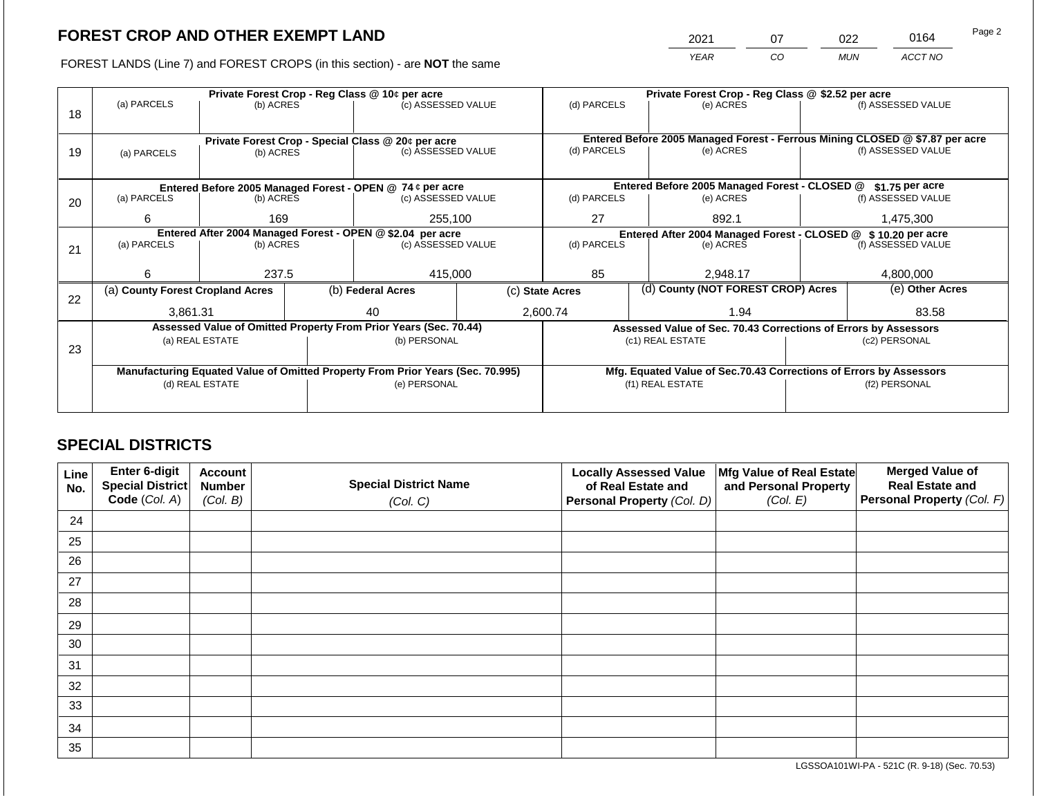2021 07 022 0164 Page 2

FOREST LANDS (Line 7) and FOREST CROPS (in this section) - are **NOT** the same *YEAR CO MUN ACCT NO*

|    |                                                                                |                 |  | Private Forest Crop - Reg Class @ 10¢ per acre                           |                                                               | Private Forest Crop - Reg Class @ \$2.52 per acre                            |  |                                                                    |                                                                 |                    |
|----|--------------------------------------------------------------------------------|-----------------|--|--------------------------------------------------------------------------|---------------------------------------------------------------|------------------------------------------------------------------------------|--|--------------------------------------------------------------------|-----------------------------------------------------------------|--------------------|
| 18 | (a) PARCELS                                                                    | (b) ACRES       |  | (c) ASSESSED VALUE                                                       |                                                               | (d) PARCELS                                                                  |  | (e) ACRES                                                          |                                                                 | (f) ASSESSED VALUE |
|    |                                                                                |                 |  |                                                                          |                                                               |                                                                              |  |                                                                    |                                                                 |                    |
|    |                                                                                |                 |  |                                                                          |                                                               | Entered Before 2005 Managed Forest - Ferrous Mining CLOSED @ \$7.87 per acre |  |                                                                    |                                                                 |                    |
| 19 | (a) PARCELS                                                                    | (b) ACRES       |  | Private Forest Crop - Special Class @ 20¢ per acre<br>(c) ASSESSED VALUE |                                                               | (d) PARCELS                                                                  |  | (e) ACRES                                                          |                                                                 | (f) ASSESSED VALUE |
|    |                                                                                |                 |  |                                                                          |                                                               |                                                                              |  |                                                                    |                                                                 |                    |
|    |                                                                                |                 |  |                                                                          |                                                               |                                                                              |  |                                                                    |                                                                 |                    |
|    |                                                                                |                 |  | Entered Before 2005 Managed Forest - OPEN @ 74 ¢ per acre                |                                                               |                                                                              |  | Entered Before 2005 Managed Forest - CLOSED @                      |                                                                 | \$1.75 per acre    |
| 20 | (a) PARCELS<br>(b) ACRES                                                       |                 |  | (c) ASSESSED VALUE                                                       |                                                               | (d) PARCELS                                                                  |  | (e) ACRES                                                          |                                                                 | (f) ASSESSED VALUE |
|    | 6                                                                              | 169             |  | 255,100                                                                  |                                                               | 27                                                                           |  | 892.1                                                              |                                                                 | 1,475,300          |
|    | Entered After 2004 Managed Forest - OPEN @ \$2.04 per acre                     |                 |  |                                                                          | Entered After 2004 Managed Forest - CLOSED @ \$10.20 per acre |                                                                              |  |                                                                    |                                                                 |                    |
| 21 | (a) PARCELS                                                                    | (b) ACRES       |  | (c) ASSESSED VALUE                                                       |                                                               | (d) PARCELS                                                                  |  | (e) ACRES                                                          |                                                                 | (f) ASSESSED VALUE |
|    |                                                                                |                 |  |                                                                          |                                                               |                                                                              |  |                                                                    |                                                                 |                    |
|    | 6                                                                              | 237.5           |  | 415,000                                                                  |                                                               | 85                                                                           |  | 2,948.17                                                           |                                                                 | 4,800,000          |
|    | (a) County Forest Cropland Acres                                               |                 |  | (b) Federal Acres                                                        | (c) State Acres                                               |                                                                              |  | (d) County (NOT FOREST CROP) Acres                                 |                                                                 | (e) Other Acres    |
| 22 |                                                                                |                 |  |                                                                          |                                                               |                                                                              |  |                                                                    |                                                                 |                    |
|    | 3,861.31                                                                       |                 |  | 40                                                                       |                                                               | 2,600.74                                                                     |  | 1.94                                                               |                                                                 | 83.58              |
|    |                                                                                |                 |  | Assessed Value of Omitted Property From Prior Years (Sec. 70.44)         |                                                               |                                                                              |  |                                                                    | Assessed Value of Sec. 70.43 Corrections of Errors by Assessors |                    |
| 23 |                                                                                | (a) REAL ESTATE |  | (b) PERSONAL                                                             |                                                               |                                                                              |  | (c1) REAL ESTATE                                                   |                                                                 | (c2) PERSONAL      |
|    |                                                                                |                 |  |                                                                          |                                                               |                                                                              |  |                                                                    |                                                                 |                    |
|    | Manufacturing Equated Value of Omitted Property From Prior Years (Sec. 70.995) |                 |  |                                                                          |                                                               |                                                                              |  | Mfg. Equated Value of Sec.70.43 Corrections of Errors by Assessors |                                                                 |                    |
|    |                                                                                | (d) REAL ESTATE |  | (e) PERSONAL                                                             |                                                               |                                                                              |  | (f1) REAL ESTATE                                                   | (f2) PERSONAL                                                   |                    |
|    |                                                                                |                 |  |                                                                          |                                                               |                                                                              |  |                                                                    |                                                                 |                    |
|    |                                                                                |                 |  |                                                                          |                                                               |                                                                              |  |                                                                    |                                                                 |                    |

# **SPECIAL DISTRICTS**

| Line<br>No. | <b>Enter 6-digit</b><br>Special District | <b>Account</b><br><b>Number</b> | <b>Special District Name</b> | <b>Locally Assessed Value</b><br>of Real Estate and | Mfg Value of Real Estate<br>and Personal Property | <b>Merged Value of</b><br><b>Real Estate and</b> |
|-------------|------------------------------------------|---------------------------------|------------------------------|-----------------------------------------------------|---------------------------------------------------|--------------------------------------------------|
|             | Code (Col. A)                            | (Col. B)                        | (Col. C)                     | Personal Property (Col. D)                          | (Col. E)                                          | Personal Property (Col. F)                       |
| 24          |                                          |                                 |                              |                                                     |                                                   |                                                  |
| 25          |                                          |                                 |                              |                                                     |                                                   |                                                  |
| 26          |                                          |                                 |                              |                                                     |                                                   |                                                  |
| 27          |                                          |                                 |                              |                                                     |                                                   |                                                  |
| 28          |                                          |                                 |                              |                                                     |                                                   |                                                  |
| 29          |                                          |                                 |                              |                                                     |                                                   |                                                  |
| 30          |                                          |                                 |                              |                                                     |                                                   |                                                  |
| 31          |                                          |                                 |                              |                                                     |                                                   |                                                  |
| 32          |                                          |                                 |                              |                                                     |                                                   |                                                  |
| 33          |                                          |                                 |                              |                                                     |                                                   |                                                  |
| 34          |                                          |                                 |                              |                                                     |                                                   |                                                  |
| 35          |                                          |                                 |                              |                                                     |                                                   |                                                  |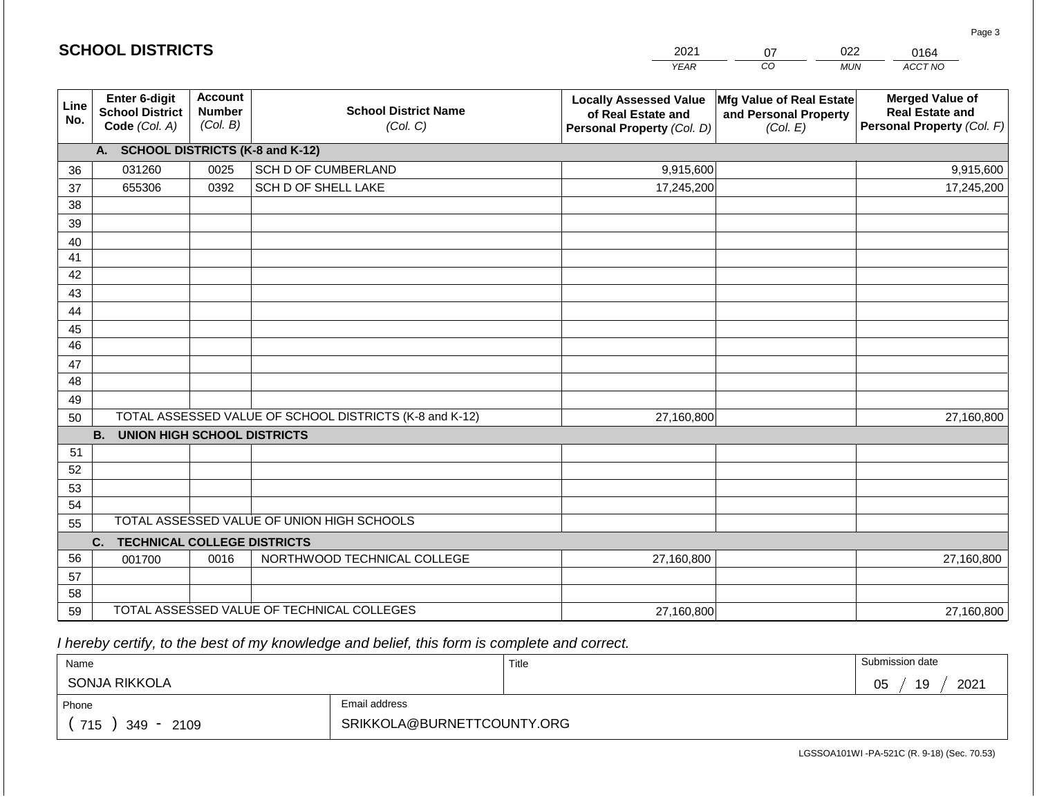|                       | <b>SCHOOL DISTRICTS</b>                                  |                                             |                                                         | 2021                                                                              | 07                                                            | 022<br>0164                                                                    |
|-----------------------|----------------------------------------------------------|---------------------------------------------|---------------------------------------------------------|-----------------------------------------------------------------------------------|---------------------------------------------------------------|--------------------------------------------------------------------------------|
|                       |                                                          |                                             |                                                         | <b>YEAR</b>                                                                       | CO                                                            | ACCT NO<br><b>MUN</b>                                                          |
| Line<br>No.           | Enter 6-digit<br><b>School District</b><br>Code (Col. A) | <b>Account</b><br><b>Number</b><br>(Col. B) | <b>School District Name</b><br>(Col. C)                 | <b>Locally Assessed Value</b><br>of Real Estate and<br>Personal Property (Col. D) | Mfg Value of Real Estate<br>and Personal Property<br>(Col. E) | <b>Merged Value of</b><br><b>Real Estate and</b><br>Personal Property (Col. F) |
|                       | A. SCHOOL DISTRICTS (K-8 and K-12)                       |                                             |                                                         |                                                                                   |                                                               |                                                                                |
| 36                    | 031260                                                   | 0025                                        | SCH D OF CUMBERLAND                                     | 9,915,600                                                                         |                                                               | 9,915,600                                                                      |
| 37                    | 655306                                                   | 0392                                        | SCH D OF SHELL LAKE                                     | 17,245,200                                                                        |                                                               | 17,245,200                                                                     |
| 38                    |                                                          |                                             |                                                         |                                                                                   |                                                               |                                                                                |
| 39                    |                                                          |                                             |                                                         |                                                                                   |                                                               |                                                                                |
| 40                    |                                                          |                                             |                                                         |                                                                                   |                                                               |                                                                                |
| 41                    |                                                          |                                             |                                                         |                                                                                   |                                                               |                                                                                |
| 42                    |                                                          |                                             |                                                         |                                                                                   |                                                               |                                                                                |
| 43                    |                                                          |                                             |                                                         |                                                                                   |                                                               |                                                                                |
| 44                    |                                                          |                                             |                                                         |                                                                                   |                                                               |                                                                                |
| 45<br>$\overline{46}$ |                                                          |                                             |                                                         |                                                                                   |                                                               |                                                                                |
| 47                    |                                                          |                                             |                                                         |                                                                                   |                                                               |                                                                                |
| 48                    |                                                          |                                             |                                                         |                                                                                   |                                                               |                                                                                |
| 49                    |                                                          |                                             |                                                         |                                                                                   |                                                               |                                                                                |
| 50                    |                                                          |                                             | TOTAL ASSESSED VALUE OF SCHOOL DISTRICTS (K-8 and K-12) | 27,160,800                                                                        |                                                               | 27,160,800                                                                     |
|                       | <b>B.</b><br><b>UNION HIGH SCHOOL DISTRICTS</b>          |                                             |                                                         |                                                                                   |                                                               |                                                                                |
| 51                    |                                                          |                                             |                                                         |                                                                                   |                                                               |                                                                                |
| 52                    |                                                          |                                             |                                                         |                                                                                   |                                                               |                                                                                |
| 53                    |                                                          |                                             |                                                         |                                                                                   |                                                               |                                                                                |
| 54                    |                                                          |                                             |                                                         |                                                                                   |                                                               |                                                                                |
| 55                    |                                                          |                                             | TOTAL ASSESSED VALUE OF UNION HIGH SCHOOLS              |                                                                                   |                                                               |                                                                                |
|                       | C.<br><b>TECHNICAL COLLEGE DISTRICTS</b>                 |                                             |                                                         |                                                                                   |                                                               |                                                                                |
| 56                    | 001700                                                   | 0016                                        | NORTHWOOD TECHNICAL COLLEGE                             | 27,160,800                                                                        |                                                               | 27,160,800                                                                     |
| 57                    |                                                          |                                             |                                                         |                                                                                   |                                                               |                                                                                |
| 58                    |                                                          |                                             |                                                         |                                                                                   |                                                               |                                                                                |
| 59                    |                                                          |                                             | TOTAL ASSESSED VALUE OF TECHNICAL COLLEGES              | 27,160,800                                                                        |                                                               | 27,160,800                                                                     |

 *I hereby certify, to the best of my knowledge and belief, this form is complete and correct.*

**SCHOOL DISTRICTS**

| Name                   |                            | Title | Submission date  |
|------------------------|----------------------------|-------|------------------|
| SONJA RIKKOLA          |                            |       | 19<br>2021<br>05 |
| Phone                  | Email address              |       |                  |
| 715<br>$349 -$<br>2109 | SRIKKOLA@BURNETTCOUNTY.ORG |       |                  |

Page 3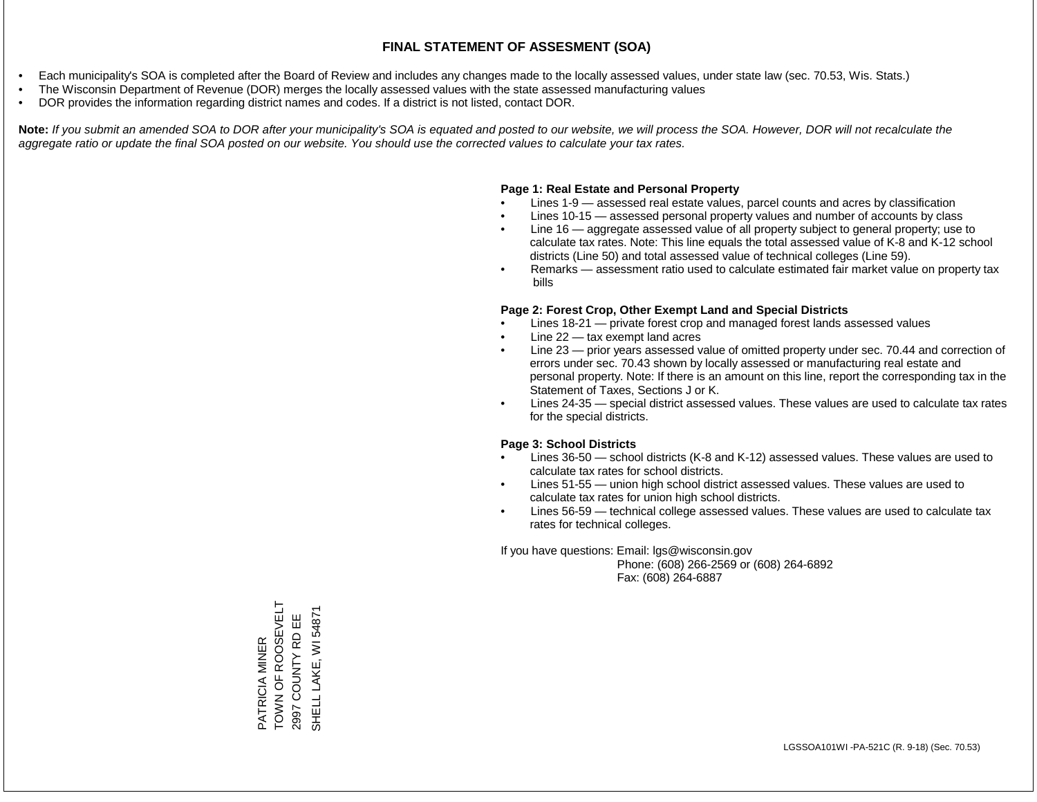- Each municipality's SOA is completed after the Board of Review and includes any changes made to the locally assessed values, under state law (sec. 70.53, Wis. Stats.)
- The Wisconsin Department of Revenue (DOR) merges the locally assessed values with the state assessed manufacturing values
- DOR provides the information regarding district names and codes. If a district is not listed, contact DOR.

Note: If you submit an amended SOA to DOR after your municipality's SOA is equated and posted to our website, we will process the SOA. However, DOR will not recalculate the *aggregate ratio or update the final SOA posted on our website. You should use the corrected values to calculate your tax rates.*

### **Page 1: Real Estate and Personal Property**

- Lines 1-9 assessed real estate values, parcel counts and acres by classification
- Lines 10-15 assessed personal property values and number of accounts by class
- Line 16 aggregate assessed value of all property subject to general property; use to calculate tax rates. Note: This line equals the total assessed value of K-8 and K-12 school districts (Line 50) and total assessed value of technical colleges (Line 59).
- Remarks assessment ratio used to calculate estimated fair market value on property tax bills

### **Page 2: Forest Crop, Other Exempt Land and Special Districts**

- Lines 18-21 private forest crop and managed forest lands assessed values
- Line  $22 -$  tax exempt land acres
- Line 23 prior years assessed value of omitted property under sec. 70.44 and correction of errors under sec. 70.43 shown by locally assessed or manufacturing real estate and personal property. Note: If there is an amount on this line, report the corresponding tax in the Statement of Taxes, Sections J or K.
- Lines 24-35 special district assessed values. These values are used to calculate tax rates for the special districts.

### **Page 3: School Districts**

- Lines 36-50 school districts (K-8 and K-12) assessed values. These values are used to calculate tax rates for school districts.
- Lines 51-55 union high school district assessed values. These values are used to calculate tax rates for union high school districts.
- Lines 56-59 technical college assessed values. These values are used to calculate tax rates for technical colleges.

If you have questions: Email: lgs@wisconsin.gov

 Phone: (608) 266-2569 or (608) 264-6892 Fax: (608) 264-6887

TOWN OF ROOSEVELT PATRICIA MINER<br>TOWN OF ROOSEVELT SHELL LAKE, WI 54871 SHELL LAKE, WI 54871COUNTY RD EE 2997 COUNTY RD EE PATRICIA MINER 2997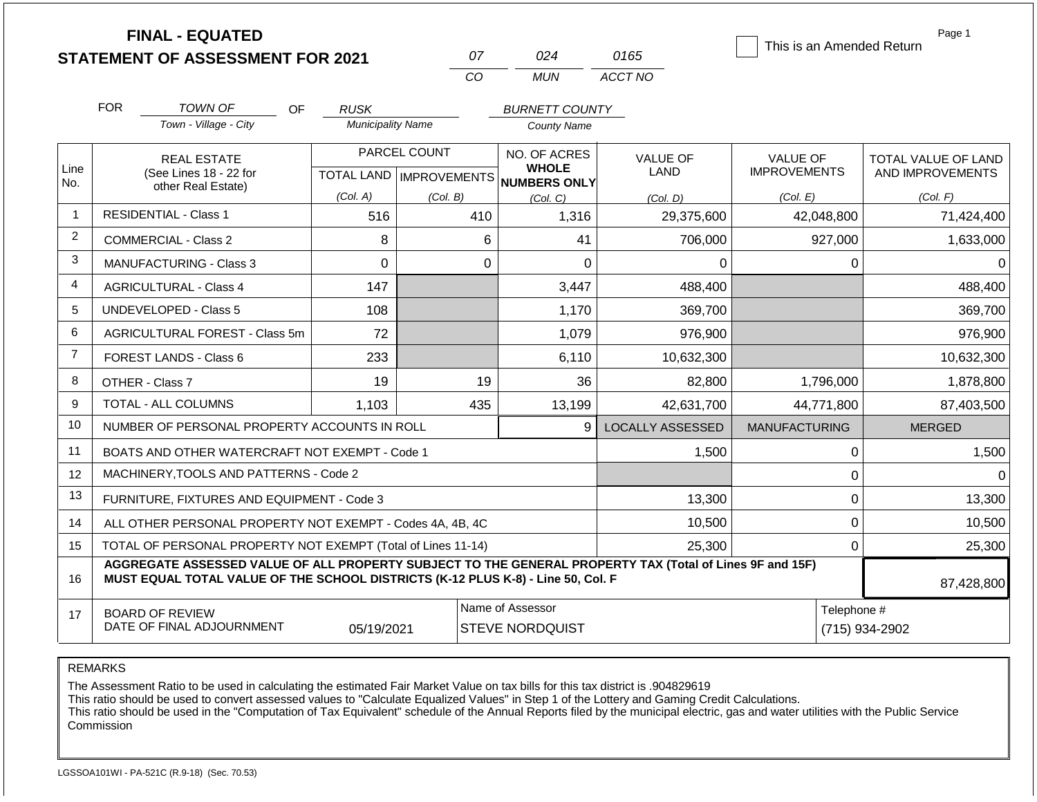|                | <b>FINAL - EQUATED</b>                                                                                                                                                                       |                          |                           |                                            |                         | This is an Amended Return     | Page 1              |  |
|----------------|----------------------------------------------------------------------------------------------------------------------------------------------------------------------------------------------|--------------------------|---------------------------|--------------------------------------------|-------------------------|-------------------------------|---------------------|--|
|                | <b>STATEMENT OF ASSESSMENT FOR 2021</b>                                                                                                                                                      |                          | 07                        | 024                                        | 0165                    |                               |                     |  |
|                |                                                                                                                                                                                              |                          | CO                        | <b>MUN</b>                                 | ACCT NO                 |                               |                     |  |
|                | <b>FOR</b><br><b>TOWN OF</b><br><b>OF</b>                                                                                                                                                    | <b>RUSK</b>              |                           | <b>BURNETT COUNTY</b>                      |                         |                               |                     |  |
|                | Town - Village - City                                                                                                                                                                        | <b>Municipality Name</b> |                           | <b>County Name</b>                         |                         |                               |                     |  |
|                | <b>REAL ESTATE</b>                                                                                                                                                                           |                          | PARCEL COUNT              | NO. OF ACRES                               | <b>VALUE OF</b>         | <b>VALUE OF</b>               | TOTAL VALUE OF LAND |  |
| Line<br>No.    | (See Lines 18 - 22 for<br>other Real Estate)                                                                                                                                                 |                          | TOTAL LAND   IMPROVEMENTS | <b>WHOLE</b><br><b>NUMBERS ONLY</b>        | LAND                    | <b>IMPROVEMENTS</b>           | AND IMPROVEMENTS    |  |
|                |                                                                                                                                                                                              | (Col. A)                 | (Col. B)                  | (Col. C)                                   | (Col. D)                | (Col. E)                      | (Col. F)            |  |
| $\overline{1}$ | <b>RESIDENTIAL - Class 1</b>                                                                                                                                                                 | 516                      | 410                       | 1,316                                      | 29,375,600              | 42,048,800                    | 71,424,400          |  |
| 2              | <b>COMMERCIAL - Class 2</b>                                                                                                                                                                  | 8                        |                           | 6<br>41                                    | 706,000                 | 927,000                       | 1,633,000           |  |
| 3              | <b>MANUFACTURING - Class 3</b>                                                                                                                                                               | 0                        |                           | $\overline{0}$<br>$\Omega$                 | 0                       | 0                             | $\Omega$            |  |
| 4              | <b>AGRICULTURAL - Class 4</b>                                                                                                                                                                | 147                      |                           | 3,447                                      | 488,400                 |                               | 488,400             |  |
| 5              | UNDEVELOPED - Class 5                                                                                                                                                                        | 108                      |                           | 1,170                                      | 369,700                 |                               | 369,700             |  |
| 6              | <b>AGRICULTURAL FOREST - Class 5m</b>                                                                                                                                                        | 72                       |                           | 1,079                                      | 976,900                 |                               | 976,900             |  |
| $\overline{7}$ | <b>FOREST LANDS - Class 6</b>                                                                                                                                                                | 233                      |                           | 6,110                                      | 10,632,300              |                               | 10,632,300          |  |
| 8              | OTHER - Class 7                                                                                                                                                                              | 19                       | 19                        | 36                                         | 82,800                  | 1,796,000                     | 1,878,800           |  |
| 9              | <b>TOTAL - ALL COLUMNS</b>                                                                                                                                                                   | 1,103                    | 435                       | 13,199                                     | 42,631,700              | 44,771,800                    | 87,403,500          |  |
| 10             | NUMBER OF PERSONAL PROPERTY ACCOUNTS IN ROLL                                                                                                                                                 |                          |                           | 9                                          | <b>LOCALLY ASSESSED</b> | <b>MANUFACTURING</b>          | <b>MERGED</b>       |  |
| 11             | BOATS AND OTHER WATERCRAFT NOT EXEMPT - Code 1                                                                                                                                               |                          |                           |                                            | 1,500                   | 0                             | 1,500               |  |
| 12             | MACHINERY, TOOLS AND PATTERNS - Code 2                                                                                                                                                       |                          |                           |                                            |                         | 0                             | $\Omega$            |  |
| 13             | FURNITURE, FIXTURES AND EQUIPMENT - Code 3                                                                                                                                                   |                          |                           |                                            | 13,300                  | 0                             | 13,300              |  |
| 14             | ALL OTHER PERSONAL PROPERTY NOT EXEMPT - Codes 4A, 4B, 4C                                                                                                                                    |                          |                           |                                            | 10,500                  | 0                             | 10,500              |  |
| 15             | TOTAL OF PERSONAL PROPERTY NOT EXEMPT (Total of Lines 11-14)                                                                                                                                 |                          |                           |                                            | 25,300                  | 0                             | 25,300              |  |
| 16             | AGGREGATE ASSESSED VALUE OF ALL PROPERTY SUBJECT TO THE GENERAL PROPERTY TAX (Total of Lines 9F and 15F)<br>MUST EQUAL TOTAL VALUE OF THE SCHOOL DISTRICTS (K-12 PLUS K-8) - Line 50, Col. F |                          |                           | 87,428,800                                 |                         |                               |                     |  |
| 17             | <b>BOARD OF REVIEW</b><br>DATE OF FINAL ADJOURNMENT                                                                                                                                          | 05/19/2021               |                           | Name of Assessor<br><b>STEVE NORDQUIST</b> |                         | Telephone #<br>(715) 934-2902 |                     |  |

The Assessment Ratio to be used in calculating the estimated Fair Market Value on tax bills for this tax district is .904829619

This ratio should be used to convert assessed values to "Calculate Equalized Values" in Step 1 of the Lottery and Gaming Credit Calculations.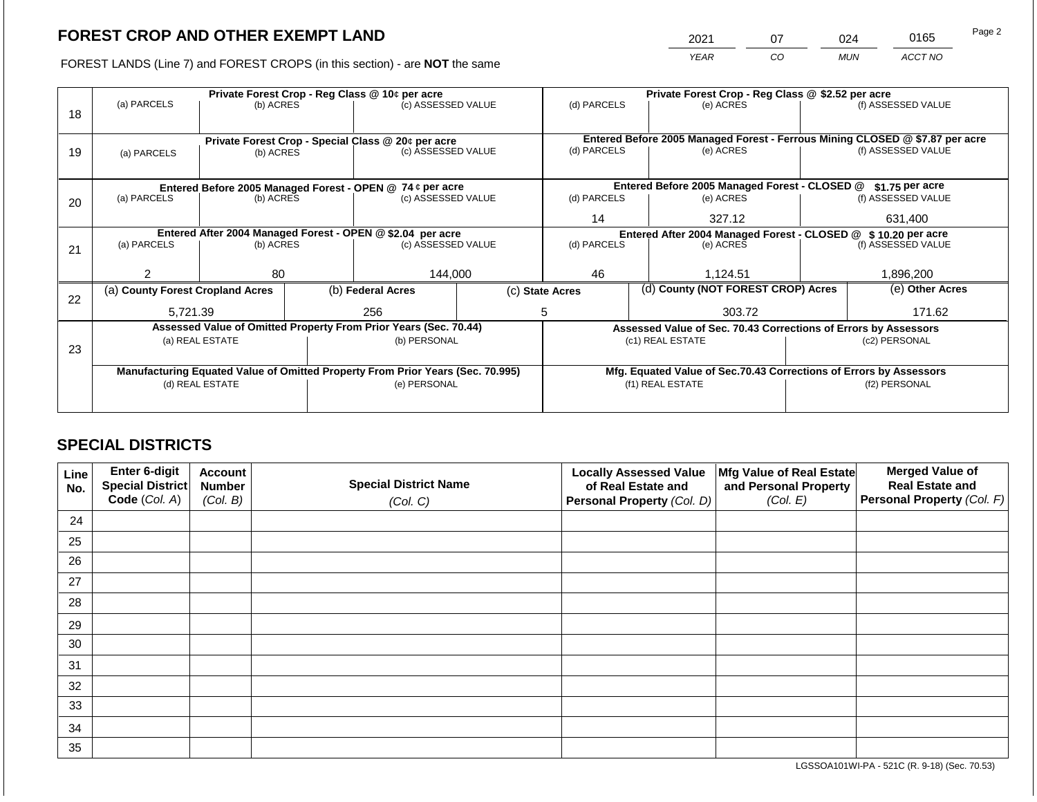2021 07 024 0165

FOREST LANDS (Line 7) and FOREST CROPS (in this section) - are **NOT** the same *YEAR CO MUN ACCT NO*

|    |                                                                                |                 | Private Forest Crop - Reg Class @ 10¢ per acre |                                                                          | Private Forest Crop - Reg Class @ \$2.52 per acre                  |             |                                    |                                                                |                                                                              |                    |
|----|--------------------------------------------------------------------------------|-----------------|------------------------------------------------|--------------------------------------------------------------------------|--------------------------------------------------------------------|-------------|------------------------------------|----------------------------------------------------------------|------------------------------------------------------------------------------|--------------------|
| 18 | (a) PARCELS                                                                    | (b) ACRES       |                                                | (c) ASSESSED VALUE                                                       |                                                                    | (d) PARCELS |                                    | (e) ACRES                                                      |                                                                              | (f) ASSESSED VALUE |
|    |                                                                                |                 |                                                |                                                                          |                                                                    |             |                                    |                                                                |                                                                              |                    |
|    |                                                                                |                 |                                                |                                                                          |                                                                    |             |                                    |                                                                | Entered Before 2005 Managed Forest - Ferrous Mining CLOSED @ \$7.87 per acre |                    |
| 19 | (a) PARCELS                                                                    | (b) ACRES       |                                                | Private Forest Crop - Special Class @ 20¢ per acre<br>(c) ASSESSED VALUE |                                                                    | (d) PARCELS |                                    | (e) ACRES                                                      |                                                                              | (f) ASSESSED VALUE |
|    |                                                                                |                 |                                                |                                                                          |                                                                    |             |                                    |                                                                |                                                                              |                    |
|    |                                                                                |                 |                                                |                                                                          |                                                                    |             |                                    |                                                                |                                                                              |                    |
|    |                                                                                |                 |                                                | Entered Before 2005 Managed Forest - OPEN @ 74 ¢ per acre                |                                                                    |             |                                    | Entered Before 2005 Managed Forest - CLOSED @                  |                                                                              | $$1.75$ per acre   |
| 20 | (a) PARCELS<br>(b) ACRES                                                       |                 |                                                | (c) ASSESSED VALUE                                                       |                                                                    | (d) PARCELS |                                    | (e) ACRES                                                      |                                                                              | (f) ASSESSED VALUE |
|    |                                                                                |                 |                                                |                                                                          |                                                                    | 14          |                                    | 327.12                                                         |                                                                              | 631,400            |
|    | Entered After 2004 Managed Forest - OPEN @ \$2.04 per acre                     |                 |                                                |                                                                          |                                                                    |             |                                    | Entered After 2004 Managed Forest - CLOSED @ \$ 10.20 per acre |                                                                              |                    |
| 21 | (a) PARCELS                                                                    | (b) ACRES       |                                                | (c) ASSESSED VALUE                                                       |                                                                    | (d) PARCELS |                                    | (e) ACRES                                                      |                                                                              | (f) ASSESSED VALUE |
|    |                                                                                |                 |                                                |                                                                          |                                                                    |             |                                    |                                                                |                                                                              |                    |
|    | 2                                                                              | 80              |                                                | 144,000                                                                  |                                                                    | 46          |                                    | 1,124.51                                                       |                                                                              | 1,896,200          |
|    | (a) County Forest Cropland Acres                                               |                 |                                                | (b) Federal Acres                                                        | (c) State Acres                                                    |             | (d) County (NOT FOREST CROP) Acres |                                                                |                                                                              | (e) Other Acres    |
| 22 |                                                                                |                 |                                                |                                                                          |                                                                    |             |                                    |                                                                |                                                                              |                    |
|    | 5.721.39                                                                       |                 |                                                | 256                                                                      |                                                                    | 5           |                                    | 303.72                                                         |                                                                              | 171.62             |
|    |                                                                                |                 |                                                | Assessed Value of Omitted Property From Prior Years (Sec. 70.44)         |                                                                    |             |                                    |                                                                | Assessed Value of Sec. 70.43 Corrections of Errors by Assessors              |                    |
| 23 |                                                                                | (a) REAL ESTATE |                                                | (b) PERSONAL                                                             |                                                                    |             |                                    | (c1) REAL ESTATE                                               |                                                                              | (c2) PERSONAL      |
|    |                                                                                |                 |                                                |                                                                          |                                                                    |             |                                    |                                                                |                                                                              |                    |
|    | Manufacturing Equated Value of Omitted Property From Prior Years (Sec. 70.995) |                 |                                                |                                                                          | Mfg. Equated Value of Sec.70.43 Corrections of Errors by Assessors |             |                                    |                                                                |                                                                              |                    |
|    |                                                                                | (d) REAL ESTATE |                                                | (e) PERSONAL                                                             |                                                                    |             |                                    | (f1) REAL ESTATE                                               | (f2) PERSONAL                                                                |                    |
|    |                                                                                |                 |                                                |                                                                          |                                                                    |             |                                    |                                                                |                                                                              |                    |
|    |                                                                                |                 |                                                |                                                                          |                                                                    |             |                                    |                                                                |                                                                              |                    |

# **SPECIAL DISTRICTS**

| Line<br>No. | Enter 6-digit<br>Special District<br>Code (Col. A) | <b>Account</b><br><b>Number</b><br>(Col. B) | <b>Special District Name</b><br>(Col. C) | <b>Locally Assessed Value</b><br>of Real Estate and<br><b>Personal Property (Col. D)</b> | Mfg Value of Real Estate<br>and Personal Property<br>(Col. E) | <b>Merged Value of</b><br><b>Real Estate and</b><br>Personal Property (Col. F) |
|-------------|----------------------------------------------------|---------------------------------------------|------------------------------------------|------------------------------------------------------------------------------------------|---------------------------------------------------------------|--------------------------------------------------------------------------------|
| 24          |                                                    |                                             |                                          |                                                                                          |                                                               |                                                                                |
| 25          |                                                    |                                             |                                          |                                                                                          |                                                               |                                                                                |
| 26          |                                                    |                                             |                                          |                                                                                          |                                                               |                                                                                |
| 27          |                                                    |                                             |                                          |                                                                                          |                                                               |                                                                                |
| 28          |                                                    |                                             |                                          |                                                                                          |                                                               |                                                                                |
| 29          |                                                    |                                             |                                          |                                                                                          |                                                               |                                                                                |
| 30          |                                                    |                                             |                                          |                                                                                          |                                                               |                                                                                |
| 31          |                                                    |                                             |                                          |                                                                                          |                                                               |                                                                                |
| 32          |                                                    |                                             |                                          |                                                                                          |                                                               |                                                                                |
| 33          |                                                    |                                             |                                          |                                                                                          |                                                               |                                                                                |
| 34          |                                                    |                                             |                                          |                                                                                          |                                                               |                                                                                |
| 35          |                                                    |                                             |                                          |                                                                                          |                                                               |                                                                                |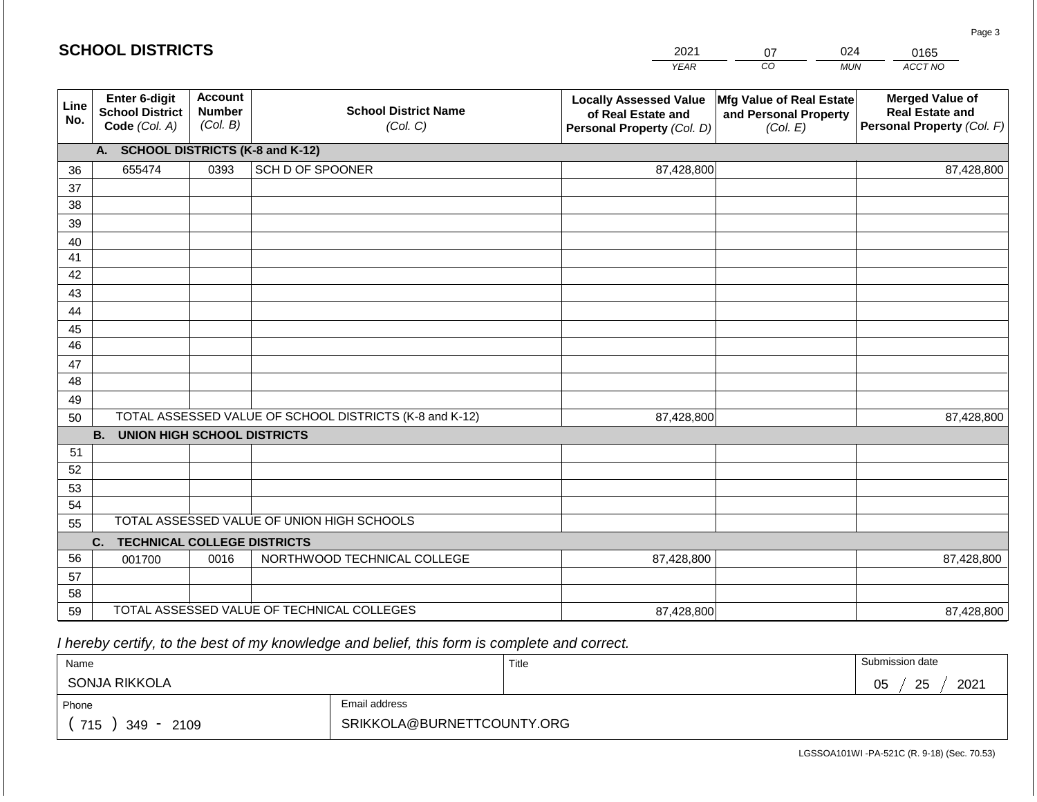|             | <b>SCHOOL DISTRICTS</b>                                  |                                             |                                                         | 2021                                                                              | 07                                                            | 024        | 0165                                                                           |
|-------------|----------------------------------------------------------|---------------------------------------------|---------------------------------------------------------|-----------------------------------------------------------------------------------|---------------------------------------------------------------|------------|--------------------------------------------------------------------------------|
|             |                                                          |                                             |                                                         | <b>YEAR</b>                                                                       | CO                                                            | <b>MUN</b> | ACCT NO                                                                        |
| Line<br>No. | Enter 6-digit<br><b>School District</b><br>Code (Col. A) | <b>Account</b><br><b>Number</b><br>(Col. B) | <b>School District Name</b><br>(Col. C)                 | <b>Locally Assessed Value</b><br>of Real Estate and<br>Personal Property (Col. D) | Mfg Value of Real Estate<br>and Personal Property<br>(Col. E) |            | <b>Merged Value of</b><br><b>Real Estate and</b><br>Personal Property (Col. F) |
|             | A. SCHOOL DISTRICTS (K-8 and K-12)                       |                                             |                                                         |                                                                                   |                                                               |            |                                                                                |
| 36          | 655474                                                   | 0393                                        | SCH D OF SPOONER                                        | 87,428,800                                                                        |                                                               |            | 87,428,800                                                                     |
| 37          |                                                          |                                             |                                                         |                                                                                   |                                                               |            |                                                                                |
| 38          |                                                          |                                             |                                                         |                                                                                   |                                                               |            |                                                                                |
| 39          |                                                          |                                             |                                                         |                                                                                   |                                                               |            |                                                                                |
| 40          |                                                          |                                             |                                                         |                                                                                   |                                                               |            |                                                                                |
| 41          |                                                          |                                             |                                                         |                                                                                   |                                                               |            |                                                                                |
| 42          |                                                          |                                             |                                                         |                                                                                   |                                                               |            |                                                                                |
| 43          |                                                          |                                             |                                                         |                                                                                   |                                                               |            |                                                                                |
| 44<br>45    |                                                          |                                             |                                                         |                                                                                   |                                                               |            |                                                                                |
| 46          |                                                          |                                             |                                                         |                                                                                   |                                                               |            |                                                                                |
| 47          |                                                          |                                             |                                                         |                                                                                   |                                                               |            |                                                                                |
| 48          |                                                          |                                             |                                                         |                                                                                   |                                                               |            |                                                                                |
| 49          |                                                          |                                             |                                                         |                                                                                   |                                                               |            |                                                                                |
| 50          |                                                          |                                             | TOTAL ASSESSED VALUE OF SCHOOL DISTRICTS (K-8 and K-12) | 87,428,800                                                                        |                                                               |            | 87,428,800                                                                     |
|             | <b>B.</b><br><b>UNION HIGH SCHOOL DISTRICTS</b>          |                                             |                                                         |                                                                                   |                                                               |            |                                                                                |
| 51          |                                                          |                                             |                                                         |                                                                                   |                                                               |            |                                                                                |
| 52          |                                                          |                                             |                                                         |                                                                                   |                                                               |            |                                                                                |
| 53          |                                                          |                                             |                                                         |                                                                                   |                                                               |            |                                                                                |
| 54          |                                                          |                                             |                                                         |                                                                                   |                                                               |            |                                                                                |
| 55          |                                                          |                                             | TOTAL ASSESSED VALUE OF UNION HIGH SCHOOLS              |                                                                                   |                                                               |            |                                                                                |
|             | <b>TECHNICAL COLLEGE DISTRICTS</b><br>C.                 |                                             |                                                         |                                                                                   |                                                               |            |                                                                                |
| 56          | 001700                                                   | 0016                                        | NORTHWOOD TECHNICAL COLLEGE                             | 87,428,800                                                                        |                                                               |            | 87,428,800                                                                     |
| 57          |                                                          |                                             |                                                         |                                                                                   |                                                               |            |                                                                                |
| 58          |                                                          |                                             | TOTAL ASSESSED VALUE OF TECHNICAL COLLEGES              |                                                                                   |                                                               |            |                                                                                |
| 59          |                                                          |                                             |                                                         | 87,428,800                                                                        |                                                               |            | 87,428,800                                                                     |

 *I hereby certify, to the best of my knowledge and belief, this form is complete and correct.*

| Name               |                            | Title | Submission date       |
|--------------------|----------------------------|-------|-----------------------|
| SONJA RIKKOLA      |                            |       | 2021<br>25<br>∩ҕ<br>◡ |
| Phone              | Email address              |       |                       |
| 715<br>349<br>2109 | SRIKKOLA@BURNETTCOUNTY.ORG |       |                       |

LGSSOA101WI -PA-521C (R. 9-18) (Sec. 70.53)

Page 3

|  | <b>SCHOOL DISTRICTS</b> |
|--|-------------------------|
|--|-------------------------|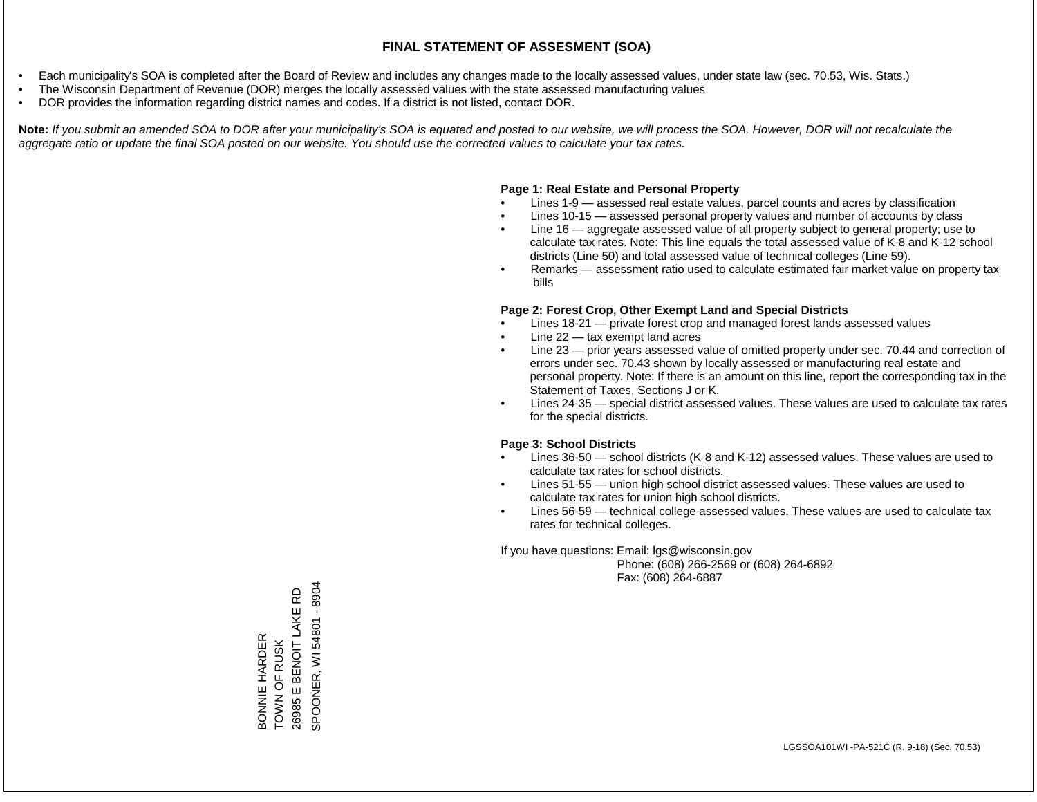- Each municipality's SOA is completed after the Board of Review and includes any changes made to the locally assessed values, under state law (sec. 70.53, Wis. Stats.)
- The Wisconsin Department of Revenue (DOR) merges the locally assessed values with the state assessed manufacturing values
- DOR provides the information regarding district names and codes. If a district is not listed, contact DOR.

Note: If you submit an amended SOA to DOR after your municipality's SOA is equated and posted to our website, we will process the SOA. However, DOR will not recalculate the *aggregate ratio or update the final SOA posted on our website. You should use the corrected values to calculate your tax rates.*

#### **Page 1: Real Estate and Personal Property**

- Lines 1-9 assessed real estate values, parcel counts and acres by classification
- Lines 10-15 assessed personal property values and number of accounts by class
- Line 16 aggregate assessed value of all property subject to general property; use to calculate tax rates. Note: This line equals the total assessed value of K-8 and K-12 school districts (Line 50) and total assessed value of technical colleges (Line 59).
- Remarks assessment ratio used to calculate estimated fair market value on property tax bills

#### **Page 2: Forest Crop, Other Exempt Land and Special Districts**

- Lines 18-21 private forest crop and managed forest lands assessed values
- Line  $22 -$  tax exempt land acres
- Line 23 prior years assessed value of omitted property under sec. 70.44 and correction of errors under sec. 70.43 shown by locally assessed or manufacturing real estate and personal property. Note: If there is an amount on this line, report the corresponding tax in the Statement of Taxes, Sections J or K.
- Lines 24-35 special district assessed values. These values are used to calculate tax rates for the special districts.

#### **Page 3: School Districts**

- Lines 36-50 school districts (K-8 and K-12) assessed values. These values are used to calculate tax rates for school districts.
- Lines 51-55 union high school district assessed values. These values are used to calculate tax rates for union high school districts.
- Lines 56-59 technical college assessed values. These values are used to calculate tax rates for technical colleges.

If you have questions: Email: lgs@wisconsin.gov

 Phone: (608) 266-2569 or (608) 264-6892 Fax: (608) 264-6887

SPOONER, WI 54801 - 8904 SPOONER, WI 54801 - 8904E BENOIT LAKE RD 26985 E BENOIT LAKE RD BONNIE HARDER<br>TOWN OF RUSK<br>26985 E BENOIT LA BONNIE HARDER TOWN OF RUSK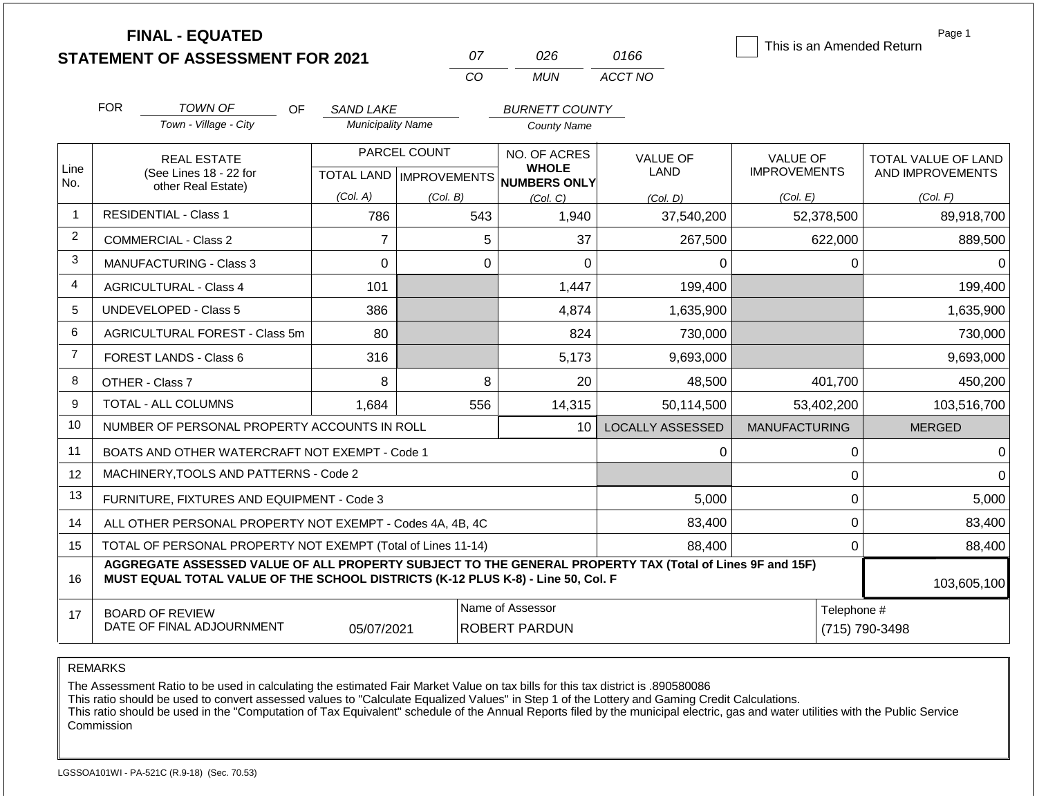| <b>FINAL - EQUATED</b><br>This is an Amended Return<br>0166<br>07<br>026<br><b>STATEMENT OF ASSESSMENT FOR 2021</b> |                                                                                                                                                                                              |                          |              |                                      |                         |                      |                            |  |  |  |
|---------------------------------------------------------------------------------------------------------------------|----------------------------------------------------------------------------------------------------------------------------------------------------------------------------------------------|--------------------------|--------------|--------------------------------------|-------------------------|----------------------|----------------------------|--|--|--|
|                                                                                                                     |                                                                                                                                                                                              |                          | CO           | <b>MUN</b>                           | ACCT NO                 |                      |                            |  |  |  |
|                                                                                                                     |                                                                                                                                                                                              |                          |              |                                      |                         |                      |                            |  |  |  |
|                                                                                                                     | <b>FOR</b><br><b>TOWN OF</b><br><b>OF</b>                                                                                                                                                    | <b>SAND LAKE</b>         |              | <b>BURNETT COUNTY</b>                |                         |                      |                            |  |  |  |
|                                                                                                                     | Town - Village - City                                                                                                                                                                        | <b>Municipality Name</b> |              | <b>County Name</b>                   |                         |                      |                            |  |  |  |
|                                                                                                                     | <b>REAL ESTATE</b>                                                                                                                                                                           |                          | PARCEL COUNT | NO. OF ACRES<br><b>WHOLE</b>         | <b>VALUE OF</b>         | <b>VALUE OF</b>      | <b>TOTAL VALUE OF LAND</b> |  |  |  |
| Line<br>No.                                                                                                         | (See Lines 18 - 22 for<br>other Real Estate)                                                                                                                                                 |                          |              | TOTAL LAND IMPROVEMENTS NUMBERS ONLY | LAND                    | <b>IMPROVEMENTS</b>  | AND IMPROVEMENTS           |  |  |  |
|                                                                                                                     |                                                                                                                                                                                              | (Col. A)                 | (Col. B)     | (Col, C)                             | (Col. D)                | (Col. E)             | (Col. F)                   |  |  |  |
| $\overline{1}$                                                                                                      | <b>RESIDENTIAL - Class 1</b>                                                                                                                                                                 | 786                      | 543          | 1,940                                | 37,540,200              | 52,378,500           | 89,918,700                 |  |  |  |
| $\overline{2}$                                                                                                      | COMMERCIAL - Class 2                                                                                                                                                                         | $\overline{7}$           |              | 5<br>37                              | 267,500                 | 622,000              | 889,500                    |  |  |  |
| 3                                                                                                                   | <b>MANUFACTURING - Class 3</b>                                                                                                                                                               | $\overline{0}$           |              | $\mathbf 0$<br>$\overline{0}$        | 0                       | 0                    | $\Omega$                   |  |  |  |
| 4                                                                                                                   | <b>AGRICULTURAL - Class 4</b>                                                                                                                                                                | 101                      |              | 1,447                                | 199,400                 |                      | 199,400                    |  |  |  |
| 5                                                                                                                   | <b>UNDEVELOPED - Class 5</b>                                                                                                                                                                 | 386                      |              | 4,874                                | 1,635,900               |                      | 1,635,900                  |  |  |  |
| 6                                                                                                                   | AGRICULTURAL FOREST - Class 5m                                                                                                                                                               | 80                       |              | 824                                  | 730,000                 |                      | 730,000                    |  |  |  |
| $\overline{7}$                                                                                                      | <b>FOREST LANDS - Class 6</b>                                                                                                                                                                | 316                      |              | 5,173                                | 9,693,000               |                      | 9,693,000                  |  |  |  |
| 8                                                                                                                   | OTHER - Class 7                                                                                                                                                                              | 8                        |              | 8<br>20                              | 48,500                  | 401,700              | 450,200                    |  |  |  |
| 9                                                                                                                   | <b>TOTAL - ALL COLUMNS</b>                                                                                                                                                                   | 1,684                    | 556          | 14,315                               | 50,114,500              | 53,402,200           | 103,516,700                |  |  |  |
| 10                                                                                                                  | NUMBER OF PERSONAL PROPERTY ACCOUNTS IN ROLL                                                                                                                                                 |                          |              | 10                                   | <b>LOCALLY ASSESSED</b> | <b>MANUFACTURING</b> | <b>MERGED</b>              |  |  |  |
| 11                                                                                                                  | BOATS AND OTHER WATERCRAFT NOT EXEMPT - Code 1                                                                                                                                               |                          |              |                                      | 0                       | $\mathbf 0$          | $\overline{0}$             |  |  |  |
| 12                                                                                                                  | MACHINERY, TOOLS AND PATTERNS - Code 2                                                                                                                                                       |                          |              |                                      |                         | $\mathbf 0$          | $\Omega$                   |  |  |  |
| 13                                                                                                                  | FURNITURE, FIXTURES AND EQUIPMENT - Code 3                                                                                                                                                   |                          |              |                                      | 5,000                   | $\mathbf 0$          | 5,000                      |  |  |  |
| 14                                                                                                                  | ALL OTHER PERSONAL PROPERTY NOT EXEMPT - Codes 4A, 4B, 4C                                                                                                                                    |                          |              |                                      | 83,400                  | $\mathbf 0$          | 83,400                     |  |  |  |
| 15                                                                                                                  | TOTAL OF PERSONAL PROPERTY NOT EXEMPT (Total of Lines 11-14)                                                                                                                                 |                          |              |                                      | 88,400                  | $\pmb{0}$            | 88,400                     |  |  |  |
| 16                                                                                                                  | AGGREGATE ASSESSED VALUE OF ALL PROPERTY SUBJECT TO THE GENERAL PROPERTY TAX (Total of Lines 9F and 15F)<br>MUST EQUAL TOTAL VALUE OF THE SCHOOL DISTRICTS (K-12 PLUS K-8) - Line 50, Col. F |                          |              |                                      |                         |                      | 103,605,100                |  |  |  |
| 17                                                                                                                  | <b>BOARD OF REVIEW</b><br>DATE OF FINAL ADJOURNMENT                                                                                                                                          |                          | Telephone #  | (715) 790-3498                       |                         |                      |                            |  |  |  |

The Assessment Ratio to be used in calculating the estimated Fair Market Value on tax bills for this tax district is .890580086

This ratio should be used to convert assessed values to "Calculate Equalized Values" in Step 1 of the Lottery and Gaming Credit Calculations.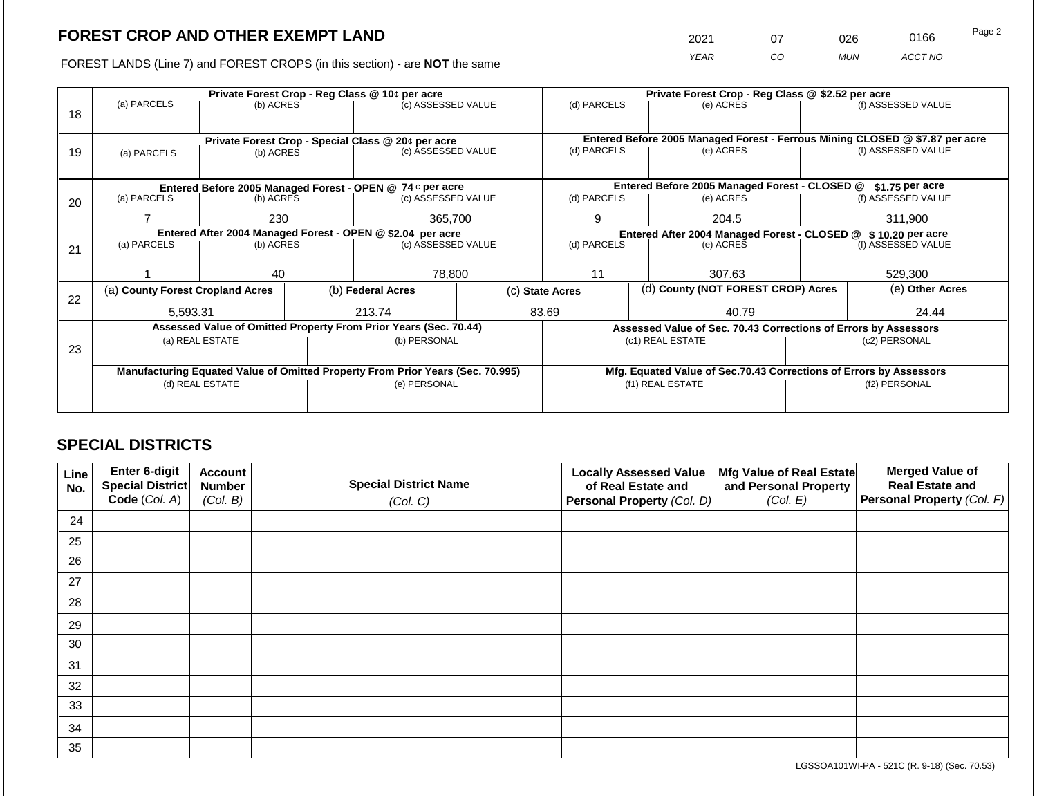2021 07 026 0166 Page 2

FOREST LANDS (Line 7) and FOREST CROPS (in this section) - are **NOT** the same *YEAR CO MUN ACCT NO*

|    |                                                            | Private Forest Crop - Reg Class @ 10¢ per acre |  |                                                                                |                                                               |                 |                                 | Private Forest Crop - Reg Class @ \$2.52 per acre                            |  |                                                              |  |  |
|----|------------------------------------------------------------|------------------------------------------------|--|--------------------------------------------------------------------------------|---------------------------------------------------------------|-----------------|---------------------------------|------------------------------------------------------------------------------|--|--------------------------------------------------------------|--|--|
| 18 | (a) PARCELS                                                | (b) ACRES                                      |  | (c) ASSESSED VALUE                                                             |                                                               | (d) PARCELS     |                                 | (e) ACRES                                                                    |  | (f) ASSESSED VALUE                                           |  |  |
|    |                                                            |                                                |  |                                                                                |                                                               |                 |                                 |                                                                              |  |                                                              |  |  |
|    |                                                            |                                                |  | Private Forest Crop - Special Class @ 20¢ per acre                             |                                                               |                 |                                 | Entered Before 2005 Managed Forest - Ferrous Mining CLOSED @ \$7.87 per acre |  |                                                              |  |  |
| 19 | (b) ACRES<br>(a) PARCELS                                   |                                                |  | (c) ASSESSED VALUE                                                             |                                                               | (d) PARCELS     |                                 | (e) ACRES                                                                    |  | (f) ASSESSED VALUE                                           |  |  |
|    |                                                            |                                                |  |                                                                                |                                                               |                 |                                 |                                                                              |  |                                                              |  |  |
|    |                                                            |                                                |  |                                                                                |                                                               |                 |                                 |                                                                              |  |                                                              |  |  |
|    |                                                            |                                                |  | Entered Before 2005 Managed Forest - OPEN @ 74 ¢ per acre                      |                                                               |                 |                                 | Entered Before 2005 Managed Forest - CLOSED @                                |  |                                                              |  |  |
| 20 | (a) PARCELS                                                | (b) ACRES                                      |  | (c) ASSESSED VALUE                                                             |                                                               | (d) PARCELS     |                                 | (e) ACRES                                                                    |  | (f) ASSESSED VALUE                                           |  |  |
|    |                                                            | 230                                            |  | 365,700                                                                        |                                                               | 9               |                                 | 204.5                                                                        |  | 311,900                                                      |  |  |
|    | Entered After 2004 Managed Forest - OPEN @ \$2.04 per acre |                                                |  |                                                                                | Entered After 2004 Managed Forest - CLOSED @ \$10.20 per acre |                 |                                 |                                                                              |  |                                                              |  |  |
| 21 | (a) PARCELS                                                | (b) ACRES                                      |  | (c) ASSESSED VALUE                                                             |                                                               | (d) PARCELS     | (f) ASSESSED VALUE<br>(e) ACRES |                                                                              |  |                                                              |  |  |
|    |                                                            |                                                |  |                                                                                |                                                               |                 |                                 |                                                                              |  |                                                              |  |  |
|    |                                                            | 40                                             |  | 78,800                                                                         |                                                               | 11              |                                 | 307.63                                                                       |  | 529,300                                                      |  |  |
|    | (a) County Forest Cropland Acres                           |                                                |  | (b) Federal Acres                                                              |                                                               | (c) State Acres |                                 | (d) County (NOT FOREST CROP) Acres                                           |  | \$1.75 per acre<br>(e) Other Acres<br>24.44<br>(f2) PERSONAL |  |  |
| 22 |                                                            |                                                |  |                                                                                |                                                               |                 |                                 |                                                                              |  |                                                              |  |  |
|    | 5,593.31                                                   |                                                |  | 213.74                                                                         |                                                               | 83.69           |                                 | 40.79                                                                        |  |                                                              |  |  |
|    |                                                            |                                                |  | Assessed Value of Omitted Property From Prior Years (Sec. 70.44)               |                                                               |                 |                                 | Assessed Value of Sec. 70.43 Corrections of Errors by Assessors              |  |                                                              |  |  |
|    |                                                            | (a) REAL ESTATE                                |  | (b) PERSONAL                                                                   |                                                               |                 |                                 | (c1) REAL ESTATE                                                             |  | (c2) PERSONAL                                                |  |  |
| 23 |                                                            |                                                |  |                                                                                |                                                               |                 |                                 |                                                                              |  |                                                              |  |  |
|    |                                                            |                                                |  | Manufacturing Equated Value of Omitted Property From Prior Years (Sec. 70.995) |                                                               |                 |                                 | Mfg. Equated Value of Sec.70.43 Corrections of Errors by Assessors           |  |                                                              |  |  |
|    |                                                            | (d) REAL ESTATE                                |  | (e) PERSONAL                                                                   |                                                               |                 | (f1) REAL ESTATE                |                                                                              |  |                                                              |  |  |
|    |                                                            |                                                |  |                                                                                |                                                               |                 |                                 |                                                                              |  |                                                              |  |  |
|    |                                                            |                                                |  |                                                                                |                                                               |                 |                                 |                                                                              |  |                                                              |  |  |

# **SPECIAL DISTRICTS**

| Line<br>No. | <b>Enter 6-digit</b><br>Special District | <b>Account</b><br><b>Number</b> | <b>Special District Name</b> | <b>Locally Assessed Value</b><br>of Real Estate and | Mfg Value of Real Estate<br>and Personal Property | <b>Merged Value of</b><br><b>Real Estate and</b> |
|-------------|------------------------------------------|---------------------------------|------------------------------|-----------------------------------------------------|---------------------------------------------------|--------------------------------------------------|
|             | Code (Col. A)                            | (Col. B)                        | (Col. C)                     | Personal Property (Col. D)                          | (Col. E)                                          | Personal Property (Col. F)                       |
| 24          |                                          |                                 |                              |                                                     |                                                   |                                                  |
| 25          |                                          |                                 |                              |                                                     |                                                   |                                                  |
| 26          |                                          |                                 |                              |                                                     |                                                   |                                                  |
| 27          |                                          |                                 |                              |                                                     |                                                   |                                                  |
| 28          |                                          |                                 |                              |                                                     |                                                   |                                                  |
| 29          |                                          |                                 |                              |                                                     |                                                   |                                                  |
| 30          |                                          |                                 |                              |                                                     |                                                   |                                                  |
| 31          |                                          |                                 |                              |                                                     |                                                   |                                                  |
| 32          |                                          |                                 |                              |                                                     |                                                   |                                                  |
| 33          |                                          |                                 |                              |                                                     |                                                   |                                                  |
| 34          |                                          |                                 |                              |                                                     |                                                   |                                                  |
| 35          |                                          |                                 |                              |                                                     |                                                   |                                                  |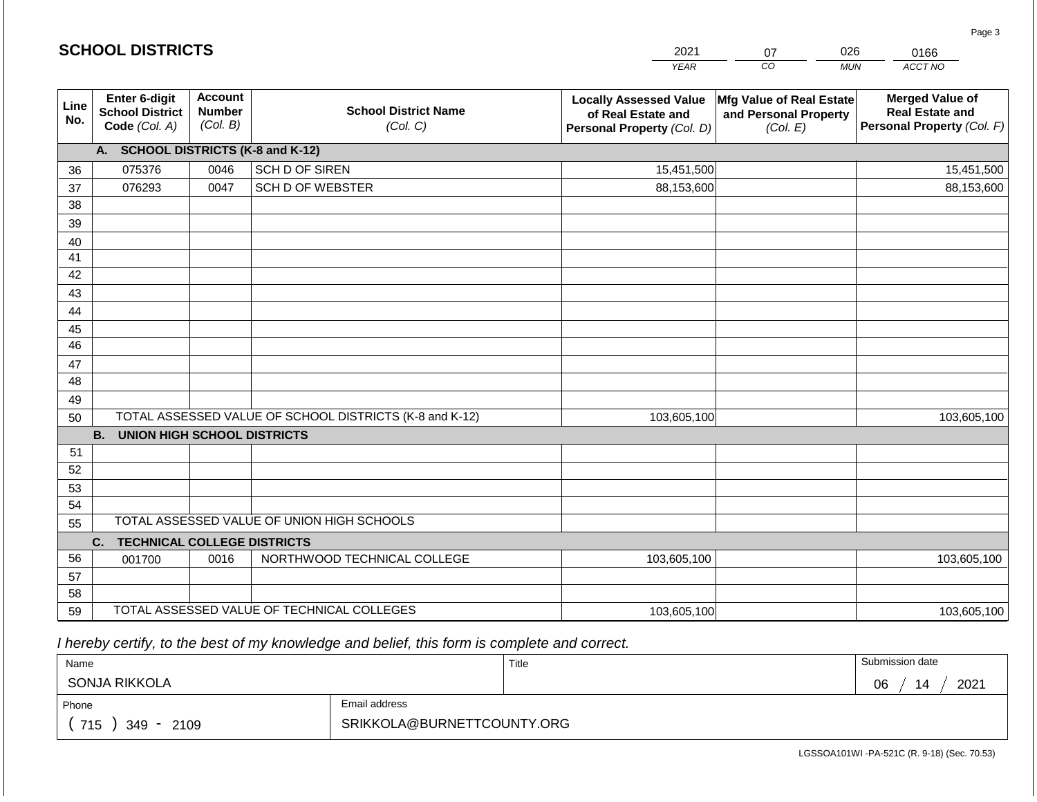|             |                                                          |                                             |                                                         | <b>YEAR</b>                                                                       | $\overline{co}$<br><b>MUN</b>                                 | ACCT NO                                                                        |
|-------------|----------------------------------------------------------|---------------------------------------------|---------------------------------------------------------|-----------------------------------------------------------------------------------|---------------------------------------------------------------|--------------------------------------------------------------------------------|
| Line<br>No. | Enter 6-digit<br><b>School District</b><br>Code (Col. A) | <b>Account</b><br><b>Number</b><br>(Col. B) | <b>School District Name</b><br>(Col. C)                 | <b>Locally Assessed Value</b><br>of Real Estate and<br>Personal Property (Col. D) | Mfg Value of Real Estate<br>and Personal Property<br>(Col. E) | <b>Merged Value of</b><br><b>Real Estate and</b><br>Personal Property (Col. F) |
|             | A. SCHOOL DISTRICTS (K-8 and K-12)                       |                                             |                                                         |                                                                                   |                                                               |                                                                                |
| 36          | 075376                                                   | 0046                                        | SCH D OF SIREN                                          | 15,451,500                                                                        |                                                               | 15,451,500                                                                     |
| 37          | 076293                                                   | 0047                                        | <b>SCH D OF WEBSTER</b>                                 | 88,153,600                                                                        |                                                               | 88,153,600                                                                     |
| 38          |                                                          |                                             |                                                         |                                                                                   |                                                               |                                                                                |
| 39          |                                                          |                                             |                                                         |                                                                                   |                                                               |                                                                                |
| 40          |                                                          |                                             |                                                         |                                                                                   |                                                               |                                                                                |
| 41          |                                                          |                                             |                                                         |                                                                                   |                                                               |                                                                                |
| 42          |                                                          |                                             |                                                         |                                                                                   |                                                               |                                                                                |
| 43          |                                                          |                                             |                                                         |                                                                                   |                                                               |                                                                                |
| 44          |                                                          |                                             |                                                         |                                                                                   |                                                               |                                                                                |
| 45          |                                                          |                                             |                                                         |                                                                                   |                                                               |                                                                                |
| 46          |                                                          |                                             |                                                         |                                                                                   |                                                               |                                                                                |
| 47          |                                                          |                                             |                                                         |                                                                                   |                                                               |                                                                                |
| 48          |                                                          |                                             |                                                         |                                                                                   |                                                               |                                                                                |
| 49<br>50    |                                                          |                                             | TOTAL ASSESSED VALUE OF SCHOOL DISTRICTS (K-8 and K-12) | 103,605,100                                                                       |                                                               | 103,605,100                                                                    |
|             | <b>B.</b><br><b>UNION HIGH SCHOOL DISTRICTS</b>          |                                             |                                                         |                                                                                   |                                                               |                                                                                |
| 51          |                                                          |                                             |                                                         |                                                                                   |                                                               |                                                                                |
| 52          |                                                          |                                             |                                                         |                                                                                   |                                                               |                                                                                |
| 53          |                                                          |                                             |                                                         |                                                                                   |                                                               |                                                                                |
| 54          |                                                          |                                             |                                                         |                                                                                   |                                                               |                                                                                |
| 55          |                                                          |                                             | TOTAL ASSESSED VALUE OF UNION HIGH SCHOOLS              |                                                                                   |                                                               |                                                                                |
|             | C.<br><b>TECHNICAL COLLEGE DISTRICTS</b>                 |                                             |                                                         |                                                                                   |                                                               |                                                                                |
| 56          | 001700                                                   | 0016                                        | NORTHWOOD TECHNICAL COLLEGE                             | 103,605,100                                                                       |                                                               | 103,605,100                                                                    |
| 57          |                                                          |                                             |                                                         |                                                                                   |                                                               |                                                                                |
| 58          |                                                          |                                             |                                                         |                                                                                   |                                                               |                                                                                |
| 59          |                                                          |                                             | TOTAL ASSESSED VALUE OF TECHNICAL COLLEGES              | 103,605,100                                                                       |                                                               | 103,605,100                                                                    |

2021

07

026

 *I hereby certify, to the best of my knowledge and belief, this form is complete and correct.*

**SCHOOL DISTRICTS**

| Name                 |                            | Title | Submission date  |
|----------------------|----------------------------|-------|------------------|
| SONJA RIKKOLA        |                            |       | 2021<br>06<br>14 |
| Phone                | Email address              |       |                  |
| 715<br>2109<br>349 - | SRIKKOLA@BURNETTCOUNTY.ORG |       |                  |

Page 3

0166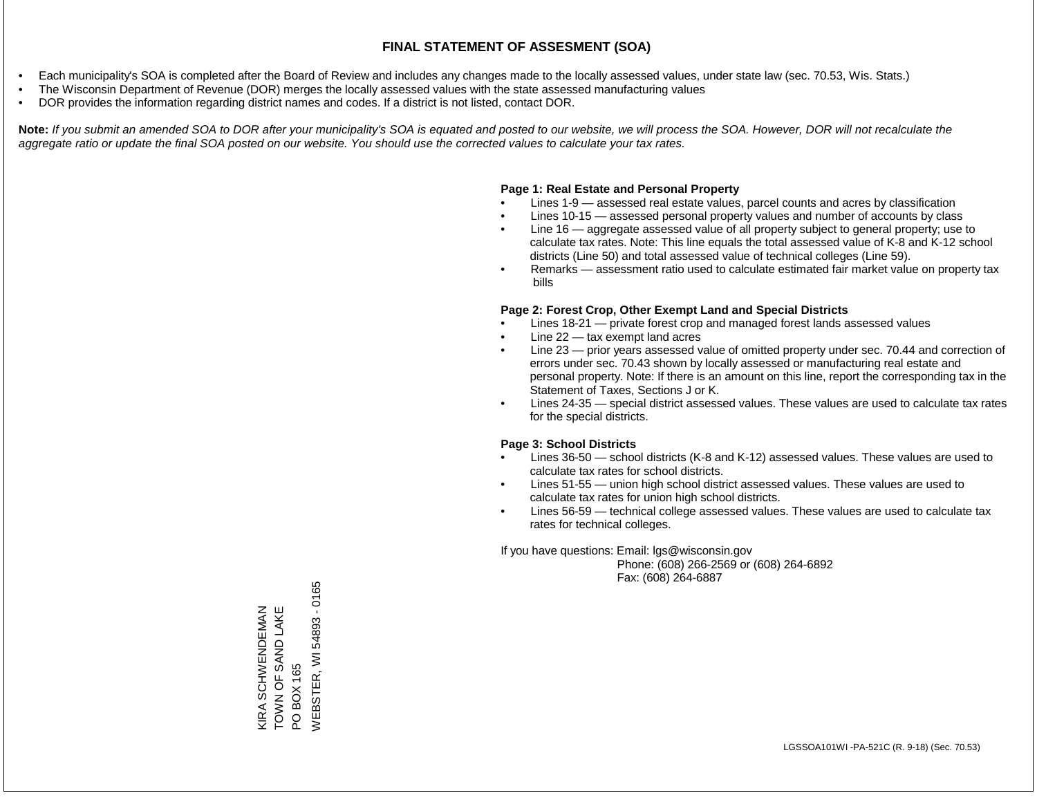- Each municipality's SOA is completed after the Board of Review and includes any changes made to the locally assessed values, under state law (sec. 70.53, Wis. Stats.)
- The Wisconsin Department of Revenue (DOR) merges the locally assessed values with the state assessed manufacturing values
- DOR provides the information regarding district names and codes. If a district is not listed, contact DOR.

Note: If you submit an amended SOA to DOR after your municipality's SOA is equated and posted to our website, we will process the SOA. However, DOR will not recalculate the *aggregate ratio or update the final SOA posted on our website. You should use the corrected values to calculate your tax rates.*

### **Page 1: Real Estate and Personal Property**

- Lines 1-9 assessed real estate values, parcel counts and acres by classification
- Lines 10-15 assessed personal property values and number of accounts by class
- Line 16 aggregate assessed value of all property subject to general property; use to calculate tax rates. Note: This line equals the total assessed value of K-8 and K-12 school districts (Line 50) and total assessed value of technical colleges (Line 59).
- Remarks assessment ratio used to calculate estimated fair market value on property tax bills

### **Page 2: Forest Crop, Other Exempt Land and Special Districts**

- Lines 18-21 private forest crop and managed forest lands assessed values
- Line  $22 -$  tax exempt land acres
- Line 23 prior years assessed value of omitted property under sec. 70.44 and correction of errors under sec. 70.43 shown by locally assessed or manufacturing real estate and personal property. Note: If there is an amount on this line, report the corresponding tax in the Statement of Taxes, Sections J or K.
- Lines 24-35 special district assessed values. These values are used to calculate tax rates for the special districts.

### **Page 3: School Districts**

- Lines 36-50 school districts (K-8 and K-12) assessed values. These values are used to calculate tax rates for school districts.
- Lines 51-55 union high school district assessed values. These values are used to calculate tax rates for union high school districts.
- Lines 56-59 technical college assessed values. These values are used to calculate tax rates for technical colleges.

If you have questions: Email: lgs@wisconsin.gov

 Phone: (608) 266-2569 or (608) 264-6892 Fax: (608) 264-6887

/VEBSTER, WI 54893 - 0165 WEBSTER, WI 54893 - 0165TOWN OF SAND LAKE KIRA SCHWENDEMAN<br>TOWN OF SAND LAKE KIRA SCHWENDEMAN PO BOX 165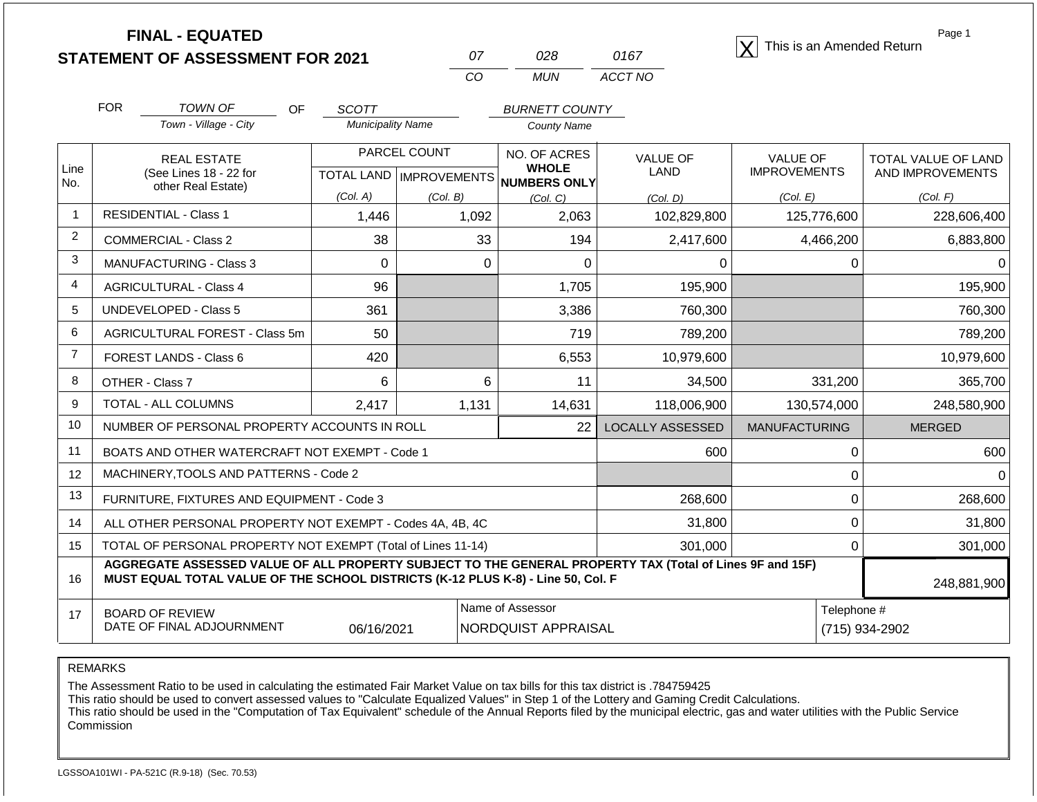**STATEMENT OF ASSESSMENT FOR 2021**  $\begin{array}{ccc} 07 & 028 & 0167 \end{array}$  This is an Amended Return

| 07  | กวล | 0167    |
|-----|-----|---------|
| CO. | MUN | ACCT NO |

Page 1

|                | <b>FOR</b>                                                              | TOWN OF<br><b>OF</b>                                                                                                                                                                         | <b>SCOTT</b>                              |          | <b>BURNETT COUNTY</b>        |                                |                                 |                                         |
|----------------|-------------------------------------------------------------------------|----------------------------------------------------------------------------------------------------------------------------------------------------------------------------------------------|-------------------------------------------|----------|------------------------------|--------------------------------|---------------------------------|-----------------------------------------|
|                |                                                                         | Town - Village - City                                                                                                                                                                        | <b>Municipality Name</b>                  |          | <b>County Name</b>           |                                |                                 |                                         |
| Line           |                                                                         | <b>REAL ESTATE</b><br>(See Lines 18 - 22 for                                                                                                                                                 | PARCEL COUNT<br>TOTAL LAND   IMPROVEMENTS |          | NO. OF ACRES<br><b>WHOLE</b> | <b>VALUE OF</b><br><b>LAND</b> | VALUE OF<br><b>IMPROVEMENTS</b> | TOTAL VALUE OF LAND<br>AND IMPROVEMENTS |
| No.            |                                                                         | other Real Estate)                                                                                                                                                                           | (Col. A)                                  | (Col. B) | NUMBERS ONLY<br>(Col, C)     | (Col, D)                       | (Col. E)                        | (Col. F)                                |
| $\mathbf{1}$   |                                                                         | <b>RESIDENTIAL - Class 1</b>                                                                                                                                                                 | 1,446                                     | 1,092    | 2,063                        | 102,829,800                    | 125,776,600                     | 228,606,400                             |
| $\overline{2}$ |                                                                         | <b>COMMERCIAL - Class 2</b>                                                                                                                                                                  | 38                                        | 33       | 194                          | 2,417,600                      | 4,466,200                       | 6,883,800                               |
| 3              |                                                                         | <b>MANUFACTURING - Class 3</b>                                                                                                                                                               | 0                                         | $\Omega$ | 0                            | 0                              | $\Omega$                        |                                         |
| 4              |                                                                         | <b>AGRICULTURAL - Class 4</b>                                                                                                                                                                | 96                                        |          | 1,705                        | 195,900                        |                                 | 195,900                                 |
| 5              |                                                                         | <b>UNDEVELOPED - Class 5</b>                                                                                                                                                                 | 361                                       |          | 3,386                        | 760,300                        |                                 | 760,300                                 |
| 6              |                                                                         | AGRICULTURAL FOREST - Class 5m                                                                                                                                                               | 50                                        |          | 719                          | 789,200                        |                                 | 789,200                                 |
| $\overline{7}$ |                                                                         | FOREST LANDS - Class 6                                                                                                                                                                       | 420                                       |          | 6,553                        | 10,979,600                     |                                 | 10,979,600                              |
| 8              |                                                                         | OTHER - Class 7                                                                                                                                                                              | 6                                         | 6        | 11                           | 34,500                         | 331,200                         | 365,700                                 |
| 9              |                                                                         | TOTAL - ALL COLUMNS                                                                                                                                                                          | 2,417                                     | 1,131    | 14,631                       | 118,006,900                    | 130,574,000                     | 248,580,900                             |
| 10             |                                                                         | NUMBER OF PERSONAL PROPERTY ACCOUNTS IN ROLL                                                                                                                                                 |                                           |          | 22                           | <b>LOCALLY ASSESSED</b>        | <b>MANUFACTURING</b>            | <b>MERGED</b>                           |
| 11             |                                                                         | BOATS AND OTHER WATERCRAFT NOT EXEMPT - Code 1                                                                                                                                               |                                           |          |                              | 600                            | 0                               | 600                                     |
| 12             |                                                                         | MACHINERY, TOOLS AND PATTERNS - Code 2                                                                                                                                                       |                                           |          |                              |                                | $\mathbf 0$                     | O                                       |
| 13             |                                                                         | FURNITURE, FIXTURES AND EQUIPMENT - Code 3                                                                                                                                                   |                                           |          |                              | 268,600                        | $\Omega$                        | 268,600                                 |
| 14             |                                                                         | ALL OTHER PERSONAL PROPERTY NOT EXEMPT - Codes 4A, 4B, 4C                                                                                                                                    |                                           |          |                              | 31,800                         | $\Omega$                        | 31,800                                  |
| 15             | TOTAL OF PERSONAL PROPERTY NOT EXEMPT (Total of Lines 11-14)<br>301,000 |                                                                                                                                                                                              |                                           |          |                              |                                | 0                               | 301,000                                 |
| 16             |                                                                         | AGGREGATE ASSESSED VALUE OF ALL PROPERTY SUBJECT TO THE GENERAL PROPERTY TAX (Total of Lines 9F and 15F)<br>MUST EQUAL TOTAL VALUE OF THE SCHOOL DISTRICTS (K-12 PLUS K-8) - Line 50, Col. F |                                           |          |                              |                                |                                 | 248,881,900                             |
| 17             |                                                                         | <b>BOARD OF REVIEW</b>                                                                                                                                                                       |                                           |          | Name of Assessor             |                                | Telephone #                     |                                         |
|                |                                                                         | DATE OF FINAL ADJOURNMENT                                                                                                                                                                    | 06/16/2021                                |          | <b>NORDQUIST APPRAISAL</b>   |                                |                                 | (715) 934-2902                          |

REMARKS

The Assessment Ratio to be used in calculating the estimated Fair Market Value on tax bills for this tax district is .784759425

This ratio should be used to convert assessed values to "Calculate Equalized Values" in Step 1 of the Lottery and Gaming Credit Calculations.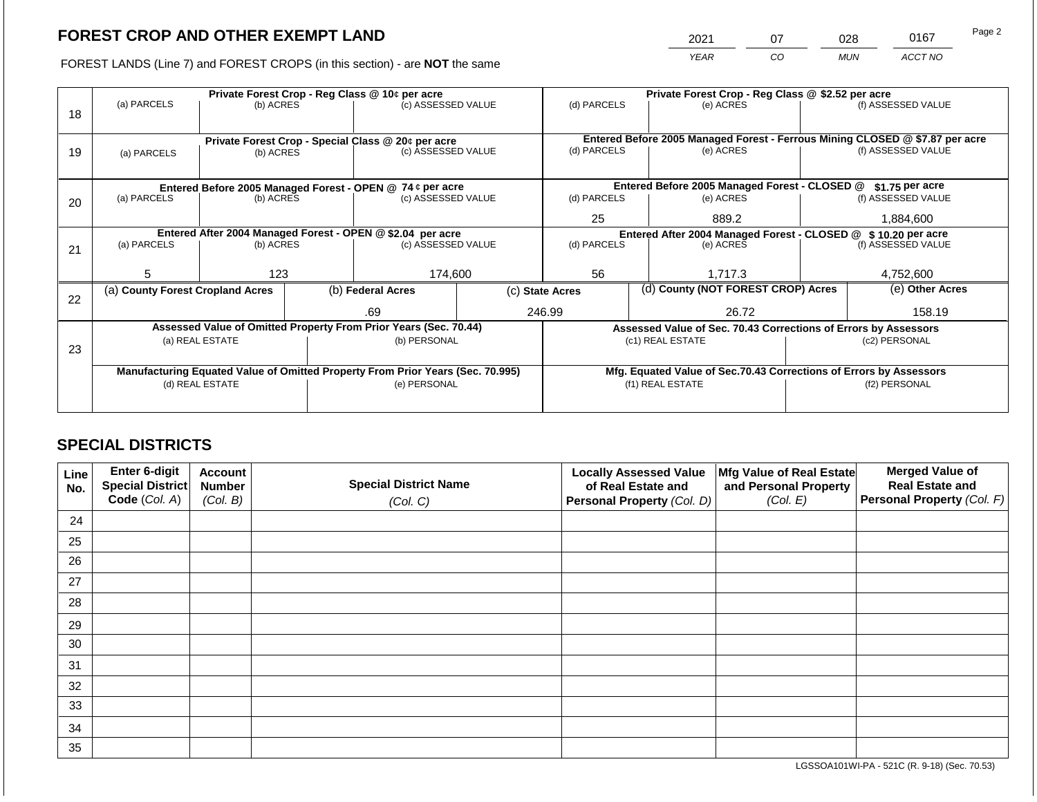2021 07 028 0167

FOREST LANDS (Line 7) and FOREST CROPS (in this section) - are **NOT** the same *YEAR CO MUN ACCT NO*

| 18 | Private Forest Crop - Reg Class @ 10¢ per acre<br>(a) PARCELS<br>(b) ACRES     |                 |  | (c) ASSESSED VALUE                                                       |                                                               | (d) PARCELS      |  | Private Forest Crop - Reg Class @ \$2.52 per acre<br>(e) ACRES     |  | (f) ASSESSED VALUE                                                                                 |  |  |
|----|--------------------------------------------------------------------------------|-----------------|--|--------------------------------------------------------------------------|---------------------------------------------------------------|------------------|--|--------------------------------------------------------------------|--|----------------------------------------------------------------------------------------------------|--|--|
| 19 | (a) PARCELS                                                                    | (b) ACRES       |  | Private Forest Crop - Special Class @ 20¢ per acre<br>(c) ASSESSED VALUE |                                                               | (d) PARCELS      |  | (e) ACRES                                                          |  | Entered Before 2005 Managed Forest - Ferrous Mining CLOSED @ \$7.87 per acre<br>(f) ASSESSED VALUE |  |  |
|    |                                                                                |                 |  | Entered Before 2005 Managed Forest - OPEN @ 74 ¢ per acre                |                                                               |                  |  | Entered Before 2005 Managed Forest - CLOSED @                      |  | $$1.75$ per acre                                                                                   |  |  |
| 20 | (a) PARCELS                                                                    | (b) ACRES       |  | (c) ASSESSED VALUE                                                       |                                                               | (d) PARCELS      |  | (e) ACRES                                                          |  | (f) ASSESSED VALUE                                                                                 |  |  |
|    |                                                                                |                 |  |                                                                          |                                                               | 25               |  | 889.2                                                              |  | 1,884,600                                                                                          |  |  |
|    | Entered After 2004 Managed Forest - OPEN @ \$2.04 per acre                     |                 |  |                                                                          | Entered After 2004 Managed Forest - CLOSED @ \$10.20 per acre |                  |  |                                                                    |  |                                                                                                    |  |  |
| 21 | (a) PARCELS                                                                    | (b) ACRES       |  | (c) ASSESSED VALUE                                                       |                                                               | (d) PARCELS      |  | (e) ACRES                                                          |  | (f) ASSESSED VALUE                                                                                 |  |  |
|    |                                                                                |                 |  |                                                                          |                                                               |                  |  |                                                                    |  |                                                                                                    |  |  |
|    | 5.                                                                             | 123             |  | 174.600                                                                  |                                                               | 56               |  | 1.717.3                                                            |  | 4.752.600                                                                                          |  |  |
| 22 | (a) County Forest Cropland Acres                                               |                 |  | (b) Federal Acres                                                        |                                                               | (c) State Acres  |  | (d) County (NOT FOREST CROP) Acres                                 |  | (e) Other Acres                                                                                    |  |  |
|    |                                                                                |                 |  | .69                                                                      |                                                               | 246.99           |  | 26.72                                                              |  | 158.19                                                                                             |  |  |
|    |                                                                                |                 |  | Assessed Value of Omitted Property From Prior Years (Sec. 70.44)         |                                                               |                  |  | Assessed Value of Sec. 70.43 Corrections of Errors by Assessors    |  |                                                                                                    |  |  |
|    |                                                                                | (a) REAL ESTATE |  | (b) PERSONAL                                                             |                                                               |                  |  | (c1) REAL ESTATE                                                   |  | (c2) PERSONAL                                                                                      |  |  |
| 23 |                                                                                |                 |  |                                                                          |                                                               |                  |  |                                                                    |  |                                                                                                    |  |  |
|    | Manufacturing Equated Value of Omitted Property From Prior Years (Sec. 70.995) |                 |  |                                                                          |                                                               |                  |  | Mfg. Equated Value of Sec.70.43 Corrections of Errors by Assessors |  |                                                                                                    |  |  |
|    |                                                                                | (d) REAL ESTATE |  | (e) PERSONAL                                                             |                                                               | (f1) REAL ESTATE |  | (f2) PERSONAL                                                      |  |                                                                                                    |  |  |
|    |                                                                                |                 |  |                                                                          |                                                               |                  |  |                                                                    |  |                                                                                                    |  |  |

# **SPECIAL DISTRICTS**

| Line<br>No. | Enter 6-digit<br>Special District<br>Code (Col. A) | <b>Account</b><br><b>Number</b><br>(Col. B) | <b>Special District Name</b><br>(Col. C) | <b>Locally Assessed Value</b><br>of Real Estate and<br><b>Personal Property (Col. D)</b> | Mfg Value of Real Estate<br>and Personal Property<br>(Col. E) | <b>Merged Value of</b><br><b>Real Estate and</b><br>Personal Property (Col. F) |
|-------------|----------------------------------------------------|---------------------------------------------|------------------------------------------|------------------------------------------------------------------------------------------|---------------------------------------------------------------|--------------------------------------------------------------------------------|
| 24          |                                                    |                                             |                                          |                                                                                          |                                                               |                                                                                |
| 25          |                                                    |                                             |                                          |                                                                                          |                                                               |                                                                                |
| 26          |                                                    |                                             |                                          |                                                                                          |                                                               |                                                                                |
| 27          |                                                    |                                             |                                          |                                                                                          |                                                               |                                                                                |
| 28          |                                                    |                                             |                                          |                                                                                          |                                                               |                                                                                |
| 29          |                                                    |                                             |                                          |                                                                                          |                                                               |                                                                                |
| 30          |                                                    |                                             |                                          |                                                                                          |                                                               |                                                                                |
| 31          |                                                    |                                             |                                          |                                                                                          |                                                               |                                                                                |
| 32          |                                                    |                                             |                                          |                                                                                          |                                                               |                                                                                |
| 33          |                                                    |                                             |                                          |                                                                                          |                                                               |                                                                                |
| 34          |                                                    |                                             |                                          |                                                                                          |                                                               |                                                                                |
| 35          |                                                    |                                             |                                          |                                                                                          |                                                               |                                                                                |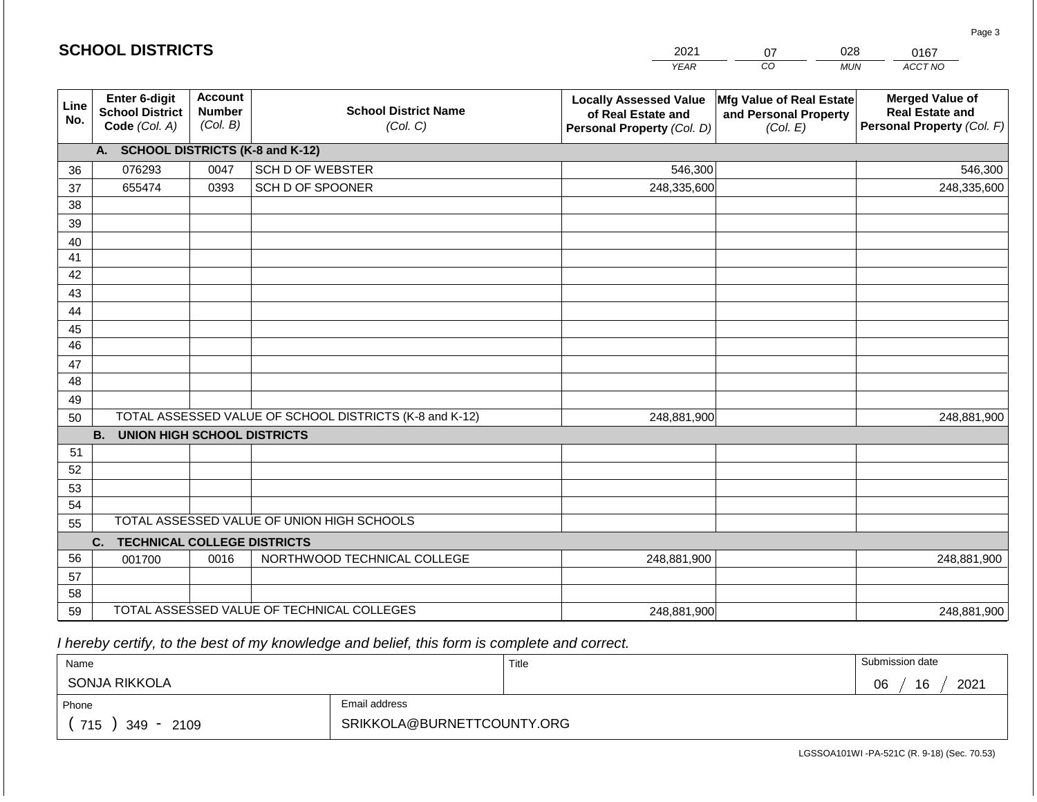|             |                                                          |                                             |                                                         | <b>YEAR</b>                                                                       | $\overline{co}$<br><b>MUN</b>                                 | ACCT NO                                                                        |
|-------------|----------------------------------------------------------|---------------------------------------------|---------------------------------------------------------|-----------------------------------------------------------------------------------|---------------------------------------------------------------|--------------------------------------------------------------------------------|
| Line<br>No. | Enter 6-digit<br><b>School District</b><br>Code (Col. A) | <b>Account</b><br><b>Number</b><br>(Col. B) | <b>School District Name</b><br>(Col. C)                 | <b>Locally Assessed Value</b><br>of Real Estate and<br>Personal Property (Col. D) | Mfg Value of Real Estate<br>and Personal Property<br>(Col. E) | <b>Merged Value of</b><br><b>Real Estate and</b><br>Personal Property (Col. F) |
|             | A. SCHOOL DISTRICTS (K-8 and K-12)                       |                                             |                                                         |                                                                                   |                                                               |                                                                                |
| 36          | 076293                                                   | 0047                                        | <b>SCH D OF WEBSTER</b>                                 | 546,300                                                                           |                                                               | 546,300                                                                        |
| 37          | 655474                                                   | 0393                                        | SCH D OF SPOONER                                        | 248,335,600                                                                       |                                                               | 248,335,600                                                                    |
| 38          |                                                          |                                             |                                                         |                                                                                   |                                                               |                                                                                |
| 39          |                                                          |                                             |                                                         |                                                                                   |                                                               |                                                                                |
| 40          |                                                          |                                             |                                                         |                                                                                   |                                                               |                                                                                |
| 41          |                                                          |                                             |                                                         |                                                                                   |                                                               |                                                                                |
| 42          |                                                          |                                             |                                                         |                                                                                   |                                                               |                                                                                |
| 43          |                                                          |                                             |                                                         |                                                                                   |                                                               |                                                                                |
| 44          |                                                          |                                             |                                                         |                                                                                   |                                                               |                                                                                |
| 45          |                                                          |                                             |                                                         |                                                                                   |                                                               |                                                                                |
| 46          |                                                          |                                             |                                                         |                                                                                   |                                                               |                                                                                |
| 47          |                                                          |                                             |                                                         |                                                                                   |                                                               |                                                                                |
| 48          |                                                          |                                             |                                                         |                                                                                   |                                                               |                                                                                |
| 49<br>50    |                                                          |                                             | TOTAL ASSESSED VALUE OF SCHOOL DISTRICTS (K-8 and K-12) | 248,881,900                                                                       |                                                               | 248,881,900                                                                    |
|             | <b>B.</b><br><b>UNION HIGH SCHOOL DISTRICTS</b>          |                                             |                                                         |                                                                                   |                                                               |                                                                                |
| 51          |                                                          |                                             |                                                         |                                                                                   |                                                               |                                                                                |
| 52          |                                                          |                                             |                                                         |                                                                                   |                                                               |                                                                                |
| 53          |                                                          |                                             |                                                         |                                                                                   |                                                               |                                                                                |
| 54          |                                                          |                                             |                                                         |                                                                                   |                                                               |                                                                                |
| 55          |                                                          |                                             | TOTAL ASSESSED VALUE OF UNION HIGH SCHOOLS              |                                                                                   |                                                               |                                                                                |
|             | C.<br><b>TECHNICAL COLLEGE DISTRICTS</b>                 |                                             |                                                         |                                                                                   |                                                               |                                                                                |
| 56          | 001700                                                   | 0016                                        | NORTHWOOD TECHNICAL COLLEGE                             | 248,881,900                                                                       |                                                               | 248,881,900                                                                    |
| 57          |                                                          |                                             |                                                         |                                                                                   |                                                               |                                                                                |
| 58          |                                                          |                                             |                                                         |                                                                                   |                                                               |                                                                                |
| 59          | TOTAL ASSESSED VALUE OF TECHNICAL COLLEGES               |                                             |                                                         | 248,881,900                                                                       |                                                               | 248,881,900                                                                    |

2021

07

028

 *I hereby certify, to the best of my knowledge and belief, this form is complete and correct.*

**SCHOOL DISTRICTS**

| Name                   |                            | Title | Submission date  |
|------------------------|----------------------------|-------|------------------|
| SONJA RIKKOLA          |                            |       | 2021<br>16<br>06 |
| Phone                  | Email address              |       |                  |
| 715<br>$349 -$<br>2109 | SRIKKOLA@BURNETTCOUNTY.ORG |       |                  |

0167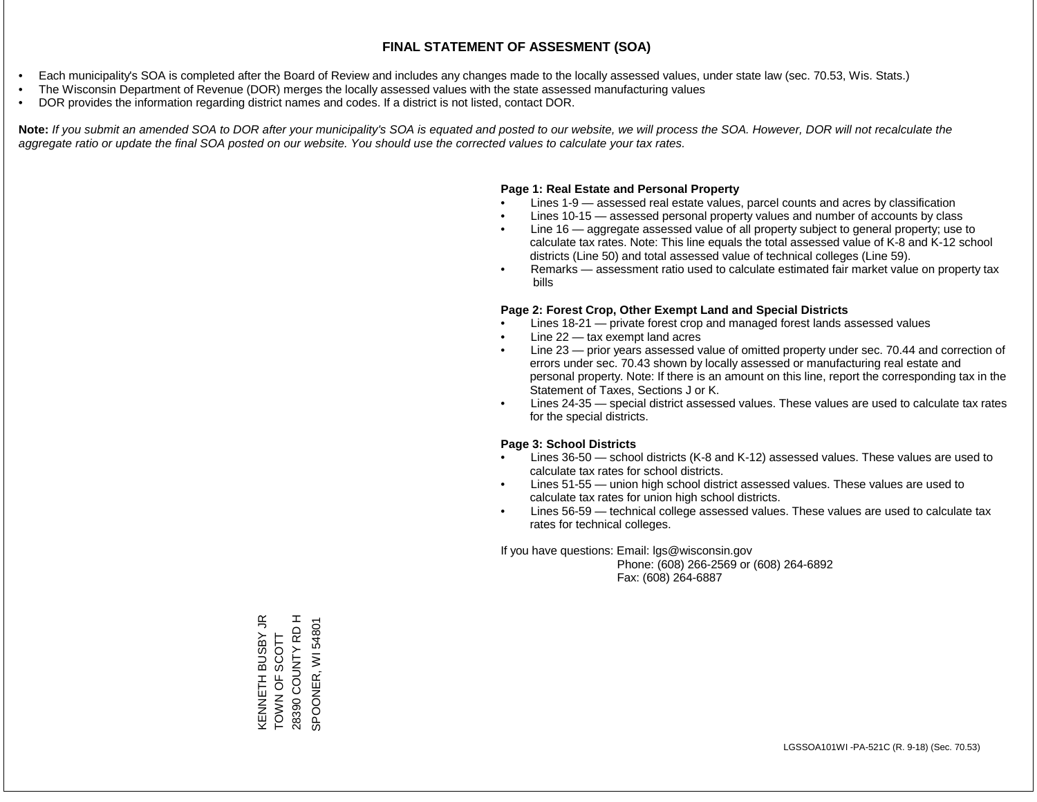- Each municipality's SOA is completed after the Board of Review and includes any changes made to the locally assessed values, under state law (sec. 70.53, Wis. Stats.)
- The Wisconsin Department of Revenue (DOR) merges the locally assessed values with the state assessed manufacturing values
- DOR provides the information regarding district names and codes. If a district is not listed, contact DOR.

Note: If you submit an amended SOA to DOR after your municipality's SOA is equated and posted to our website, we will process the SOA. However, DOR will not recalculate the *aggregate ratio or update the final SOA posted on our website. You should use the corrected values to calculate your tax rates.*

#### **Page 1: Real Estate and Personal Property**

- Lines 1-9 assessed real estate values, parcel counts and acres by classification
- Lines 10-15 assessed personal property values and number of accounts by class
- Line 16 aggregate assessed value of all property subject to general property; use to calculate tax rates. Note: This line equals the total assessed value of K-8 and K-12 school districts (Line 50) and total assessed value of technical colleges (Line 59).
- Remarks assessment ratio used to calculate estimated fair market value on property tax bills

#### **Page 2: Forest Crop, Other Exempt Land and Special Districts**

- Lines 18-21 private forest crop and managed forest lands assessed values
- Line  $22 -$  tax exempt land acres
- Line 23 prior years assessed value of omitted property under sec. 70.44 and correction of errors under sec. 70.43 shown by locally assessed or manufacturing real estate and personal property. Note: If there is an amount on this line, report the corresponding tax in the Statement of Taxes, Sections J or K.
- Lines 24-35 special district assessed values. These values are used to calculate tax rates for the special districts.

#### **Page 3: School Districts**

- Lines 36-50 school districts (K-8 and K-12) assessed values. These values are used to calculate tax rates for school districts.
- Lines 51-55 union high school district assessed values. These values are used to calculate tax rates for union high school districts.
- Lines 56-59 technical college assessed values. These values are used to calculate tax rates for technical colleges.

If you have questions: Email: lgs@wisconsin.gov

 Phone: (608) 266-2569 or (608) 264-6892 Fax: (608) 264-6887

KENNETH BUSBY JR<br>TOWN OF SCOTT<br>28390 COUNTY RD H KENNETH BUSBY JR 28390 COUNTY RD H SPOONER, WI 54801 SPOONER, WI 54801TOWN OF SCOTT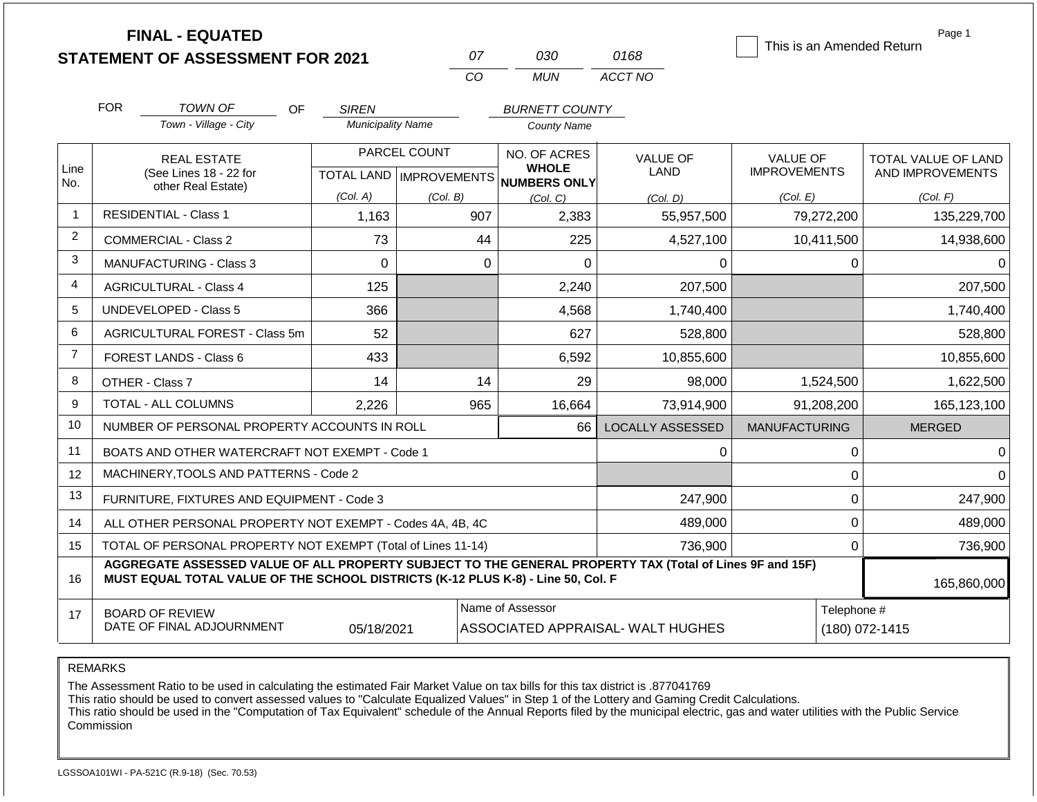|                | <b>FINAL - EQUATED</b><br><b>STATEMENT OF ASSESSMENT FOR 2021</b>                                                                                                                            |                          | 07                        | 030                                 | 0168                    | This is an Amended Return | Page 1              |
|----------------|----------------------------------------------------------------------------------------------------------------------------------------------------------------------------------------------|--------------------------|---------------------------|-------------------------------------|-------------------------|---------------------------|---------------------|
|                |                                                                                                                                                                                              |                          | CO                        | <b>MUN</b>                          | ACCT NO                 |                           |                     |
|                | <b>FOR</b><br>TOWN OF<br>OF                                                                                                                                                                  | <b>SIREN</b>             |                           | <b>BURNETT COUNTY</b>               |                         |                           |                     |
|                | Town - Village - City                                                                                                                                                                        | <b>Municipality Name</b> |                           | <b>County Name</b>                  |                         |                           |                     |
|                | <b>REAL ESTATE</b>                                                                                                                                                                           |                          | PARCEL COUNT              | NO. OF ACRES                        | <b>VALUE OF</b>         | <b>VALUE OF</b>           | TOTAL VALUE OF LAND |
| Line<br>No.    | (See Lines 18 - 22 for<br>other Real Estate)                                                                                                                                                 |                          | TOTAL LAND   IMPROVEMENTS | <b>WHOLE</b><br><b>NUMBERS ONLY</b> | LAND                    | <b>IMPROVEMENTS</b>       | AND IMPROVEMENTS    |
|                |                                                                                                                                                                                              | (Col. A)                 | (Col. B)                  | (Col, C)                            | (Col, D)                | (Col. E)                  | (Col. F)            |
| $\overline{1}$ | <b>RESIDENTIAL - Class 1</b>                                                                                                                                                                 | 1,163                    | 907                       | 2,383                               | 55,957,500              | 79,272,200                | 135,229,700         |
| 2              | <b>COMMERCIAL - Class 2</b>                                                                                                                                                                  | 73                       | 44                        | 225                                 | 4,527,100               | 10,411,500                | 14,938,600          |
| 3              | <b>MANUFACTURING - Class 3</b><br>$\mathbf 0$                                                                                                                                                |                          | $\mathbf 0$               | 0                                   | 0                       | 0                         | $\Omega$            |
| 4              | 125<br><b>AGRICULTURAL - Class 4</b>                                                                                                                                                         |                          |                           | 2,240                               | 207,500                 |                           | 207,500             |
| 5              | <b>UNDEVELOPED - Class 5</b>                                                                                                                                                                 | 366                      |                           | 4,568                               | 1,740,400               |                           | 1,740,400           |
| 6              | AGRICULTURAL FOREST - Class 5m                                                                                                                                                               | 52                       |                           | 627                                 | 528,800                 |                           | 528,800             |
| 7              | FOREST LANDS - Class 6                                                                                                                                                                       | 433                      |                           | 6,592                               | 10,855,600              |                           | 10,855,600          |
| 8              | OTHER - Class 7                                                                                                                                                                              | 14                       | 14                        | 29                                  | 98,000                  | 1,524,500                 | 1,622,500           |
| 9              | TOTAL - ALL COLUMNS                                                                                                                                                                          | 2,226                    | 965                       | 16,664                              | 73,914,900              | 91,208,200                | 165,123,100         |
| 10             | NUMBER OF PERSONAL PROPERTY ACCOUNTS IN ROLL                                                                                                                                                 |                          |                           | 66                                  | <b>LOCALLY ASSESSED</b> | <b>MANUFACTURING</b>      | <b>MERGED</b>       |
| 11             | BOATS AND OTHER WATERCRAFT NOT EXEMPT - Code 1                                                                                                                                               |                          |                           |                                     | 0                       | 0                         | $\Omega$            |
| 12             | MACHINERY, TOOLS AND PATTERNS - Code 2                                                                                                                                                       |                          |                           |                                     |                         | 0                         | 0                   |
| 13             | FURNITURE, FIXTURES AND EQUIPMENT - Code 3                                                                                                                                                   |                          |                           |                                     | 247,900                 | 0                         | 247,900             |
| 14             | ALL OTHER PERSONAL PROPERTY NOT EXEMPT - Codes 4A, 4B, 4C                                                                                                                                    |                          |                           | 489,000                             | 0                       | 489,000                   |                     |
| 15             | TOTAL OF PERSONAL PROPERTY NOT EXEMPT (Total of Lines 11-14)                                                                                                                                 |                          | 736,900                   | 0                                   | 736,900                 |                           |                     |
| 16             | AGGREGATE ASSESSED VALUE OF ALL PROPERTY SUBJECT TO THE GENERAL PROPERTY TAX (Total of Lines 9F and 15F)<br>MUST EQUAL TOTAL VALUE OF THE SCHOOL DISTRICTS (K-12 PLUS K-8) - Line 50, Col. F |                          |                           |                                     |                         |                           | 165,860,000         |
| 17             | <b>BOARD OF REVIEW</b>                                                                                                                                                                       |                          |                           | Name of Assessor                    |                         | Telephone #               |                     |
|                | DATE OF FINAL ADJOURNMENT                                                                                                                                                                    | 05/18/2021               |                           | ASSOCIATED APPRAISAL- WALT HUGHES   |                         | (180) 072-1415            |                     |

The Assessment Ratio to be used in calculating the estimated Fair Market Value on tax bills for this tax district is .877041769

This ratio should be used to convert assessed values to "Calculate Equalized Values" in Step 1 of the Lottery and Gaming Credit Calculations.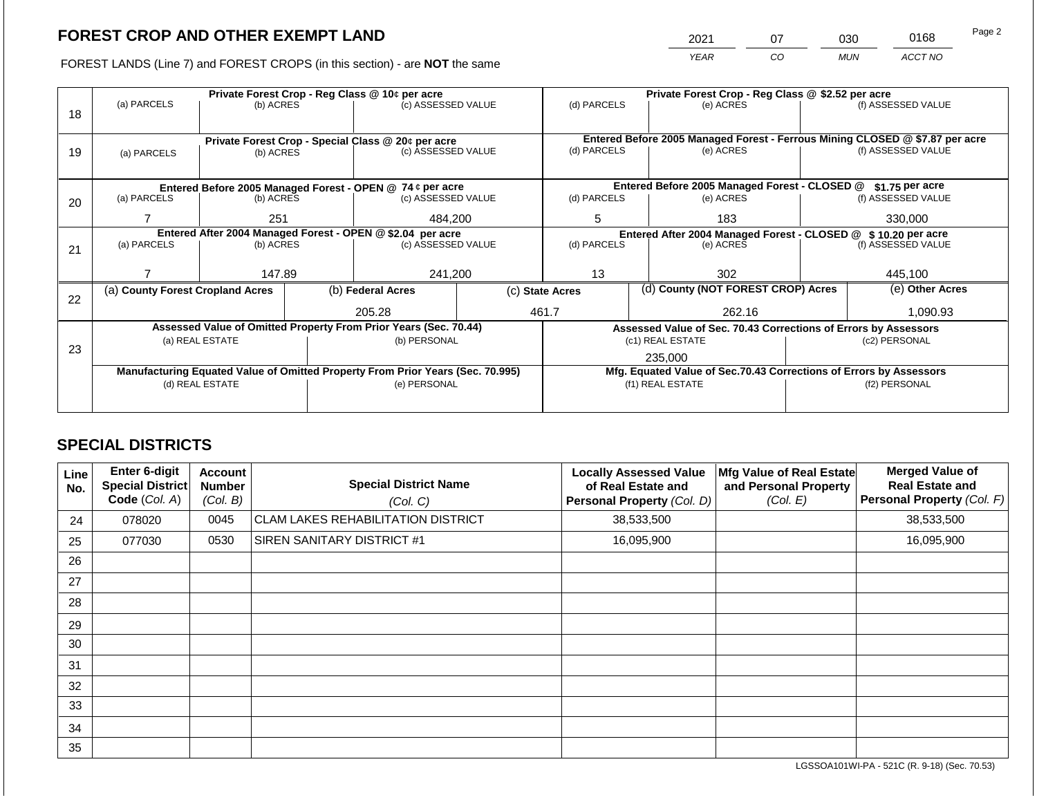2021 07 030 0168

FOREST LANDS (Line 7) and FOREST CROPS (in this section) - are **NOT** the same *YEAR CO MUN ACCT NO*

|    | Private Forest Crop - Reg Class @ 10¢ per acre                                 |                 |  |                                                                          | Private Forest Crop - Reg Class @ \$2.52 per acre |                                                                              |                                                                 |                  |                                                   |  |
|----|--------------------------------------------------------------------------------|-----------------|--|--------------------------------------------------------------------------|---------------------------------------------------|------------------------------------------------------------------------------|-----------------------------------------------------------------|------------------|---------------------------------------------------|--|
|    | (a) PARCELS                                                                    | (b) ACRES       |  | (c) ASSESSED VALUE                                                       | (d) PARCELS                                       |                                                                              | (e) ACRES                                                       |                  | (f) ASSESSED VALUE                                |  |
| 18 |                                                                                |                 |  |                                                                          |                                                   |                                                                              |                                                                 |                  |                                                   |  |
|    |                                                                                |                 |  |                                                                          |                                                   | Entered Before 2005 Managed Forest - Ferrous Mining CLOSED @ \$7.87 per acre |                                                                 |                  |                                                   |  |
|    |                                                                                |                 |  | Private Forest Crop - Special Class @ 20¢ per acre<br>(c) ASSESSED VALUE | (d) PARCELS                                       |                                                                              | (e) ACRES                                                       |                  | (f) ASSESSED VALUE                                |  |
| 19 | (a) PARCELS                                                                    | (b) ACRES       |  |                                                                          |                                                   |                                                                              |                                                                 |                  |                                                   |  |
|    |                                                                                |                 |  |                                                                          |                                                   |                                                                              |                                                                 |                  |                                                   |  |
|    | Entered Before 2005 Managed Forest - OPEN @ 74 ¢ per acre                      |                 |  |                                                                          |                                                   | Entered Before 2005 Managed Forest - CLOSED @                                |                                                                 | $$1.75$ per acre |                                                   |  |
| 20 | (a) PARCELS                                                                    | (b) ACRES       |  | (c) ASSESSED VALUE                                                       | (d) PARCELS                                       |                                                                              | (e) ACRES                                                       |                  | (f) ASSESSED VALUE                                |  |
|    |                                                                                |                 |  |                                                                          |                                                   |                                                                              |                                                                 |                  |                                                   |  |
|    |                                                                                | 251             |  | 484,200                                                                  | 5                                                 |                                                                              | 183                                                             |                  | 330,000<br>\$10.20 per acre<br>(f) ASSESSED VALUE |  |
|    | Entered After 2004 Managed Forest - OPEN @ \$2.04 per acre                     |                 |  |                                                                          |                                                   |                                                                              | Entered After 2004 Managed Forest - CLOSED @                    |                  |                                                   |  |
| 21 | (a) PARCELS                                                                    | (b) ACRES       |  | (c) ASSESSED VALUE                                                       | (d) PARCELS<br>(e) ACRES                          |                                                                              |                                                                 |                  |                                                   |  |
|    |                                                                                |                 |  |                                                                          |                                                   |                                                                              |                                                                 |                  |                                                   |  |
|    |                                                                                | 147.89          |  | 241,200                                                                  | 13                                                |                                                                              | 302                                                             |                  | 445,100                                           |  |
|    | (a) County Forest Cropland Acres                                               |                 |  | (b) Federal Acres                                                        | (c) State Acres                                   |                                                                              | (d) County (NOT FOREST CROP) Acres                              |                  | (e) Other Acres                                   |  |
| 22 |                                                                                |                 |  |                                                                          |                                                   |                                                                              |                                                                 |                  |                                                   |  |
|    |                                                                                |                 |  | 205.28                                                                   | 461.7                                             |                                                                              | 262.16                                                          |                  | 1.090.93                                          |  |
|    |                                                                                |                 |  | Assessed Value of Omitted Property From Prior Years (Sec. 70.44)         |                                                   |                                                                              | Assessed Value of Sec. 70.43 Corrections of Errors by Assessors |                  |                                                   |  |
|    |                                                                                | (a) REAL ESTATE |  | (b) PERSONAL                                                             |                                                   |                                                                              | (c1) REAL ESTATE                                                |                  | (c2) PERSONAL                                     |  |
| 23 |                                                                                |                 |  |                                                                          |                                                   |                                                                              | 235,000                                                         |                  |                                                   |  |
|    | Manufacturing Equated Value of Omitted Property From Prior Years (Sec. 70.995) |                 |  |                                                                          |                                                   | Mfg. Equated Value of Sec.70.43 Corrections of Errors by Assessors           |                                                                 |                  |                                                   |  |
|    |                                                                                | (d) REAL ESTATE |  | (e) PERSONAL                                                             |                                                   |                                                                              | (f1) REAL ESTATE                                                | (f2) PERSONAL    |                                                   |  |
|    |                                                                                |                 |  |                                                                          |                                                   |                                                                              |                                                                 |                  |                                                   |  |
|    |                                                                                |                 |  |                                                                          |                                                   |                                                                              |                                                                 |                  |                                                   |  |

# **SPECIAL DISTRICTS**

| Line<br>No. | Enter 6-digit<br><b>Special District</b><br>Code (Col. A) | <b>Account</b><br><b>Number</b><br>(Col. B) | <b>Special District Name</b><br>(Col. C)  | <b>Locally Assessed Value</b><br>of Real Estate and<br><b>Personal Property (Col. D)</b> | Mfg Value of Real Estate<br>and Personal Property<br>(Col. E) | <b>Merged Value of</b><br><b>Real Estate and</b><br>Personal Property (Col. F) |
|-------------|-----------------------------------------------------------|---------------------------------------------|-------------------------------------------|------------------------------------------------------------------------------------------|---------------------------------------------------------------|--------------------------------------------------------------------------------|
| 24          | 078020                                                    | 0045                                        | <b>CLAM LAKES REHABILITATION DISTRICT</b> | 38,533,500                                                                               |                                                               | 38,533,500                                                                     |
| 25          | 077030                                                    | 0530                                        | SIREN SANITARY DISTRICT #1                | 16,095,900                                                                               |                                                               | 16,095,900                                                                     |
| 26          |                                                           |                                             |                                           |                                                                                          |                                                               |                                                                                |
| 27          |                                                           |                                             |                                           |                                                                                          |                                                               |                                                                                |
| 28          |                                                           |                                             |                                           |                                                                                          |                                                               |                                                                                |
| 29          |                                                           |                                             |                                           |                                                                                          |                                                               |                                                                                |
| 30          |                                                           |                                             |                                           |                                                                                          |                                                               |                                                                                |
| 31          |                                                           |                                             |                                           |                                                                                          |                                                               |                                                                                |
| 32          |                                                           |                                             |                                           |                                                                                          |                                                               |                                                                                |
| 33          |                                                           |                                             |                                           |                                                                                          |                                                               |                                                                                |
| 34          |                                                           |                                             |                                           |                                                                                          |                                                               |                                                                                |
| 35          |                                                           |                                             |                                           |                                                                                          |                                                               |                                                                                |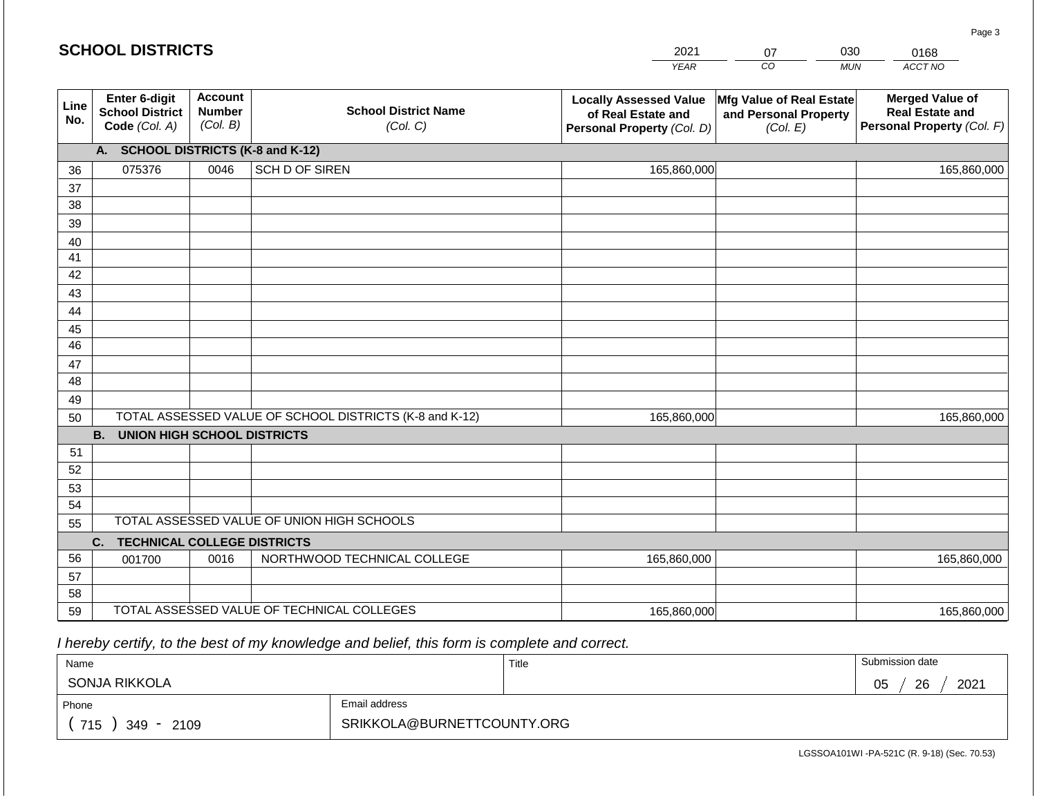#### *YEAR*   $\overline{co}$ 07 *MUN ACCT NO*  0168 **Line No. Enter 6-digit School District Code** *(Col. A)* **Account Number** *(Col. B)* **School District Name** *(Col. C)* **Locally Assessed Value of Real Estate and Personal Property** *(Col. D)* **Mfg Value of Real Estate and Personal Property** *(Col. E)* **Merged Value of Real Estate and Personal Property** *(Col. F)* **A. SCHOOL DISTRICTS (K-8 and K-12)** 36 37 38 39 40 41 42 43 44 45 46 47 48 49 50 TOTAL ASSESSED VALUE OF SCHOOL DISTRICTS (K-8 and K-12) **B. UNION HIGH SCHOOL DISTRICTS** 51 52 53 54 55 **C. TECHNICAL COLLEGE DISTRICTS** 56 57 58 TOTAL ASSESSED VALUE OF UNION HIGH SCHOOLS 075376 0046 SCH D OF SIREN 165,860,000 165,860,000 001700 | 0016 | NORTHWOOD TECHNICAL COLLEGE 165,860,000 165,860,000 165,860,000 165,860,000

2021

165,860,000

 *I hereby certify, to the best of my knowledge and belief, this form is complete and correct.*

59 TOTAL ASSESSED VALUE OF TECHNICAL COLLEGES

**SCHOOL DISTRICTS**

| Name                   |                            | Title | Submission date  |
|------------------------|----------------------------|-------|------------------|
| SONJA RIKKOLA          |                            |       | 2021<br>26<br>05 |
| Phone                  | Email address              |       |                  |
| 715<br>2109<br>$349 -$ | SRIKKOLA@BURNETTCOUNTY.ORG |       |                  |

LGSSOA101WI -PA-521C (R. 9-18) (Sec. 70.53)

165,860,000

Page 3

030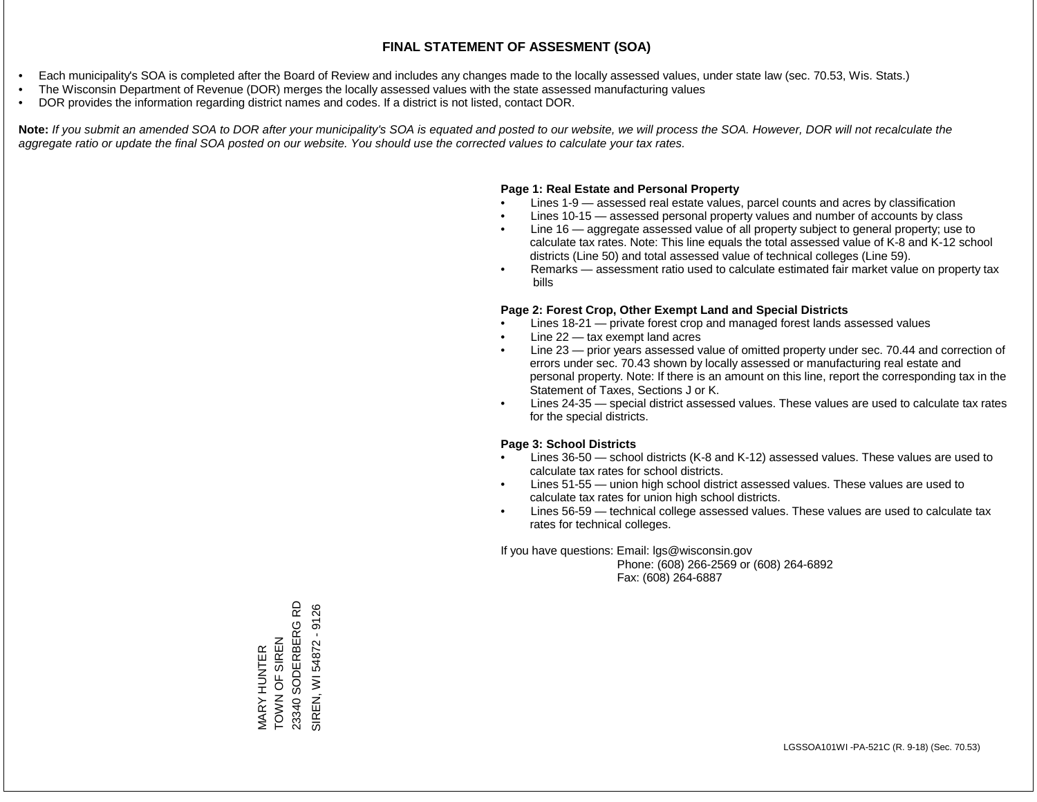- Each municipality's SOA is completed after the Board of Review and includes any changes made to the locally assessed values, under state law (sec. 70.53, Wis. Stats.)
- The Wisconsin Department of Revenue (DOR) merges the locally assessed values with the state assessed manufacturing values
- DOR provides the information regarding district names and codes. If a district is not listed, contact DOR.

Note: If you submit an amended SOA to DOR after your municipality's SOA is equated and posted to our website, we will process the SOA. However, DOR will not recalculate the *aggregate ratio or update the final SOA posted on our website. You should use the corrected values to calculate your tax rates.*

### **Page 1: Real Estate and Personal Property**

- Lines 1-9 assessed real estate values, parcel counts and acres by classification
- Lines 10-15 assessed personal property values and number of accounts by class
- Line 16 aggregate assessed value of all property subject to general property; use to calculate tax rates. Note: This line equals the total assessed value of K-8 and K-12 school districts (Line 50) and total assessed value of technical colleges (Line 59).
- Remarks assessment ratio used to calculate estimated fair market value on property tax bills

### **Page 2: Forest Crop, Other Exempt Land and Special Districts**

- Lines 18-21 private forest crop and managed forest lands assessed values
- Line  $22 -$  tax exempt land acres
- Line 23 prior years assessed value of omitted property under sec. 70.44 and correction of errors under sec. 70.43 shown by locally assessed or manufacturing real estate and personal property. Note: If there is an amount on this line, report the corresponding tax in the Statement of Taxes, Sections J or K.
- Lines 24-35 special district assessed values. These values are used to calculate tax rates for the special districts.

### **Page 3: School Districts**

- Lines 36-50 school districts (K-8 and K-12) assessed values. These values are used to calculate tax rates for school districts.
- Lines 51-55 union high school district assessed values. These values are used to calculate tax rates for union high school districts.
- Lines 56-59 technical college assessed values. These values are used to calculate tax rates for technical colleges.

If you have questions: Email: lgs@wisconsin.gov

 Phone: (608) 266-2569 or (608) 264-6892 Fax: (608) 264-6887

**Q** 23340 SODERBERG RD SIREN, WI 54872 - 9126 SIREN, WI 54872 - 9126MARY HUNTER<br>TOWN OF SIREN<br>23340 SODERBERG R TOWN OF SIREN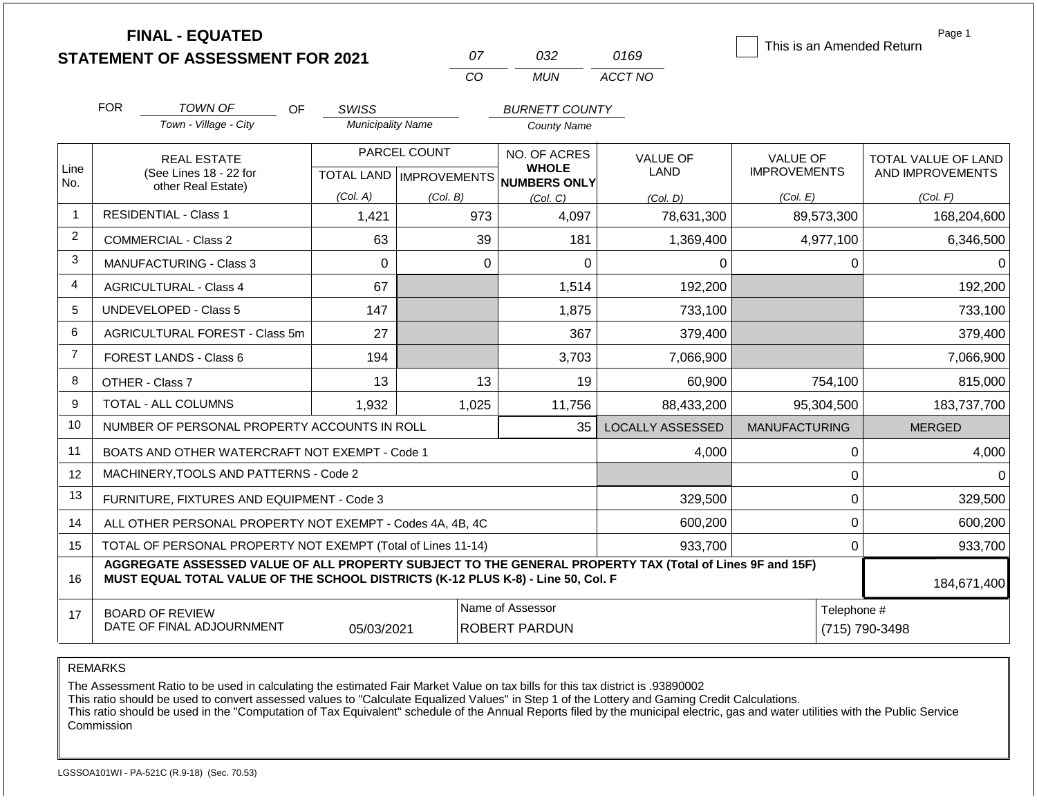|                | <b>FINAL - EQUATED</b><br><b>STATEMENT OF ASSESSMENT FOR 2021</b>                                                                                                                            |                                          | 07           | 032                                                      | 0169                    | This is an Amended Return | Page 1              |
|----------------|----------------------------------------------------------------------------------------------------------------------------------------------------------------------------------------------|------------------------------------------|--------------|----------------------------------------------------------|-------------------------|---------------------------|---------------------|
|                |                                                                                                                                                                                              |                                          | CO           | <b>MUN</b>                                               | ACCT NO                 |                           |                     |
|                |                                                                                                                                                                                              |                                          |              |                                                          |                         |                           |                     |
|                | <b>FOR</b><br><b>TOWN OF</b><br><b>OF</b><br>Town - Village - City                                                                                                                           | <b>SWISS</b><br><b>Municipality Name</b> |              | <b>BURNETT COUNTY</b>                                    |                         |                           |                     |
|                |                                                                                                                                                                                              |                                          |              | <b>County Name</b>                                       |                         |                           |                     |
|                | <b>REAL ESTATE</b>                                                                                                                                                                           |                                          | PARCEL COUNT | NO. OF ACRES                                             | <b>VALUE OF</b>         | <b>VALUE OF</b>           | TOTAL VALUE OF LAND |
| Line<br>No.    | (See Lines 18 - 22 for<br>other Real Estate)                                                                                                                                                 |                                          |              | <b>WHOLE</b><br>TOTAL LAND   IMPROVEMENTS   NUMBERS ONLY | <b>LAND</b>             | <b>IMPROVEMENTS</b>       | AND IMPROVEMENTS    |
|                |                                                                                                                                                                                              | (Col. A)                                 | (Col. B)     | (Col. C)                                                 | (Col. D)                | (Col. E)                  | (Col. F)            |
| 1              | <b>RESIDENTIAL - Class 1</b>                                                                                                                                                                 | 973<br>1,421<br>4,097                    |              | 78,631,300                                               | 89,573,300              | 168,204,600               |                     |
| 2              | <b>COMMERCIAL - Class 2</b>                                                                                                                                                                  | 63                                       | 39           | 181                                                      | 1,369,400               | 4,977,100                 | 6,346,500           |
| 3              | <b>MANUFACTURING - Class 3</b>                                                                                                                                                               | $\mathbf 0$                              | $\mathbf 0$  | 0                                                        | 0                       | 0                         | 0                   |
| 4              | <b>AGRICULTURAL - Class 4</b>                                                                                                                                                                | 67                                       |              | 1,514                                                    | 192,200                 |                           | 192,200             |
| 5              | <b>UNDEVELOPED - Class 5</b>                                                                                                                                                                 | 147                                      |              | 1,875                                                    | 733,100                 |                           | 733,100             |
| 6              | AGRICULTURAL FOREST - Class 5m                                                                                                                                                               | 27                                       |              | 367                                                      | 379,400                 |                           | 379,400             |
| $\overline{7}$ | <b>FOREST LANDS - Class 6</b>                                                                                                                                                                | 194                                      |              | 3,703                                                    | 7,066,900               |                           | 7,066,900           |
| 8              | OTHER - Class 7                                                                                                                                                                              | 13                                       | 13           | 19                                                       | 60,900                  | 754,100                   | 815,000             |
| 9              | TOTAL - ALL COLUMNS                                                                                                                                                                          | 1,932                                    | 1,025        | 11,756                                                   | 88,433,200              | 95,304,500                | 183,737,700         |
| 10             | NUMBER OF PERSONAL PROPERTY ACCOUNTS IN ROLL                                                                                                                                                 |                                          |              | 35                                                       | <b>LOCALLY ASSESSED</b> | <b>MANUFACTURING</b>      | <b>MERGED</b>       |
| 11             | BOATS AND OTHER WATERCRAFT NOT EXEMPT - Code 1                                                                                                                                               |                                          |              |                                                          | 4,000                   | 0                         | 4,000               |
| 12             | MACHINERY, TOOLS AND PATTERNS - Code 2                                                                                                                                                       |                                          |              |                                                          |                         | 0                         | $\Omega$            |
| 13             | FURNITURE, FIXTURES AND EQUIPMENT - Code 3                                                                                                                                                   |                                          |              |                                                          | 329,500                 | 0                         | 329,500             |
| 14             | ALL OTHER PERSONAL PROPERTY NOT EXEMPT - Codes 4A, 4B, 4C                                                                                                                                    |                                          |              | 600,200                                                  | $\overline{0}$          | 600,200                   |                     |
| 15             | TOTAL OF PERSONAL PROPERTY NOT EXEMPT (Total of Lines 11-14)                                                                                                                                 |                                          |              | 933,700                                                  | 0                       | 933,700                   |                     |
| 16             | AGGREGATE ASSESSED VALUE OF ALL PROPERTY SUBJECT TO THE GENERAL PROPERTY TAX (Total of Lines 9F and 15F)<br>MUST EQUAL TOTAL VALUE OF THE SCHOOL DISTRICTS (K-12 PLUS K-8) - Line 50, Col. F |                                          |              |                                                          |                         |                           | 184,671,400         |
| 17             | <b>BOARD OF REVIEW</b><br>DATE OF FINAL ADJOURNMENT                                                                                                                                          | 05/03/2021                               |              | Name of Assessor<br><b>ROBERT PARDUN</b>                 |                         | Telephone #               | (715) 790-3498      |

The Assessment Ratio to be used in calculating the estimated Fair Market Value on tax bills for this tax district is .93890002

This ratio should be used to convert assessed values to "Calculate Equalized Values" in Step 1 of the Lottery and Gaming Credit Calculations.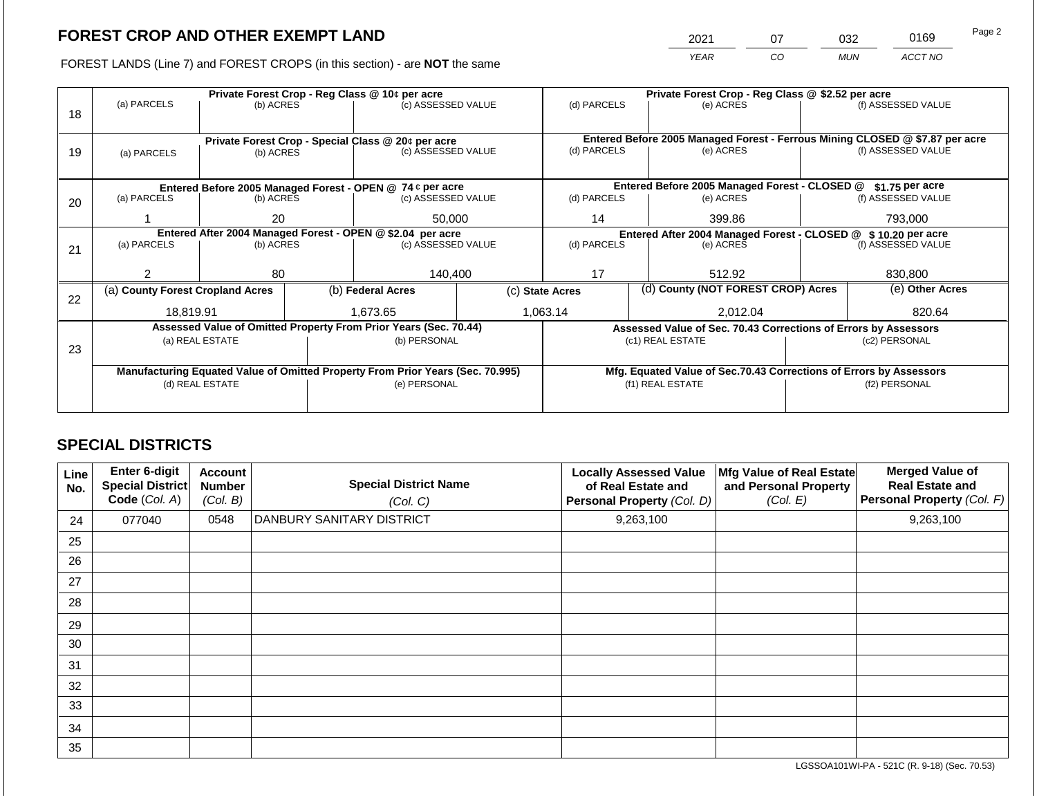2021 07 032 0169

FOREST LANDS (Line 7) and FOREST CROPS (in this section) - are **NOT** the same *YEAR CO MUN ACCT NO*

| 18 | Private Forest Crop - Reg Class @ 10¢ per acre<br>(a) PARCELS<br>(c) ASSESSED VALUE<br>(b) ACRES |                                                                 |                                                                | (d) PARCELS                                                      |    | Private Forest Crop - Reg Class @ \$2.52 per acre<br>(e) ACRES   |          | (f) ASSESSED VALUE                                                 |  |                                                                                                    |
|----|--------------------------------------------------------------------------------------------------|-----------------------------------------------------------------|----------------------------------------------------------------|------------------------------------------------------------------|----|------------------------------------------------------------------|----------|--------------------------------------------------------------------|--|----------------------------------------------------------------------------------------------------|
| 19 | (a) PARCELS                                                                                      | Private Forest Crop - Special Class @ 20¢ per acre<br>(b) ACRES |                                                                | (c) ASSESSED VALUE                                               |    | (d) PARCELS                                                      |          | (e) ACRES                                                          |  | Entered Before 2005 Managed Forest - Ferrous Mining CLOSED @ \$7.87 per acre<br>(f) ASSESSED VALUE |
|    | Entered Before 2005 Managed Forest - OPEN @ 74 ¢ per acre                                        |                                                                 |                                                                |                                                                  |    | Entered Before 2005 Managed Forest - CLOSED @<br>\$1.75 per acre |          |                                                                    |  |                                                                                                    |
| 20 | (a) PARCELS                                                                                      | (b) ACRES                                                       | (c) ASSESSED VALUE                                             |                                                                  |    | (d) PARCELS                                                      |          | (e) ACRES                                                          |  | (f) ASSESSED VALUE                                                                                 |
|    |                                                                                                  | 50,000<br>20                                                    |                                                                |                                                                  | 14 |                                                                  | 399.86   | 793,000                                                            |  |                                                                                                    |
|    | Entered After 2004 Managed Forest - OPEN @ \$2.04 per acre                                       |                                                                 | Entered After 2004 Managed Forest - CLOSED @ \$ 10.20 per acre |                                                                  |    |                                                                  |          |                                                                    |  |                                                                                                    |
| 21 | (a) PARCELS                                                                                      | (b) ACRES                                                       |                                                                | (c) ASSESSED VALUE                                               |    | (d) PARCELS                                                      |          | (e) ACRES                                                          |  | (f) ASSESSED VALUE                                                                                 |
|    | っ                                                                                                | 80                                                              |                                                                | 140.400                                                          |    | 17                                                               |          | 512.92                                                             |  | 830.800                                                                                            |
|    |                                                                                                  |                                                                 |                                                                |                                                                  |    |                                                                  |          |                                                                    |  |                                                                                                    |
| 22 | (a) County Forest Cropland Acres                                                                 |                                                                 |                                                                | (b) Federal Acres                                                |    | (c) State Acres                                                  |          | (d) County (NOT FOREST CROP) Acres                                 |  | (e) Other Acres                                                                                    |
|    | 18,819.91                                                                                        |                                                                 |                                                                | 1,673.65                                                         |    | 1,063.14                                                         | 2,012.04 |                                                                    |  | 820.64                                                                                             |
|    |                                                                                                  |                                                                 |                                                                | Assessed Value of Omitted Property From Prior Years (Sec. 70.44) |    |                                                                  |          | Assessed Value of Sec. 70.43 Corrections of Errors by Assessors    |  |                                                                                                    |
| 23 |                                                                                                  | (a) REAL ESTATE                                                 |                                                                | (b) PERSONAL                                                     |    |                                                                  |          | (c1) REAL ESTATE                                                   |  | (c2) PERSONAL                                                                                      |
|    |                                                                                                  |                                                                 |                                                                |                                                                  |    |                                                                  |          |                                                                    |  |                                                                                                    |
|    | Manufacturing Equated Value of Omitted Property From Prior Years (Sec. 70.995)                   |                                                                 |                                                                |                                                                  |    |                                                                  |          | Mfg. Equated Value of Sec.70.43 Corrections of Errors by Assessors |  |                                                                                                    |
|    |                                                                                                  | (d) REAL ESTATE                                                 |                                                                | (e) PERSONAL                                                     |    |                                                                  |          | (f1) REAL ESTATE                                                   |  | (f2) PERSONAL                                                                                      |
|    |                                                                                                  |                                                                 |                                                                |                                                                  |    |                                                                  |          |                                                                    |  |                                                                                                    |

# **SPECIAL DISTRICTS**

| Line<br>No. | <b>Enter 6-digit</b><br>Special District<br>Code (Col. A) | <b>Account</b><br><b>Number</b><br>(Col. B) | <b>Special District Name</b><br>(Col. C) | <b>Locally Assessed Value</b><br>of Real Estate and<br>Personal Property (Col. D) | Mfg Value of Real Estate<br>and Personal Property<br>(Col. E) | <b>Merged Value of</b><br><b>Real Estate and</b><br>Personal Property (Col. F) |
|-------------|-----------------------------------------------------------|---------------------------------------------|------------------------------------------|-----------------------------------------------------------------------------------|---------------------------------------------------------------|--------------------------------------------------------------------------------|
| 24          | 077040                                                    | 0548                                        | DANBURY SANITARY DISTRICT                | 9,263,100                                                                         |                                                               | 9,263,100                                                                      |
| 25          |                                                           |                                             |                                          |                                                                                   |                                                               |                                                                                |
| 26          |                                                           |                                             |                                          |                                                                                   |                                                               |                                                                                |
| 27          |                                                           |                                             |                                          |                                                                                   |                                                               |                                                                                |
| 28          |                                                           |                                             |                                          |                                                                                   |                                                               |                                                                                |
| 29          |                                                           |                                             |                                          |                                                                                   |                                                               |                                                                                |
| 30          |                                                           |                                             |                                          |                                                                                   |                                                               |                                                                                |
| 31          |                                                           |                                             |                                          |                                                                                   |                                                               |                                                                                |
| 32          |                                                           |                                             |                                          |                                                                                   |                                                               |                                                                                |
| 33          |                                                           |                                             |                                          |                                                                                   |                                                               |                                                                                |
| 34          |                                                           |                                             |                                          |                                                                                   |                                                               |                                                                                |
| 35          |                                                           |                                             |                                          |                                                                                   |                                                               |                                                                                |

LGSSOA101WI-PA - 521C (R. 9-18) (Sec. 70.53)

Page 2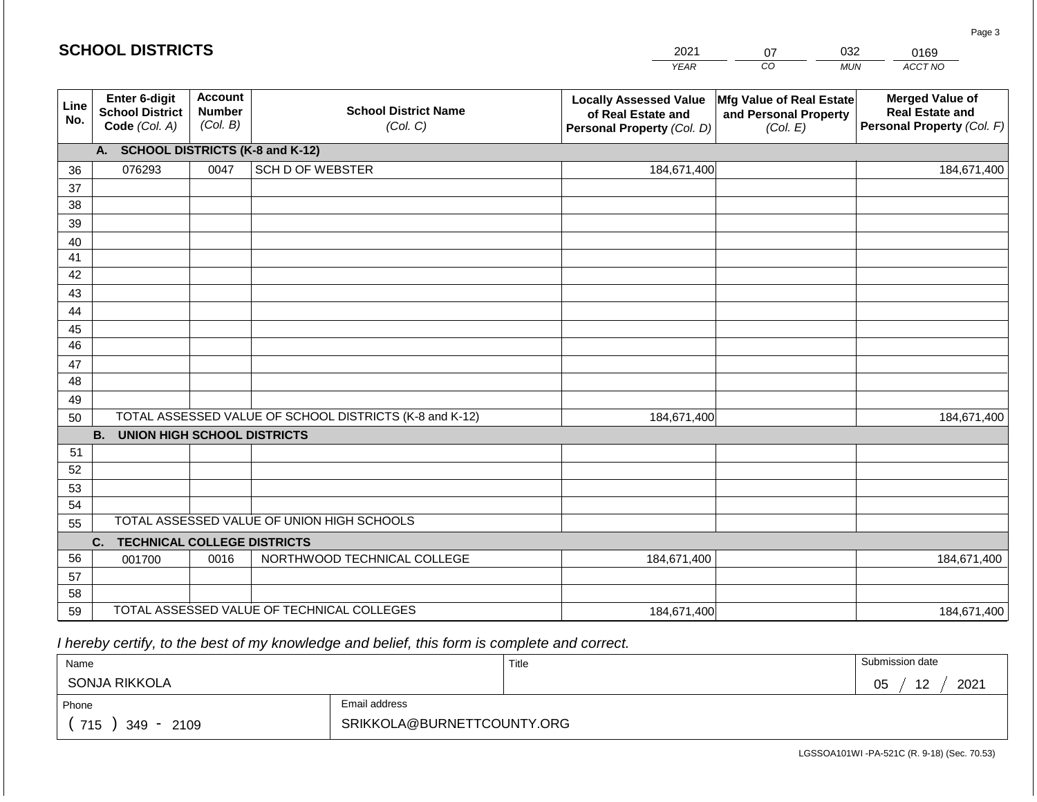#### *YEAR*  2021 *CO MUN ACCT NO*  0169 **Line No. Enter 6-digit School District Code** *(Col. A)* **Account Number** *(Col. B)* **School District Name** *(Col. C)* **Locally Assessed Value of Real Estate and Personal Property** *(Col. D)* **Mfg Value of Real Estate and Personal Property** *(Col. E)* **Merged Value of Real Estate and Personal Property** *(Col. F)* **A. SCHOOL DISTRICTS (K-8 and K-12)** 36 37 38 39 40 41 42 43 44 45 46 47 48 49 50 TOTAL ASSESSED VALUE OF SCHOOL DISTRICTS (K-8 and K-12) **B. UNION HIGH SCHOOL DISTRICTS** 51 52 53 54 55 **C. TECHNICAL COLLEGE DISTRICTS** 56 57 58 59 TOTAL ASSESSED VALUE OF TECHNICAL COLLEGES TOTAL ASSESSED VALUE OF UNION HIGH SCHOOLS 076293 0047 SCH D OF WEBSTER 184,671,400 184,671,400 001700 0016 NORTHWOOD TECHNICAL COLLEGE 184,671,400 184,671,400 184,671,400 184,671,400 184,671,400 184,671,400

 *I hereby certify, to the best of my knowledge and belief, this form is complete and correct.*

| Name               |                            | Title | Submission date         |
|--------------------|----------------------------|-------|-------------------------|
| SONJA RIKKOLA      |                            |       | $\Lambda$<br>2021<br>05 |
| Phone              | Email address              |       |                         |
| 715<br>349<br>2109 | SRIKKOLA@BURNETTCOUNTY.ORG |       |                         |

Page 3

| <b>SCHOOL DISTRICTS</b> |  |
|-------------------------|--|
|-------------------------|--|

| ሰ7 | 032        |
|----|------------|
| rn | <b>MUN</b> |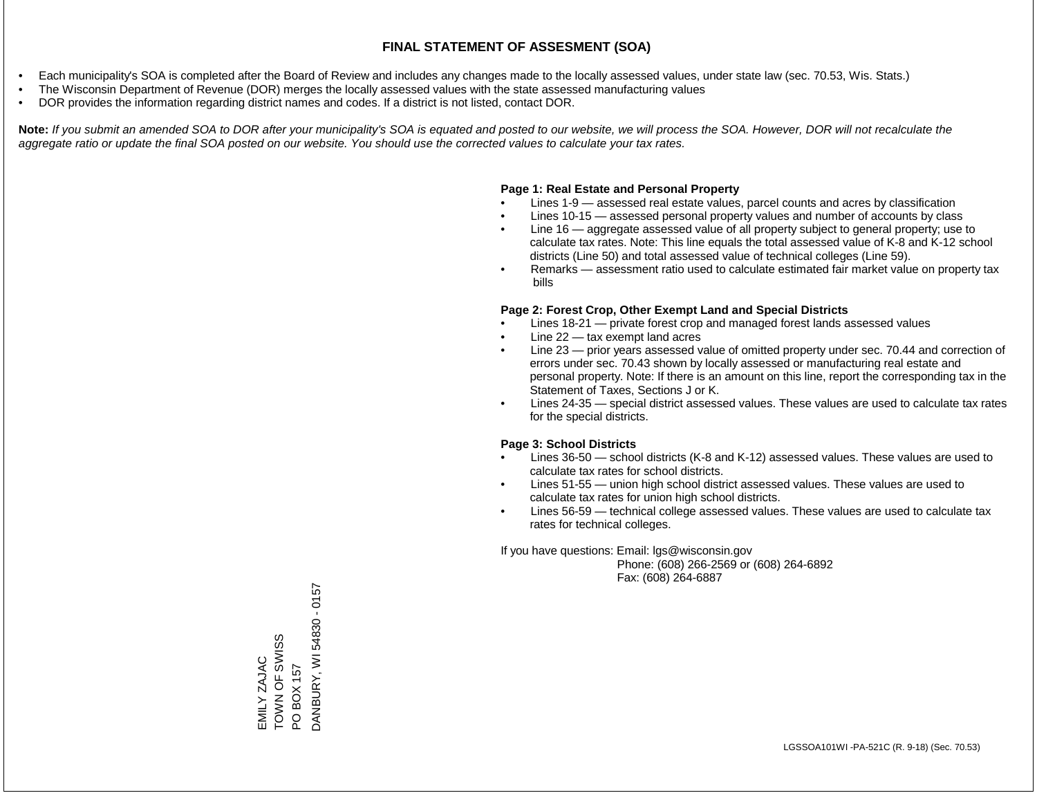- Each municipality's SOA is completed after the Board of Review and includes any changes made to the locally assessed values, under state law (sec. 70.53, Wis. Stats.)
- The Wisconsin Department of Revenue (DOR) merges the locally assessed values with the state assessed manufacturing values
- DOR provides the information regarding district names and codes. If a district is not listed, contact DOR.

Note: If you submit an amended SOA to DOR after your municipality's SOA is equated and posted to our website, we will process the SOA. However, DOR will not recalculate the *aggregate ratio or update the final SOA posted on our website. You should use the corrected values to calculate your tax rates.*

#### **Page 1: Real Estate and Personal Property**

- Lines 1-9 assessed real estate values, parcel counts and acres by classification
- Lines 10-15 assessed personal property values and number of accounts by class
- Line 16 aggregate assessed value of all property subject to general property; use to calculate tax rates. Note: This line equals the total assessed value of K-8 and K-12 school districts (Line 50) and total assessed value of technical colleges (Line 59).
- Remarks assessment ratio used to calculate estimated fair market value on property tax bills

#### **Page 2: Forest Crop, Other Exempt Land and Special Districts**

- Lines 18-21 private forest crop and managed forest lands assessed values
- Line  $22 -$  tax exempt land acres
- Line 23 prior years assessed value of omitted property under sec. 70.44 and correction of errors under sec. 70.43 shown by locally assessed or manufacturing real estate and personal property. Note: If there is an amount on this line, report the corresponding tax in the Statement of Taxes, Sections J or K.
- Lines 24-35 special district assessed values. These values are used to calculate tax rates for the special districts.

#### **Page 3: School Districts**

- Lines 36-50 school districts (K-8 and K-12) assessed values. These values are used to calculate tax rates for school districts.
- Lines 51-55 union high school district assessed values. These values are used to calculate tax rates for union high school districts.
- Lines 56-59 technical college assessed values. These values are used to calculate tax rates for technical colleges.

If you have questions: Email: lgs@wisconsin.gov

 Phone: (608) 266-2569 or (608) 264-6892 Fax: (608) 264-6887

EMILY ZAJAC TOWN OF SWISS TOWN OF SWISS<br>PO BOX 157<br>DANBURY, WI 54830 - 0157 DANBURY, WI 54830 - 0157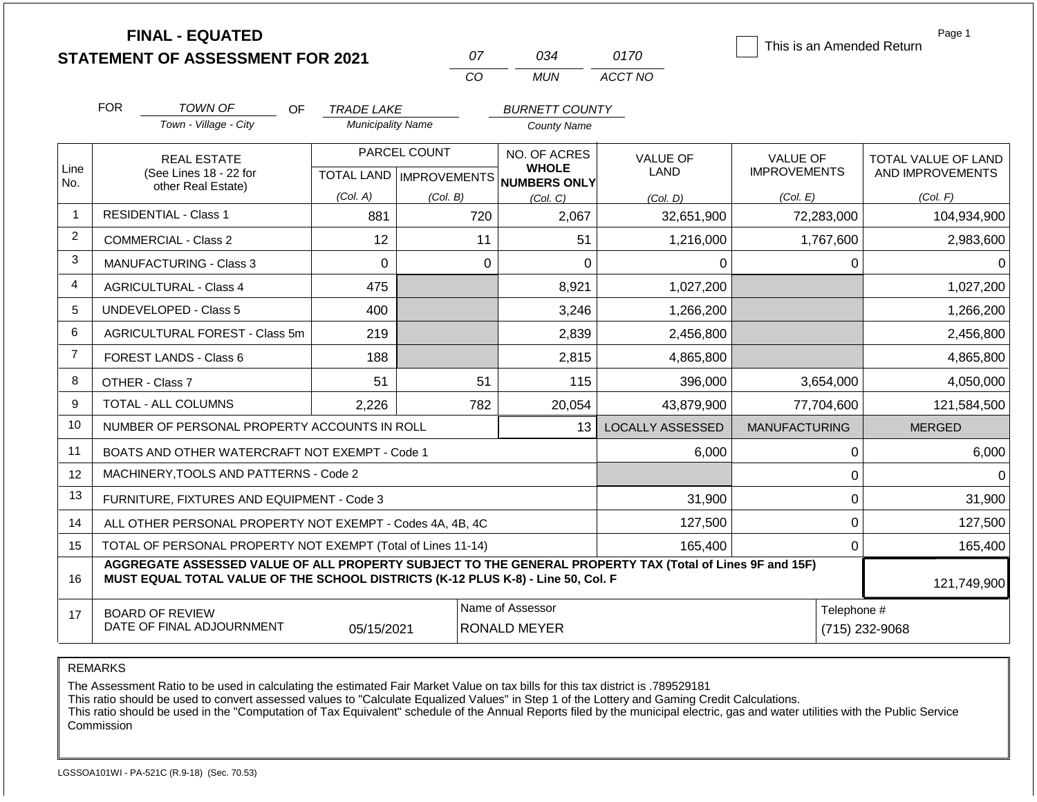|                | <b>FINAL - EQUATED</b>                                                                                                                                                                       |                          |                           |                              |                         | This is an Amended Return | Page 1              |  |
|----------------|----------------------------------------------------------------------------------------------------------------------------------------------------------------------------------------------|--------------------------|---------------------------|------------------------------|-------------------------|---------------------------|---------------------|--|
|                | <b>STATEMENT OF ASSESSMENT FOR 2021</b>                                                                                                                                                      |                          | 07                        | 034                          | 0170                    |                           |                     |  |
|                |                                                                                                                                                                                              |                          | CO                        | <b>MUN</b>                   | ACCT NO                 |                           |                     |  |
|                | <b>FOR</b><br>TOWN OF<br>OF                                                                                                                                                                  | <b>TRADE LAKE</b>        |                           | <b>BURNETT COUNTY</b>        |                         |                           |                     |  |
|                | Town - Village - City                                                                                                                                                                        | <b>Municipality Name</b> |                           | <b>County Name</b>           |                         |                           |                     |  |
|                | <b>REAL ESTATE</b>                                                                                                                                                                           |                          | PARCEL COUNT              | NO. OF ACRES                 | <b>VALUE OF</b>         | <b>VALUE OF</b>           | TOTAL VALUE OF LAND |  |
| Line<br>No.    | (See Lines 18 - 22 for                                                                                                                                                                       |                          | TOTAL LAND   IMPROVEMENTS | <b>WHOLE</b><br>NUMBERS ONLY | <b>LAND</b>             | <b>IMPROVEMENTS</b>       | AND IMPROVEMENTS    |  |
|                | other Real Estate)                                                                                                                                                                           | (Col. A)                 | (Col. B)                  | (Col, C)                     | (Col, D)                | (Col. E)                  | (Col. F)            |  |
| $\mathbf 1$    | <b>RESIDENTIAL - Class 1</b>                                                                                                                                                                 | 881                      | 720                       | 2,067                        | 32,651,900              | 72,283,000                | 104,934,900         |  |
| $\overline{2}$ | <b>COMMERCIAL - Class 2</b>                                                                                                                                                                  | 12                       | 11                        | 51                           | 1,216,000               | 1,767,600                 | 2,983,600           |  |
| 3              | $\mathbf 0$<br><b>MANUFACTURING - Class 3</b>                                                                                                                                                |                          |                           | $\mathbf 0$<br>0             | 0                       | 0                         | 0                   |  |
| 4              | <b>AGRICULTURAL - Class 4</b>                                                                                                                                                                | 475                      |                           | 8,921                        | 1,027,200               |                           | 1,027,200           |  |
| 5              | <b>UNDEVELOPED - Class 5</b>                                                                                                                                                                 | 400                      |                           | 3,246                        | 1,266,200               |                           | 1,266,200           |  |
| 6              | AGRICULTURAL FOREST - Class 5m                                                                                                                                                               | 219                      |                           | 2,839                        | 2,456,800               |                           | 2,456,800           |  |
| $\overline{7}$ | <b>FOREST LANDS - Class 6</b>                                                                                                                                                                | 188                      |                           | 2,815                        | 4,865,800               |                           | 4,865,800           |  |
| 8              | OTHER - Class 7                                                                                                                                                                              | 51                       | 51                        | 115                          | 396,000                 | 3,654,000                 | 4,050,000           |  |
| 9              | <b>TOTAL - ALL COLUMNS</b>                                                                                                                                                                   | 2,226                    | 782                       | 20,054                       | 43,879,900              | 77,704,600                | 121,584,500         |  |
| 10             | NUMBER OF PERSONAL PROPERTY ACCOUNTS IN ROLL                                                                                                                                                 |                          |                           | 13                           | <b>LOCALLY ASSESSED</b> | <b>MANUFACTURING</b>      | <b>MERGED</b>       |  |
| 11             | BOATS AND OTHER WATERCRAFT NOT EXEMPT - Code 1                                                                                                                                               |                          |                           |                              | 6,000                   | 0                         | 6,000               |  |
| 12             | MACHINERY, TOOLS AND PATTERNS - Code 2                                                                                                                                                       |                          |                           |                              |                         | 0                         |                     |  |
| 13             | FURNITURE, FIXTURES AND EQUIPMENT - Code 3                                                                                                                                                   |                          |                           |                              | 31,900                  | 0                         | 31,900              |  |
| 14             | ALL OTHER PERSONAL PROPERTY NOT EXEMPT - Codes 4A, 4B, 4C                                                                                                                                    |                          |                           |                              | 127,500                 | 0                         | 127,500             |  |
| 15             | TOTAL OF PERSONAL PROPERTY NOT EXEMPT (Total of Lines 11-14)                                                                                                                                 |                          |                           |                              | 165,400                 | $\mathbf 0$               | 165,400             |  |
| 16             | AGGREGATE ASSESSED VALUE OF ALL PROPERTY SUBJECT TO THE GENERAL PROPERTY TAX (Total of Lines 9F and 15F)<br>MUST EQUAL TOTAL VALUE OF THE SCHOOL DISTRICTS (K-12 PLUS K-8) - Line 50, Col. F |                          |                           |                              |                         |                           | 121,749,900         |  |
| 17             | <b>BOARD OF REVIEW</b>                                                                                                                                                                       |                          |                           | Name of Assessor             |                         | Telephone #               |                     |  |
|                | DATE OF FINAL ADJOURNMENT                                                                                                                                                                    | 05/15/2021               |                           | RONALD MEYER                 |                         |                           | (715) 232-9068      |  |

The Assessment Ratio to be used in calculating the estimated Fair Market Value on tax bills for this tax district is .789529181

This ratio should be used to convert assessed values to "Calculate Equalized Values" in Step 1 of the Lottery and Gaming Credit Calculations.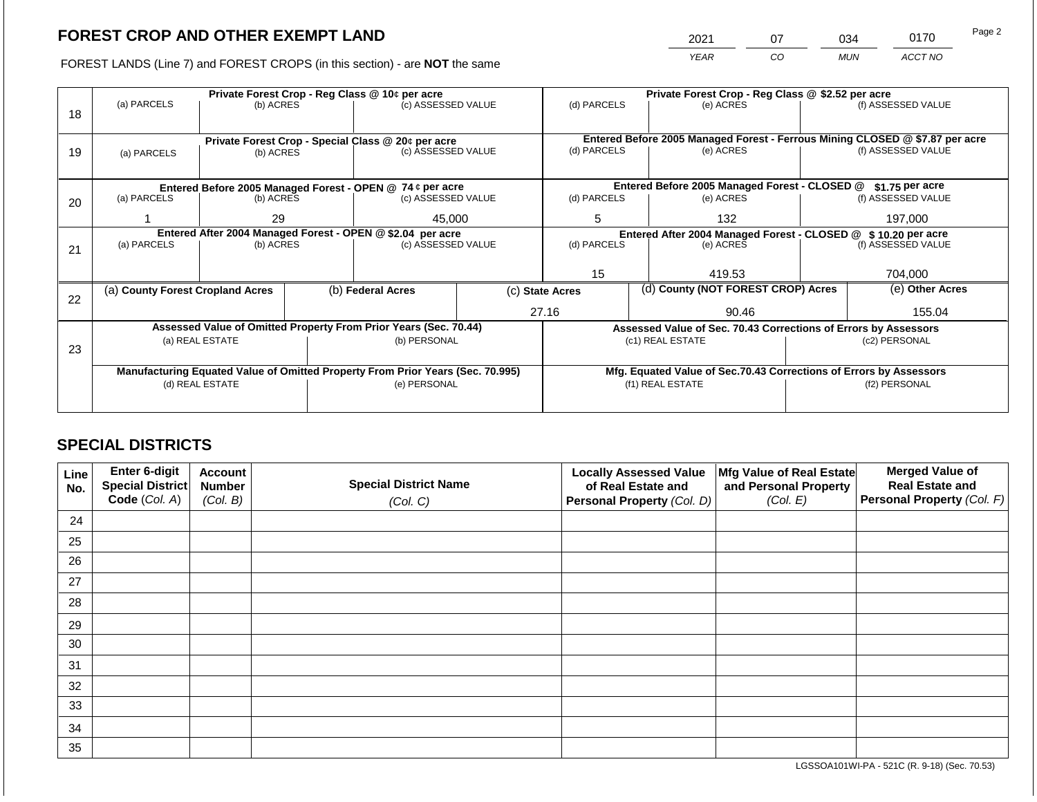2021 07 034 0170 Page 2

FOREST LANDS (Line 7) and FOREST CROPS (in this section) - are **NOT** the same *YEAR CO MUN ACCT NO*

|    |                                                                                  |                                 |  | Private Forest Crop - Reg Class @ 10¢ per acre                           |                                                                    | Private Forest Crop - Reg Class @ \$2.52 per acre                |                                                                              |                                                                 |                    |                    |  |
|----|----------------------------------------------------------------------------------|---------------------------------|--|--------------------------------------------------------------------------|--------------------------------------------------------------------|------------------------------------------------------------------|------------------------------------------------------------------------------|-----------------------------------------------------------------|--------------------|--------------------|--|
| 18 | (a) PARCELS                                                                      | (b) ACRES                       |  | (c) ASSESSED VALUE                                                       |                                                                    | (d) PARCELS                                                      |                                                                              | (e) ACRES                                                       |                    | (f) ASSESSED VALUE |  |
|    |                                                                                  |                                 |  |                                                                          |                                                                    |                                                                  |                                                                              |                                                                 |                    |                    |  |
|    |                                                                                  |                                 |  |                                                                          |                                                                    |                                                                  | Entered Before 2005 Managed Forest - Ferrous Mining CLOSED @ \$7.87 per acre |                                                                 |                    |                    |  |
| 19 | (a) PARCELS                                                                      | (b) ACRES                       |  | Private Forest Crop - Special Class @ 20¢ per acre<br>(c) ASSESSED VALUE |                                                                    | (d) PARCELS                                                      |                                                                              | (e) ACRES                                                       | (f) ASSESSED VALUE |                    |  |
|    |                                                                                  |                                 |  |                                                                          |                                                                    |                                                                  |                                                                              |                                                                 |                    |                    |  |
|    |                                                                                  |                                 |  |                                                                          |                                                                    |                                                                  |                                                                              |                                                                 |                    |                    |  |
|    |                                                                                  |                                 |  | Entered Before 2005 Managed Forest - OPEN @ 74 ¢ per acre                |                                                                    | Entered Before 2005 Managed Forest - CLOSED @<br>\$1.75 per acre |                                                                              |                                                                 |                    |                    |  |
| 20 | (a) PARCELS                                                                      | (c) ASSESSED VALUE<br>(b) ACRES |  | (d) PARCELS                                                              |                                                                    | (e) ACRES                                                        |                                                                              | (f) ASSESSED VALUE                                              |                    |                    |  |
|    |                                                                                  | 45,000<br>29                    |  | 5                                                                        |                                                                    | 132                                                              |                                                                              | 197,000                                                         |                    |                    |  |
|    |                                                                                  |                                 |  |                                                                          |                                                                    |                                                                  |                                                                              |                                                                 |                    |                    |  |
|    | Entered After 2004 Managed Forest - OPEN @ \$2.04 per acre<br>(c) ASSESSED VALUE |                                 |  |                                                                          |                                                                    | Entered After 2004 Managed Forest - CLOSED @ \$ 10.20 per acre   |                                                                              |                                                                 |                    |                    |  |
| 21 | (a) PARCELS                                                                      | (b) ACRES                       |  |                                                                          |                                                                    |                                                                  | (d) PARCELS<br>(e) ACRES                                                     |                                                                 |                    | (f) ASSESSED VALUE |  |
|    |                                                                                  |                                 |  |                                                                          |                                                                    |                                                                  |                                                                              |                                                                 |                    |                    |  |
|    |                                                                                  |                                 |  |                                                                          |                                                                    | 15                                                               |                                                                              | 419.53                                                          |                    | 704,000            |  |
|    | (a) County Forest Cropland Acres                                                 |                                 |  | (b) Federal Acres                                                        |                                                                    | (c) State Acres                                                  |                                                                              | (d) County (NOT FOREST CROP) Acres                              |                    | (e) Other Acres    |  |
| 22 |                                                                                  |                                 |  |                                                                          |                                                                    |                                                                  |                                                                              |                                                                 |                    |                    |  |
|    |                                                                                  |                                 |  |                                                                          |                                                                    | 27.16                                                            |                                                                              | 90.46                                                           |                    | 155.04             |  |
|    |                                                                                  |                                 |  | Assessed Value of Omitted Property From Prior Years (Sec. 70.44)         |                                                                    |                                                                  |                                                                              | Assessed Value of Sec. 70.43 Corrections of Errors by Assessors |                    |                    |  |
|    |                                                                                  | (a) REAL ESTATE                 |  | (b) PERSONAL                                                             |                                                                    |                                                                  |                                                                              | (c1) REAL ESTATE                                                |                    | (c2) PERSONAL      |  |
| 23 |                                                                                  |                                 |  |                                                                          |                                                                    |                                                                  |                                                                              |                                                                 |                    |                    |  |
|    | Manufacturing Equated Value of Omitted Property From Prior Years (Sec. 70.995)   |                                 |  |                                                                          | Mfg. Equated Value of Sec.70.43 Corrections of Errors by Assessors |                                                                  |                                                                              |                                                                 |                    |                    |  |
|    |                                                                                  | (d) REAL ESTATE                 |  | (e) PERSONAL                                                             |                                                                    |                                                                  |                                                                              | (f1) REAL ESTATE                                                |                    | (f2) PERSONAL      |  |
|    |                                                                                  |                                 |  |                                                                          |                                                                    |                                                                  |                                                                              |                                                                 |                    |                    |  |
|    |                                                                                  |                                 |  |                                                                          |                                                                    |                                                                  |                                                                              |                                                                 |                    |                    |  |

# **SPECIAL DISTRICTS**

| Line<br>No. | <b>Enter 6-digit</b><br>Special District | <b>Account</b><br><b>Number</b> | <b>Special District Name</b> | <b>Locally Assessed Value</b><br>of Real Estate and | Mfg Value of Real Estate<br>and Personal Property | <b>Merged Value of</b><br><b>Real Estate and</b> |
|-------------|------------------------------------------|---------------------------------|------------------------------|-----------------------------------------------------|---------------------------------------------------|--------------------------------------------------|
|             | Code (Col. A)                            | (Col. B)                        | (Col. C)                     | Personal Property (Col. D)                          | (Col. E)                                          | Personal Property (Col. F)                       |
| 24          |                                          |                                 |                              |                                                     |                                                   |                                                  |
| 25          |                                          |                                 |                              |                                                     |                                                   |                                                  |
| 26          |                                          |                                 |                              |                                                     |                                                   |                                                  |
| 27          |                                          |                                 |                              |                                                     |                                                   |                                                  |
| 28          |                                          |                                 |                              |                                                     |                                                   |                                                  |
| 29          |                                          |                                 |                              |                                                     |                                                   |                                                  |
| 30          |                                          |                                 |                              |                                                     |                                                   |                                                  |
| 31          |                                          |                                 |                              |                                                     |                                                   |                                                  |
| 32          |                                          |                                 |                              |                                                     |                                                   |                                                  |
| 33          |                                          |                                 |                              |                                                     |                                                   |                                                  |
| 34          |                                          |                                 |                              |                                                     |                                                   |                                                  |
| 35          |                                          |                                 |                              |                                                     |                                                   |                                                  |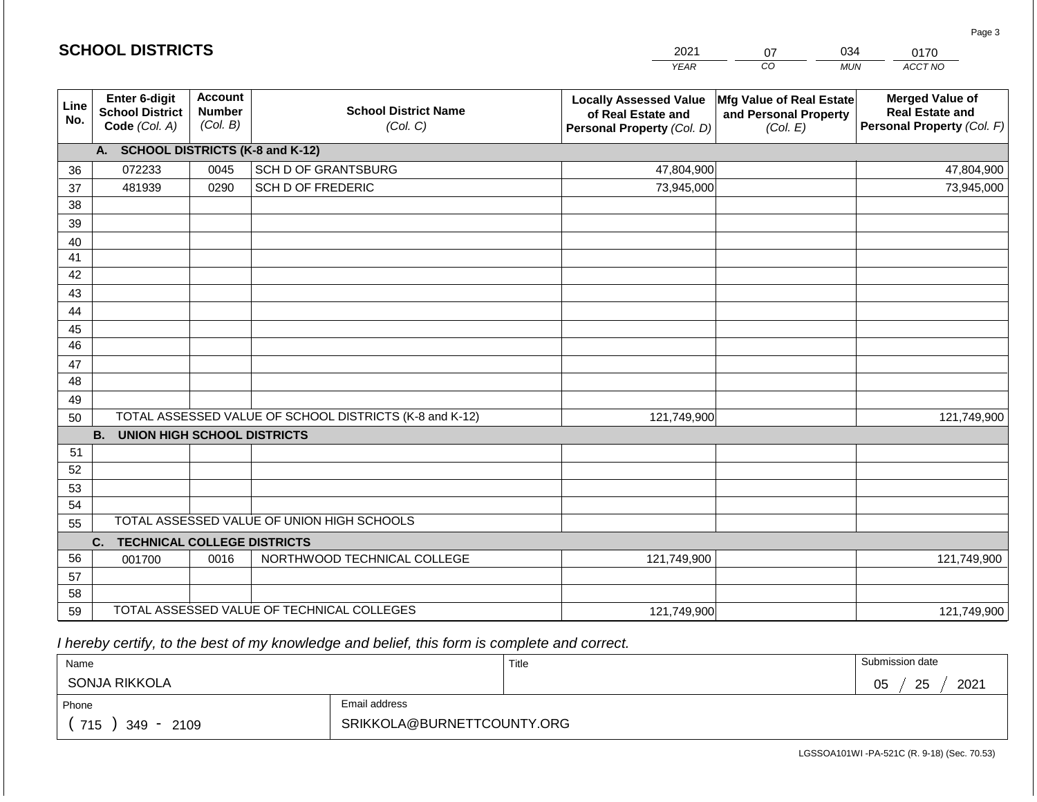|             |                                                          |                                             |                                                         | <b>YEAR</b>                                                                       | $\overline{co}$<br><b>MUN</b>                                 | ACCT NO                                                                        |
|-------------|----------------------------------------------------------|---------------------------------------------|---------------------------------------------------------|-----------------------------------------------------------------------------------|---------------------------------------------------------------|--------------------------------------------------------------------------------|
| Line<br>No. | Enter 6-digit<br><b>School District</b><br>Code (Col. A) | <b>Account</b><br><b>Number</b><br>(Col. B) | <b>School District Name</b><br>(Col. C)                 | <b>Locally Assessed Value</b><br>of Real Estate and<br>Personal Property (Col. D) | Mfg Value of Real Estate<br>and Personal Property<br>(Col. E) | <b>Merged Value of</b><br><b>Real Estate and</b><br>Personal Property (Col. F) |
|             | A. SCHOOL DISTRICTS (K-8 and K-12)                       |                                             |                                                         |                                                                                   |                                                               |                                                                                |
| 36          | 072233                                                   | 0045                                        | SCH D OF GRANTSBURG                                     | 47,804,900                                                                        |                                                               | 47,804,900                                                                     |
| 37          | 481939                                                   | 0290                                        | <b>SCH D OF FREDERIC</b>                                | 73,945,000                                                                        |                                                               | 73,945,000                                                                     |
| 38          |                                                          |                                             |                                                         |                                                                                   |                                                               |                                                                                |
| 39          |                                                          |                                             |                                                         |                                                                                   |                                                               |                                                                                |
| 40          |                                                          |                                             |                                                         |                                                                                   |                                                               |                                                                                |
| 41          |                                                          |                                             |                                                         |                                                                                   |                                                               |                                                                                |
| 42          |                                                          |                                             |                                                         |                                                                                   |                                                               |                                                                                |
| 43          |                                                          |                                             |                                                         |                                                                                   |                                                               |                                                                                |
| 44          |                                                          |                                             |                                                         |                                                                                   |                                                               |                                                                                |
| 45          |                                                          |                                             |                                                         |                                                                                   |                                                               |                                                                                |
| 46          |                                                          |                                             |                                                         |                                                                                   |                                                               |                                                                                |
| 47<br>48    |                                                          |                                             |                                                         |                                                                                   |                                                               |                                                                                |
|             |                                                          |                                             |                                                         |                                                                                   |                                                               |                                                                                |
| 49<br>50    |                                                          |                                             | TOTAL ASSESSED VALUE OF SCHOOL DISTRICTS (K-8 and K-12) | 121,749,900                                                                       |                                                               | 121,749,900                                                                    |
|             | <b>UNION HIGH SCHOOL DISTRICTS</b><br><b>B.</b>          |                                             |                                                         |                                                                                   |                                                               |                                                                                |
| 51          |                                                          |                                             |                                                         |                                                                                   |                                                               |                                                                                |
| 52          |                                                          |                                             |                                                         |                                                                                   |                                                               |                                                                                |
| 53          |                                                          |                                             |                                                         |                                                                                   |                                                               |                                                                                |
| 54          |                                                          |                                             |                                                         |                                                                                   |                                                               |                                                                                |
| 55          |                                                          |                                             | TOTAL ASSESSED VALUE OF UNION HIGH SCHOOLS              |                                                                                   |                                                               |                                                                                |
|             | C.<br><b>TECHNICAL COLLEGE DISTRICTS</b>                 |                                             |                                                         |                                                                                   |                                                               |                                                                                |
| 56          | 001700                                                   | 0016                                        | NORTHWOOD TECHNICAL COLLEGE                             | 121,749,900                                                                       |                                                               | 121,749,900                                                                    |
| 57          |                                                          |                                             |                                                         |                                                                                   |                                                               |                                                                                |
| 58          |                                                          |                                             |                                                         |                                                                                   |                                                               |                                                                                |
| 59          |                                                          |                                             | TOTAL ASSESSED VALUE OF TECHNICAL COLLEGES              | 121,749,900                                                                       |                                                               | 121,749,900                                                                    |

2021

07

034

 *I hereby certify, to the best of my knowledge and belief, this form is complete and correct.*

**SCHOOL DISTRICTS**

| Name              |                            | Title | Submission date        |  |  |
|-------------------|----------------------------|-------|------------------------|--|--|
| SONJA RIKKOLA     |                            |       | 25<br>2021<br>∩ҕ<br>◡◡ |  |  |
| Phone             | Email address              |       |                        |  |  |
| 715<br>349 - 2109 | SRIKKOLA@BURNETTCOUNTY.ORG |       |                        |  |  |

Page 3

0170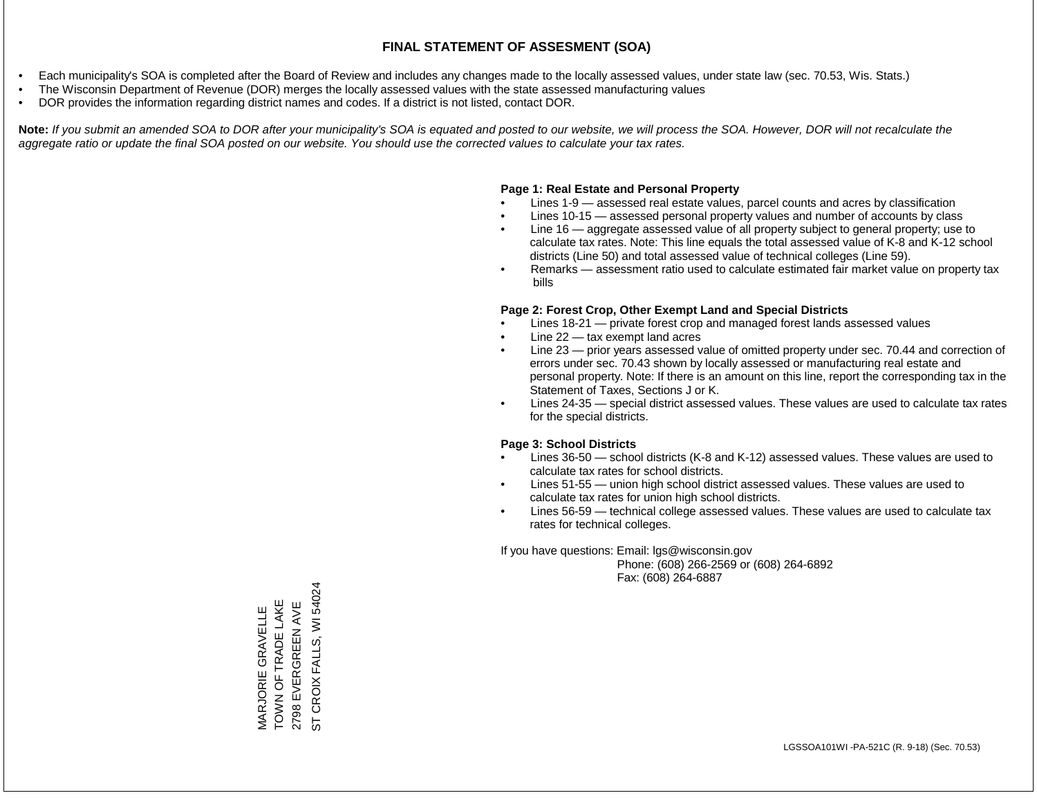- Each municipality's SOA is completed after the Board of Review and includes any changes made to the locally assessed values, under state law (sec. 70.53, Wis. Stats.)
- The Wisconsin Department of Revenue (DOR) merges the locally assessed values with the state assessed manufacturing values
- DOR provides the information regarding district names and codes. If a district is not listed, contact DOR.

Note: If you submit an amended SOA to DOR after your municipality's SOA is equated and posted to our website, we will process the SOA. However, DOR will not recalculate the *aggregate ratio or update the final SOA posted on our website. You should use the corrected values to calculate your tax rates.*

#### **Page 1: Real Estate and Personal Property**

- Lines 1-9 assessed real estate values, parcel counts and acres by classification
- Lines 10-15 assessed personal property values and number of accounts by class
- Line 16 aggregate assessed value of all property subject to general property; use to calculate tax rates. Note: This line equals the total assessed value of K-8 and K-12 school districts (Line 50) and total assessed value of technical colleges (Line 59).
- Remarks assessment ratio used to calculate estimated fair market value on property tax bills

#### **Page 2: Forest Crop, Other Exempt Land and Special Districts**

- Lines 18-21 private forest crop and managed forest lands assessed values
- Line  $22 -$  tax exempt land acres
- Line 23 prior years assessed value of omitted property under sec. 70.44 and correction of errors under sec. 70.43 shown by locally assessed or manufacturing real estate and personal property. Note: If there is an amount on this line, report the corresponding tax in the Statement of Taxes, Sections J or K.
- Lines 24-35 special district assessed values. These values are used to calculate tax rates for the special districts.

#### **Page 3: School Districts**

- Lines 36-50 school districts (K-8 and K-12) assessed values. These values are used to calculate tax rates for school districts.
- Lines 51-55 union high school district assessed values. These values are used to calculate tax rates for union high school districts.
- Lines 56-59 technical college assessed values. These values are used to calculate tax rates for technical colleges.

If you have questions: Email: lgs@wisconsin.gov

 Phone: (608) 266-2569 or (608) 264-6892 Fax: (608) 264-6887

CROIX FALLS, WI 54024 ST CROIX FALLS, WI 54024TOWN OF TRADE LAKE MARJORIE GRAVELLE<br>TOWN OF TRADE LAKE 2798 EVERGREEN AVE 2798 EVERGREEN AVE MARJORIE GRAVELLE  $\overline{5}$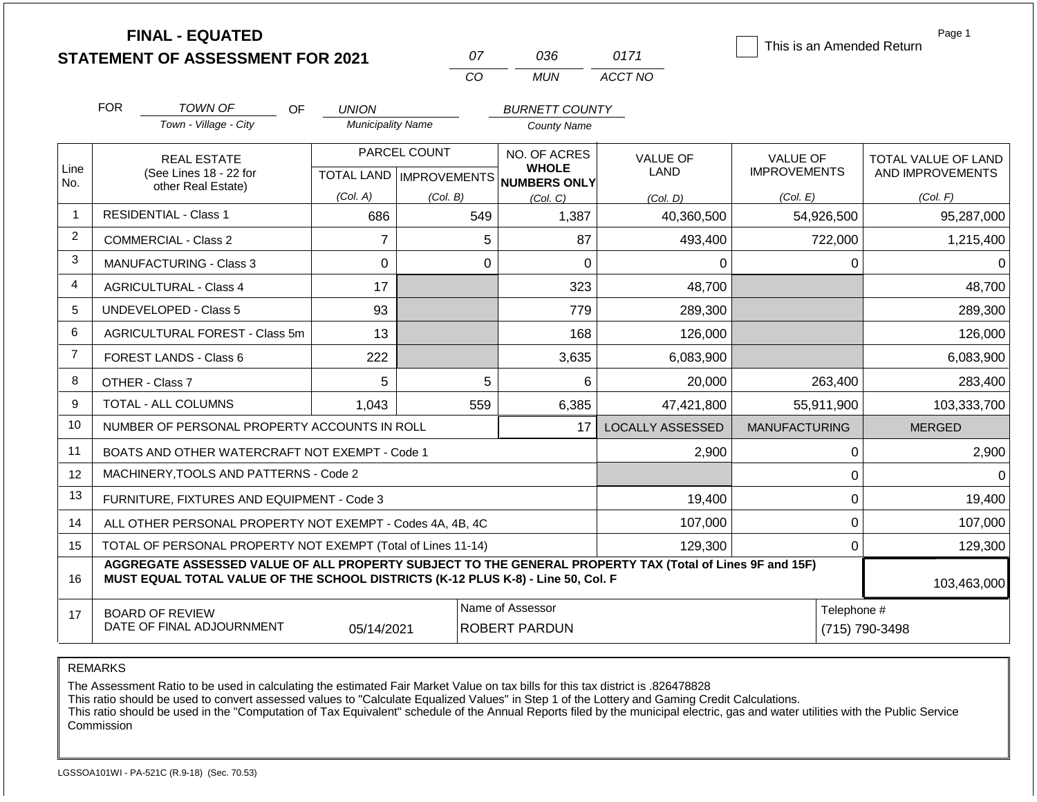|                | <b>FINAL - EQUATED</b><br><b>STATEMENT OF ASSESSMENT FOR 2021</b>  |                                          | 07<br>CO                                        | 036<br><b>MUN</b>                                               | 0171<br>ACCT NO                     | This is an Amended Return                          | Page 1                                                     |
|----------------|--------------------------------------------------------------------|------------------------------------------|-------------------------------------------------|-----------------------------------------------------------------|-------------------------------------|----------------------------------------------------|------------------------------------------------------------|
|                | <b>FOR</b><br><b>TOWN OF</b><br>OF<br>Town - Village - City        | <b>UNION</b><br><b>Municipality Name</b> |                                                 | <b>BURNETT COUNTY</b><br><b>County Name</b>                     |                                     |                                                    |                                                            |
| Line<br>No.    | <b>REAL ESTATE</b><br>(See Lines 18 - 22 for<br>other Real Estate) | <b>TOTAL LAND</b><br>(Col. A)            | PARCEL COUNT<br><b>IMPROVEMENTS</b><br>(Col. B) | NO. OF ACRES<br><b>WHOLE</b><br><b>NUMBERS ONLY</b><br>(Col, C) | <b>VALUE OF</b><br>LAND<br>(Col. D) | <b>VALUE OF</b><br><b>IMPROVEMENTS</b><br>(Col. E) | <b>TOTAL VALUE OF LAND</b><br>AND IMPROVEMENTS<br>(Col. F) |
|                | <b>RESIDENTIAL - Class 1</b>                                       | 686                                      | 549                                             | 1,387                                                           | 40,360,500                          | 54,926,500                                         | 95,287,000                                                 |
| 2              | COMMERCIAL - Class 2                                               | 7                                        | 5                                               | 87                                                              | 493,400                             | 722,000                                            | 1,215,400                                                  |
| 3              | <b>MANUFACTURING - Class 3</b>                                     | 0                                        | 0                                               | 0                                                               | $\Omega$                            | 0                                                  | 0                                                          |
| 4              | <b>AGRICULTURAL - Class 4</b>                                      | 17                                       |                                                 | 323                                                             | 48,700                              |                                                    | 48,700                                                     |
| 5              | <b>UNDEVELOPED - Class 5</b>                                       | 93                                       |                                                 | 779                                                             | 289,300                             |                                                    | 289,300                                                    |
| 6              | AGRICULTURAL FOREST - Class 5m                                     | 13                                       |                                                 | 168                                                             | 126,000                             |                                                    | 126,000                                                    |
| $\overline{7}$ | FOREST LANDS - Class 6                                             | 222                                      |                                                 | 3,635                                                           | 6,083,900                           |                                                    | 6,083,900                                                  |

|    | FUREJI LANDJ - UIJSS 0                                                                                                                                                                                      | ZZZ        |     | ວ.ບວວ                                    | 0,000,900                     |               | 0,000,900   |  |
|----|-------------------------------------------------------------------------------------------------------------------------------------------------------------------------------------------------------------|------------|-----|------------------------------------------|-------------------------------|---------------|-------------|--|
| 8  | OTHER - Class 7                                                                                                                                                                                             | 5          | 5.  | 6                                        | 20,000                        | 263,400       | 283,400     |  |
| 9  | <b>TOTAL - ALL COLUMNS</b>                                                                                                                                                                                  | 1,043      | 559 | 6,385                                    | 47,421,800                    | 55,911,900    | 103,333,700 |  |
| 10 | NUMBER OF PERSONAL PROPERTY ACCOUNTS IN ROLL                                                                                                                                                                |            |     | LOCALLY ASSESSED                         | <b>MANUFACTURING</b>          | <b>MERGED</b> |             |  |
| 11 | BOATS AND OTHER WATERCRAFT NOT EXEMPT - Code 1                                                                                                                                                              |            |     |                                          | 2,900                         |               | 2,900       |  |
| 12 | MACHINERY, TOOLS AND PATTERNS - Code 2                                                                                                                                                                      |            |     |                                          |                               |               | 0           |  |
| 13 | FURNITURE, FIXTURES AND EQUIPMENT - Code 3                                                                                                                                                                  |            |     |                                          | 19,400                        |               | 19,400      |  |
| 14 | ALL OTHER PERSONAL PROPERTY NOT EXEMPT - Codes 4A, 4B, 4C                                                                                                                                                   |            |     |                                          | 107,000                       |               | 107,000     |  |
| 15 | TOTAL OF PERSONAL PROPERTY NOT EXEMPT (Total of Lines 11-14)                                                                                                                                                |            |     |                                          | 129,300                       |               | 129,300     |  |
| 16 | AGGREGATE ASSESSED VALUE OF ALL PROPERTY SUBJECT TO THE GENERAL PROPERTY TAX (Total of Lines 9F and 15F)<br>MUST EQUAL TOTAL VALUE OF THE SCHOOL DISTRICTS (K-12 PLUS K-8) - Line 50, Col. F<br>103,463,000 |            |     |                                          |                               |               |             |  |
| 17 | <b>BOARD OF REVIEW</b><br>DATE OF FINAL ADJOURNMENT                                                                                                                                                         | 05/14/2021 |     | Name of Assessor<br><b>ROBERT PARDUN</b> | Telephone #<br>(715) 790-3498 |               |             |  |

The Assessment Ratio to be used in calculating the estimated Fair Market Value on tax bills for this tax district is .826478828

This ratio should be used to convert assessed values to "Calculate Equalized Values" in Step 1 of the Lottery and Gaming Credit Calculations.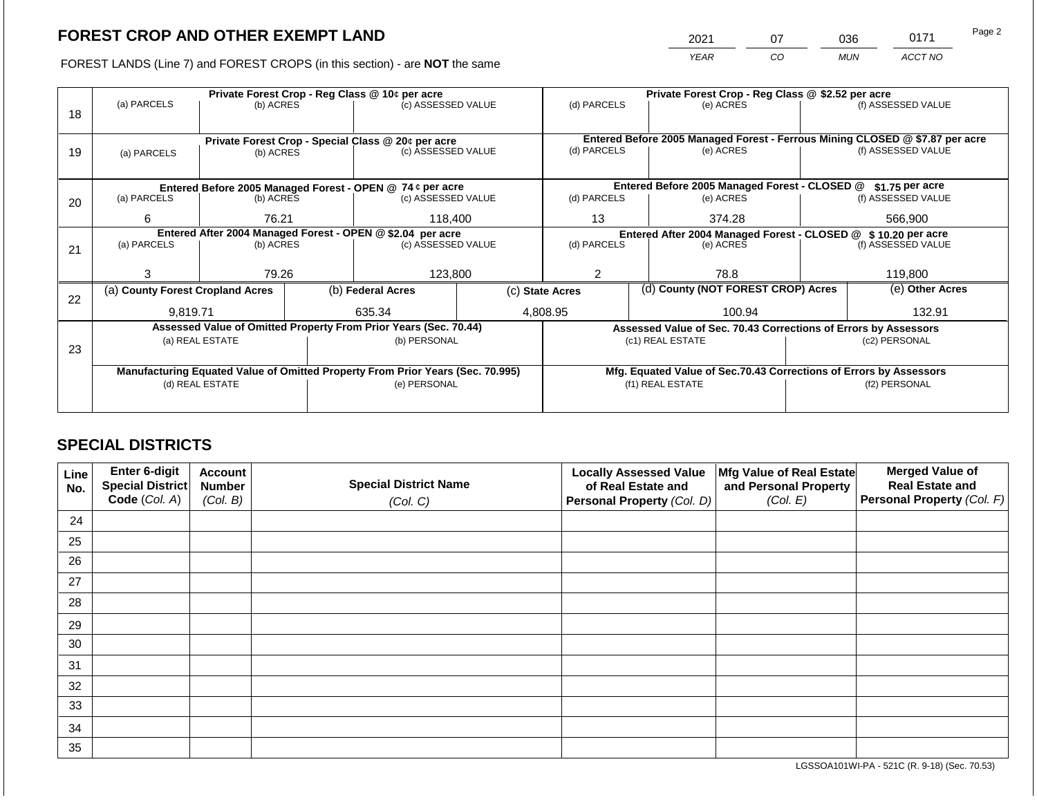2021 07 036 0171

FOREST LANDS (Line 7) and FOREST CROPS (in this section) - are **NOT** the same *YEAR CO MUN ACCT NO*

|    |                                                            |                                                                 |             | Private Forest Crop - Reg Class @ 10¢ per acre                                 |           | Private Forest Crop - Reg Class @ \$2.52 per acre             |                    |                                                                              |                    |                    |
|----|------------------------------------------------------------|-----------------------------------------------------------------|-------------|--------------------------------------------------------------------------------|-----------|---------------------------------------------------------------|--------------------|------------------------------------------------------------------------------|--------------------|--------------------|
| 18 | (a) PARCELS                                                | (b) ACRES                                                       |             | (c) ASSESSED VALUE                                                             |           | (d) PARCELS                                                   |                    | (e) ACRES                                                                    |                    | (f) ASSESSED VALUE |
|    |                                                            |                                                                 |             |                                                                                |           |                                                               |                    |                                                                              |                    |                    |
|    |                                                            |                                                                 |             |                                                                                |           |                                                               |                    | Entered Before 2005 Managed Forest - Ferrous Mining CLOSED @ \$7.87 per acre |                    |                    |
| 19 | (a) PARCELS                                                | Private Forest Crop - Special Class @ 20¢ per acre<br>(b) ACRES |             | (c) ASSESSED VALUE                                                             |           | (d) PARCELS                                                   |                    | (e) ACRES                                                                    |                    | (f) ASSESSED VALUE |
|    |                                                            |                                                                 |             |                                                                                |           |                                                               |                    |                                                                              |                    |                    |
|    |                                                            |                                                                 |             |                                                                                |           |                                                               |                    |                                                                              |                    |                    |
|    |                                                            |                                                                 |             | Entered Before 2005 Managed Forest - OPEN @ 74 ¢ per acre                      |           |                                                               |                    | Entered Before 2005 Managed Forest - CLOSED @                                |                    | \$1.75 per acre    |
| 20 | (a) PARCELS<br>(b) ACRES<br>(c) ASSESSED VALUE             |                                                                 | (d) PARCELS |                                                                                | (e) ACRES |                                                               | (f) ASSESSED VALUE |                                                                              |                    |                    |
|    |                                                            | 118,400<br>6<br>76.21                                           |             | 13                                                                             |           | 374.28                                                        |                    | 566,900                                                                      |                    |                    |
|    |                                                            |                                                                 |             |                                                                                |           |                                                               |                    |                                                                              |                    |                    |
|    | Entered After 2004 Managed Forest - OPEN @ \$2.04 per acre |                                                                 |             |                                                                                |           | Entered After 2004 Managed Forest - CLOSED @ \$10.20 per acre |                    |                                                                              |                    |                    |
| 21 | (a) PARCELS                                                | (b) ACRES                                                       |             | (c) ASSESSED VALUE                                                             |           | (d) PARCELS                                                   | (e) ACRES          |                                                                              | (f) ASSESSED VALUE |                    |
|    |                                                            |                                                                 |             |                                                                                |           |                                                               |                    |                                                                              |                    |                    |
|    | З                                                          | 79.26                                                           |             | 123,800                                                                        |           | 78.8                                                          |                    | 119,800                                                                      |                    |                    |
|    | (a) County Forest Cropland Acres                           |                                                                 |             | (b) Federal Acres                                                              |           | (c) State Acres                                               |                    | (d) County (NOT FOREST CROP) Acres                                           |                    | (e) Other Acres    |
| 22 |                                                            |                                                                 |             |                                                                                |           |                                                               |                    |                                                                              |                    |                    |
|    | 9,819.71                                                   |                                                                 |             | 635.34                                                                         |           | 4,808.95                                                      |                    | 100.94                                                                       |                    | 132.91             |
|    |                                                            |                                                                 |             | Assessed Value of Omitted Property From Prior Years (Sec. 70.44)               |           |                                                               |                    | Assessed Value of Sec. 70.43 Corrections of Errors by Assessors              |                    |                    |
|    |                                                            | (a) REAL ESTATE                                                 |             | (b) PERSONAL                                                                   |           |                                                               |                    | (c1) REAL ESTATE                                                             |                    | (c2) PERSONAL      |
| 23 |                                                            |                                                                 |             |                                                                                |           |                                                               |                    |                                                                              |                    |                    |
|    |                                                            |                                                                 |             | Manufacturing Equated Value of Omitted Property From Prior Years (Sec. 70.995) |           |                                                               |                    | Mfg. Equated Value of Sec.70.43 Corrections of Errors by Assessors           |                    |                    |
|    |                                                            | (d) REAL ESTATE                                                 |             | (e) PERSONAL                                                                   |           |                                                               |                    | (f1) REAL ESTATE                                                             |                    | (f2) PERSONAL      |
|    |                                                            |                                                                 |             |                                                                                |           |                                                               |                    |                                                                              |                    |                    |
|    |                                                            |                                                                 |             |                                                                                |           |                                                               |                    |                                                                              |                    |                    |

# **SPECIAL DISTRICTS**

| Line<br>No. | Enter 6-digit<br>Special District<br>Code (Col. A) | <b>Account</b><br><b>Number</b><br>(Col. B) | <b>Special District Name</b><br>(Col. C) | <b>Locally Assessed Value</b><br>of Real Estate and<br><b>Personal Property (Col. D)</b> | Mfg Value of Real Estate<br>and Personal Property<br>(Col. E) | <b>Merged Value of</b><br><b>Real Estate and</b><br>Personal Property (Col. F) |
|-------------|----------------------------------------------------|---------------------------------------------|------------------------------------------|------------------------------------------------------------------------------------------|---------------------------------------------------------------|--------------------------------------------------------------------------------|
| 24          |                                                    |                                             |                                          |                                                                                          |                                                               |                                                                                |
| 25          |                                                    |                                             |                                          |                                                                                          |                                                               |                                                                                |
| 26          |                                                    |                                             |                                          |                                                                                          |                                                               |                                                                                |
| 27          |                                                    |                                             |                                          |                                                                                          |                                                               |                                                                                |
| 28          |                                                    |                                             |                                          |                                                                                          |                                                               |                                                                                |
| 29          |                                                    |                                             |                                          |                                                                                          |                                                               |                                                                                |
| 30          |                                                    |                                             |                                          |                                                                                          |                                                               |                                                                                |
| 31          |                                                    |                                             |                                          |                                                                                          |                                                               |                                                                                |
| 32          |                                                    |                                             |                                          |                                                                                          |                                                               |                                                                                |
| 33          |                                                    |                                             |                                          |                                                                                          |                                                               |                                                                                |
| 34          |                                                    |                                             |                                          |                                                                                          |                                                               |                                                                                |
| 35          |                                                    |                                             |                                          |                                                                                          |                                                               |                                                                                |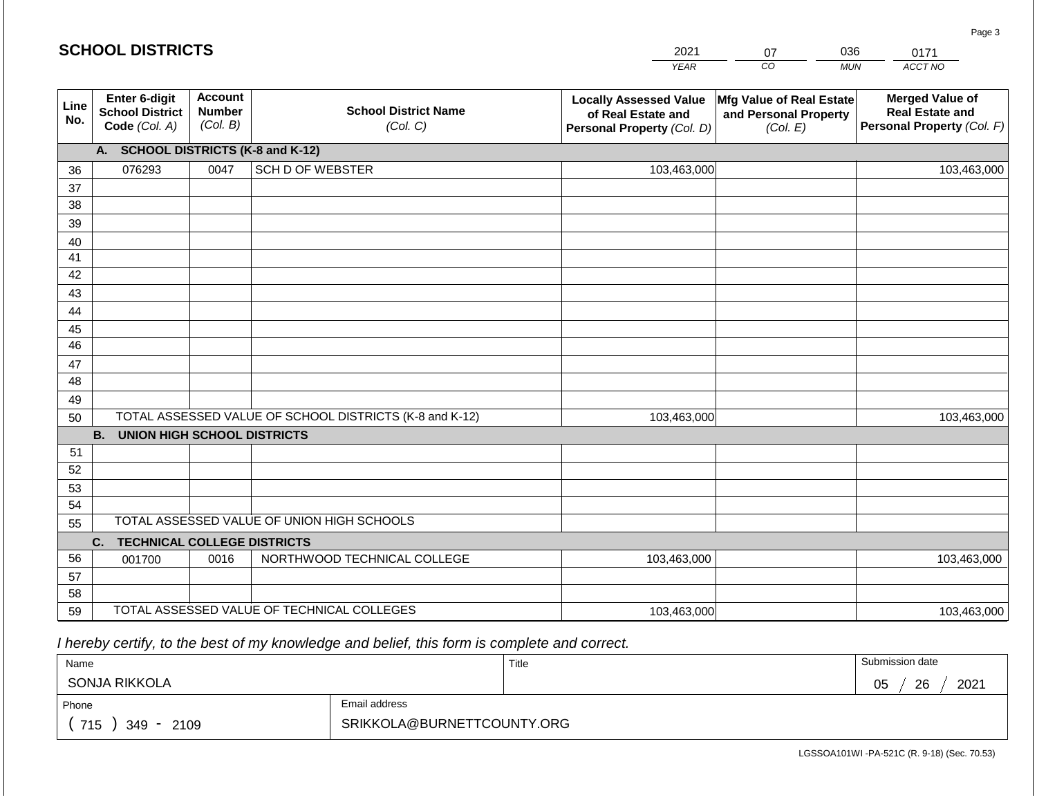|             | <b>SCHOOL DISTRICTS</b><br>2021<br>036<br>07             |                                             |                                                         |                                                                                   | 0171                                                          |                                                                                |  |  |  |  |
|-------------|----------------------------------------------------------|---------------------------------------------|---------------------------------------------------------|-----------------------------------------------------------------------------------|---------------------------------------------------------------|--------------------------------------------------------------------------------|--|--|--|--|
|             |                                                          |                                             |                                                         | <b>YEAR</b>                                                                       | CO                                                            | ACCT NO<br><b>MUN</b>                                                          |  |  |  |  |
| Line<br>No. | Enter 6-digit<br><b>School District</b><br>Code (Col. A) | <b>Account</b><br><b>Number</b><br>(Col. B) | <b>School District Name</b><br>(Col. C)                 | <b>Locally Assessed Value</b><br>of Real Estate and<br>Personal Property (Col. D) | Mfg Value of Real Estate<br>and Personal Property<br>(Col. E) | <b>Merged Value of</b><br><b>Real Estate and</b><br>Personal Property (Col. F) |  |  |  |  |
|             | A. SCHOOL DISTRICTS (K-8 and K-12)                       |                                             |                                                         |                                                                                   |                                                               |                                                                                |  |  |  |  |
| 36          | 076293                                                   | 0047                                        | <b>SCH D OF WEBSTER</b>                                 | 103,463,000                                                                       |                                                               | 103,463,000                                                                    |  |  |  |  |
| 37          |                                                          |                                             |                                                         |                                                                                   |                                                               |                                                                                |  |  |  |  |
| 38          |                                                          |                                             |                                                         |                                                                                   |                                                               |                                                                                |  |  |  |  |
| 39          |                                                          |                                             |                                                         |                                                                                   |                                                               |                                                                                |  |  |  |  |
| 40          |                                                          |                                             |                                                         |                                                                                   |                                                               |                                                                                |  |  |  |  |
| 41          |                                                          |                                             |                                                         |                                                                                   |                                                               |                                                                                |  |  |  |  |
| 42          |                                                          |                                             |                                                         |                                                                                   |                                                               |                                                                                |  |  |  |  |
| 43<br>44    |                                                          |                                             |                                                         |                                                                                   |                                                               |                                                                                |  |  |  |  |
| 45          |                                                          |                                             |                                                         |                                                                                   |                                                               |                                                                                |  |  |  |  |
| 46          |                                                          |                                             |                                                         |                                                                                   |                                                               |                                                                                |  |  |  |  |
| 47          |                                                          |                                             |                                                         |                                                                                   |                                                               |                                                                                |  |  |  |  |
| 48          |                                                          |                                             |                                                         |                                                                                   |                                                               |                                                                                |  |  |  |  |
| 49          |                                                          |                                             |                                                         |                                                                                   |                                                               |                                                                                |  |  |  |  |
| 50          |                                                          |                                             | TOTAL ASSESSED VALUE OF SCHOOL DISTRICTS (K-8 and K-12) | 103,463,000                                                                       |                                                               | 103,463,000                                                                    |  |  |  |  |
|             | <b>B.</b><br><b>UNION HIGH SCHOOL DISTRICTS</b>          |                                             |                                                         |                                                                                   |                                                               |                                                                                |  |  |  |  |
| 51          |                                                          |                                             |                                                         |                                                                                   |                                                               |                                                                                |  |  |  |  |
| 52          |                                                          |                                             |                                                         |                                                                                   |                                                               |                                                                                |  |  |  |  |
| 53          |                                                          |                                             |                                                         |                                                                                   |                                                               |                                                                                |  |  |  |  |
| 54          |                                                          |                                             |                                                         |                                                                                   |                                                               |                                                                                |  |  |  |  |
| 55          | TOTAL ASSESSED VALUE OF UNION HIGH SCHOOLS               |                                             |                                                         |                                                                                   |                                                               |                                                                                |  |  |  |  |
|             | C.<br><b>TECHNICAL COLLEGE DISTRICTS</b>                 |                                             |                                                         |                                                                                   |                                                               |                                                                                |  |  |  |  |
| 56          | 001700                                                   | 0016                                        | NORTHWOOD TECHNICAL COLLEGE                             | 103,463,000                                                                       |                                                               | 103,463,000                                                                    |  |  |  |  |
| 57          |                                                          |                                             |                                                         |                                                                                   |                                                               |                                                                                |  |  |  |  |
| 58          |                                                          |                                             | TOTAL ASSESSED VALUE OF TECHNICAL COLLEGES              |                                                                                   |                                                               |                                                                                |  |  |  |  |
| 59          |                                                          |                                             |                                                         | 103,463,000                                                                       |                                                               | 103,463,000                                                                    |  |  |  |  |

 *I hereby certify, to the best of my knowledge and belief, this form is complete and correct.*

| Name                   |                            | Title | Submission date  |  |  |
|------------------------|----------------------------|-------|------------------|--|--|
| SONJA RIKKOLA          |                            |       | 26<br>2021<br>05 |  |  |
| Phone                  | Email address              |       |                  |  |  |
| 715<br>2109<br>$349 -$ | SRIKKOLA@BURNETTCOUNTY.ORG |       |                  |  |  |

LGSSOA101WI -PA-521C (R. 9-18) (Sec. 70.53)

Page 3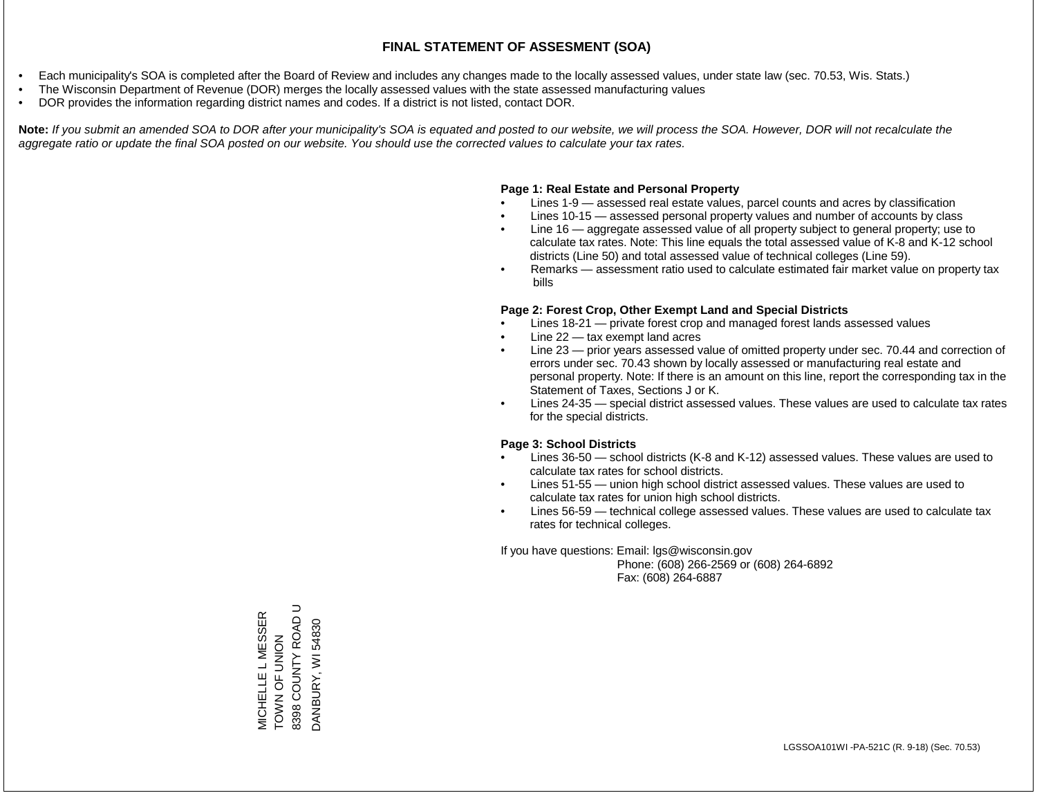- Each municipality's SOA is completed after the Board of Review and includes any changes made to the locally assessed values, under state law (sec. 70.53, Wis. Stats.)
- The Wisconsin Department of Revenue (DOR) merges the locally assessed values with the state assessed manufacturing values
- DOR provides the information regarding district names and codes. If a district is not listed, contact DOR.

Note: If you submit an amended SOA to DOR after your municipality's SOA is equated and posted to our website, we will process the SOA. However, DOR will not recalculate the *aggregate ratio or update the final SOA posted on our website. You should use the corrected values to calculate your tax rates.*

### **Page 1: Real Estate and Personal Property**

- Lines 1-9 assessed real estate values, parcel counts and acres by classification
- Lines 10-15 assessed personal property values and number of accounts by class
- Line 16 aggregate assessed value of all property subject to general property; use to calculate tax rates. Note: This line equals the total assessed value of K-8 and K-12 school districts (Line 50) and total assessed value of technical colleges (Line 59).
- Remarks assessment ratio used to calculate estimated fair market value on property tax bills

### **Page 2: Forest Crop, Other Exempt Land and Special Districts**

- Lines 18-21 private forest crop and managed forest lands assessed values
- Line  $22 -$  tax exempt land acres
- Line 23 prior years assessed value of omitted property under sec. 70.44 and correction of errors under sec. 70.43 shown by locally assessed or manufacturing real estate and personal property. Note: If there is an amount on this line, report the corresponding tax in the Statement of Taxes, Sections J or K.
- Lines 24-35 special district assessed values. These values are used to calculate tax rates for the special districts.

### **Page 3: School Districts**

- Lines 36-50 school districts (K-8 and K-12) assessed values. These values are used to calculate tax rates for school districts.
- Lines 51-55 union high school district assessed values. These values are used to calculate tax rates for union high school districts.
- Lines 56-59 technical college assessed values. These values are used to calculate tax rates for technical colleges.

If you have questions: Email: lgs@wisconsin.gov

 Phone: (608) 266-2569 or (608) 264-6892 Fax: (608) 264-6887

MICHELLE L MESSER<br>TOWN OF UNION<br>8398 COUNTY ROAD U 8398 COUNTY ROAD U MICHELLE L MESSER DANBURY, WI 54830 DANBURY, WI 54830TOWN OF UNION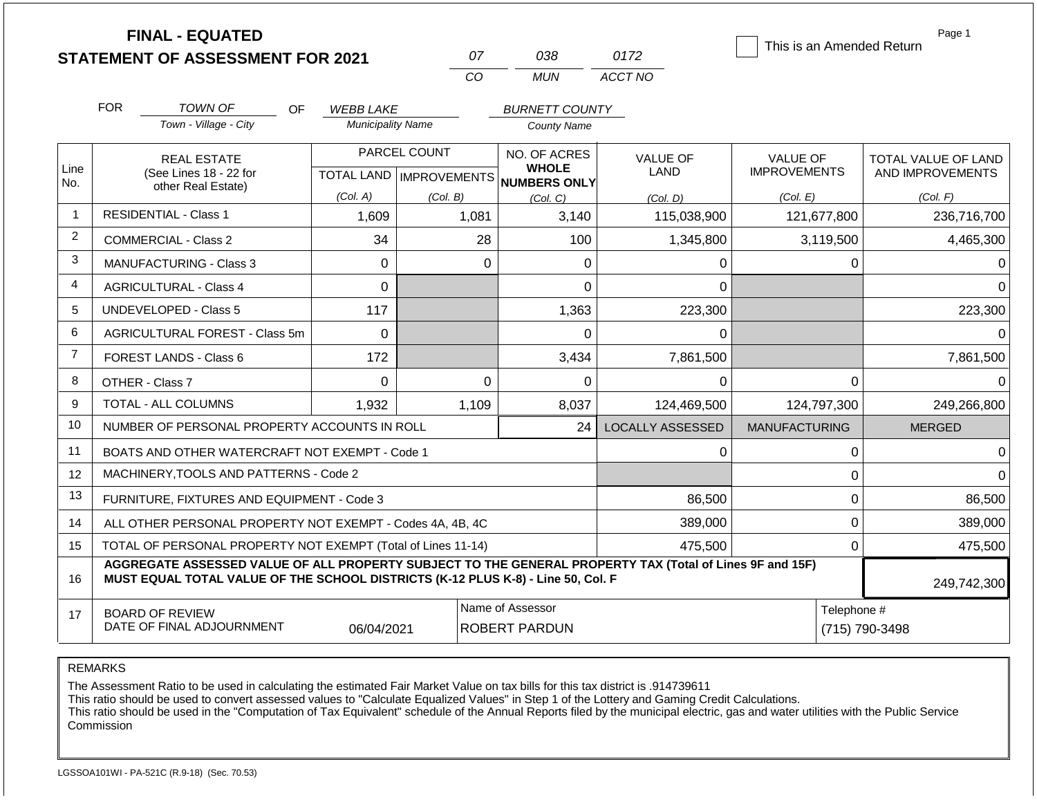|                | <b>FINAL - EQUATED</b><br><b>STATEMENT OF ASSESSMENT FOR 2021</b>                                                                                                                            |                          | 07                                        | 038                                                 | 0172                           | This is an Amended Return              | Page 1                                         |
|----------------|----------------------------------------------------------------------------------------------------------------------------------------------------------------------------------------------|--------------------------|-------------------------------------------|-----------------------------------------------------|--------------------------------|----------------------------------------|------------------------------------------------|
|                |                                                                                                                                                                                              |                          | CO                                        | <b>MUN</b>                                          | ACCT NO                        |                                        |                                                |
|                | <b>FOR</b><br><b>TOWN OF</b><br>OF.                                                                                                                                                          | <b>WEBB LAKE</b>         |                                           | <b>BURNETT COUNTY</b>                               |                                |                                        |                                                |
|                | Town - Village - City                                                                                                                                                                        | <b>Municipality Name</b> |                                           | <b>County Name</b>                                  |                                |                                        |                                                |
| Line<br>No.    | <b>REAL ESTATE</b><br>(See Lines 18 - 22 for                                                                                                                                                 |                          | PARCEL COUNT<br>TOTAL LAND   IMPROVEMENTS | NO. OF ACRES<br><b>WHOLE</b><br><b>NUMBERS ONLY</b> | <b>VALUE OF</b><br><b>LAND</b> | <b>VALUE OF</b><br><b>IMPROVEMENTS</b> | <b>TOTAL VALUE OF LAND</b><br>AND IMPROVEMENTS |
|                | other Real Estate)                                                                                                                                                                           | (Col. A)                 | (Col. B)                                  | (Col, C)                                            | (Col. D)                       | (Col. E)                               | (Col. F)                                       |
| $\mathbf{1}$   | <b>RESIDENTIAL - Class 1</b>                                                                                                                                                                 | 1,609                    | 1,081                                     | 3,140                                               | 115,038,900                    | 121,677,800                            | 236,716,700                                    |
| $\overline{2}$ | <b>COMMERCIAL - Class 2</b>                                                                                                                                                                  | 34                       | 28                                        | 100                                                 | 1,345,800                      | 3,119,500                              | 4,465,300                                      |
| 3              | <b>MANUFACTURING - Class 3</b>                                                                                                                                                               | $\Omega$                 | $\Omega$                                  | 0                                                   | 0                              | 0                                      |                                                |
| 4              | <b>AGRICULTURAL - Class 4</b>                                                                                                                                                                | 0                        |                                           | 0                                                   | 0                              |                                        | ∩                                              |
| 5              | UNDEVELOPED - Class 5                                                                                                                                                                        | 117                      |                                           | 1,363                                               | 223,300                        |                                        | 223,300                                        |
| 6              | AGRICULTURAL FOREST - Class 5m                                                                                                                                                               | $\mathbf 0$              |                                           | 0                                                   | 0                              |                                        | 0                                              |
| $\overline{7}$ | <b>FOREST LANDS - Class 6</b>                                                                                                                                                                | 172                      |                                           | 3,434                                               | 7,861,500                      |                                        | 7,861,500                                      |
| 8              | OTHER - Class 7                                                                                                                                                                              | $\Omega$                 | $\Omega$                                  | $\Omega$                                            | $\Omega$                       | $\Omega$                               | $\Omega$                                       |
| 9              | <b>TOTAL - ALL COLUMNS</b>                                                                                                                                                                   | 1,932                    | 1,109                                     | 8,037                                               | 124,469,500                    | 124,797,300                            | 249,266,800                                    |
| 10             | NUMBER OF PERSONAL PROPERTY ACCOUNTS IN ROLL                                                                                                                                                 |                          |                                           | 24                                                  | <b>LOCALLY ASSESSED</b>        | <b>MANUFACTURING</b>                   | <b>MERGED</b>                                  |
| 11             | BOATS AND OTHER WATERCRAFT NOT EXEMPT - Code 1                                                                                                                                               |                          |                                           |                                                     | 0                              | 0                                      | $\Omega$                                       |
| 12             | MACHINERY, TOOLS AND PATTERNS - Code 2                                                                                                                                                       |                          |                                           |                                                     |                                | 0                                      | $\Omega$                                       |
| 13             | FURNITURE, FIXTURES AND EQUIPMENT - Code 3                                                                                                                                                   |                          |                                           |                                                     | 86,500                         | $\mathbf 0$                            | 86,500                                         |
| 14             | ALL OTHER PERSONAL PROPERTY NOT EXEMPT - Codes 4A, 4B, 4C                                                                                                                                    |                          |                                           |                                                     | 389,000                        | $\pmb{0}$                              | 389,000                                        |
| 15             | TOTAL OF PERSONAL PROPERTY NOT EXEMPT (Total of Lines 11-14)                                                                                                                                 |                          |                                           |                                                     | 475,500                        | 0                                      | 475,500                                        |
| 16             | AGGREGATE ASSESSED VALUE OF ALL PROPERTY SUBJECT TO THE GENERAL PROPERTY TAX (Total of Lines 9F and 15F)<br>MUST EQUAL TOTAL VALUE OF THE SCHOOL DISTRICTS (K-12 PLUS K-8) - Line 50, Col. F |                          |                                           |                                                     |                                |                                        | 249,742,300                                    |
| 17             | <b>BOARD OF REVIEW</b><br>DATE OF FINAL ADJOURNMENT                                                                                                                                          | 06/04/2021               |                                           | Name of Assessor<br><b>ROBERT PARDUN</b>            |                                | Telephone #<br>(715) 790-3498          |                                                |

The Assessment Ratio to be used in calculating the estimated Fair Market Value on tax bills for this tax district is .914739611

This ratio should be used to convert assessed values to "Calculate Equalized Values" in Step 1 of the Lottery and Gaming Credit Calculations.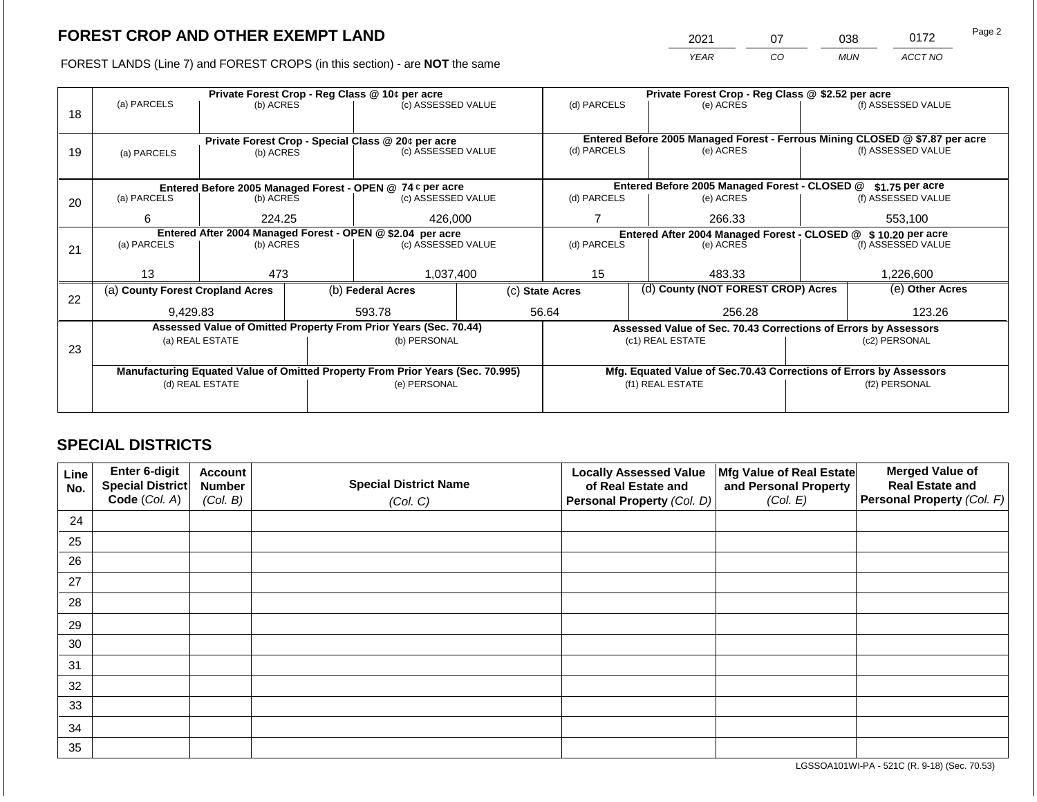2021 07 038 0172 Page 2

FOREST LANDS (Line 7) and FOREST CROPS (in this section) - are **NOT** the same *YEAR CO MUN ACCT NO*

|    |                                                                                | Private Forest Crop - Reg Class @ 10¢ per acre |  |                                                                  |                                                                    | Private Forest Crop - Reg Class @ \$2.52 per acre                            |                                                               |                                                                 |  |                    |  |  |
|----|--------------------------------------------------------------------------------|------------------------------------------------|--|------------------------------------------------------------------|--------------------------------------------------------------------|------------------------------------------------------------------------------|---------------------------------------------------------------|-----------------------------------------------------------------|--|--------------------|--|--|
| 18 | (a) PARCELS                                                                    | (b) ACRES                                      |  | (c) ASSESSED VALUE                                               |                                                                    | (d) PARCELS                                                                  |                                                               | (e) ACRES                                                       |  | (f) ASSESSED VALUE |  |  |
|    |                                                                                |                                                |  |                                                                  |                                                                    |                                                                              |                                                               |                                                                 |  |                    |  |  |
|    |                                                                                |                                                |  | Private Forest Crop - Special Class @ 20¢ per acre               |                                                                    | Entered Before 2005 Managed Forest - Ferrous Mining CLOSED @ \$7.87 per acre |                                                               |                                                                 |  |                    |  |  |
| 19 | (a) PARCELS                                                                    | (b) ACRES                                      |  | (c) ASSESSED VALUE                                               |                                                                    | (d) PARCELS                                                                  |                                                               | (e) ACRES                                                       |  | (f) ASSESSED VALUE |  |  |
|    |                                                                                |                                                |  |                                                                  |                                                                    |                                                                              |                                                               |                                                                 |  |                    |  |  |
|    |                                                                                |                                                |  |                                                                  |                                                                    |                                                                              |                                                               |                                                                 |  |                    |  |  |
|    |                                                                                |                                                |  | Entered Before 2005 Managed Forest - OPEN @ 74 ¢ per acre        |                                                                    |                                                                              |                                                               | Entered Before 2005 Managed Forest - CLOSED @                   |  | \$1.75 per acre    |  |  |
| 20 | (a) PARCELS                                                                    | (b) ACRES                                      |  | (c) ASSESSED VALUE                                               |                                                                    | (d) PARCELS                                                                  |                                                               | (e) ACRES                                                       |  | (f) ASSESSED VALUE |  |  |
|    | 6                                                                              | 224.25                                         |  | 426,000                                                          |                                                                    |                                                                              |                                                               | 266.33                                                          |  | 553,100            |  |  |
|    | Entered After 2004 Managed Forest - OPEN @ \$2.04 per acre                     |                                                |  |                                                                  |                                                                    |                                                                              | Entered After 2004 Managed Forest - CLOSED @ \$10.20 per acre |                                                                 |  |                    |  |  |
| 21 | (a) PARCELS                                                                    | (b) ACRES                                      |  | (c) ASSESSED VALUE                                               |                                                                    | (d) PARCELS                                                                  |                                                               | (e) ACRES                                                       |  | (f) ASSESSED VALUE |  |  |
|    |                                                                                |                                                |  |                                                                  |                                                                    |                                                                              |                                                               |                                                                 |  |                    |  |  |
|    | 13                                                                             | 473                                            |  | 1,037,400                                                        |                                                                    | 15                                                                           |                                                               | 483.33                                                          |  | 1,226,600          |  |  |
|    | (a) County Forest Cropland Acres                                               |                                                |  | (b) Federal Acres                                                |                                                                    | (c) State Acres                                                              |                                                               | (d) County (NOT FOREST CROP) Acres                              |  | (e) Other Acres    |  |  |
| 22 |                                                                                |                                                |  |                                                                  |                                                                    |                                                                              |                                                               |                                                                 |  |                    |  |  |
|    | 9,429.83                                                                       |                                                |  | 593.78                                                           |                                                                    | 56.64                                                                        |                                                               | 256.28                                                          |  | 123.26             |  |  |
|    |                                                                                |                                                |  | Assessed Value of Omitted Property From Prior Years (Sec. 70.44) |                                                                    |                                                                              |                                                               | Assessed Value of Sec. 70.43 Corrections of Errors by Assessors |  |                    |  |  |
| 23 |                                                                                | (a) REAL ESTATE                                |  | (b) PERSONAL                                                     |                                                                    |                                                                              |                                                               | (c1) REAL ESTATE                                                |  | (c2) PERSONAL      |  |  |
|    |                                                                                |                                                |  |                                                                  |                                                                    |                                                                              |                                                               |                                                                 |  |                    |  |  |
|    | Manufacturing Equated Value of Omitted Property From Prior Years (Sec. 70.995) |                                                |  |                                                                  | Mfg. Equated Value of Sec.70.43 Corrections of Errors by Assessors |                                                                              |                                                               |                                                                 |  |                    |  |  |
|    |                                                                                | (d) REAL ESTATE                                |  | (e) PERSONAL                                                     | (f1) REAL ESTATE                                                   |                                                                              |                                                               | (f2) PERSONAL                                                   |  |                    |  |  |
|    |                                                                                |                                                |  |                                                                  |                                                                    |                                                                              |                                                               |                                                                 |  |                    |  |  |
|    |                                                                                |                                                |  |                                                                  |                                                                    |                                                                              |                                                               |                                                                 |  |                    |  |  |

# **SPECIAL DISTRICTS**

| Line<br>No. | Enter 6-digit<br>Special District | <b>Account</b><br><b>Number</b> | <b>Special District Name</b> | <b>Locally Assessed Value</b><br>of Real Estate and | Mfg Value of Real Estate<br>and Personal Property | <b>Merged Value of</b><br><b>Real Estate and</b> |
|-------------|-----------------------------------|---------------------------------|------------------------------|-----------------------------------------------------|---------------------------------------------------|--------------------------------------------------|
|             | Code (Col. A)                     | (Col. B)                        | (Col. C)                     | Personal Property (Col. D)                          | (Col. E)                                          | Personal Property (Col. F)                       |
| 24          |                                   |                                 |                              |                                                     |                                                   |                                                  |
| 25          |                                   |                                 |                              |                                                     |                                                   |                                                  |
| 26          |                                   |                                 |                              |                                                     |                                                   |                                                  |
| 27          |                                   |                                 |                              |                                                     |                                                   |                                                  |
| 28          |                                   |                                 |                              |                                                     |                                                   |                                                  |
| 29          |                                   |                                 |                              |                                                     |                                                   |                                                  |
| 30          |                                   |                                 |                              |                                                     |                                                   |                                                  |
| 31          |                                   |                                 |                              |                                                     |                                                   |                                                  |
| 32          |                                   |                                 |                              |                                                     |                                                   |                                                  |
| 33          |                                   |                                 |                              |                                                     |                                                   |                                                  |
| 34          |                                   |                                 |                              |                                                     |                                                   |                                                  |
| 35          |                                   |                                 |                              |                                                     |                                                   |                                                  |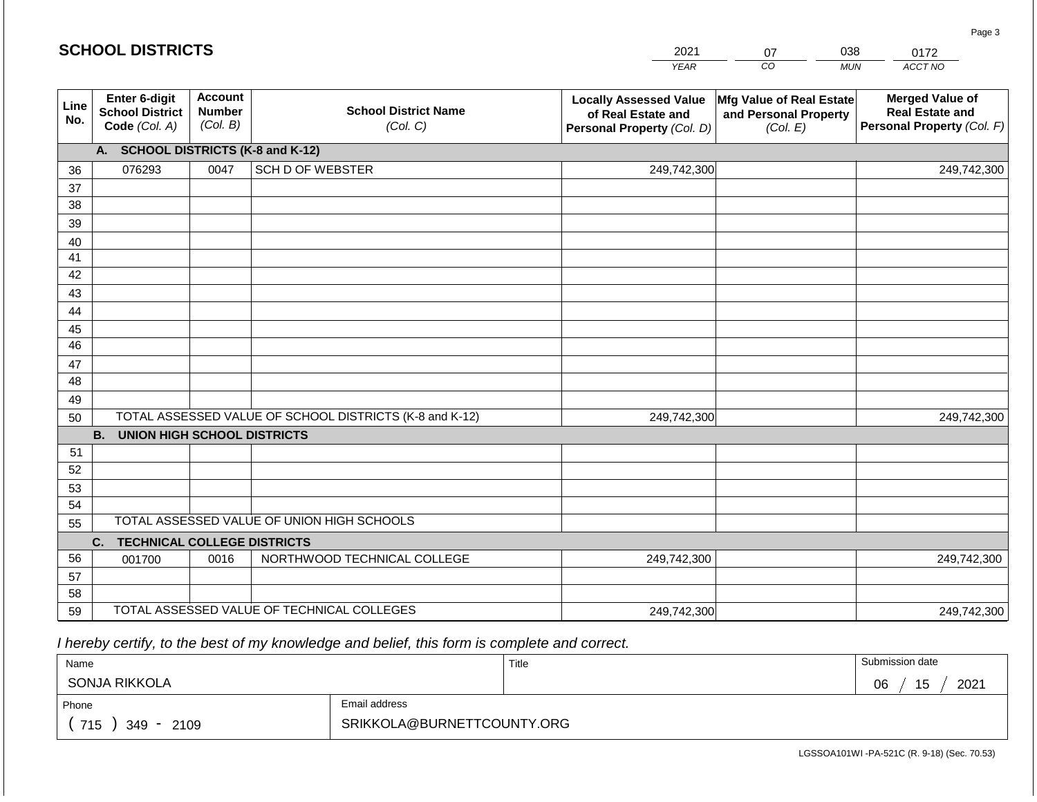|                 | <b>SCHOOL DISTRICTS</b>                                  |                                             |                                                         | 2021                                                                              | 038<br>07                                                     |            | 0172                                                                           |
|-----------------|----------------------------------------------------------|---------------------------------------------|---------------------------------------------------------|-----------------------------------------------------------------------------------|---------------------------------------------------------------|------------|--------------------------------------------------------------------------------|
|                 |                                                          |                                             |                                                         | <b>YEAR</b>                                                                       | CO                                                            | <b>MUN</b> | ACCT NO                                                                        |
| Line<br>No.     | Enter 6-digit<br><b>School District</b><br>Code (Col. A) | <b>Account</b><br><b>Number</b><br>(Col. B) | <b>School District Name</b><br>(Col. C)                 | <b>Locally Assessed Value</b><br>of Real Estate and<br>Personal Property (Col. D) | Mfg Value of Real Estate<br>and Personal Property<br>(Col. E) |            | <b>Merged Value of</b><br><b>Real Estate and</b><br>Personal Property (Col. F) |
|                 | A. SCHOOL DISTRICTS (K-8 and K-12)                       |                                             |                                                         |                                                                                   |                                                               |            |                                                                                |
| 36              | 076293                                                   | 0047                                        | <b>SCH D OF WEBSTER</b>                                 | 249,742,300                                                                       |                                                               |            | 249,742,300                                                                    |
| 37              |                                                          |                                             |                                                         |                                                                                   |                                                               |            |                                                                                |
| 38              |                                                          |                                             |                                                         |                                                                                   |                                                               |            |                                                                                |
| 39              |                                                          |                                             |                                                         |                                                                                   |                                                               |            |                                                                                |
| 40              |                                                          |                                             |                                                         |                                                                                   |                                                               |            |                                                                                |
| 41<br>42        |                                                          |                                             |                                                         |                                                                                   |                                                               |            |                                                                                |
| 43              |                                                          |                                             |                                                         |                                                                                   |                                                               |            |                                                                                |
| 44              |                                                          |                                             |                                                         |                                                                                   |                                                               |            |                                                                                |
| 45              |                                                          |                                             |                                                         |                                                                                   |                                                               |            |                                                                                |
| $\overline{46}$ |                                                          |                                             |                                                         |                                                                                   |                                                               |            |                                                                                |
| 47              |                                                          |                                             |                                                         |                                                                                   |                                                               |            |                                                                                |
| 48              |                                                          |                                             |                                                         |                                                                                   |                                                               |            |                                                                                |
| 49              |                                                          |                                             |                                                         |                                                                                   |                                                               |            |                                                                                |
| 50              |                                                          |                                             | TOTAL ASSESSED VALUE OF SCHOOL DISTRICTS (K-8 and K-12) | 249,742,300                                                                       |                                                               |            | 249,742,300                                                                    |
|                 | <b>B. UNION HIGH SCHOOL DISTRICTS</b>                    |                                             |                                                         |                                                                                   |                                                               |            |                                                                                |
| 51              |                                                          |                                             |                                                         |                                                                                   |                                                               |            |                                                                                |
| 52<br>53        |                                                          |                                             |                                                         |                                                                                   |                                                               |            |                                                                                |
| 54              |                                                          |                                             |                                                         |                                                                                   |                                                               |            |                                                                                |
| 55              |                                                          |                                             | TOTAL ASSESSED VALUE OF UNION HIGH SCHOOLS              |                                                                                   |                                                               |            |                                                                                |
|                 | <b>TECHNICAL COLLEGE DISTRICTS</b><br>C.                 |                                             |                                                         |                                                                                   |                                                               |            |                                                                                |
| 56              | 001700                                                   | 0016                                        | NORTHWOOD TECHNICAL COLLEGE                             | 249,742,300                                                                       |                                                               |            | 249,742,300                                                                    |
| 57              |                                                          |                                             |                                                         |                                                                                   |                                                               |            |                                                                                |
| 58              |                                                          |                                             |                                                         |                                                                                   |                                                               |            |                                                                                |
| 59              |                                                          |                                             | TOTAL ASSESSED VALUE OF TECHNICAL COLLEGES              | 249,742,300                                                                       |                                                               |            | 249,742,300                                                                    |

 *I hereby certify, to the best of my knowledge and belief, this form is complete and correct.*

**SCHOOL DISTRICTS**

| Name                 |                            | Title | Submission date  |
|----------------------|----------------------------|-------|------------------|
| SONJA RIKKOLA        |                            |       | 15<br>2021<br>06 |
| Phone                | Email address              |       |                  |
| 715<br>2109<br>349 - | SRIKKOLA@BURNETTCOUNTY.ORG |       |                  |

Page 3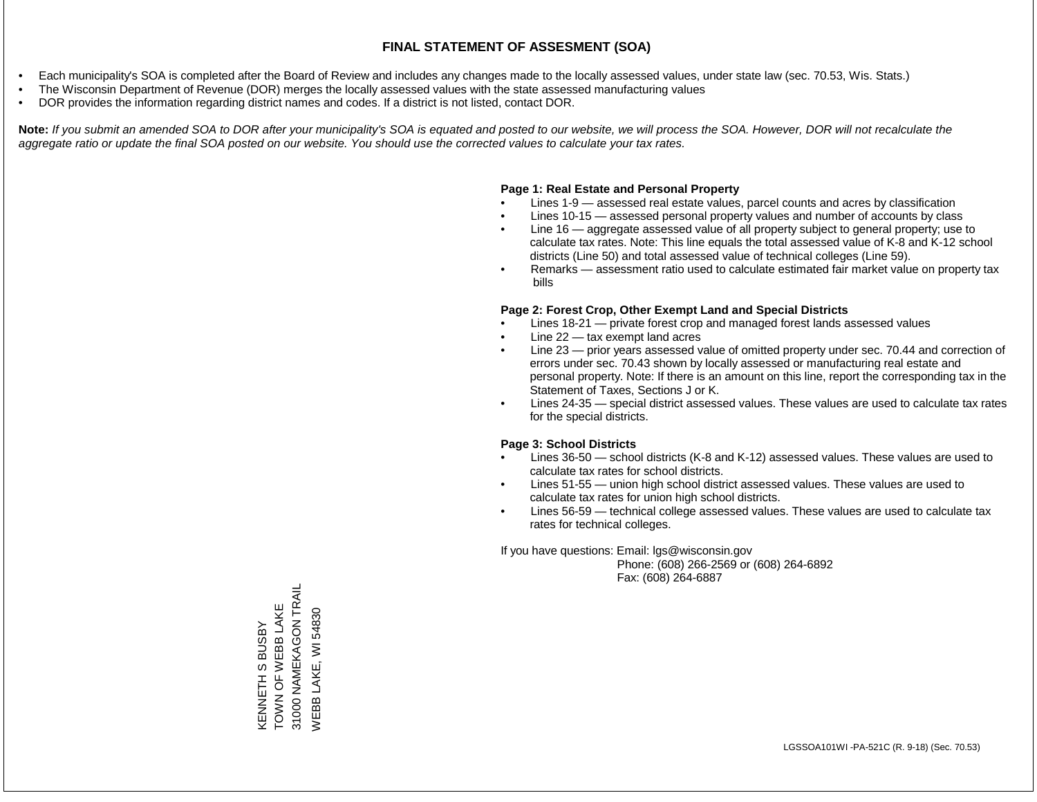- Each municipality's SOA is completed after the Board of Review and includes any changes made to the locally assessed values, under state law (sec. 70.53, Wis. Stats.)
- The Wisconsin Department of Revenue (DOR) merges the locally assessed values with the state assessed manufacturing values
- DOR provides the information regarding district names and codes. If a district is not listed, contact DOR.

Note: If you submit an amended SOA to DOR after your municipality's SOA is equated and posted to our website, we will process the SOA. However, DOR will not recalculate the *aggregate ratio or update the final SOA posted on our website. You should use the corrected values to calculate your tax rates.*

## **Page 1: Real Estate and Personal Property**

- Lines 1-9 assessed real estate values, parcel counts and acres by classification
- Lines 10-15 assessed personal property values and number of accounts by class
- Line 16 aggregate assessed value of all property subject to general property; use to calculate tax rates. Note: This line equals the total assessed value of K-8 and K-12 school districts (Line 50) and total assessed value of technical colleges (Line 59).
- Remarks assessment ratio used to calculate estimated fair market value on property tax bills

## **Page 2: Forest Crop, Other Exempt Land and Special Districts**

- Lines 18-21 private forest crop and managed forest lands assessed values
- Line  $22 -$  tax exempt land acres
- Line 23 prior years assessed value of omitted property under sec. 70.44 and correction of errors under sec. 70.43 shown by locally assessed or manufacturing real estate and personal property. Note: If there is an amount on this line, report the corresponding tax in the Statement of Taxes, Sections J or K.
- Lines 24-35 special district assessed values. These values are used to calculate tax rates for the special districts.

## **Page 3: School Districts**

- Lines 36-50 school districts (K-8 and K-12) assessed values. These values are used to calculate tax rates for school districts.
- Lines 51-55 union high school district assessed values. These values are used to calculate tax rates for union high school districts.
- Lines 56-59 technical college assessed values. These values are used to calculate tax rates for technical colleges.

If you have questions: Email: lgs@wisconsin.gov

 Phone: (608) 266-2569 or (608) 264-6892 Fax: (608) 264-6887

31000 NAMEKAGON TRAIL 31000 NAMEKAGON TRAIL KENNETH S BUSBY<br>TOWN OF WEBB LAKE TOWN OF WEBB LAKE LAKE, WI 54830 WEBB LAKE, WI 54830KENNETH S BUSBY WEBB I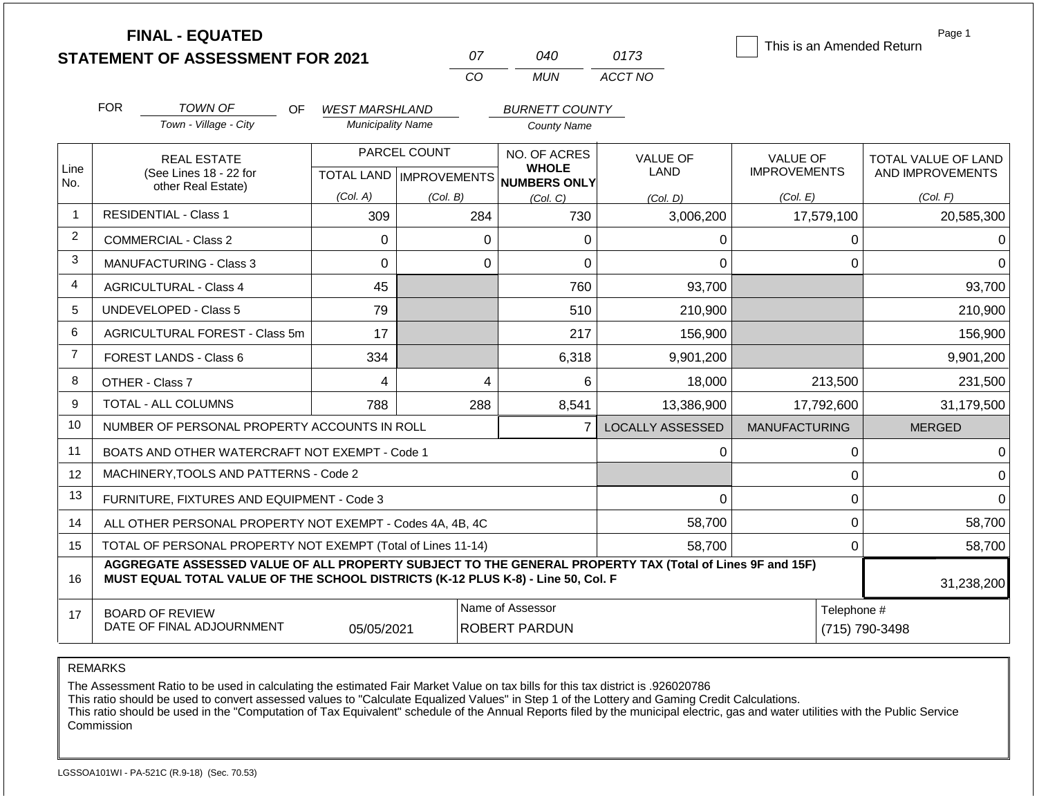|                |                                                                    | <b>FINAL - EQUATED</b><br><b>STATEMENT OF ASSESSMENT FOR 2021</b>                                                                                                                            |                          |          | 07                                                                  | 040                                      | 0173                    | This is an Amended Return              | Page 1                                  |  |
|----------------|--------------------------------------------------------------------|----------------------------------------------------------------------------------------------------------------------------------------------------------------------------------------------|--------------------------|----------|---------------------------------------------------------------------|------------------------------------------|-------------------------|----------------------------------------|-----------------------------------------|--|
|                |                                                                    |                                                                                                                                                                                              |                          |          | CO                                                                  | <b>MUN</b>                               | ACCT NO                 |                                        |                                         |  |
|                | <b>FOR</b>                                                         | <b>TOWN OF</b><br>OF.                                                                                                                                                                        | <b>WEST MARSHLAND</b>    |          |                                                                     | <b>BURNETT COUNTY</b>                    |                         |                                        |                                         |  |
|                |                                                                    | Town - Village - City                                                                                                                                                                        | <b>Municipality Name</b> |          |                                                                     | <b>County Name</b>                       |                         |                                        |                                         |  |
| Line<br>No.    | <b>REAL ESTATE</b><br>(See Lines 18 - 22 for<br>other Real Estate) |                                                                                                                                                                                              | PARCEL COUNT             |          | NO. OF ACRES<br><b>WHOLE</b><br>TOTAL LAND MPROVEMENTS NUMBERS ONLY |                                          | <b>VALUE OF</b><br>LAND | <b>VALUE OF</b><br><b>IMPROVEMENTS</b> | TOTAL VALUE OF LAND<br>AND IMPROVEMENTS |  |
|                |                                                                    |                                                                                                                                                                                              | (Col. A)                 | (Col. B) |                                                                     | (Col, C)                                 | (Col. D)                | (Col. E)                               | (Col. F)                                |  |
| $\mathbf{1}$   |                                                                    | <b>RESIDENTIAL - Class 1</b>                                                                                                                                                                 | 309                      |          | 284                                                                 | 730                                      | 3,006,200               | 17,579,100                             | 20,585,300                              |  |
| $\overline{2}$ |                                                                    | <b>COMMERCIAL - Class 2</b>                                                                                                                                                                  | $\Omega$                 |          | $\mathbf 0$                                                         | 0                                        | 0                       | 0                                      |                                         |  |
| 3              |                                                                    | <b>MANUFACTURING - Class 3</b>                                                                                                                                                               | 0                        |          | $\mathbf 0$                                                         | 0                                        | 0                       | $\Omega$                               |                                         |  |
| 4              |                                                                    | <b>AGRICULTURAL - Class 4</b>                                                                                                                                                                | 45                       |          |                                                                     | 760                                      | 93,700                  |                                        | 93,700                                  |  |
| 5              |                                                                    | UNDEVELOPED - Class 5                                                                                                                                                                        | 79                       |          |                                                                     | 510                                      | 210,900                 |                                        | 210,900                                 |  |
| 6              |                                                                    | AGRICULTURAL FOREST - Class 5m                                                                                                                                                               | 17                       |          |                                                                     | 217                                      | 156,900                 |                                        | 156,900                                 |  |
| $\overline{7}$ |                                                                    | FOREST LANDS - Class 6                                                                                                                                                                       | 334                      |          |                                                                     | 6,318                                    | 9,901,200               |                                        | 9,901,200                               |  |
| 8              |                                                                    | OTHER - Class 7                                                                                                                                                                              | 4                        |          | 4                                                                   | 6                                        | 18,000                  | 213,500                                | 231,500                                 |  |
| 9              |                                                                    | TOTAL - ALL COLUMNS                                                                                                                                                                          | 788                      |          | 288                                                                 | 8,541                                    | 13,386,900              | 17,792,600                             | 31,179,500                              |  |
| 10             |                                                                    | NUMBER OF PERSONAL PROPERTY ACCOUNTS IN ROLL                                                                                                                                                 |                          |          |                                                                     | $\overline{7}$                           | <b>LOCALLY ASSESSED</b> | <b>MANUFACTURING</b>                   | <b>MERGED</b>                           |  |
| 11             |                                                                    | BOATS AND OTHER WATERCRAFT NOT EXEMPT - Code 1                                                                                                                                               |                          |          |                                                                     |                                          | 0                       | 0                                      | ∩                                       |  |
| 12             |                                                                    | MACHINERY, TOOLS AND PATTERNS - Code 2                                                                                                                                                       |                          |          |                                                                     |                                          |                         | 0                                      | $\Omega$                                |  |
| 13             |                                                                    | FURNITURE, FIXTURES AND EQUIPMENT - Code 3                                                                                                                                                   |                          |          |                                                                     |                                          | 0                       | $\mathbf 0$                            | $\Omega$                                |  |
| 14             |                                                                    | ALL OTHER PERSONAL PROPERTY NOT EXEMPT - Codes 4A, 4B, 4C                                                                                                                                    |                          |          |                                                                     |                                          | 58,700                  | $\mathbf 0$                            | 58,700                                  |  |
| 15             |                                                                    | TOTAL OF PERSONAL PROPERTY NOT EXEMPT (Total of Lines 11-14)                                                                                                                                 |                          |          |                                                                     |                                          | 58,700                  | $\mathbf 0$                            | 58,700                                  |  |
| 16             |                                                                    | AGGREGATE ASSESSED VALUE OF ALL PROPERTY SUBJECT TO THE GENERAL PROPERTY TAX (Total of Lines 9F and 15F)<br>MUST EQUAL TOTAL VALUE OF THE SCHOOL DISTRICTS (K-12 PLUS K-8) - Line 50, Col. F |                          |          |                                                                     |                                          |                         |                                        | 31,238,200                              |  |
| 17             |                                                                    | <b>BOARD OF REVIEW</b><br>DATE OF FINAL ADJOURNMENT                                                                                                                                          | 05/05/2021               |          |                                                                     | Name of Assessor<br><b>ROBERT PARDUN</b> |                         | Telephone #<br>(715) 790-3498          |                                         |  |

The Assessment Ratio to be used in calculating the estimated Fair Market Value on tax bills for this tax district is .926020786

This ratio should be used to convert assessed values to "Calculate Equalized Values" in Step 1 of the Lottery and Gaming Credit Calculations.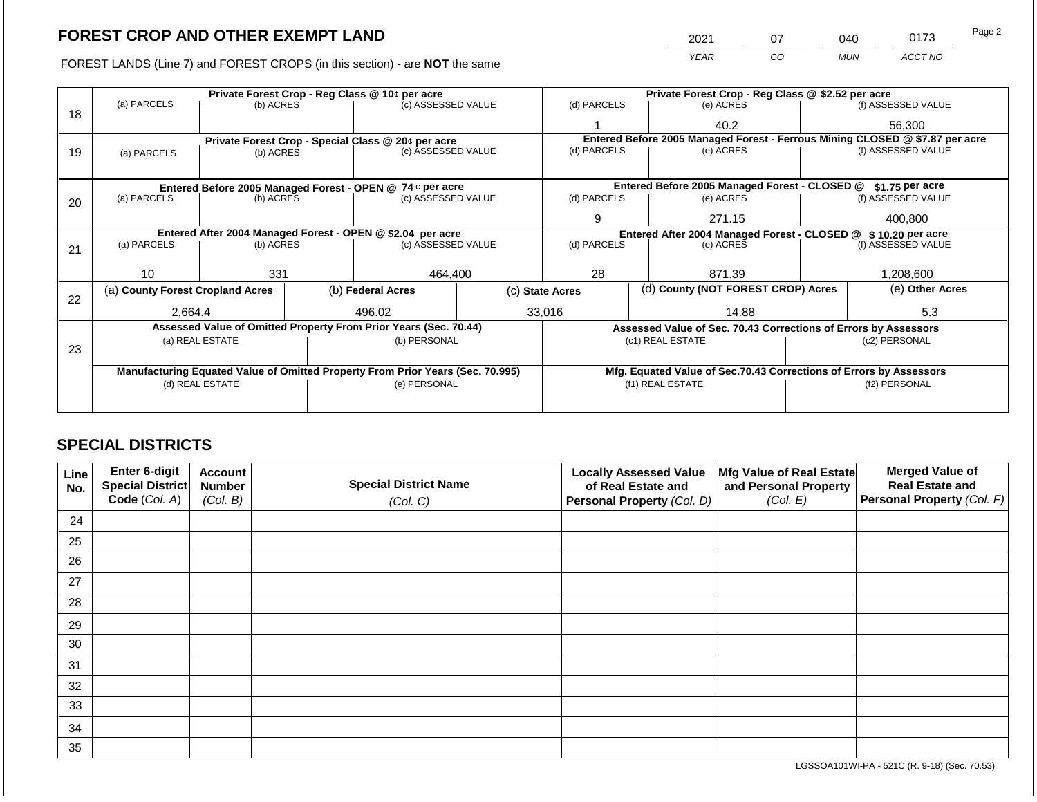2021 07 040 0173

FOREST LANDS (Line 7) and FOREST CROPS (in this section) - are **NOT** the same *YEAR CO MUN ACCT NO*

|    |                                                                                        |                 |  | Private Forest Crop - Reg Class @ 10¢ per acre                                 |  | Private Forest Crop - Reg Class @ \$2.52 per acre                            |  |                                                                    |               |                                        |  |
|----|----------------------------------------------------------------------------------------|-----------------|--|--------------------------------------------------------------------------------|--|------------------------------------------------------------------------------|--|--------------------------------------------------------------------|---------------|----------------------------------------|--|
|    | (a) PARCELS                                                                            | (b) ACRES       |  | (c) ASSESSED VALUE                                                             |  | (d) PARCELS                                                                  |  | (e) ACRES                                                          |               | (f) ASSESSED VALUE                     |  |
| 18 |                                                                                        |                 |  |                                                                                |  |                                                                              |  | 40.2                                                               |               | 56,300                                 |  |
|    |                                                                                        |                 |  | Private Forest Crop - Special Class @ 20¢ per acre                             |  | Entered Before 2005 Managed Forest - Ferrous Mining CLOSED @ \$7.87 per acre |  |                                                                    |               |                                        |  |
| 19 | (a) PARCELS                                                                            | (b) ACRES       |  | (c) ASSESSED VALUE                                                             |  | (d) PARCELS                                                                  |  | (e) ACRES                                                          |               | (f) ASSESSED VALUE                     |  |
|    |                                                                                        |                 |  |                                                                                |  |                                                                              |  |                                                                    |               |                                        |  |
|    |                                                                                        |                 |  | Entered Before 2005 Managed Forest - OPEN @ 74 ¢ per acre                      |  |                                                                              |  | Entered Before 2005 Managed Forest - CLOSED @                      |               | \$1.75 per acre                        |  |
| 20 | (a) PARCELS                                                                            | (b) ACRES       |  | (c) ASSESSED VALUE                                                             |  | (d) PARCELS                                                                  |  | (e) ACRES                                                          |               | (f) ASSESSED VALUE                     |  |
|    |                                                                                        |                 |  |                                                                                |  | 9                                                                            |  | 271.15                                                             |               | 400.800                                |  |
|    |                                                                                        |                 |  |                                                                                |  |                                                                              |  |                                                                    |               |                                        |  |
|    | Entered After 2004 Managed Forest - OPEN @ \$2.04 per acre<br>(a) PARCELS<br>(b) ACRES |                 |  | (c) ASSESSED VALUE                                                             |  | Entered After 2004 Managed Forest - CLOSED @<br>(d) PARCELS<br>(e) ACRES     |  |                                                                    |               | \$10.20 per acre<br>(f) ASSESSED VALUE |  |
| 21 |                                                                                        |                 |  |                                                                                |  |                                                                              |  |                                                                    |               |                                        |  |
|    |                                                                                        |                 |  |                                                                                |  |                                                                              |  |                                                                    |               |                                        |  |
|    | 10                                                                                     | 331             |  | 464,400                                                                        |  | 28                                                                           |  | 871.39                                                             |               | 1,208,600                              |  |
| 22 | (a) County Forest Cropland Acres                                                       |                 |  | (b) Federal Acres                                                              |  | (d) County (NOT FOREST CROP) Acres<br>(c) State Acres                        |  |                                                                    |               | (e) Other Acres                        |  |
|    | 2,664.4                                                                                |                 |  | 496.02                                                                         |  | 33,016                                                                       |  | 14.88                                                              |               | 5.3                                    |  |
|    |                                                                                        |                 |  |                                                                                |  |                                                                              |  |                                                                    |               |                                        |  |
|    |                                                                                        |                 |  | Assessed Value of Omitted Property From Prior Years (Sec. 70.44)               |  |                                                                              |  | Assessed Value of Sec. 70.43 Corrections of Errors by Assessors    |               |                                        |  |
| 23 |                                                                                        | (a) REAL ESTATE |  | (b) PERSONAL                                                                   |  |                                                                              |  | (c1) REAL ESTATE                                                   |               | (c2) PERSONAL                          |  |
|    |                                                                                        |                 |  |                                                                                |  |                                                                              |  |                                                                    |               |                                        |  |
|    |                                                                                        |                 |  | Manufacturing Equated Value of Omitted Property From Prior Years (Sec. 70.995) |  |                                                                              |  | Mfg. Equated Value of Sec.70.43 Corrections of Errors by Assessors |               |                                        |  |
|    | (d) REAL ESTATE                                                                        |                 |  | (e) PERSONAL                                                                   |  |                                                                              |  | (f1) REAL ESTATE                                                   | (f2) PERSONAL |                                        |  |
|    |                                                                                        |                 |  |                                                                                |  |                                                                              |  |                                                                    |               |                                        |  |
|    |                                                                                        |                 |  |                                                                                |  |                                                                              |  |                                                                    |               |                                        |  |

# **SPECIAL DISTRICTS**

| Line<br>No. | Enter 6-digit<br>Special District<br>Code (Col. A) | <b>Account</b><br><b>Number</b><br>(Col. B) | <b>Special District Name</b><br>(Col. C) | <b>Locally Assessed Value</b><br>of Real Estate and<br><b>Personal Property (Col. D)</b> | Mfg Value of Real Estate<br>and Personal Property<br>(Col. E) | <b>Merged Value of</b><br><b>Real Estate and</b><br>Personal Property (Col. F) |
|-------------|----------------------------------------------------|---------------------------------------------|------------------------------------------|------------------------------------------------------------------------------------------|---------------------------------------------------------------|--------------------------------------------------------------------------------|
| 24          |                                                    |                                             |                                          |                                                                                          |                                                               |                                                                                |
| 25          |                                                    |                                             |                                          |                                                                                          |                                                               |                                                                                |
| 26          |                                                    |                                             |                                          |                                                                                          |                                                               |                                                                                |
| 27          |                                                    |                                             |                                          |                                                                                          |                                                               |                                                                                |
| 28          |                                                    |                                             |                                          |                                                                                          |                                                               |                                                                                |
| 29          |                                                    |                                             |                                          |                                                                                          |                                                               |                                                                                |
| 30          |                                                    |                                             |                                          |                                                                                          |                                                               |                                                                                |
| 31          |                                                    |                                             |                                          |                                                                                          |                                                               |                                                                                |
| 32          |                                                    |                                             |                                          |                                                                                          |                                                               |                                                                                |
| 33          |                                                    |                                             |                                          |                                                                                          |                                                               |                                                                                |
| 34          |                                                    |                                             |                                          |                                                                                          |                                                               |                                                                                |
| 35          |                                                    |                                             |                                          |                                                                                          |                                                               |                                                                                |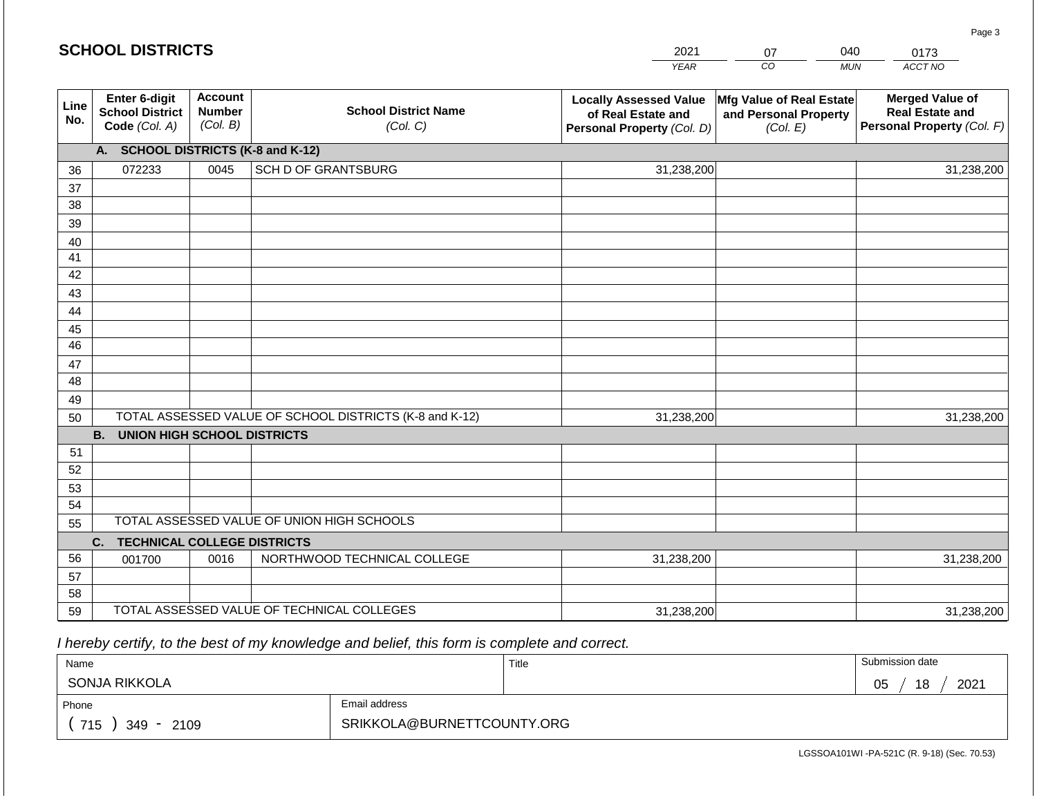#### *YEAR*   $\overline{co}$ *MUN ACCT NO*  0173 **Line No. Enter 6-digit School District Code** *(Col. A)* **Account Number** *(Col. B)* **School District Name** *(Col. C)* **Locally Assessed Value of Real Estate and Personal Property** *(Col. D)* **Mfg Value of Real Estate and Personal Property** *(Col. E)* **Merged Value of Real Estate and Personal Property** *(Col. F)* **A. SCHOOL DISTRICTS (K-8 and K-12)** 36 37 38 39 40 41 42 43 44 45 46 47 48 49 50 TOTAL ASSESSED VALUE OF SCHOOL DISTRICTS (K-8 and K-12) **B. UNION HIGH SCHOOL DISTRICTS** 51 52 53 54 55 **C. TECHNICAL COLLEGE DISTRICTS** 56 57 58 59 TOTAL ASSESSED VALUE OF TECHNICAL COLLEGES TOTAL ASSESSED VALUE OF UNION HIGH SCHOOLS 072233 0045 SCH D OF GRANTSBURG 31,238,200 31,238,200 001700 0016 NORTHWOOD TECHNICAL COLLEGE 31,238,200 31,238,200 31,238,200 31,238,200 31,238,200 31,238,200

 *I hereby certify, to the best of my knowledge and belief, this form is complete and correct.*

| Name                   |                            | Title | Submission date  |
|------------------------|----------------------------|-------|------------------|
| SONJA RIKKOLA          |                            |       | 2021<br>18<br>05 |
| Phone                  | Email address              |       |                  |
| 715<br>2109<br>$349 -$ | SRIKKOLA@BURNETTCOUNTY.ORG |       |                  |

LGSSOA101WI -PA-521C (R. 9-18) (Sec. 70.53)

Page 3

|  | <b>SCHOOL DISTRICTS</b> |
|--|-------------------------|
|--|-------------------------|

2021 07 040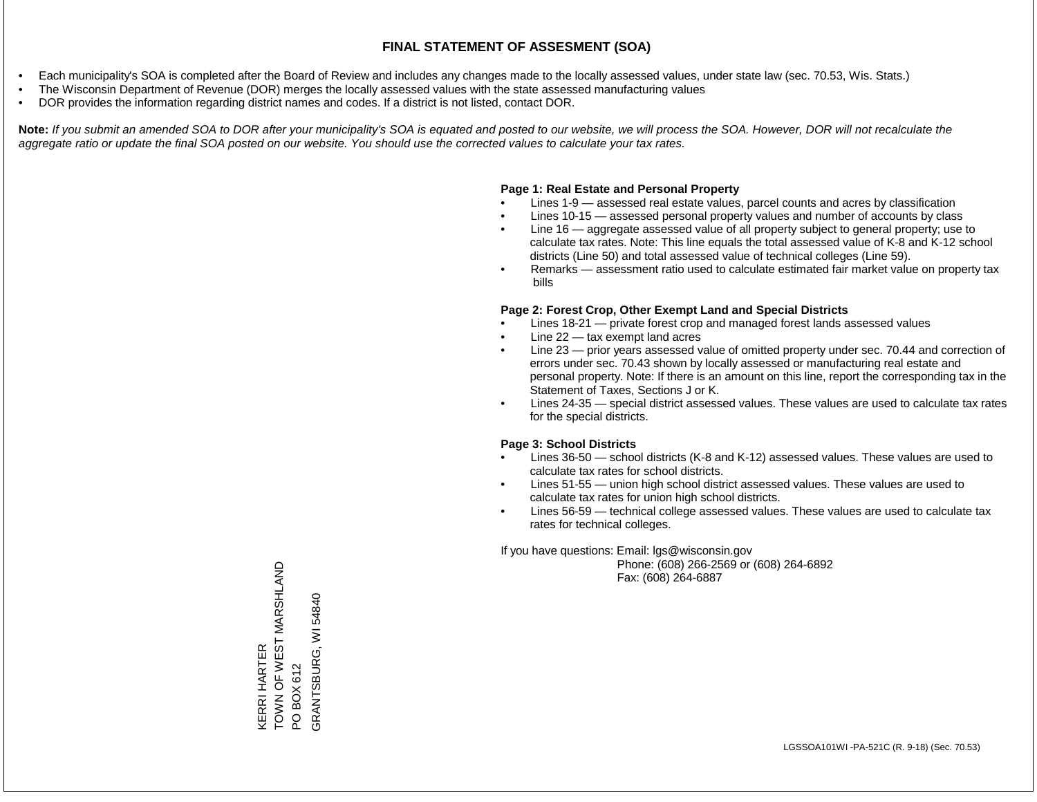- Each municipality's SOA is completed after the Board of Review and includes any changes made to the locally assessed values, under state law (sec. 70.53, Wis. Stats.)
- The Wisconsin Department of Revenue (DOR) merges the locally assessed values with the state assessed manufacturing values
- DOR provides the information regarding district names and codes. If a district is not listed, contact DOR.

Note: If you submit an amended SOA to DOR after your municipality's SOA is equated and posted to our website, we will process the SOA. However, DOR will not recalculate the *aggregate ratio or update the final SOA posted on our website. You should use the corrected values to calculate your tax rates.*

### **Page 1: Real Estate and Personal Property**

- Lines 1-9 assessed real estate values, parcel counts and acres by classification
- Lines 10-15 assessed personal property values and number of accounts by class
- Line 16 aggregate assessed value of all property subject to general property; use to calculate tax rates. Note: This line equals the total assessed value of K-8 and K-12 school districts (Line 50) and total assessed value of technical colleges (Line 59).
- Remarks assessment ratio used to calculate estimated fair market value on property tax bills

### **Page 2: Forest Crop, Other Exempt Land and Special Districts**

- Lines 18-21 private forest crop and managed forest lands assessed values
- Line  $22 -$  tax exempt land acres
- Line 23 prior years assessed value of omitted property under sec. 70.44 and correction of errors under sec. 70.43 shown by locally assessed or manufacturing real estate and personal property. Note: If there is an amount on this line, report the corresponding tax in the Statement of Taxes, Sections J or K.
- Lines 24-35 special district assessed values. These values are used to calculate tax rates for the special districts.

### **Page 3: School Districts**

- Lines 36-50 school districts (K-8 and K-12) assessed values. These values are used to calculate tax rates for school districts.
- Lines 51-55 union high school district assessed values. These values are used to calculate tax rates for union high school districts.
- Lines 56-59 technical college assessed values. These values are used to calculate tax rates for technical colleges.

If you have questions: Email: lgs@wisconsin.gov

 Phone: (608) 266-2569 or (608) 264-6892 Fax: (608) 264-6887

KERRI HARTER<br>TOWN OF WEST MARSHLAND TOWN OF WEST MARSHLAND PO BOX 612<br>SRANTSBURG, WI 54840 GRANTSBURG, WI 54840KERRI HARTER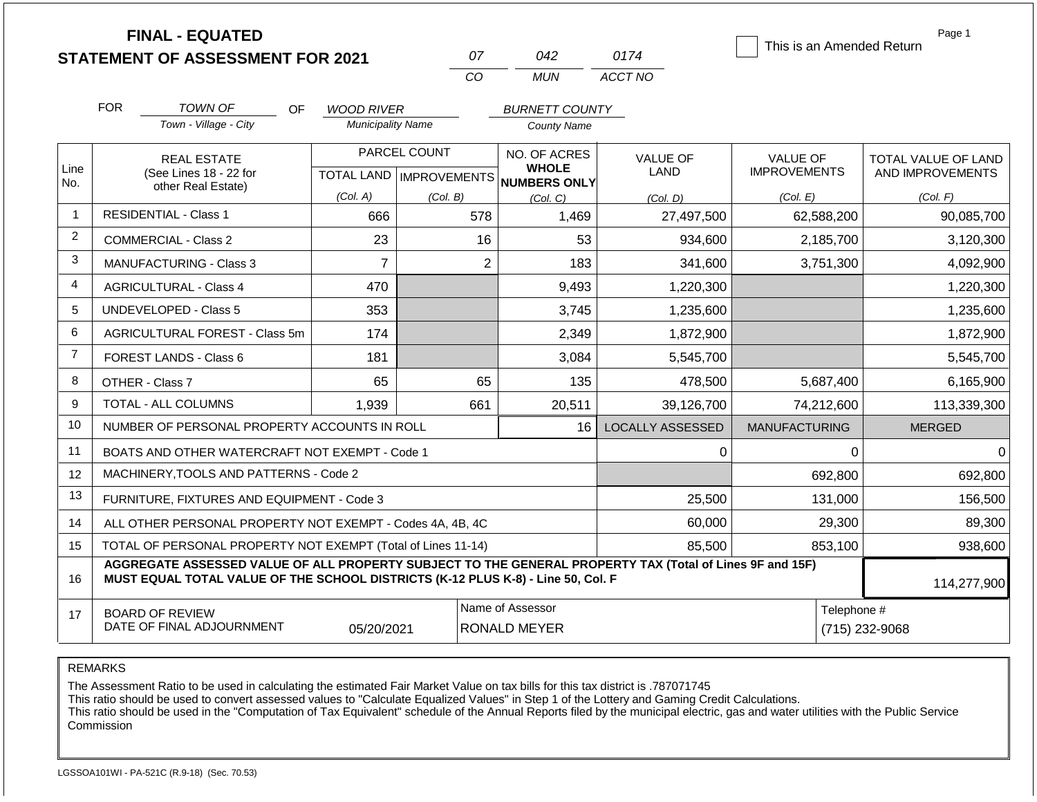|                | <b>FINAL - EQUATED</b><br><b>STATEMENT OF ASSESSMENT FOR 2021</b>                                                                                                                                           |                          | 07                               | 042                                     | 0174                    | This is an Amended Return     | Page 1              |  |  |  |
|----------------|-------------------------------------------------------------------------------------------------------------------------------------------------------------------------------------------------------------|--------------------------|----------------------------------|-----------------------------------------|-------------------------|-------------------------------|---------------------|--|--|--|
|                |                                                                                                                                                                                                             |                          | CO                               | <b>MUN</b>                              | ACCT NO                 |                               |                     |  |  |  |
|                | <b>FOR</b><br><b>TOWN OF</b><br>OF.                                                                                                                                                                         | <b>WOOD RIVER</b>        |                                  | <b>BURNETT COUNTY</b>                   |                         |                               |                     |  |  |  |
|                | Town - Village - City                                                                                                                                                                                       | <b>Municipality Name</b> |                                  | <b>County Name</b>                      |                         |                               |                     |  |  |  |
|                | <b>REAL ESTATE</b>                                                                                                                                                                                          |                          | PARCEL COUNT                     | NO. OF ACRES                            | <b>VALUE OF</b>         | <b>VALUE OF</b>               | TOTAL VALUE OF LAND |  |  |  |
| Line<br>No.    | (See Lines 18 - 22 for<br>other Real Estate)                                                                                                                                                                |                          | <b>TOTAL LAND   IMPROVEMENTS</b> | <b>WHOLE</b><br><b>NUMBERS ONLY</b>     | LAND                    | <b>IMPROVEMENTS</b>           | AND IMPROVEMENTS    |  |  |  |
|                |                                                                                                                                                                                                             | (Col. A)                 | (Col. B)                         | (Col, C)                                | (Col, D)                | (Col. E)                      | (Col. F)            |  |  |  |
| $\overline{1}$ | <b>RESIDENTIAL - Class 1</b>                                                                                                                                                                                | 666                      | 578                              | 1,469                                   | 27,497,500              | 62,588,200                    | 90,085,700          |  |  |  |
| 2              | COMMERCIAL - Class 2                                                                                                                                                                                        | 23                       | 16                               | 53                                      | 934,600                 | 2,185,700                     | 3,120,300           |  |  |  |
| 3              | $\overline{7}$<br><b>MANUFACTURING - Class 3</b>                                                                                                                                                            |                          | $\overline{2}$                   | 183                                     | 341,600                 | 3,751,300                     | 4,092,900           |  |  |  |
| $\overline{4}$ | 470<br><b>AGRICULTURAL - Class 4</b>                                                                                                                                                                        |                          |                                  | 9,493                                   | 1,220,300               |                               | 1,220,300           |  |  |  |
| 5              | <b>UNDEVELOPED - Class 5</b>                                                                                                                                                                                | 353                      |                                  | 3,745                                   | 1,235,600               |                               | 1,235,600           |  |  |  |
| 6              | AGRICULTURAL FOREST - Class 5m                                                                                                                                                                              | 174                      |                                  | 2,349                                   | 1,872,900               |                               | 1,872,900           |  |  |  |
| $\overline{7}$ | FOREST LANDS - Class 6                                                                                                                                                                                      | 181                      |                                  | 3,084                                   | 5,545,700               |                               | 5,545,700           |  |  |  |
| 8              | OTHER - Class 7                                                                                                                                                                                             | 65                       | 65                               | 135                                     | 478,500                 | 5,687,400                     | 6,165,900           |  |  |  |
| 9              | TOTAL - ALL COLUMNS                                                                                                                                                                                         | 1,939                    | 661                              | 20,511                                  | 39,126,700              | 74,212,600                    | 113,339,300         |  |  |  |
| 10             | NUMBER OF PERSONAL PROPERTY ACCOUNTS IN ROLL                                                                                                                                                                |                          |                                  | 16                                      | <b>LOCALLY ASSESSED</b> | <b>MANUFACTURING</b>          | <b>MERGED</b>       |  |  |  |
| 11             | BOATS AND OTHER WATERCRAFT NOT EXEMPT - Code 1                                                                                                                                                              |                          |                                  |                                         | 0                       | $\Omega$                      | $\Omega$            |  |  |  |
| 12             | MACHINERY, TOOLS AND PATTERNS - Code 2                                                                                                                                                                      |                          |                                  |                                         |                         | 692,800                       | 692,800             |  |  |  |
| 13             | FURNITURE, FIXTURES AND EQUIPMENT - Code 3                                                                                                                                                                  |                          |                                  |                                         | 25,500                  | 131,000                       | 156,500             |  |  |  |
| 14             | ALL OTHER PERSONAL PROPERTY NOT EXEMPT - Codes 4A, 4B, 4C                                                                                                                                                   |                          |                                  |                                         | 60,000                  | 29,300                        | 89,300              |  |  |  |
| 15             | TOTAL OF PERSONAL PROPERTY NOT EXEMPT (Total of Lines 11-14)                                                                                                                                                |                          |                                  |                                         | 85,500                  | 853,100                       | 938,600             |  |  |  |
| 16             | AGGREGATE ASSESSED VALUE OF ALL PROPERTY SUBJECT TO THE GENERAL PROPERTY TAX (Total of Lines 9F and 15F)<br>MUST EQUAL TOTAL VALUE OF THE SCHOOL DISTRICTS (K-12 PLUS K-8) - Line 50, Col. F<br>114,277,900 |                          |                                  |                                         |                         |                               |                     |  |  |  |
| 17             | <b>BOARD OF REVIEW</b><br>DATE OF FINAL ADJOURNMENT                                                                                                                                                         | 05/20/2021               |                                  | Name of Assessor<br><b>RONALD MEYER</b> |                         | Telephone #<br>(715) 232-9068 |                     |  |  |  |

The Assessment Ratio to be used in calculating the estimated Fair Market Value on tax bills for this tax district is .787071745

This ratio should be used to convert assessed values to "Calculate Equalized Values" in Step 1 of the Lottery and Gaming Credit Calculations.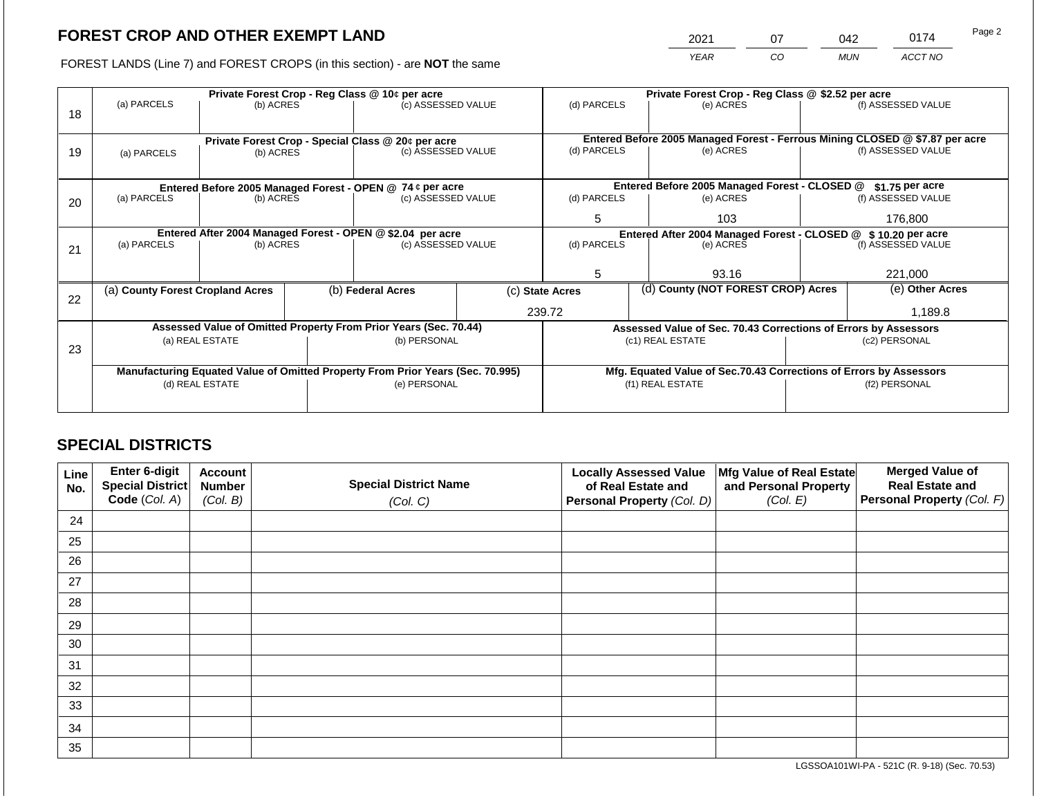2021 07 042 0174

FOREST LANDS (Line 7) and FOREST CROPS (in this section) - are **NOT** the same *YEAR CO MUN ACCT NO*

|    |                                                                                |                 |                                                                    | Private Forest Crop - Reg Class @ 10¢ per acre                   |                                   | Private Forest Crop - Reg Class @ \$2.52 per acre |  |                                                                 |                 |                                                                              |  |
|----|--------------------------------------------------------------------------------|-----------------|--------------------------------------------------------------------|------------------------------------------------------------------|-----------------------------------|---------------------------------------------------|--|-----------------------------------------------------------------|-----------------|------------------------------------------------------------------------------|--|
| 18 | (a) PARCELS                                                                    | (b) ACRES       |                                                                    | (c) ASSESSED VALUE                                               |                                   | (d) PARCELS                                       |  | (e) ACRES                                                       |                 | (f) ASSESSED VALUE                                                           |  |
|    |                                                                                |                 |                                                                    | Private Forest Crop - Special Class @ 20¢ per acre               |                                   |                                                   |  |                                                                 |                 | Entered Before 2005 Managed Forest - Ferrous Mining CLOSED @ \$7.87 per acre |  |
| 19 | (a) PARCELS                                                                    | (b) ACRES       |                                                                    | (c) ASSESSED VALUE                                               |                                   | (d) PARCELS                                       |  | (e) ACRES                                                       |                 | (f) ASSESSED VALUE                                                           |  |
|    |                                                                                |                 |                                                                    |                                                                  |                                   |                                                   |  |                                                                 |                 |                                                                              |  |
|    |                                                                                |                 |                                                                    | Entered Before 2005 Managed Forest - OPEN @ 74 ¢ per acre        |                                   |                                                   |  | Entered Before 2005 Managed Forest - CLOSED @                   |                 | $$1.75$ per acre                                                             |  |
| 20 | (a) PARCELS                                                                    | (b) ACRES       |                                                                    | (c) ASSESSED VALUE                                               |                                   | (d) PARCELS                                       |  | (e) ACRES                                                       |                 | (f) ASSESSED VALUE                                                           |  |
|    |                                                                                |                 |                                                                    |                                                                  |                                   |                                                   |  | 103                                                             |                 | 176,800                                                                      |  |
|    |                                                                                |                 |                                                                    | Entered After 2004 Managed Forest - OPEN @ \$2.04 per acre       |                                   |                                                   |  | Entered After 2004 Managed Forest - CLOSED @ \$10.20 per acre   |                 |                                                                              |  |
| 21 | (a) PARCELS                                                                    | (b) ACRES       |                                                                    |                                                                  | (c) ASSESSED VALUE<br>(d) PARCELS |                                                   |  | (e) ACRES                                                       |                 | (f) ASSESSED VALUE                                                           |  |
|    |                                                                                |                 |                                                                    |                                                                  |                                   |                                                   |  |                                                                 |                 |                                                                              |  |
|    |                                                                                |                 |                                                                    |                                                                  |                                   | 5                                                 |  | 93.16                                                           |                 | 221,000                                                                      |  |
| 22 | (a) County Forest Cropland Acres                                               |                 | (b) Federal Acres                                                  |                                                                  | (c) State Acres                   |                                                   |  | (d) County (NOT FOREST CROP) Acres                              | (e) Other Acres |                                                                              |  |
|    |                                                                                |                 |                                                                    |                                                                  |                                   | 239.72                                            |  |                                                                 | 1,189.8         |                                                                              |  |
|    |                                                                                |                 |                                                                    | Assessed Value of Omitted Property From Prior Years (Sec. 70.44) |                                   |                                                   |  | Assessed Value of Sec. 70.43 Corrections of Errors by Assessors |                 |                                                                              |  |
|    |                                                                                | (a) REAL ESTATE |                                                                    | (b) PERSONAL                                                     |                                   |                                                   |  | (c1) REAL ESTATE                                                |                 | (c2) PERSONAL                                                                |  |
| 23 |                                                                                |                 |                                                                    |                                                                  |                                   |                                                   |  |                                                                 |                 |                                                                              |  |
|    | Manufacturing Equated Value of Omitted Property From Prior Years (Sec. 70.995) |                 | Mfg. Equated Value of Sec.70.43 Corrections of Errors by Assessors |                                                                  |                                   |                                                   |  |                                                                 |                 |                                                                              |  |
|    | (d) REAL ESTATE                                                                |                 |                                                                    | (e) PERSONAL                                                     |                                   | (f1) REAL ESTATE                                  |  |                                                                 | (f2) PERSONAL   |                                                                              |  |
|    |                                                                                |                 |                                                                    |                                                                  |                                   |                                                   |  |                                                                 |                 |                                                                              |  |
|    |                                                                                |                 |                                                                    |                                                                  |                                   |                                                   |  |                                                                 |                 |                                                                              |  |

# **SPECIAL DISTRICTS**

| Line<br>No. | Enter 6-digit<br>Special District<br>Code (Col. A) | <b>Account</b><br><b>Number</b><br>(Col. B) | <b>Special District Name</b><br>(Col. C) | <b>Locally Assessed Value</b><br>of Real Estate and<br><b>Personal Property (Col. D)</b> | Mfg Value of Real Estate<br>and Personal Property<br>(Col. E) | <b>Merged Value of</b><br><b>Real Estate and</b><br>Personal Property (Col. F) |
|-------------|----------------------------------------------------|---------------------------------------------|------------------------------------------|------------------------------------------------------------------------------------------|---------------------------------------------------------------|--------------------------------------------------------------------------------|
| 24          |                                                    |                                             |                                          |                                                                                          |                                                               |                                                                                |
| 25          |                                                    |                                             |                                          |                                                                                          |                                                               |                                                                                |
| 26          |                                                    |                                             |                                          |                                                                                          |                                                               |                                                                                |
| 27          |                                                    |                                             |                                          |                                                                                          |                                                               |                                                                                |
| 28          |                                                    |                                             |                                          |                                                                                          |                                                               |                                                                                |
| 29          |                                                    |                                             |                                          |                                                                                          |                                                               |                                                                                |
| 30          |                                                    |                                             |                                          |                                                                                          |                                                               |                                                                                |
| 31          |                                                    |                                             |                                          |                                                                                          |                                                               |                                                                                |
| 32          |                                                    |                                             |                                          |                                                                                          |                                                               |                                                                                |
| 33          |                                                    |                                             |                                          |                                                                                          |                                                               |                                                                                |
| 34          |                                                    |                                             |                                          |                                                                                          |                                                               |                                                                                |
| 35          |                                                    |                                             |                                          |                                                                                          |                                                               |                                                                                |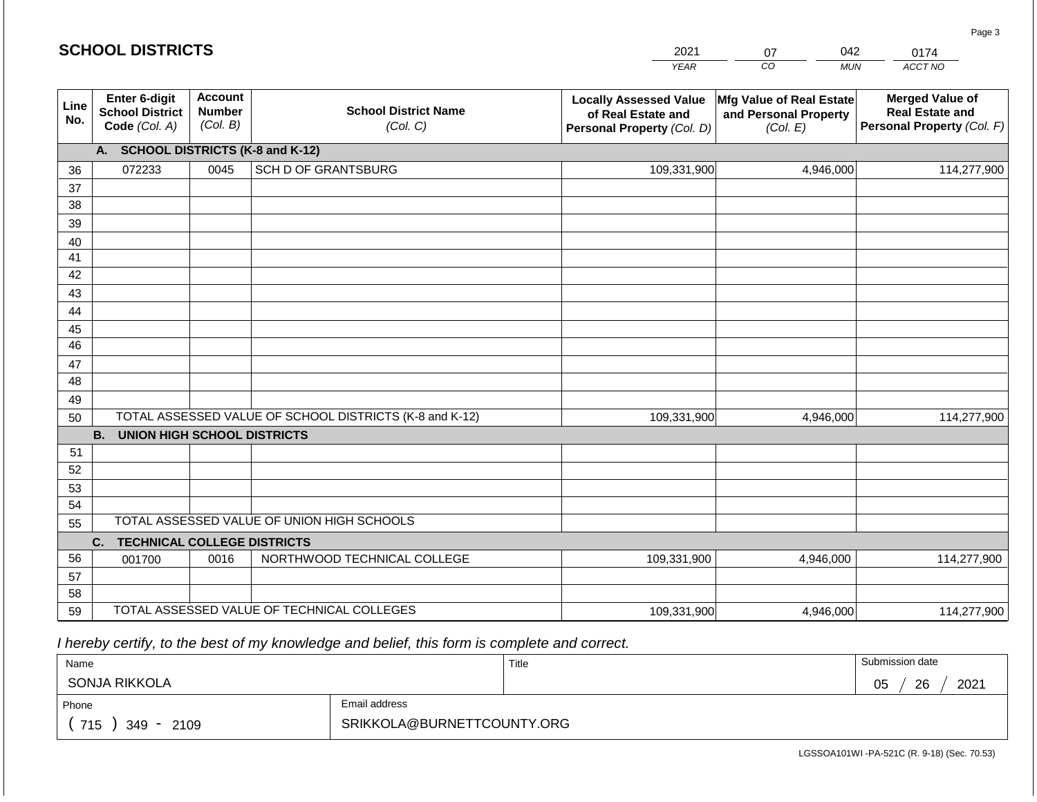#### *YEAR*  2021  $\overline{co}$ 07 *MUN*  042 *ACCT NO*  0174 **SCHOOL DISTRICTS Line No. Enter 6-digit School District Code** *(Col. A)* **Account Number** *(Col. B)* **School District Name** *(Col. C)* **Locally Assessed Value of Real Estate and Personal Property** *(Col. D)* **Mfg Value of Real Estate and Personal Property** *(Col. E)* **Merged Value of Real Estate and Personal Property** *(Col. F)* **A. SCHOOL DISTRICTS (K-8 and K-12)** 36 37 38 39 40 41 42 43 44 45 46 47 48 49 50 TOTAL ASSESSED VALUE OF SCHOOL DISTRICTS (K-8 and K-12) **B. UNION HIGH SCHOOL DISTRICTS** 51 52 53 072233 0045 SCH D OF GRANTSBURG 109,331,900 109,331,900 4,946,000 114,277,900 4,946,000 114,277,900

 *I hereby certify, to the best of my knowledge and belief, this form is complete and correct.*

54 55

56 57 58 **C. TECHNICAL COLLEGE DISTRICTS**

59 TOTAL ASSESSED VALUE OF TECHNICAL COLLEGES

TOTAL ASSESSED VALUE OF UNION HIGH SCHOOLS

001700 | 0016 | NORTHWOOD TECHNICAL COLLEGE

| Name              |               | Title | Submission date       |
|-------------------|---------------|-------|-----------------------|
| SONJA RIKKOLA     |               |       | 2021<br>26<br>∩ҕ<br>◡ |
| Phone             | Email address |       |                       |
| 715<br>349 - 2109 |               |       |                       |

109,331,900

4,946,000 114,277,900

109,331,900 4,946,000 4,946,000 114,277,900

Page 3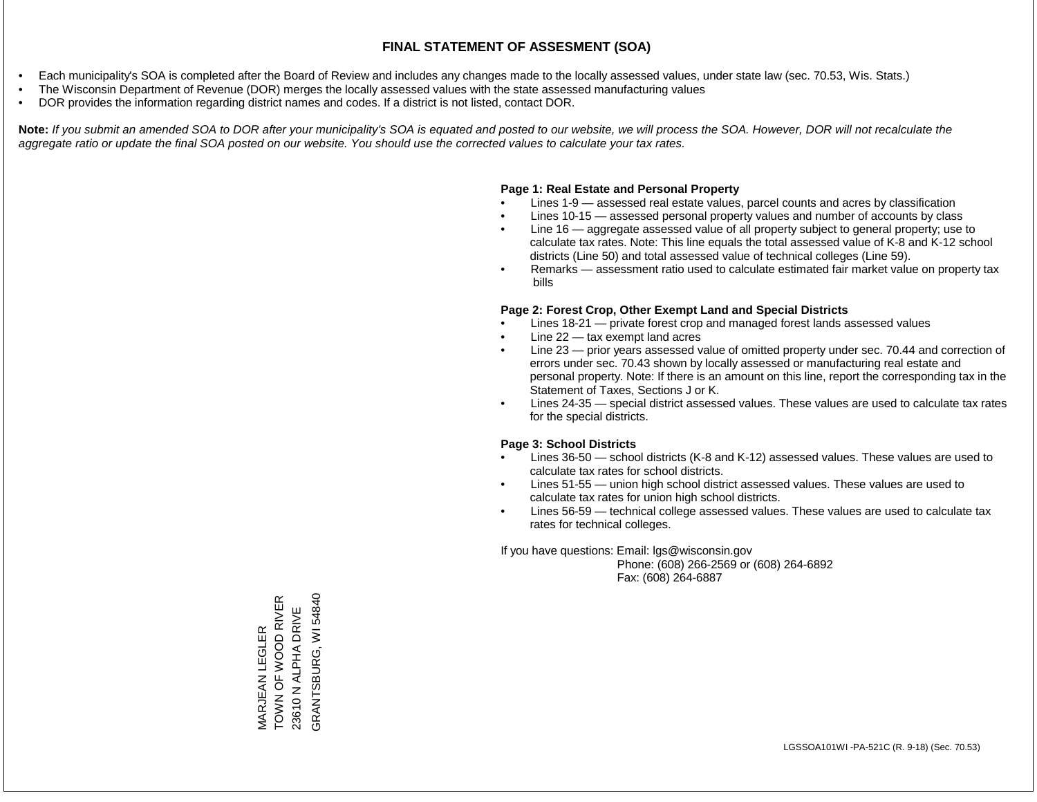- Each municipality's SOA is completed after the Board of Review and includes any changes made to the locally assessed values, under state law (sec. 70.53, Wis. Stats.)
- The Wisconsin Department of Revenue (DOR) merges the locally assessed values with the state assessed manufacturing values
- DOR provides the information regarding district names and codes. If a district is not listed, contact DOR.

Note: If you submit an amended SOA to DOR after your municipality's SOA is equated and posted to our website, we will process the SOA. However, DOR will not recalculate the *aggregate ratio or update the final SOA posted on our website. You should use the corrected values to calculate your tax rates.*

## **Page 1: Real Estate and Personal Property**

- Lines 1-9 assessed real estate values, parcel counts and acres by classification
- Lines 10-15 assessed personal property values and number of accounts by class
- Line 16 aggregate assessed value of all property subject to general property; use to calculate tax rates. Note: This line equals the total assessed value of K-8 and K-12 school districts (Line 50) and total assessed value of technical colleges (Line 59).
- Remarks assessment ratio used to calculate estimated fair market value on property tax bills

## **Page 2: Forest Crop, Other Exempt Land and Special Districts**

- Lines 18-21 private forest crop and managed forest lands assessed values
- Line  $22 -$  tax exempt land acres
- Line 23 prior years assessed value of omitted property under sec. 70.44 and correction of errors under sec. 70.43 shown by locally assessed or manufacturing real estate and personal property. Note: If there is an amount on this line, report the corresponding tax in the Statement of Taxes, Sections J or K.
- Lines 24-35 special district assessed values. These values are used to calculate tax rates for the special districts.

## **Page 3: School Districts**

- Lines 36-50 school districts (K-8 and K-12) assessed values. These values are used to calculate tax rates for school districts.
- Lines 51-55 union high school district assessed values. These values are used to calculate tax rates for union high school districts.
- Lines 56-59 technical college assessed values. These values are used to calculate tax rates for technical colleges.

If you have questions: Email: lgs@wisconsin.gov

 Phone: (608) 266-2569 or (608) 264-6892 Fax: (608) 264-6887

TOWN OF WOOD RIVER GRANTSBURG, WI 54840 MARJEAN LEGLER<br>TOWN OF WOOD RIVER GRANTSBURG, WI 5484023610 N ALPHA DRIVE 23610 N ALPHA DRIVE MARJEAN LEGLER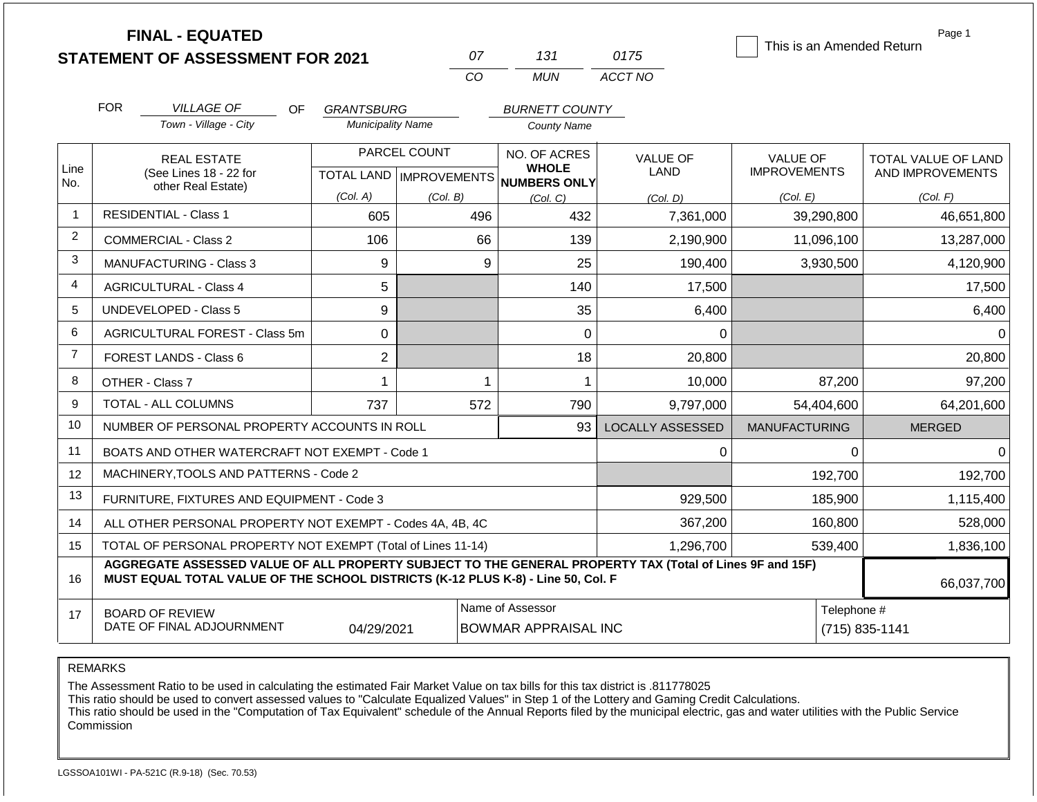|                | <b>FINAL - EQUATED</b>                                                                                                                                                                       |                          |                           |                              |                         | This is an Amended Return | Page 1              |
|----------------|----------------------------------------------------------------------------------------------------------------------------------------------------------------------------------------------|--------------------------|---------------------------|------------------------------|-------------------------|---------------------------|---------------------|
|                | <b>STATEMENT OF ASSESSMENT FOR 2021</b>                                                                                                                                                      |                          | 07                        | 131                          | 0175                    |                           |                     |
|                |                                                                                                                                                                                              |                          | CO                        | <b>MUN</b>                   | ACCT NO                 |                           |                     |
|                | <b>FOR</b><br><b>VILLAGE OF</b><br><b>OF</b>                                                                                                                                                 | <b>GRANTSBURG</b>        |                           | <b>BURNETT COUNTY</b>        |                         |                           |                     |
|                | Town - Village - City                                                                                                                                                                        | <b>Municipality Name</b> |                           | <b>County Name</b>           |                         |                           |                     |
|                | <b>REAL ESTATE</b>                                                                                                                                                                           |                          | PARCEL COUNT              | NO. OF ACRES                 | <b>VALUE OF</b>         | <b>VALUE OF</b>           | TOTAL VALUE OF LAND |
| Line<br>No.    | (See Lines 18 - 22 for                                                                                                                                                                       |                          | TOTAL LAND   IMPROVEMENTS | <b>WHOLE</b><br>NUMBERS ONLY | LAND                    | <b>IMPROVEMENTS</b>       | AND IMPROVEMENTS    |
|                | other Real Estate)                                                                                                                                                                           | (Col. A)                 | (Col. B)                  | (Col, C)                     | (Col. D)                | (Col. E)                  | (Col. F)            |
| $\mathbf 1$    | <b>RESIDENTIAL - Class 1</b>                                                                                                                                                                 | 605                      | 496                       | 432                          | 7,361,000               | 39,290,800                | 46,651,800          |
| 2              | COMMERCIAL - Class 2<br>106                                                                                                                                                                  |                          |                           | 139                          | 2,190,900               | 11,096,100                | 13,287,000          |
| 3              | 9<br><b>MANUFACTURING - Class 3</b>                                                                                                                                                          |                          |                           | 25                           | 190,400                 | 3,930,500                 | 4,120,900           |
| 4              | <b>AGRICULTURAL - Class 4</b>                                                                                                                                                                |                          | 140                       | 17,500                       |                         | 17,500                    |                     |
| 5              | <b>UNDEVELOPED - Class 5</b><br>9                                                                                                                                                            |                          |                           | 35                           | 6,400                   |                           | 6,400               |
| 6              | AGRICULTURAL FOREST - Class 5m<br>0                                                                                                                                                          |                          |                           | 0                            | $\Omega$                |                           | $\Omega$            |
| $\overline{7}$ | $\overline{2}$<br>FOREST LANDS - Class 6                                                                                                                                                     |                          |                           | 18                           | 20,800                  |                           | 20,800              |
| 8              | OTHER - Class 7                                                                                                                                                                              | 1                        | 1                         | 1                            | 10,000                  | 87,200                    | 97,200              |
| 9              | TOTAL - ALL COLUMNS                                                                                                                                                                          | 737                      | 572                       | 790                          | 9,797,000               | 54,404,600                | 64,201,600          |
| 10             | NUMBER OF PERSONAL PROPERTY ACCOUNTS IN ROLL                                                                                                                                                 |                          |                           | 93                           | <b>LOCALLY ASSESSED</b> | <b>MANUFACTURING</b>      | <b>MERGED</b>       |
| 11             | BOATS AND OTHER WATERCRAFT NOT EXEMPT - Code 1                                                                                                                                               |                          |                           |                              | $\Omega$                | $\Omega$                  | $\Omega$            |
| 12             | MACHINERY, TOOLS AND PATTERNS - Code 2                                                                                                                                                       | 192,700                  | 192,700                   |                              |                         |                           |                     |
| 13             | FURNITURE, FIXTURES AND EQUIPMENT - Code 3                                                                                                                                                   | 185,900                  | 1,115,400                 |                              |                         |                           |                     |
| 14             | ALL OTHER PERSONAL PROPERTY NOT EXEMPT - Codes 4A, 4B, 4C                                                                                                                                    | 160,800                  | 528,000                   |                              |                         |                           |                     |
| 15             | TOTAL OF PERSONAL PROPERTY NOT EXEMPT (Total of Lines 11-14)                                                                                                                                 | 539,400                  | 1,836,100                 |                              |                         |                           |                     |
| 16             | AGGREGATE ASSESSED VALUE OF ALL PROPERTY SUBJECT TO THE GENERAL PROPERTY TAX (Total of Lines 9F and 15F)<br>MUST EQUAL TOTAL VALUE OF THE SCHOOL DISTRICTS (K-12 PLUS K-8) - Line 50, Col. F |                          |                           |                              |                         |                           | 66,037,700          |
| 17             | <b>BOARD OF REVIEW</b>                                                                                                                                                                       |                          |                           | Name of Assessor             |                         | Telephone #               |                     |
|                | DATE OF FINAL ADJOURNMENT                                                                                                                                                                    | 04/29/2021               |                           | <b>BOWMAR APPRAISAL INC</b>  |                         |                           | $(715) 835 - 1141$  |

The Assessment Ratio to be used in calculating the estimated Fair Market Value on tax bills for this tax district is .811778025

This ratio should be used to convert assessed values to "Calculate Equalized Values" in Step 1 of the Lottery and Gaming Credit Calculations.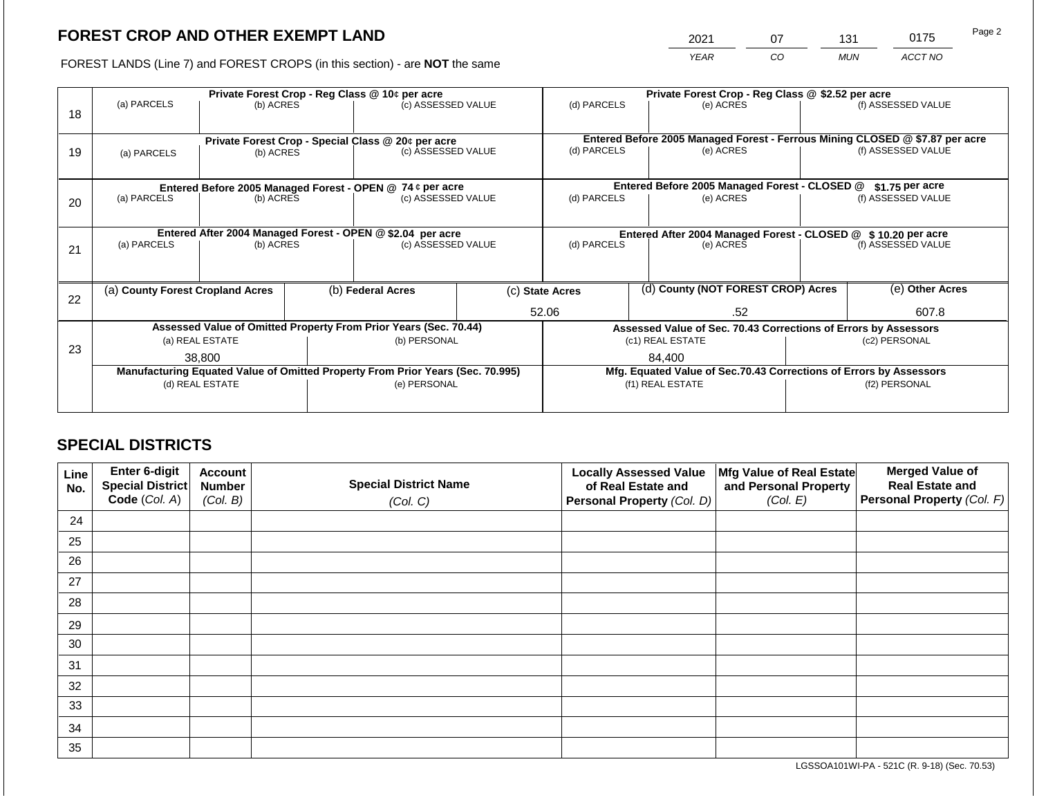2021 07 131 0175 Page 2

FOREST LANDS (Line 7) and FOREST CROPS (in this section) - are **NOT** the same *YEAR CO MUN ACCT NO*

| 18 | (a) PARCELS<br>(b) ACRES                                                               |                 |  | Private Forest Crop - Reg Class @ 10¢ per acre<br>(c) ASSESSED VALUE           |  | Private Forest Crop - Reg Class @ \$2.52 per acre<br>(d) PARCELS<br>(e) ACRES                            |                                                                 | (f) ASSESSED VALUE                            |                                                                    |                    |
|----|----------------------------------------------------------------------------------------|-----------------|--|--------------------------------------------------------------------------------|--|----------------------------------------------------------------------------------------------------------|-----------------------------------------------------------------|-----------------------------------------------|--------------------------------------------------------------------|--------------------|
| 19 | Private Forest Crop - Special Class @ 20¢ per acre<br>(b) ACRES<br>(a) PARCELS         |                 |  | (c) ASSESSED VALUE                                                             |  | Entered Before 2005 Managed Forest - Ferrous Mining CLOSED @ \$7.87 per acre<br>(d) PARCELS<br>(e) ACRES |                                                                 |                                               |                                                                    | (f) ASSESSED VALUE |
|    | Entered Before 2005 Managed Forest - OPEN @ 74 ¢ per acre                              |                 |  |                                                                                |  |                                                                                                          |                                                                 | Entered Before 2005 Managed Forest - CLOSED @ |                                                                    | $$1.75$ per acre   |
| 20 | (a) PARCELS<br>(b) ACRES                                                               |                 |  | (c) ASSESSED VALUE                                                             |  | (d) PARCELS                                                                                              |                                                                 | (e) ACRES                                     | (f) ASSESSED VALUE                                                 |                    |
|    | Entered After 2004 Managed Forest - OPEN @ \$2.04 per acre<br>(a) PARCELS<br>(b) ACRES |                 |  | (c) ASSESSED VALUE                                                             |  | Entered After 2004 Managed Forest - CLOSED @ \$ 10.20 per acre<br>(d) PARCELS<br>(e) ACRES               |                                                                 |                                               | (f) ASSESSED VALUE                                                 |                    |
| 21 |                                                                                        |                 |  |                                                                                |  |                                                                                                          |                                                                 |                                               |                                                                    |                    |
| 22 | (a) County Forest Cropland Acres                                                       |                 |  | (b) Federal Acres                                                              |  | (c) State Acres                                                                                          |                                                                 | (d) County (NOT FOREST CROP) Acres            |                                                                    | (e) Other Acres    |
|    |                                                                                        |                 |  |                                                                                |  | 52.06<br>.52                                                                                             |                                                                 |                                               | 607.8                                                              |                    |
|    | Assessed Value of Omitted Property From Prior Years (Sec. 70.44)                       |                 |  |                                                                                |  |                                                                                                          | Assessed Value of Sec. 70.43 Corrections of Errors by Assessors |                                               |                                                                    |                    |
| 23 | (a) REAL ESTATE                                                                        |                 |  | (b) PERSONAL                                                                   |  |                                                                                                          |                                                                 | (c1) REAL ESTATE                              | (c2) PERSONAL                                                      |                    |
|    |                                                                                        | 38,800          |  |                                                                                |  |                                                                                                          |                                                                 | 84.400                                        |                                                                    |                    |
|    |                                                                                        |                 |  | Manufacturing Equated Value of Omitted Property From Prior Years (Sec. 70.995) |  |                                                                                                          |                                                                 |                                               | Mfg. Equated Value of Sec.70.43 Corrections of Errors by Assessors |                    |
|    |                                                                                        | (d) REAL ESTATE |  | (e) PERSONAL                                                                   |  |                                                                                                          |                                                                 | (f1) REAL ESTATE                              | (f2) PERSONAL                                                      |                    |
|    |                                                                                        |                 |  |                                                                                |  |                                                                                                          |                                                                 |                                               |                                                                    |                    |

# **SPECIAL DISTRICTS**

| Line<br>No. | <b>Enter 6-digit</b><br>Special District | <b>Account</b><br><b>Number</b> | <b>Special District Name</b> | <b>Locally Assessed Value</b><br>of Real Estate and | Mfg Value of Real Estate<br>and Personal Property | <b>Merged Value of</b><br><b>Real Estate and</b> |
|-------------|------------------------------------------|---------------------------------|------------------------------|-----------------------------------------------------|---------------------------------------------------|--------------------------------------------------|
|             | Code (Col. A)                            | (Col. B)                        | (Col. C)                     | Personal Property (Col. D)                          | (Col. E)                                          | Personal Property (Col. F)                       |
| 24          |                                          |                                 |                              |                                                     |                                                   |                                                  |
| 25          |                                          |                                 |                              |                                                     |                                                   |                                                  |
| 26          |                                          |                                 |                              |                                                     |                                                   |                                                  |
| 27          |                                          |                                 |                              |                                                     |                                                   |                                                  |
| 28          |                                          |                                 |                              |                                                     |                                                   |                                                  |
| 29          |                                          |                                 |                              |                                                     |                                                   |                                                  |
| 30          |                                          |                                 |                              |                                                     |                                                   |                                                  |
| 31          |                                          |                                 |                              |                                                     |                                                   |                                                  |
| 32          |                                          |                                 |                              |                                                     |                                                   |                                                  |
| 33          |                                          |                                 |                              |                                                     |                                                   |                                                  |
| 34          |                                          |                                 |                              |                                                     |                                                   |                                                  |
| 35          |                                          |                                 |                              |                                                     |                                                   |                                                  |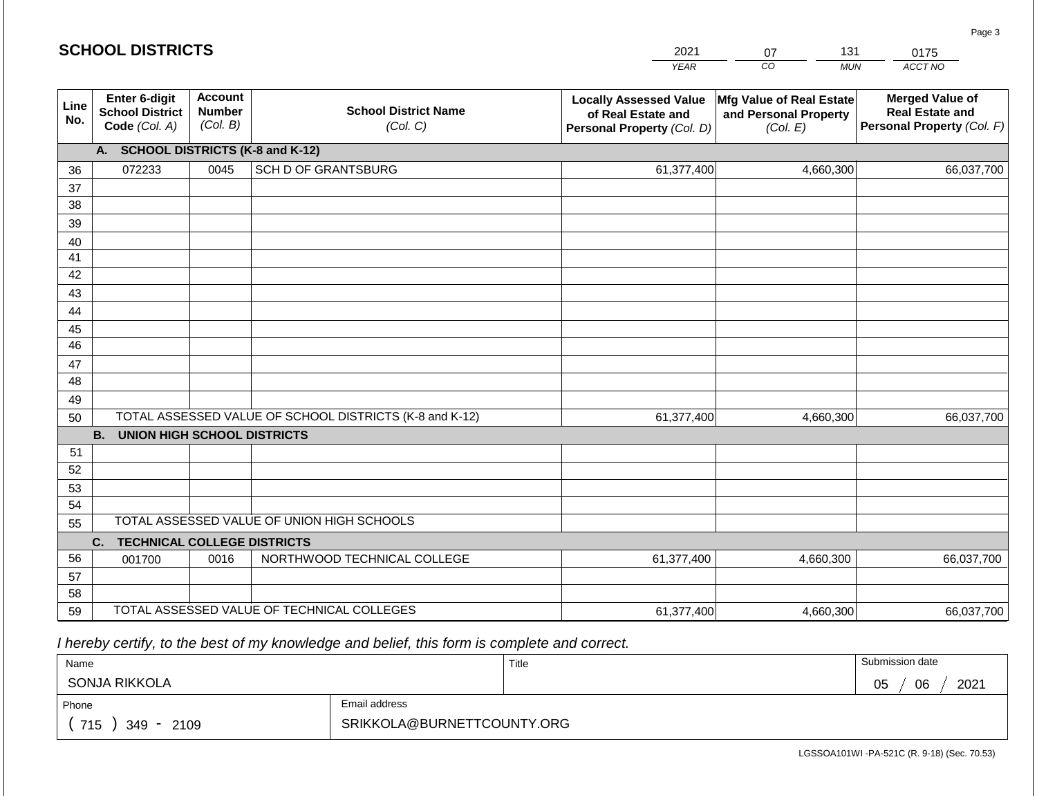#### 0175  $\overline{\phantom{a}}$ *CO MUN YEAR ACCT NO*  **Enter 6-digit Account Merged Value of Mfg Value of Real Estate Locally Assessed Value Line School District Name Real Estate and School District Number of Real Estate and and Personal Property No. Personal Property** *(Col. F) (Col. B)* **Code** *(Col. A) (Col. C)* **Personal Property** *(Col. D) (Col. E)* **A. SCHOOL DISTRICTS (K-8 and K-12)** 072233 0045 SCH D OF GRANTSBURG 61,377,400 4,660,300 66,037,700 36 37 38 39 40 41 42 43 44 45 46 47 48 49 50 TOTAL ASSESSED VALUE OF SCHOOL DISTRICTS (K-8 and K-12) 61,377,400 4,660,300 66,037,700 **B. UNION HIGH SCHOOL DISTRICTS** 51 52 53 54 TOTAL ASSESSED VALUE OF UNION HIGH SCHOOLS

55 **C. TECHNICAL COLLEGE DISTRICTS** 56 57 58 59 TOTAL ASSESSED VALUE OF TECHNICAL COLLEGES 001700 | 0016 | NORTHWOOD TECHNICAL COLLEGE 61,377,400 4,660,300 66,037,700 61,377,400 4,660,300 66,037,700

 *I hereby certify, to the best of my knowledge and belief, this form is complete and correct.*

| Name                 |               | Title | Submission date  |
|----------------------|---------------|-------|------------------|
| <b>SONJA RIKKOLA</b> |               |       | 06<br>2021<br>05 |
| Phone                | Email address |       |                  |
| 715<br>349 - 2109    |               |       |                  |

Page 3

| 2021 |    | LK 1 | . -   |
|------|----|------|-------|
| VEAD | CО | MUN  | ACC 1 |

| <b>SCHOOL DISTRICTS</b> |
|-------------------------|
|-------------------------|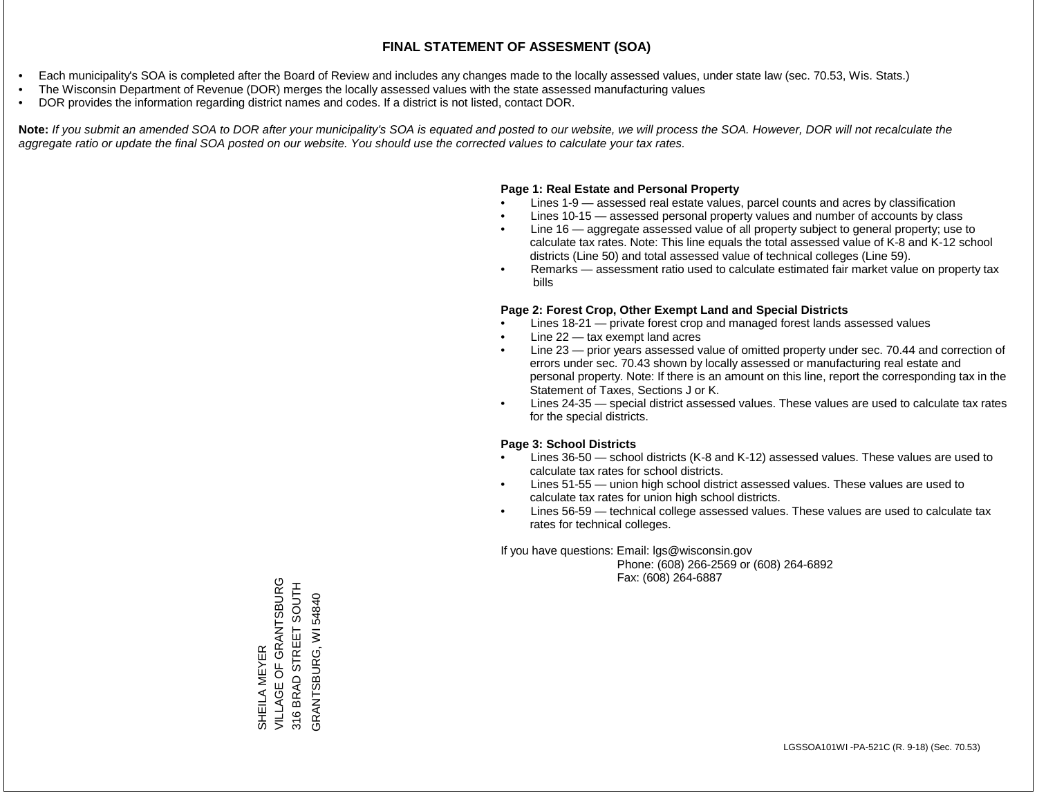- Each municipality's SOA is completed after the Board of Review and includes any changes made to the locally assessed values, under state law (sec. 70.53, Wis. Stats.)
- The Wisconsin Department of Revenue (DOR) merges the locally assessed values with the state assessed manufacturing values
- DOR provides the information regarding district names and codes. If a district is not listed, contact DOR.

Note: If you submit an amended SOA to DOR after your municipality's SOA is equated and posted to our website, we will process the SOA. However, DOR will not recalculate the *aggregate ratio or update the final SOA posted on our website. You should use the corrected values to calculate your tax rates.*

### **Page 1: Real Estate and Personal Property**

- Lines 1-9 assessed real estate values, parcel counts and acres by classification
- Lines 10-15 assessed personal property values and number of accounts by class
- Line 16 aggregate assessed value of all property subject to general property; use to calculate tax rates. Note: This line equals the total assessed value of K-8 and K-12 school districts (Line 50) and total assessed value of technical colleges (Line 59).
- Remarks assessment ratio used to calculate estimated fair market value on property tax bills

### **Page 2: Forest Crop, Other Exempt Land and Special Districts**

- Lines 18-21 private forest crop and managed forest lands assessed values
- Line  $22 -$  tax exempt land acres
- Line 23 prior years assessed value of omitted property under sec. 70.44 and correction of errors under sec. 70.43 shown by locally assessed or manufacturing real estate and personal property. Note: If there is an amount on this line, report the corresponding tax in the Statement of Taxes, Sections J or K.
- Lines 24-35 special district assessed values. These values are used to calculate tax rates for the special districts.

### **Page 3: School Districts**

- Lines 36-50 school districts (K-8 and K-12) assessed values. These values are used to calculate tax rates for school districts.
- Lines 51-55 union high school district assessed values. These values are used to calculate tax rates for union high school districts.
- Lines 56-59 technical college assessed values. These values are used to calculate tax rates for technical colleges.

If you have questions: Email: lgs@wisconsin.gov

 Phone: (608) 266-2569 or (608) 264-6892 Fax: (608) 264-6887

VILLAGE OF GRANTSBURG SHEILA MEYER<br>VILLAGE OF GRANTSBURG 316 BRAD STREET SOUTH 316 BRAD STREET SOUTH GRANTSBURG, WI 54840 GRANTSBURG, WI 54840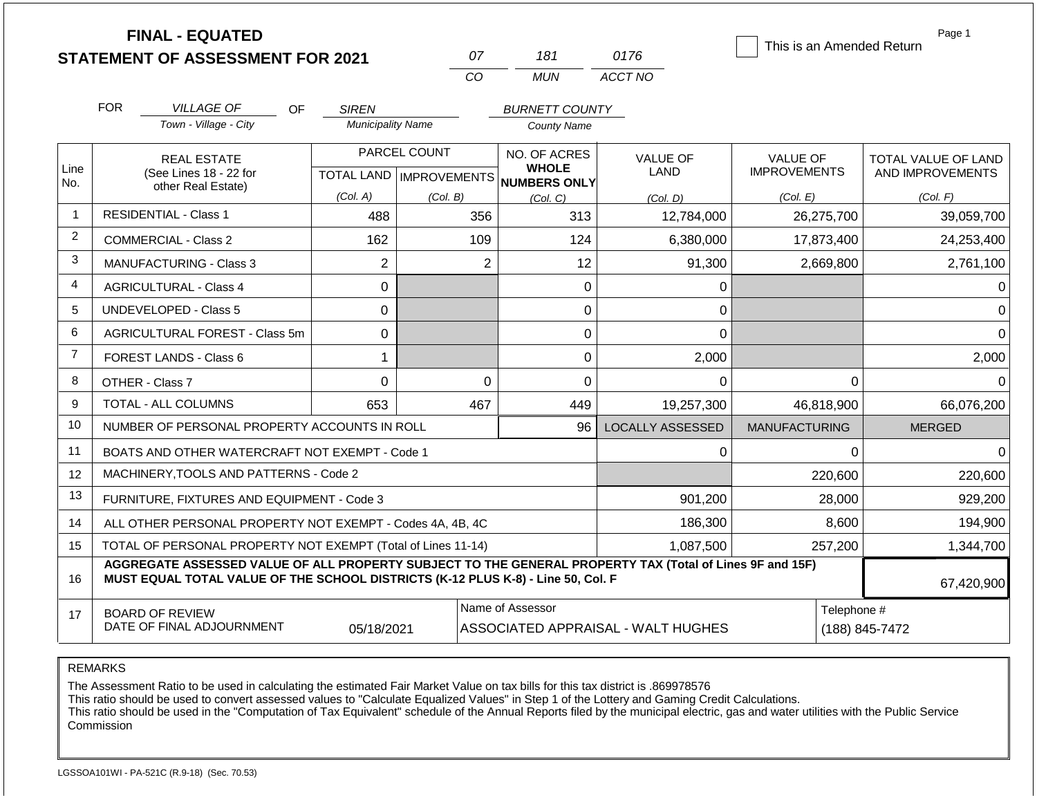|                | <b>FINAL - EQUATED</b><br><b>STATEMENT OF ASSESSMENT FOR 2021</b>                                                                                                                            |                                          | 07           | 181                                                      | 0176                               | This is an Amended Return | Page 1              |
|----------------|----------------------------------------------------------------------------------------------------------------------------------------------------------------------------------------------|------------------------------------------|--------------|----------------------------------------------------------|------------------------------------|---------------------------|---------------------|
|                |                                                                                                                                                                                              |                                          | CO           | <b>MUN</b>                                               | ACCT NO                            |                           |                     |
|                |                                                                                                                                                                                              |                                          |              |                                                          |                                    |                           |                     |
|                | <b>FOR</b><br><b>VILLAGE OF</b><br><b>OF</b><br>Town - Village - City                                                                                                                        | <b>SIREN</b><br><b>Municipality Name</b> |              | <b>BURNETT COUNTY</b>                                    |                                    |                           |                     |
|                |                                                                                                                                                                                              |                                          |              | <b>County Name</b>                                       |                                    |                           |                     |
|                | <b>REAL ESTATE</b>                                                                                                                                                                           |                                          | PARCEL COUNT | NO. OF ACRES                                             | <b>VALUE OF</b>                    | <b>VALUE OF</b>           | TOTAL VALUE OF LAND |
| Line<br>No.    | (See Lines 18 - 22 for<br>other Real Estate)                                                                                                                                                 |                                          |              | <b>WHOLE</b><br>TOTAL LAND   IMPROVEMENTS   NUMBERS ONLY | <b>LAND</b>                        | <b>IMPROVEMENTS</b>       | AND IMPROVEMENTS    |
|                |                                                                                                                                                                                              | (Col. A)<br>(Col. B)                     |              | (Col, C)                                                 | (Col. D)                           | (Col. E)                  | (Col. F)            |
| 1              | <b>RESIDENTIAL - Class 1</b>                                                                                                                                                                 | 488                                      | 356          | 313                                                      | 12,784,000                         | 26,275,700                | 39,059,700          |
| 2              | 162<br>109<br>124<br><b>COMMERCIAL - Class 2</b>                                                                                                                                             |                                          |              |                                                          | 6,380,000                          | 17,873,400                | 24,253,400          |
| 3              | $\overline{2}$<br>$\overline{2}$<br><b>MANUFACTURING - Class 3</b>                                                                                                                           |                                          |              |                                                          | 91,300                             | 2,669,800                 | 2,761,100           |
| 4              | 0<br><b>AGRICULTURAL - Class 4</b><br>0                                                                                                                                                      |                                          |              |                                                          | 0                                  |                           | $\Omega$            |
| 5              | <b>UNDEVELOPED - Class 5</b><br>$\mathbf 0$<br>0                                                                                                                                             |                                          |              |                                                          | 0                                  |                           | $\Omega$            |
| 6              | AGRICULTURAL FOREST - Class 5m<br>0<br>0                                                                                                                                                     |                                          |              |                                                          | 0                                  |                           | $\Omega$            |
| $\overline{7}$ | FOREST LANDS - Class 6<br>1                                                                                                                                                                  |                                          |              |                                                          | 2,000                              |                           | 2,000               |
| 8              | OTHER - Class 7                                                                                                                                                                              | $\mathbf 0$                              | $\Omega$     | 0                                                        | 0                                  | $\Omega$                  | $\Omega$            |
| 9              | <b>TOTAL - ALL COLUMNS</b>                                                                                                                                                                   | 653                                      | 467          | 449                                                      | 19,257,300                         | 46,818,900                | 66,076,200          |
| 10             | NUMBER OF PERSONAL PROPERTY ACCOUNTS IN ROLL                                                                                                                                                 |                                          |              | 96                                                       | <b>LOCALLY ASSESSED</b>            | <b>MANUFACTURING</b>      | <b>MERGED</b>       |
| 11             | BOATS AND OTHER WATERCRAFT NOT EXEMPT - Code 1                                                                                                                                               |                                          |              |                                                          | 0                                  | 0                         | $\Omega$            |
| 12             | MACHINERY, TOOLS AND PATTERNS - Code 2                                                                                                                                                       |                                          |              |                                                          |                                    | 220,600                   | 220,600             |
| 13             | FURNITURE, FIXTURES AND EQUIPMENT - Code 3                                                                                                                                                   |                                          |              | 901,200                                                  | 28,000                             | 929,200                   |                     |
| 14             | ALL OTHER PERSONAL PROPERTY NOT EXEMPT - Codes 4A, 4B, 4C                                                                                                                                    |                                          |              | 186,300                                                  | 8,600                              | 194,900                   |                     |
| 15             | TOTAL OF PERSONAL PROPERTY NOT EXEMPT (Total of Lines 11-14)                                                                                                                                 |                                          |              | 1,087,500                                                | 257,200                            | 1,344,700                 |                     |
| 16             | AGGREGATE ASSESSED VALUE OF ALL PROPERTY SUBJECT TO THE GENERAL PROPERTY TAX (Total of Lines 9F and 15F)<br>MUST EQUAL TOTAL VALUE OF THE SCHOOL DISTRICTS (K-12 PLUS K-8) - Line 50, Col. F |                                          |              |                                                          |                                    |                           | 67,420,900          |
| 17             | <b>BOARD OF REVIEW</b>                                                                                                                                                                       |                                          |              | Name of Assessor                                         |                                    | Telephone #               |                     |
|                | DATE OF FINAL ADJOURNMENT                                                                                                                                                                    | 05/18/2021                               |              |                                                          | ASSOCIATED APPRAISAL - WALT HUGHES |                           | (188) 845-7472      |

The Assessment Ratio to be used in calculating the estimated Fair Market Value on tax bills for this tax district is .869978576

This ratio should be used to convert assessed values to "Calculate Equalized Values" in Step 1 of the Lottery and Gaming Credit Calculations.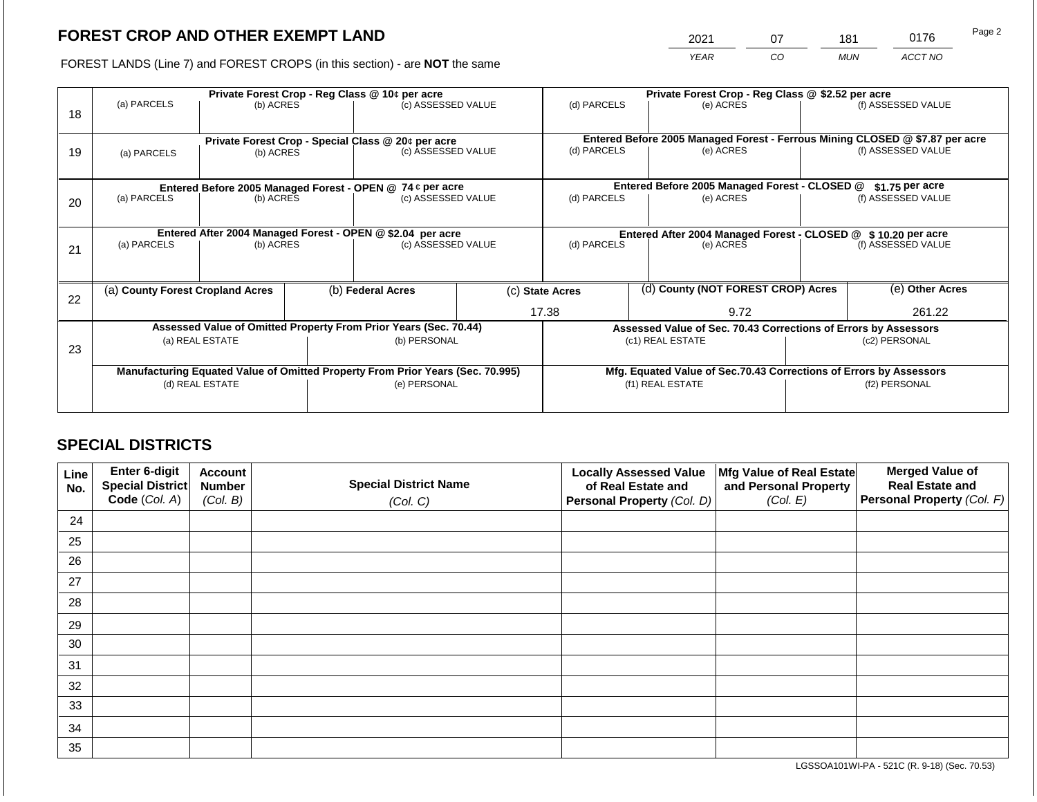2021 07 181 0176

FOREST LANDS (Line 7) and FOREST CROPS (in this section) - are **NOT** the same *YEAR CO MUN ACCT NO*

| 18 | (a) PARCELS<br>(b) ACRES                                         |                 |  | Private Forest Crop - Reg Class @ 10¢ per acre<br>(c) ASSESSED VALUE           |                                                               | Private Forest Crop - Reg Class @ \$2.52 per acre<br>(d) PARCELS<br>(e) ACRES |  | (f) ASSESSED VALUE |                                                                                                    |                    |
|----|------------------------------------------------------------------|-----------------|--|--------------------------------------------------------------------------------|---------------------------------------------------------------|-------------------------------------------------------------------------------|--|--------------------|----------------------------------------------------------------------------------------------------|--------------------|
| 19 | (a) PARCELS<br>(b) ACRES                                         |                 |  | Private Forest Crop - Special Class @ 20¢ per acre<br>(c) ASSESSED VALUE       |                                                               | (d) PARCELS<br>(e) ACRES                                                      |  |                    | Entered Before 2005 Managed Forest - Ferrous Mining CLOSED @ \$7.87 per acre<br>(f) ASSESSED VALUE |                    |
|    | Entered Before 2005 Managed Forest - OPEN @ 74 ¢ per acre        |                 |  |                                                                                |                                                               | Entered Before 2005 Managed Forest - CLOSED @<br>$$1.75$ per acre             |  |                    |                                                                                                    |                    |
| 20 | (a) PARCELS<br>(b) ACRES                                         |                 |  | (c) ASSESSED VALUE                                                             |                                                               | (d) PARCELS                                                                   |  | (e) ACRES          | (f) ASSESSED VALUE                                                                                 |                    |
|    | Entered After 2004 Managed Forest - OPEN @ \$2.04 per acre       |                 |  |                                                                                | Entered After 2004 Managed Forest - CLOSED @ \$10.20 per acre |                                                                               |  |                    |                                                                                                    |                    |
| 21 | (a) PARCELS<br>(b) ACRES                                         |                 |  | (c) ASSESSED VALUE                                                             |                                                               | (d) PARCELS                                                                   |  | (e) ACRES          |                                                                                                    | (f) ASSESSED VALUE |
|    |                                                                  |                 |  |                                                                                |                                                               |                                                                               |  |                    |                                                                                                    |                    |
| 22 | (a) County Forest Cropland Acres                                 |                 |  | (b) Federal Acres                                                              |                                                               | (d) County (NOT FOREST CROP) Acres<br>(c) State Acres                         |  |                    |                                                                                                    | (e) Other Acres    |
|    |                                                                  |                 |  |                                                                                |                                                               | 17.38<br>9.72                                                                 |  | 261.22             |                                                                                                    |                    |
|    | Assessed Value of Omitted Property From Prior Years (Sec. 70.44) |                 |  |                                                                                |                                                               | Assessed Value of Sec. 70.43 Corrections of Errors by Assessors               |  |                    |                                                                                                    |                    |
| 23 | (a) REAL ESTATE                                                  |                 |  | (b) PERSONAL                                                                   |                                                               | (c1) REAL ESTATE                                                              |  |                    | (c2) PERSONAL                                                                                      |                    |
|    |                                                                  |                 |  |                                                                                |                                                               |                                                                               |  |                    |                                                                                                    |                    |
|    |                                                                  |                 |  | Manufacturing Equated Value of Omitted Property From Prior Years (Sec. 70.995) |                                                               |                                                                               |  |                    | Mfg. Equated Value of Sec.70.43 Corrections of Errors by Assessors                                 |                    |
|    |                                                                  | (d) REAL ESTATE |  | (e) PERSONAL                                                                   |                                                               |                                                                               |  | (f1) REAL ESTATE   |                                                                                                    | (f2) PERSONAL      |
|    |                                                                  |                 |  |                                                                                |                                                               |                                                                               |  |                    |                                                                                                    |                    |

# **SPECIAL DISTRICTS**

| Line<br>No. | <b>Enter 6-digit</b><br>Special District | <b>Account</b><br><b>Number</b> | <b>Special District Name</b> | <b>Locally Assessed Value</b><br>of Real Estate and | Mfg Value of Real Estate<br>and Personal Property | <b>Merged Value of</b><br><b>Real Estate and</b> |
|-------------|------------------------------------------|---------------------------------|------------------------------|-----------------------------------------------------|---------------------------------------------------|--------------------------------------------------|
|             | Code (Col. A)                            | (Col. B)                        | (Col. C)                     | Personal Property (Col. D)                          | (Col. E)                                          | Personal Property (Col. F)                       |
| 24          |                                          |                                 |                              |                                                     |                                                   |                                                  |
| 25          |                                          |                                 |                              |                                                     |                                                   |                                                  |
| 26          |                                          |                                 |                              |                                                     |                                                   |                                                  |
| 27          |                                          |                                 |                              |                                                     |                                                   |                                                  |
| 28          |                                          |                                 |                              |                                                     |                                                   |                                                  |
| 29          |                                          |                                 |                              |                                                     |                                                   |                                                  |
| 30          |                                          |                                 |                              |                                                     |                                                   |                                                  |
| 31          |                                          |                                 |                              |                                                     |                                                   |                                                  |
| 32          |                                          |                                 |                              |                                                     |                                                   |                                                  |
| 33          |                                          |                                 |                              |                                                     |                                                   |                                                  |
| 34          |                                          |                                 |                              |                                                     |                                                   |                                                  |
| 35          |                                          |                                 |                              |                                                     |                                                   |                                                  |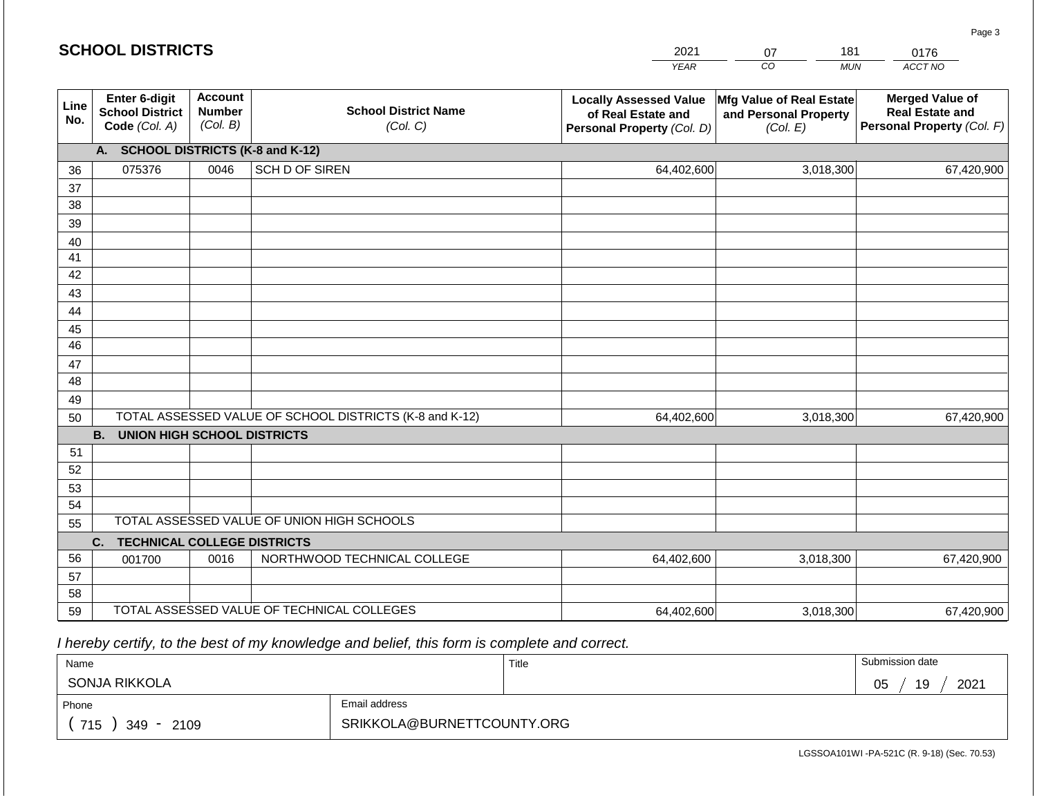#### *YEAR CO MUN ACCT NO*  0176 **Line No. Enter 6-digit School District Code** *(Col. A)* **Account Number** *(Col. B)* **School District Name** *(Col. C)* **Locally Assessed Value of Real Estate and Personal Property** *(Col. D)* **Mfg Value of Real Estate and Personal Property** *(Col. E)* **Merged Value of Real Estate and Personal Property** *(Col. F)* **A. SCHOOL DISTRICTS (K-8 and K-12)** 36 37 38 39 40 41 42 43 44 45 46 47 48 49 50 TOTAL ASSESSED VALUE OF SCHOOL DISTRICTS (K-8 and K-12) **B. UNION HIGH SCHOOL DISTRICTS** 51 52 53 54 55 **C. TECHNICAL COLLEGE DISTRICTS** 56 57 58 59 TOTAL ASSESSED VALUE OF TECHNICAL COLLEGES TOTAL ASSESSED VALUE OF UNION HIGH SCHOOLS 075376 0046 SCH D OF SIREN 64,402,600 64,402,600 001700 | 0016 | NORTHWOOD TECHNICAL COLLEGE 64,402,600 3,018,300 67,420,900 3,018,300 67,420,900 3,018,300 67,420,900 64,402,600 3,018,300 67,420,900

 *I hereby certify, to the best of my knowledge and belief, this form is complete and correct.*

| Name              |                            | Title | Submission date  |  |  |  |
|-------------------|----------------------------|-------|------------------|--|--|--|
| SONJA RIKKOLA     |                            |       | 19<br>2021<br>05 |  |  |  |
| Phone             | Email address              |       |                  |  |  |  |
| 715<br>349 - 2109 | SRIKKOLA@BURNETTCOUNTY.ORG |       |                  |  |  |  |

LGSSOA101WI -PA-521C (R. 9-18) (Sec. 70.53)

Page 3

| 2001<br>_____ |  |
|---------------|--|
|               |  |

181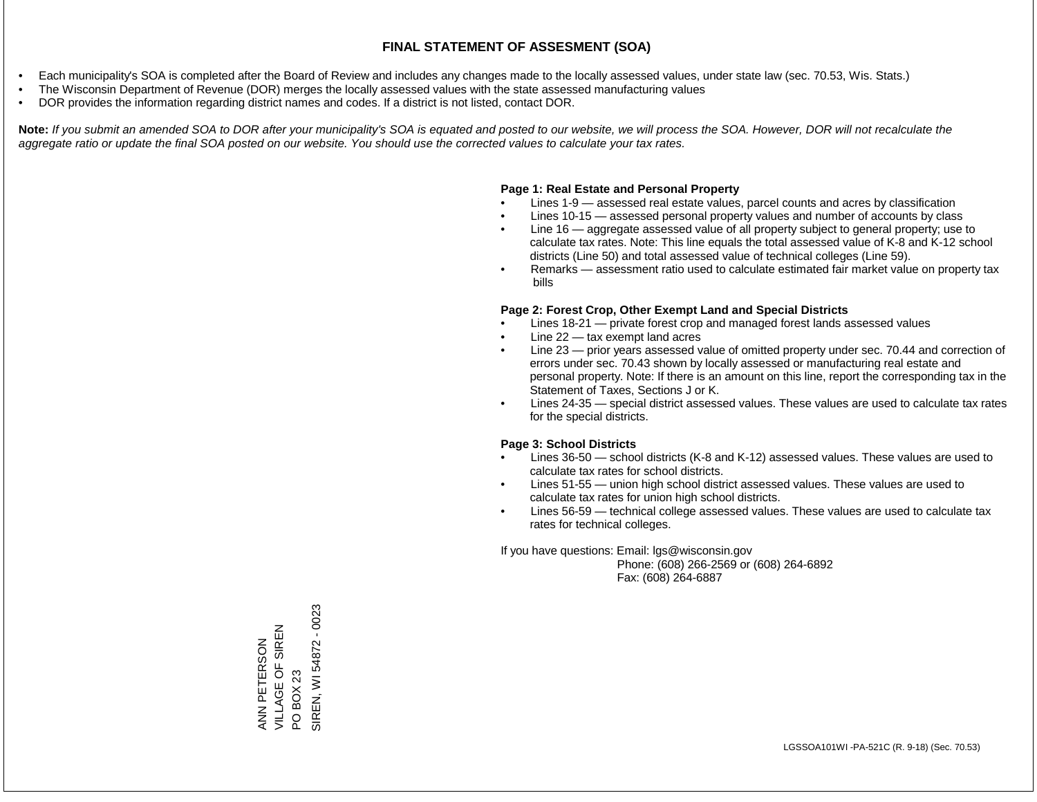- Each municipality's SOA is completed after the Board of Review and includes any changes made to the locally assessed values, under state law (sec. 70.53, Wis. Stats.)
- The Wisconsin Department of Revenue (DOR) merges the locally assessed values with the state assessed manufacturing values
- DOR provides the information regarding district names and codes. If a district is not listed, contact DOR.

Note: If you submit an amended SOA to DOR after your municipality's SOA is equated and posted to our website, we will process the SOA. However, DOR will not recalculate the *aggregate ratio or update the final SOA posted on our website. You should use the corrected values to calculate your tax rates.*

### **Page 1: Real Estate and Personal Property**

- Lines 1-9 assessed real estate values, parcel counts and acres by classification
- Lines 10-15 assessed personal property values and number of accounts by class
- Line 16 aggregate assessed value of all property subject to general property; use to calculate tax rates. Note: This line equals the total assessed value of K-8 and K-12 school districts (Line 50) and total assessed value of technical colleges (Line 59).
- Remarks assessment ratio used to calculate estimated fair market value on property tax bills

### **Page 2: Forest Crop, Other Exempt Land and Special Districts**

- Lines 18-21 private forest crop and managed forest lands assessed values
- Line  $22 -$  tax exempt land acres
- Line 23 prior years assessed value of omitted property under sec. 70.44 and correction of errors under sec. 70.43 shown by locally assessed or manufacturing real estate and personal property. Note: If there is an amount on this line, report the corresponding tax in the Statement of Taxes, Sections J or K.
- Lines 24-35 special district assessed values. These values are used to calculate tax rates for the special districts.

### **Page 3: School Districts**

- Lines 36-50 school districts (K-8 and K-12) assessed values. These values are used to calculate tax rates for school districts.
- Lines 51-55 union high school district assessed values. These values are used to calculate tax rates for union high school districts.
- Lines 56-59 technical college assessed values. These values are used to calculate tax rates for technical colleges.

If you have questions: Email: lgs@wisconsin.gov

 Phone: (608) 266-2569 or (608) 264-6892 Fax: (608) 264-6887

SIREN, WI 54872 - 0023 SIREN, WI 54872 - 0023VILLAGE OF SIREN ANN PETERSON<br>VILLAGE OF SIREN ANN PETERSON PO BOX 23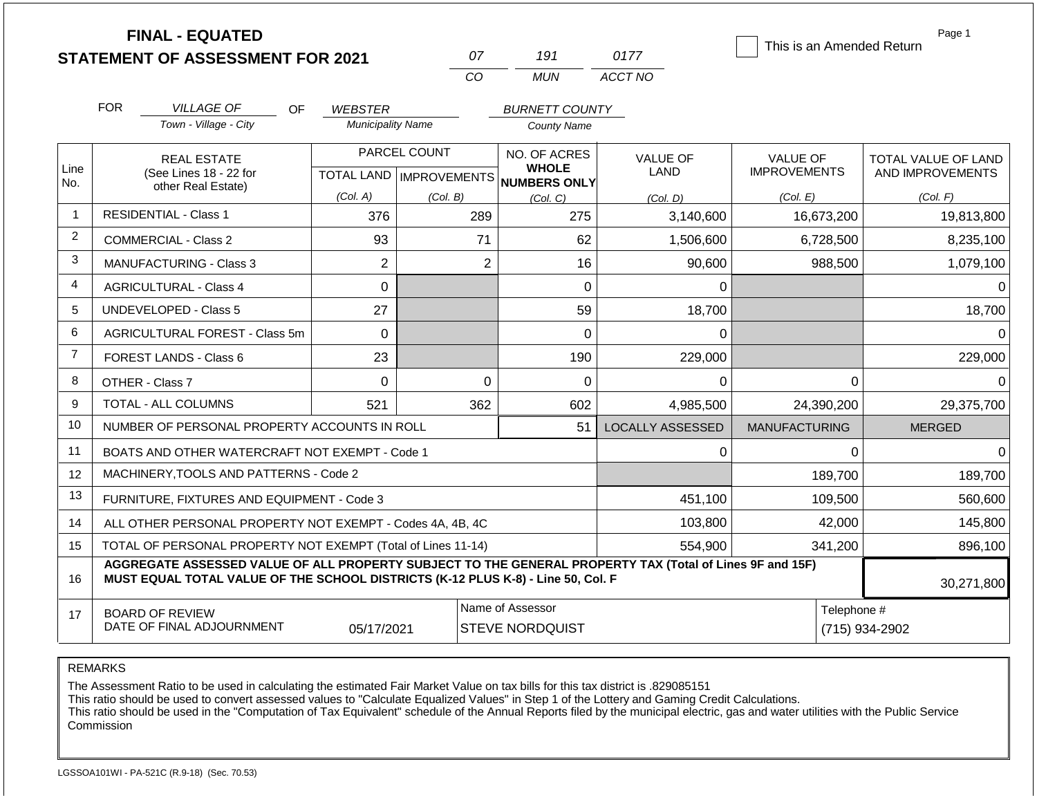|                | <b>FINAL - EQUATED</b>                                                                                                                                                                       |                                                |                          | 07                        | 191                          | 0177                    | This is an Amended Return | Page 1                     |
|----------------|----------------------------------------------------------------------------------------------------------------------------------------------------------------------------------------------|------------------------------------------------|--------------------------|---------------------------|------------------------------|-------------------------|---------------------------|----------------------------|
|                |                                                                                                                                                                                              | <b>STATEMENT OF ASSESSMENT FOR 2021</b>        |                          | CO                        | <b>MUN</b>                   | ACCT NO                 |                           |                            |
|                |                                                                                                                                                                                              |                                                |                          |                           |                              |                         |                           |                            |
|                | <b>FOR</b>                                                                                                                                                                                   | <b>VILLAGE OF</b><br><b>OF</b>                 | <b>WEBSTER</b>           |                           | <b>BURNETT COUNTY</b>        |                         |                           |                            |
|                |                                                                                                                                                                                              | Town - Village - City                          | <b>Municipality Name</b> |                           | <b>County Name</b>           |                         |                           |                            |
|                |                                                                                                                                                                                              | <b>REAL ESTATE</b>                             |                          | PARCEL COUNT              | NO. OF ACRES                 | <b>VALUE OF</b>         | <b>VALUE OF</b>           | <b>TOTAL VALUE OF LAND</b> |
| Line<br>No.    |                                                                                                                                                                                              | (See Lines 18 - 22 for                         |                          | TOTAL LAND   IMPROVEMENTS | <b>WHOLE</b><br>NUMBERS ONLY | LAND                    | <b>IMPROVEMENTS</b>       | AND IMPROVEMENTS           |
|                | other Real Estate)                                                                                                                                                                           |                                                | (Col. A)                 | (Col. B)                  | (Col. C)                     | (Col. D)                | (Col. E)                  | (Col. F)                   |
| $\overline{1}$ | <b>RESIDENTIAL - Class 1</b>                                                                                                                                                                 |                                                | 376                      | 289                       | 275                          | 3,140,600               | 16,673,200                | 19,813,800                 |
| $\overline{2}$ | <b>COMMERCIAL - Class 2</b>                                                                                                                                                                  |                                                | 93                       | 71                        | 62                           | 1,506,600               | 6,728,500                 | 8,235,100                  |
| 3              | MANUFACTURING - Class 3                                                                                                                                                                      |                                                | $\overline{2}$           | $\overline{2}$            | 16                           | 90,600                  | 988,500                   | 1,079,100                  |
| $\overline{4}$ | <b>AGRICULTURAL - Class 4</b>                                                                                                                                                                |                                                | $\Omega$                 |                           | $\Omega$                     | $\Omega$                |                           | $\Omega$                   |
| 5              | UNDEVELOPED - Class 5                                                                                                                                                                        |                                                | 27                       |                           | 59                           | 18,700                  |                           | 18,700                     |
| 6              |                                                                                                                                                                                              | AGRICULTURAL FOREST - Class 5m                 | $\Omega$                 |                           | $\Omega$                     | $\Omega$                |                           | $\Omega$                   |
| $\overline{7}$ | FOREST LANDS - Class 6                                                                                                                                                                       |                                                | 23                       |                           | 190                          | 229,000                 |                           | 229,000                    |
| 8              | OTHER - Class 7                                                                                                                                                                              |                                                | $\Omega$                 | $\Omega$                  | $\Omega$                     | $\Omega$                | $\Omega$                  | $\Omega$                   |
| 9              | <b>TOTAL - ALL COLUMNS</b>                                                                                                                                                                   |                                                | 521                      | 362                       | 602                          | 4,985,500               | 24,390,200                | 29,375,700                 |
| 10             |                                                                                                                                                                                              | NUMBER OF PERSONAL PROPERTY ACCOUNTS IN ROLL   |                          |                           | 51                           | <b>LOCALLY ASSESSED</b> | <b>MANUFACTURING</b>      | <b>MERGED</b>              |
| 11             |                                                                                                                                                                                              | BOATS AND OTHER WATERCRAFT NOT EXEMPT - Code 1 |                          | 0                         | $\Omega$                     | $\Omega$                |                           |                            |
| 12             | MACHINERY, TOOLS AND PATTERNS - Code 2                                                                                                                                                       |                                                |                          |                           |                              |                         | 189,700                   | 189,700                    |
| 13             | FURNITURE, FIXTURES AND EQUIPMENT - Code 3                                                                                                                                                   |                                                |                          |                           |                              | 451,100                 | 109,500                   | 560,600                    |
| 14             | ALL OTHER PERSONAL PROPERTY NOT EXEMPT - Codes 4A, 4B, 4C                                                                                                                                    |                                                |                          |                           |                              | 103,800                 | 42,000                    | 145,800                    |
| 15             | TOTAL OF PERSONAL PROPERTY NOT EXEMPT (Total of Lines 11-14)                                                                                                                                 |                                                |                          |                           |                              | 554,900                 | 341,200                   | 896,100                    |
| 16             | AGGREGATE ASSESSED VALUE OF ALL PROPERTY SUBJECT TO THE GENERAL PROPERTY TAX (Total of Lines 9F and 15F)<br>MUST EQUAL TOTAL VALUE OF THE SCHOOL DISTRICTS (K-12 PLUS K-8) - Line 50, Col. F |                                                |                          |                           |                              |                         |                           | 30,271,800                 |

17 BOARD OF REVIEW DATE OF FINAL ADJOURNMENT Name of Assessor **Name of Assessor** Telephone # 05/17/2021 STEVE NORDQUIST (715) 934-2902

REMARKS

The Assessment Ratio to be used in calculating the estimated Fair Market Value on tax bills for this tax district is .829085151

This ratio should be used to convert assessed values to "Calculate Equalized Values" in Step 1 of the Lottery and Gaming Credit Calculations.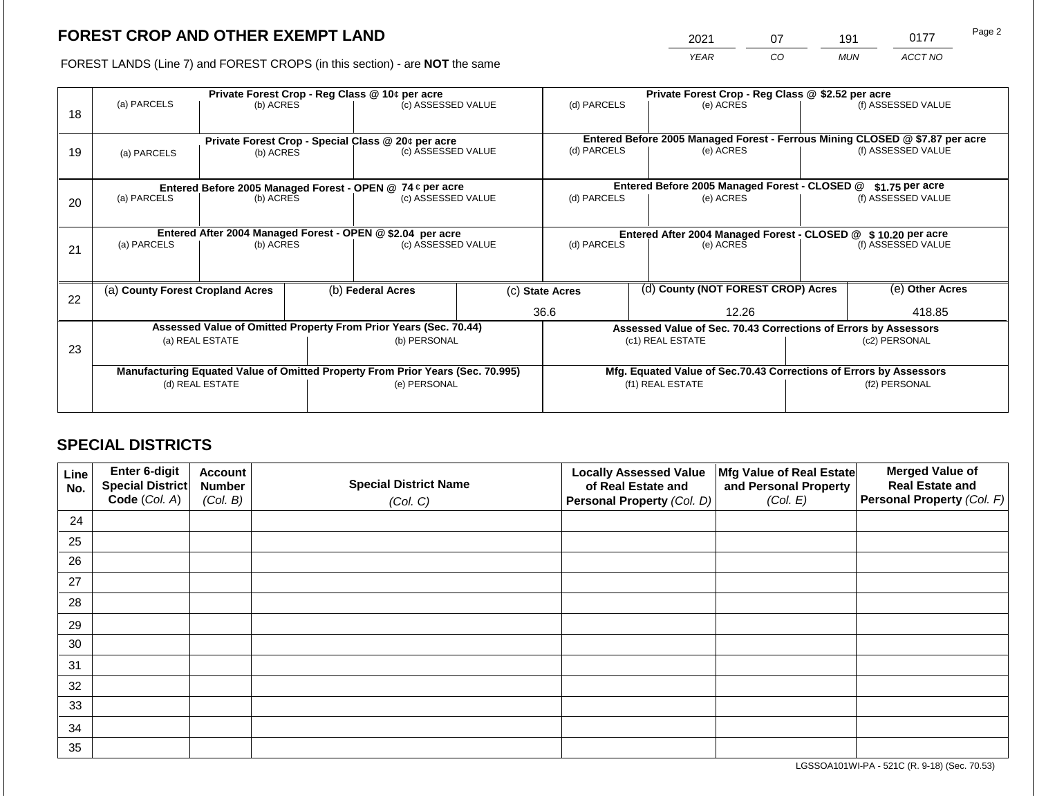2021 07 191 0177

FOREST LANDS (Line 7) and FOREST CROPS (in this section) - are **NOT** the same *YEAR CO MUN ACCT NO*

| 18 | (a) PARCELS                                                                                       | (b) ACRES                                                               |  | Private Forest Crop - Reg Class @ 10¢ per acre<br>(c) ASSESSED VALUE     |  | (d) PARCELS                                                                                          |  | Private Forest Crop - Reg Class @ \$2.52 per acre<br>(e) ACRES             |                                        | (f) ASSESSED VALUE                                                                                 |
|----|---------------------------------------------------------------------------------------------------|-------------------------------------------------------------------------|--|--------------------------------------------------------------------------|--|------------------------------------------------------------------------------------------------------|--|----------------------------------------------------------------------------|----------------------------------------|----------------------------------------------------------------------------------------------------|
| 19 | (a) PARCELS                                                                                       | (b) ACRES                                                               |  | Private Forest Crop - Special Class @ 20¢ per acre<br>(c) ASSESSED VALUE |  | (d) PARCELS                                                                                          |  | (e) ACRES                                                                  |                                        | Entered Before 2005 Managed Forest - Ferrous Mining CLOSED @ \$7.87 per acre<br>(f) ASSESSED VALUE |
| 20 | Entered Before 2005 Managed Forest - OPEN @ 74 ¢ per acre<br>(a) PARCELS<br>(b) ACRES             |                                                                         |  | (c) ASSESSED VALUE                                                       |  | Entered Before 2005 Managed Forest - CLOSED @<br>(d) PARCELS<br>(e) ACRES                            |  |                                                                            | $$1.75$ per acre<br>(f) ASSESSED VALUE |                                                                                                    |
| 21 | (a) PARCELS                                                                                       | Entered After 2004 Managed Forest - OPEN @ \$2.04 per acre<br>(b) ACRES |  | (c) ASSESSED VALUE                                                       |  | (d) PARCELS                                                                                          |  | Entered After 2004 Managed Forest - CLOSED @ \$10.20 per acre<br>(e) ACRES |                                        | (f) ASSESSED VALUE                                                                                 |
| 22 | (a) County Forest Cropland Acres                                                                  |                                                                         |  | (b) Federal Acres                                                        |  | (c) State Acres<br>36.6                                                                              |  | (d) County (NOT FOREST CROP) Acres<br>12.26                                |                                        | (e) Other Acres<br>418.85                                                                          |
| 23 | Assessed Value of Omitted Property From Prior Years (Sec. 70.44)<br>(a) REAL ESTATE               |                                                                         |  | (b) PERSONAL                                                             |  | Assessed Value of Sec. 70.43 Corrections of Errors by Assessors<br>(c1) REAL ESTATE<br>(c2) PERSONAL |  |                                                                            |                                        |                                                                                                    |
|    | Manufacturing Equated Value of Omitted Property From Prior Years (Sec. 70.995)<br>(d) REAL ESTATE |                                                                         |  | (e) PERSONAL                                                             |  | Mfg. Equated Value of Sec.70.43 Corrections of Errors by Assessors<br>(f1) REAL ESTATE               |  | (f2) PERSONAL                                                              |                                        |                                                                                                    |

# **SPECIAL DISTRICTS**

| Line<br>No. | <b>Enter 6-digit</b><br>Special District | <b>Account</b><br><b>Number</b> | <b>Special District Name</b> | <b>Locally Assessed Value</b><br>of Real Estate and | Mfg Value of Real Estate<br>and Personal Property | <b>Merged Value of</b><br><b>Real Estate and</b> |
|-------------|------------------------------------------|---------------------------------|------------------------------|-----------------------------------------------------|---------------------------------------------------|--------------------------------------------------|
|             | Code (Col. A)                            | (Col. B)                        | (Col. C)                     | Personal Property (Col. D)                          | (Col. E)                                          | Personal Property (Col. F)                       |
| 24          |                                          |                                 |                              |                                                     |                                                   |                                                  |
| 25          |                                          |                                 |                              |                                                     |                                                   |                                                  |
| 26          |                                          |                                 |                              |                                                     |                                                   |                                                  |
| 27          |                                          |                                 |                              |                                                     |                                                   |                                                  |
| 28          |                                          |                                 |                              |                                                     |                                                   |                                                  |
| 29          |                                          |                                 |                              |                                                     |                                                   |                                                  |
| 30          |                                          |                                 |                              |                                                     |                                                   |                                                  |
| 31          |                                          |                                 |                              |                                                     |                                                   |                                                  |
| 32          |                                          |                                 |                              |                                                     |                                                   |                                                  |
| 33          |                                          |                                 |                              |                                                     |                                                   |                                                  |
| 34          |                                          |                                 |                              |                                                     |                                                   |                                                  |
| 35          |                                          |                                 |                              |                                                     |                                                   |                                                  |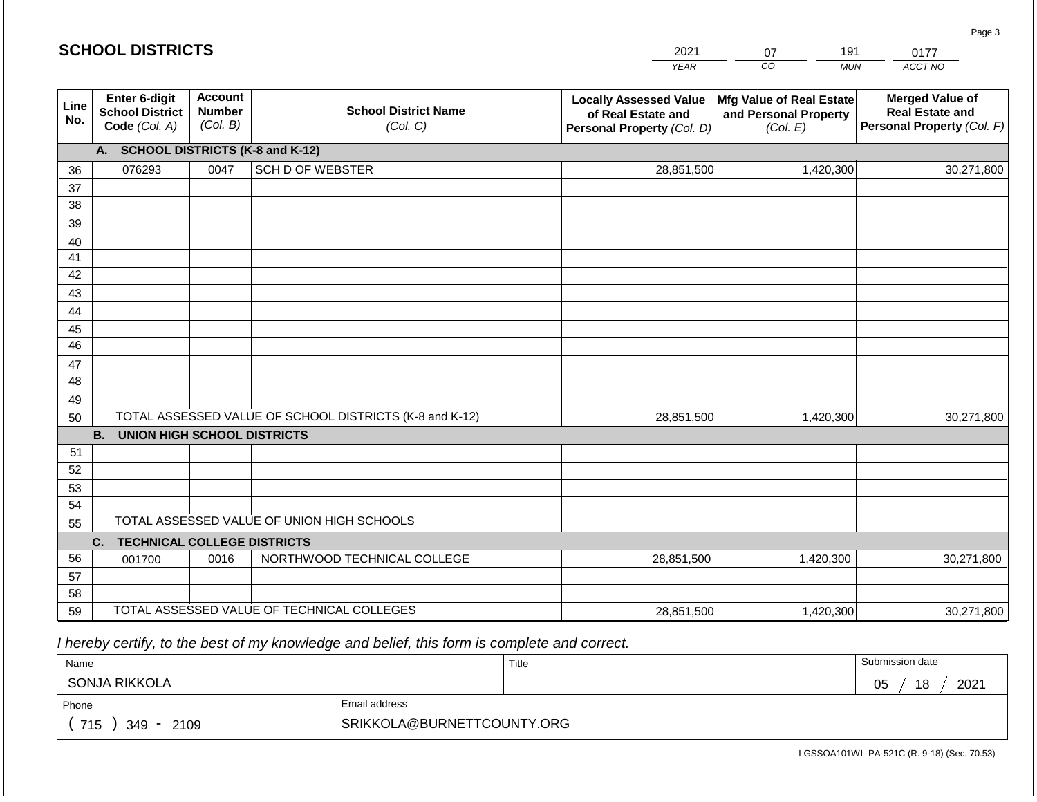|             |                                                          |                                             |                                                         | <b>YEAR</b>                                                                       | $\overline{co}$<br><b>MUN</b>                                        | ACCT NO                                                                        |
|-------------|----------------------------------------------------------|---------------------------------------------|---------------------------------------------------------|-----------------------------------------------------------------------------------|----------------------------------------------------------------------|--------------------------------------------------------------------------------|
| Line<br>No. | Enter 6-digit<br><b>School District</b><br>Code (Col. A) | <b>Account</b><br><b>Number</b><br>(Col. B) | <b>School District Name</b><br>(Col. C)                 | <b>Locally Assessed Value</b><br>of Real Estate and<br>Personal Property (Col. D) | <b>Mfg Value of Real Estate</b><br>and Personal Property<br>(Col. E) | <b>Merged Value of</b><br><b>Real Estate and</b><br>Personal Property (Col. F) |
|             | <b>A.</b>                                                |                                             | <b>SCHOOL DISTRICTS (K-8 and K-12)</b>                  |                                                                                   |                                                                      |                                                                                |
| 36          | 076293                                                   | 0047                                        | <b>SCH D OF WEBSTER</b>                                 | 28,851,500                                                                        | 1,420,300                                                            | 30,271,800                                                                     |
| 37          |                                                          |                                             |                                                         |                                                                                   |                                                                      |                                                                                |
| 38          |                                                          |                                             |                                                         |                                                                                   |                                                                      |                                                                                |
| 39          |                                                          |                                             |                                                         |                                                                                   |                                                                      |                                                                                |
| 40          |                                                          |                                             |                                                         |                                                                                   |                                                                      |                                                                                |
| 41          |                                                          |                                             |                                                         |                                                                                   |                                                                      |                                                                                |
| 42          |                                                          |                                             |                                                         |                                                                                   |                                                                      |                                                                                |
| 43          |                                                          |                                             |                                                         |                                                                                   |                                                                      |                                                                                |
| 44          |                                                          |                                             |                                                         |                                                                                   |                                                                      |                                                                                |
| 45          |                                                          |                                             |                                                         |                                                                                   |                                                                      |                                                                                |
| 46          |                                                          |                                             |                                                         |                                                                                   |                                                                      |                                                                                |
| 47<br>48    |                                                          |                                             |                                                         |                                                                                   |                                                                      |                                                                                |
|             |                                                          |                                             |                                                         |                                                                                   |                                                                      |                                                                                |
| 49<br>50    |                                                          |                                             | TOTAL ASSESSED VALUE OF SCHOOL DISTRICTS (K-8 and K-12) | 28,851,500                                                                        | 1,420,300                                                            | 30,271,800                                                                     |
|             | <b>B.</b><br><b>UNION HIGH SCHOOL DISTRICTS</b>          |                                             |                                                         |                                                                                   |                                                                      |                                                                                |
| 51          |                                                          |                                             |                                                         |                                                                                   |                                                                      |                                                                                |
| 52          |                                                          |                                             |                                                         |                                                                                   |                                                                      |                                                                                |
| 53          |                                                          |                                             |                                                         |                                                                                   |                                                                      |                                                                                |
| 54          |                                                          |                                             |                                                         |                                                                                   |                                                                      |                                                                                |
| 55          |                                                          |                                             | TOTAL ASSESSED VALUE OF UNION HIGH SCHOOLS              |                                                                                   |                                                                      |                                                                                |
|             | C.<br><b>TECHNICAL COLLEGE DISTRICTS</b>                 |                                             |                                                         |                                                                                   |                                                                      |                                                                                |
| 56          | 001700                                                   | 0016                                        | NORTHWOOD TECHNICAL COLLEGE                             | 28,851,500                                                                        | 1,420,300                                                            | 30,271,800                                                                     |
| 57          |                                                          |                                             |                                                         |                                                                                   |                                                                      |                                                                                |
| 58          |                                                          |                                             |                                                         |                                                                                   |                                                                      |                                                                                |
| 59          |                                                          |                                             | TOTAL ASSESSED VALUE OF TECHNICAL COLLEGES              | 28,851,500                                                                        | 1,420,300                                                            | 30,271,800                                                                     |

 *I hereby certify, to the best of my knowledge and belief, this form is complete and correct.*

| Name                   |                            | Title | Submission date  |
|------------------------|----------------------------|-------|------------------|
| SONJA RIKKOLA          |                            |       | 18<br>2021<br>05 |
| Phone                  | Email address              |       |                  |
| 715<br>2109<br>$349 -$ | SRIKKOLA@BURNETTCOUNTY.ORG |       |                  |

LGSSOA101WI -PA-521C (R. 9-18) (Sec. 70.53)

Page 3

| <b>SCHOOL DISTRICTS</b> |
|-------------------------|
|                         |

| 2021        |    | g |
|-------------|----|---|
| <b>YFAR</b> | rη |   |

191 0177